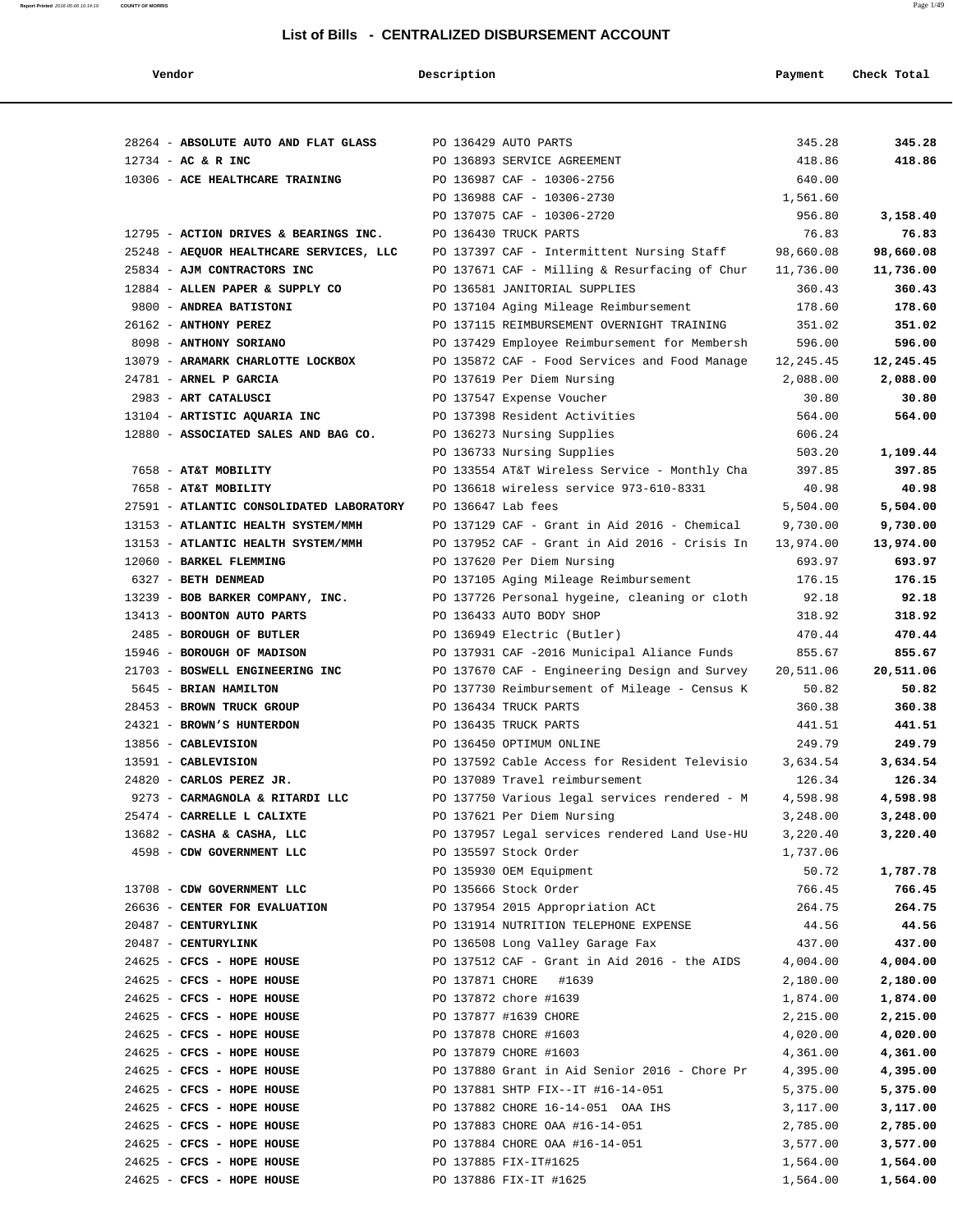| Vendor                                   | Description        |                                               | Payment   | Check Total |
|------------------------------------------|--------------------|-----------------------------------------------|-----------|-------------|
|                                          |                    |                                               |           |             |
| 28264 - ABSOLUTE AUTO AND FLAT GLASS     |                    | PO 136429 AUTO PARTS                          | 345.28    | 345.28      |
| $12734 - AC & R$ INC                     |                    | PO 136893 SERVICE AGREEMENT                   | 418.86    | 418.86      |
| 10306 - ACE HEALTHCARE TRAINING          |                    | PO 136987 CAF - 10306-2756                    | 640.00    |             |
|                                          |                    | PO 136988 CAF - 10306-2730                    | 1,561.60  |             |
|                                          |                    | PO 137075 CAF - 10306-2720                    | 956.80    | 3,158.40    |
| 12795 - ACTION DRIVES & BEARINGS INC.    |                    | PO 136430 TRUCK PARTS                         | 76.83     | 76.83       |
| 25248 - AEQUOR HEALTHCARE SERVICES, LLC  |                    | PO 137397 CAF - Intermittent Nursing Staff    | 98,660.08 | 98,660.08   |
| 25834 - AJM CONTRACTORS INC              |                    | PO 137671 CAF - Milling & Resurfacing of Chur | 11,736.00 | 11,736.00   |
| 12884 - ALLEN PAPER & SUPPLY CO          |                    | PO 136581 JANITORIAL SUPPLIES                 | 360.43    | 360.43      |
| 9800 - ANDREA BATISTONI                  |                    | PO 137104 Aging Mileage Reimbursement         | 178.60    | 178.60      |
| 26162 - ANTHONY PEREZ                    |                    | PO 137115 REIMBURSEMENT OVERNIGHT TRAINING    | 351.02    | 351.02      |
| 8098 - ANTHONY SORIANO                   |                    | PO 137429 Employee Reimbursement for Membersh | 596.00    | 596.00      |
| 13079 - ARAMARK CHARLOTTE LOCKBOX        |                    | PO 135872 CAF - Food Services and Food Manage | 12,245.45 | 12,245.45   |
| 24781 - ARNEL P GARCIA                   |                    | PO 137619 Per Diem Nursing                    | 2,088.00  | 2,088.00    |
| 2983 - ART CATALUSCI                     |                    | PO 137547 Expense Voucher                     | 30.80     | 30.80       |
| 13104 - ARTISTIC AQUARIA INC             |                    | PO 137398 Resident Activities                 | 564.00    | 564.00      |
| 12880 - ASSOCIATED SALES AND BAG CO.     |                    | PO 136273 Nursing Supplies                    | 606.24    |             |
|                                          |                    | PO 136733 Nursing Supplies                    | 503.20    | 1,109.44    |
| 7658 - AT&T MOBILITY                     |                    | PO 133554 AT&T Wireless Service - Monthly Cha | 397.85    | 397.85      |
| 7658 - AT&T MOBILITY                     |                    | PO 136618 wireless service 973-610-8331       | 40.98     | 40.98       |
| 27591 - ATLANTIC CONSOLIDATED LABORATORY | PO 136647 Lab fees |                                               | 5,504.00  | 5,504.00    |
| 13153 - ATLANTIC HEALTH SYSTEM/MMH       |                    | PO 137129 CAF - Grant in Aid 2016 - Chemical  | 9,730.00  | 9,730.00    |
| 13153 - ATLANTIC HEALTH SYSTEM/MMH       |                    | PO 137952 CAF - Grant in Aid 2016 - Crisis In | 13,974.00 | 13,974.00   |
| 12060 - BARKEL FLEMMING                  |                    | PO 137620 Per Diem Nursing                    | 693.97    | 693.97      |
| 6327 - BETH DENMEAD                      |                    | PO 137105 Aging Mileage Reimbursement         | 176.15    | 176.15      |
| 13239 - BOB BARKER COMPANY, INC.         |                    | PO 137726 Personal hygeine, cleaning or cloth | 92.18     | 92.18       |
| 13413 - BOONTON AUTO PARTS               |                    | PO 136433 AUTO BODY SHOP                      | 318.92    | 318.92      |
| 2485 - BOROUGH OF BUTLER                 |                    | PO 136949 Electric (Butler)                   | 470.44    | 470.44      |
| 15946 - BOROUGH OF MADISON               |                    | PO 137931 CAF -2016 Municipal Aliance Funds   | 855.67    | 855.67      |
| 21703 - BOSWELL ENGINEERING INC          |                    | PO 137670 CAF - Engineering Design and Survey | 20,511.06 | 20,511.06   |
| 5645 - BRIAN HAMILTON                    |                    | PO 137730 Reimbursement of Mileage - Census K | 50.82     | 50.82       |
| 28453 - BROWN TRUCK GROUP                |                    | PO 136434 TRUCK PARTS                         | 360.38    | 360.38      |
| 24321 - BROWN'S HUNTERDON                |                    | PO 136435 TRUCK PARTS                         | 441.51    | 441.51      |
| 13856 - CABLEVISION                      |                    | PO 136450 OPTIMUM ONLINE                      | 249.79    | 249.79      |
| 13591 - CABLEVISION                      |                    | PO 137592 Cable Access for Resident Televisio | 3,634.54  | 3,634.54    |
| 24820 - CARLOS PEREZ JR.                 |                    | PO 137089 Travel reimbursement                | 126.34    | 126.34      |
| 9273 - CARMAGNOLA & RITARDI LLC          |                    | PO 137750 Various legal services rendered - M | 4,598.98  | 4,598.98    |
| 25474 - CARRELLE L CALIXTE               |                    | PO 137621 Per Diem Nursing                    | 3,248.00  | 3,248.00    |
| 13682 - CASHA & CASHA, LLC               |                    | PO 137957 Legal services rendered Land Use-HU | 3,220.40  | 3,220.40    |
| 4598 - CDW GOVERNMENT LLC                |                    | PO 135597 Stock Order                         | 1,737.06  |             |
|                                          |                    | PO 135930 OEM Equipment                       | 50.72     | 1,787.78    |
| 13708 - CDW GOVERNMENT LLC               |                    | PO 135666 Stock Order                         | 766.45    | 766.45      |
| 26636 - CENTER FOR EVALUATION            |                    | PO 137954 2015 Appropriation ACt              | 264.75    | 264.75      |
| 20487 - CENTURYLINK                      |                    | PO 131914 NUTRITION TELEPHONE EXPENSE         | 44.56     | 44.56       |
| 20487 - CENTURYLINK                      |                    | PO 136508 Long Valley Garage Fax              | 437.00    | 437.00      |
| 24625 - CFCS - HOPE HOUSE                |                    | PO 137512 CAF - Grant in Aid 2016 - the AIDS  | 4,004.00  | 4,004.00    |
| 24625 - CFCS - HOPE HOUSE                |                    | PO 137871 CHORE #1639                         | 2,180.00  | 2,180.00    |
| 24625 - CFCS - HOPE HOUSE                |                    | PO 137872 chore #1639                         | 1,874.00  | 1,874.00    |
| 24625 - CFCS - HOPE HOUSE                |                    | PO 137877 #1639 CHORE                         | 2,215.00  | 2,215.00    |
| 24625 - CFCS - HOPE HOUSE                |                    | PO 137878 CHORE #1603                         | 4,020.00  | 4,020.00    |
| 24625 - CFCS - HOPE HOUSE                |                    | PO 137879 CHORE #1603                         | 4,361.00  | 4,361.00    |
| 24625 - CFCS - HOPE HOUSE                |                    | PO 137880 Grant in Aid Senior 2016 - Chore Pr | 4,395.00  | 4,395.00    |
| 24625 - CFCS - HOPE HOUSE                |                    | PO 137881 SHTP FIX--IT #16-14-051             | 5,375.00  | 5,375.00    |
| 24625 - CFCS - HOPE HOUSE                |                    | PO 137882 CHORE 16-14-051 OAA IHS             | 3,117.00  | 3,117.00    |
| 24625 - CFCS - HOPE HOUSE                |                    | PO 137883 CHORE OAA #16-14-051                | 2,785.00  | 2,785.00    |
| 24625 - CFCS - HOPE HOUSE                |                    | PO 137884 CHORE OAA #16-14-051                | 3,577.00  | 3,577.00    |
| $24625$ - CFCS - HOPE HOUSE              |                    | PO 137885 FIX-IT#1625                         | 1,564.00  | 1,564.00    |
| 24625 - CFCS - HOPE HOUSE                |                    | PO 137886 FIX-IT #1625                        | 1,564.00  | 1,564.00    |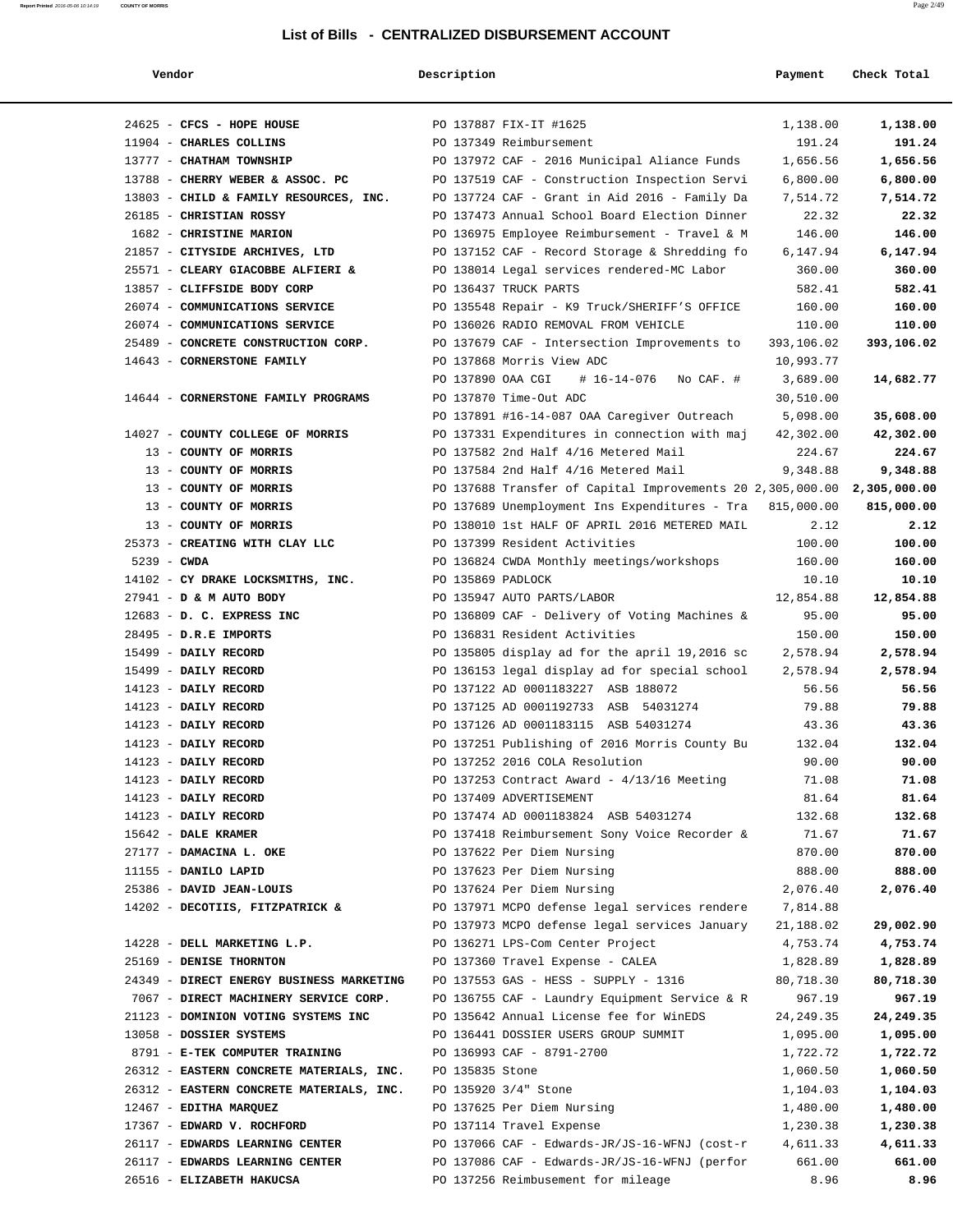| endoi |  |
|-------|--|
|-------|--|

**Report Printed** 2016-05-06 10:14:19 **COUNTY OF MORRIS** 

# **Description Description Payment Check Total**

| 24625 - CFCS - HOPE HOUSE                    |                   | PO 137887 FIX-IT #1625                                                         | 1,138.00       | 1,138.00        |
|----------------------------------------------|-------------------|--------------------------------------------------------------------------------|----------------|-----------------|
| 11904 - CHARLES COLLINS                      |                   | PO 137349 Reimbursement                                                        | 191.24         | 191.24          |
| 13777 - CHATHAM TOWNSHIP                     |                   | PO 137972 CAF - 2016 Municipal Aliance Funds                                   | 1,656.56       | 1,656.56        |
| 13788 - CHERRY WEBER & ASSOC. PC             |                   | PO 137519 CAF - Construction Inspection Servi                                  | 6,800.00       | 6,800.00        |
| 13803 - CHILD & FAMILY RESOURCES, INC.       |                   | PO 137724 CAF - Grant in Aid 2016 - Family Da                                  | 7,514.72       | 7,514.72        |
| 26185 - CHRISTIAN ROSSY                      |                   | PO 137473 Annual School Board Election Dinner                                  | 22.32          | 22.32           |
| 1682 - CHRISTINE MARION                      |                   | PO 136975 Employee Reimbursement - Travel & M                                  | 146.00         | 146.00          |
| 21857 - CITYSIDE ARCHIVES, LTD               |                   | PO 137152 CAF - Record Storage & Shredding fo                                  | 6,147.94       | 6,147.94        |
| 25571 - CLEARY GIACOBBE ALFIERI &            |                   | PO 138014 Legal services rendered-MC Labor                                     | 360.00         | 360.00          |
| 13857 - CLIFFSIDE BODY CORP                  |                   | PO 136437 TRUCK PARTS                                                          | 582.41         | 582.41          |
| 26074 - COMMUNICATIONS SERVICE               |                   | PO 135548 Repair - K9 Truck/SHERIFF'S OFFICE                                   | 160.00         | 160.00          |
| 26074 - COMMUNICATIONS SERVICE               |                   | PO 136026 RADIO REMOVAL FROM VEHICLE                                           | 110.00         | 110.00          |
| 25489 - CONCRETE CONSTRUCTION CORP.          |                   | PO 137679 CAF - Intersection Improvements to                                   | 393,106.02     | 393,106.02      |
| 14643 - CORNERSTONE FAMILY                   |                   | PO 137868 Morris View ADC                                                      | 10,993.77      |                 |
|                                              |                   | PO 137890 OAA CGI<br># 16-14-076 No CAF. #                                     | 3,689.00       | 14,682.77       |
| 14644 - CORNERSTONE FAMILY PROGRAMS          |                   | PO 137870 Time-Out ADC                                                         | 30,510.00      |                 |
|                                              |                   | PO 137891 #16-14-087 OAA Caregiver Outreach                                    | 5,098.00       | 35,608.00       |
| 14027 - COUNTY COLLEGE OF MORRIS             |                   | PO 137331 Expenditures in connection with maj                                  | 42,302.00      | 42,302.00       |
| 13 - COUNTY OF MORRIS                        |                   | PO 137582 2nd Half 4/16 Metered Mail                                           | 224.67         | 224.67          |
| 13 - COUNTY OF MORRIS                        |                   | PO 137584 2nd Half 4/16 Metered Mail                                           | 9,348.88       | 9,348.88        |
| 13 - COUNTY OF MORRIS                        |                   | PO 137688 Transfer of Capital Improvements 20 2,305,000.00 2,305,000.00        |                |                 |
| 13 - COUNTY OF MORRIS                        |                   | PO 137689 Unemployment Ins Expenditures - Tra 815,000.00                       |                | 815,000.00      |
| 13 - COUNTY OF MORRIS                        |                   | PO 138010 1st HALF OF APRIL 2016 METERED MAIL                                  | 2.12           | 2.12            |
| 25373 - CREATING WITH CLAY LLC               |                   | PO 137399 Resident Activities                                                  | 100.00         | 100.00          |
| $5239 - CWDA$                                |                   | PO 136824 CWDA Monthly meetings/workshops                                      | 160.00         | 160.00          |
| 14102 - CY DRAKE LOCKSMITHS, INC.            | PO 135869 PADLOCK |                                                                                | 10.10          | 10.10           |
| 27941 - D & M AUTO BODY                      |                   | PO 135947 AUTO PARTS/LABOR                                                     | 12,854.88      | 12,854.88       |
| 12683 - D. C. EXPRESS INC                    |                   | PO 136809 CAF - Delivery of Voting Machines &                                  | 95.00          | 95.00           |
| 28495 - D.R.E IMPORTS                        |                   | PO 136831 Resident Activities                                                  | 150.00         | 150.00          |
| 15499 - DAILY RECORD                         |                   | PO 135805 display ad for the april 19,2016 sc                                  | 2,578.94       | 2,578.94        |
| 15499 - DAILY RECORD                         |                   | PO 136153 legal display ad for special school                                  | 2,578.94       | 2,578.94        |
| 14123 - DAILY RECORD                         |                   | PO 137122 AD 0001183227 ASB 188072                                             | 56.56          | 56.56           |
| 14123 - DAILY RECORD                         |                   | PO 137125 AD 0001192733 ASB 54031274                                           | 79.88          | 79.88           |
| 14123 - DAILY RECORD                         |                   | PO 137126 AD 0001183115 ASB 54031274                                           | 43.36          | 43.36           |
| 14123 - DAILY RECORD<br>14123 - DAILY RECORD |                   | PO 137251 Publishing of 2016 Morris County Bu                                  | 132.04         | 132.04<br>90.00 |
| 14123 - DAILY RECORD                         |                   | PO 137252 2016 COLA Resolution<br>PO 137253 Contract Award - $4/13/16$ Meeting | 90.00<br>71.08 | 71.08           |
| 14123 - DAILY RECORD                         |                   | PO 137409 ADVERTISEMENT                                                        | 81.64          | 81.64           |
| 14123 - DAILY RECORD                         |                   | PO 137474 AD 0001183824 ASB 54031274                                           | 132.68         | 132.68          |
| 15642 - DALE KRAMER                          |                   | PO 137418 Reimbursement Sony Voice Recorder &                                  | 71.67          | 71.67           |
| 27177 - DAMACINA L. OKE                      |                   | PO 137622 Per Diem Nursing                                                     | 870.00         | 870.00          |
| 11155 - DANILO LAPID                         |                   | PO 137623 Per Diem Nursing                                                     | 888.00         | 888.00          |
| 25386 - DAVID JEAN-LOUIS                     |                   | PO 137624 Per Diem Nursing                                                     | 2,076.40       | 2,076.40        |
| 14202 - DECOTIIS, FITZPATRICK &              |                   | PO 137971 MCPO defense legal services rendere                                  | 7,814.88       |                 |
|                                              |                   | PO 137973 MCPO defense legal services January                                  | 21,188.02      | 29,002.90       |
| 14228 - DELL MARKETING L.P.                  |                   | PO 136271 LPS-Com Center Project                                               | 4,753.74       | 4,753.74        |
| 25169 - DENISE THORNTON                      |                   | PO 137360 Travel Expense - CALEA                                               | 1,828.89       | 1,828.89        |
| 24349 - DIRECT ENERGY BUSINESS MARKETING     |                   | PO 137553 GAS - HESS - SUPPLY - 1316                                           | 80,718.30      | 80,718.30       |
| 7067 - DIRECT MACHINERY SERVICE CORP.        |                   | PO 136755 CAF - Laundry Equipment Service & R                                  | 967.19         | 967.19          |
| 21123 - DOMINION VOTING SYSTEMS INC          |                   | PO 135642 Annual License fee for WinEDS                                        | 24, 249.35     | 24,249.35       |
| 13058 - DOSSIER SYSTEMS                      |                   | PO 136441 DOSSIER USERS GROUP SUMMIT                                           | 1,095.00       | 1,095.00        |
| 8791 - E-TEK COMPUTER TRAINING               |                   | PO 136993 CAF - 8791-2700                                                      | 1,722.72       | 1,722.72        |
| 26312 - EASTERN CONCRETE MATERIALS, INC.     | PO 135835 Stone   |                                                                                | 1,060.50       | 1,060.50        |
| 26312 - EASTERN CONCRETE MATERIALS, INC.     |                   | PO 135920 3/4" Stone                                                           | 1,104.03       | 1,104.03        |
| 12467 - EDITHA MARQUEZ                       |                   | PO 137625 Per Diem Nursing                                                     | 1,480.00       | 1,480.00        |
| 17367 - EDWARD V. ROCHFORD                   |                   | PO 137114 Travel Expense                                                       | 1,230.38       | 1,230.38        |
| 26117 - EDWARDS LEARNING CENTER              |                   | PO 137066 CAF - Edwards-JR/JS-16-WFNJ (cost-r                                  | 4,611.33       | 4,611.33        |
| 26117 - EDWARDS LEARNING CENTER              |                   | PO 137086 CAF - Edwards-JR/JS-16-WFNJ (perfor                                  | 661.00         | 661.00          |
| 26516 - ELIZABETH HAKUCSA                    |                   | PO 137256 Reimbusement for mileage                                             | 8.96           | 8.96            |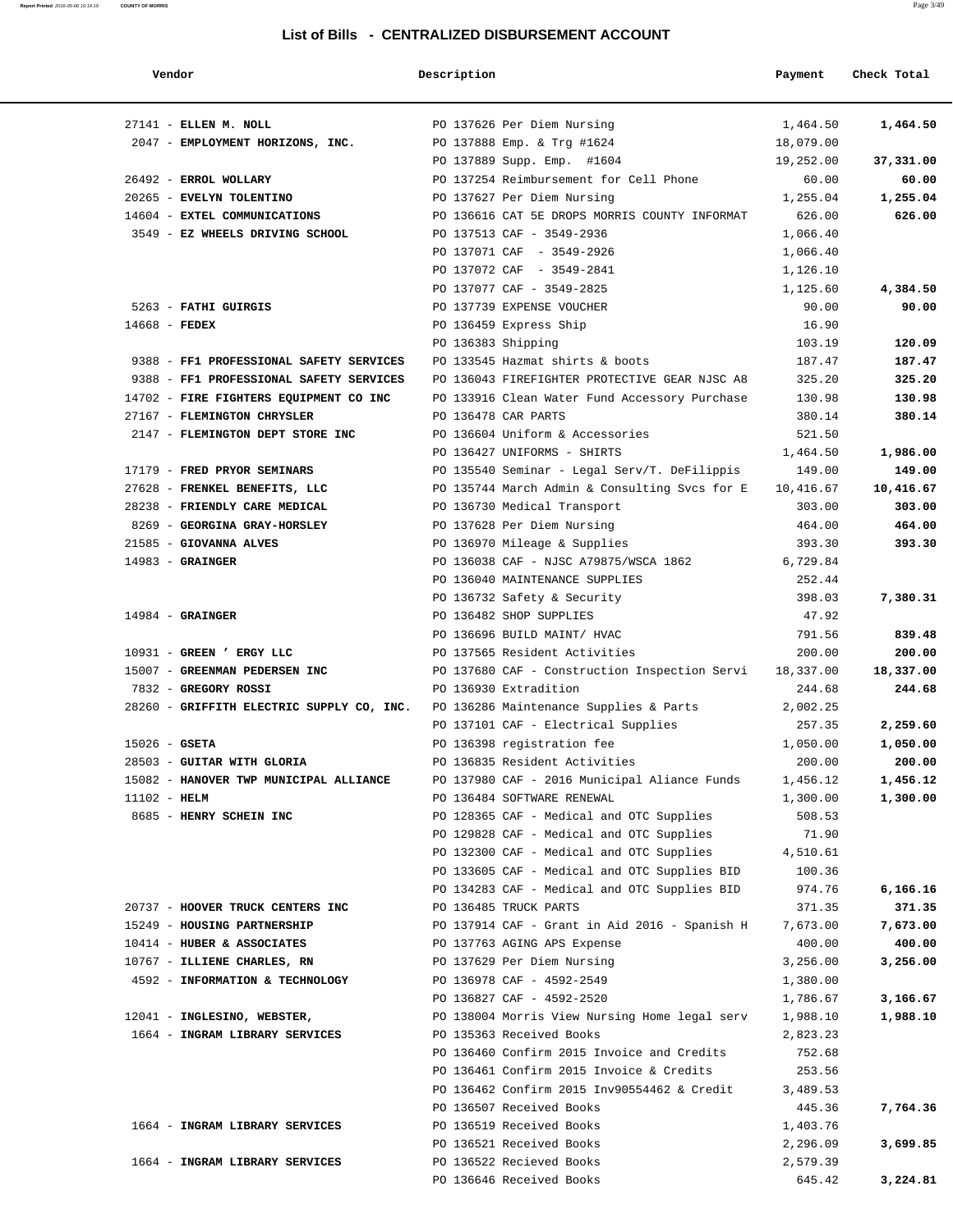| Vendor                                                                | Description        |                                                                      | Payment                | Check Total |
|-----------------------------------------------------------------------|--------------------|----------------------------------------------------------------------|------------------------|-------------|
| 27141 - ELLEN M. NOLL                                                 |                    |                                                                      | 1,464.50               | 1,464.50    |
| 2047 - EMPLOYMENT HORIZONS, INC.                                      |                    | PO 137626 Per Diem Nursing                                           |                        |             |
|                                                                       |                    | PO 137888 Emp. & Trg #1624<br>PO 137889 Supp. Emp. #1604             | 18,079.00<br>19,252.00 | 37,331.00   |
| 26492 - ERROL WOLLARY                                                 |                    | PO 137254 Reimbursement for Cell Phone                               | 60.00                  | 60.00       |
| 20265 - EVELYN TOLENTINO                                              |                    | PO 137627 Per Diem Nursing                                           | 1,255.04               | 1,255.04    |
| 14604 - EXTEL COMMUNICATIONS                                          |                    | PO 136616 CAT 5E DROPS MORRIS COUNTY INFORMAT                        | 626.00                 | 626.00      |
| 3549 - EZ WHEELS DRIVING SCHOOL                                       |                    | PO 137513 CAF - 3549-2936                                            | 1,066.40               |             |
|                                                                       |                    | PO 137071 CAF - 3549-2926                                            | 1,066.40               |             |
|                                                                       |                    | PO 137072 CAF - 3549-2841                                            | 1,126.10               |             |
|                                                                       |                    | PO 137077 CAF - 3549-2825                                            | 1,125.60               | 4,384.50    |
| 5263 - FATHI GUIRGIS                                                  |                    | PO 137739 EXPENSE VOUCHER                                            | 90.00                  | 90.00       |
| $14668$ - FEDEX                                                       |                    | PO 136459 Express Ship                                               | 16.90                  |             |
|                                                                       | PO 136383 Shipping |                                                                      | 103.19                 | 120.09      |
| 9388 - FF1 PROFESSIONAL SAFETY SERVICES                               |                    | PO 133545 Hazmat shirts & boots                                      | 187.47                 | 187.47      |
| 9388 - FF1 PROFESSIONAL SAFETY SERVICES                               |                    | PO 136043 FIREFIGHTER PROTECTIVE GEAR NJSC A8                        | 325.20                 | 325.20      |
|                                                                       |                    |                                                                      |                        |             |
| 14702 - FIRE FIGHTERS EQUIPMENT CO INC<br>27167 - FLEMINGTON CHRYSLER |                    | PO 133916 Clean Water Fund Accessory Purchase<br>PO 136478 CAR PARTS | 130.98<br>380.14       | 130.98      |
| 2147 - FLEMINGTON DEPT STORE INC                                      |                    | PO 136604 Uniform & Accessories                                      | 521.50                 | 380.14      |
|                                                                       |                    | PO 136427 UNIFORMS - SHIRTS                                          | 1,464.50               |             |
|                                                                       |                    |                                                                      |                        | 1,986.00    |
| 17179 - FRED PRYOR SEMINARS                                           |                    | PO 135540 Seminar - Legal Serv/T. DeFilippis                         | 149.00                 | 149.00      |
| 27628 - FRENKEL BENEFITS, LLC                                         |                    | PO 135744 March Admin & Consulting Svcs for E                        | 10,416.67              | 10,416.67   |
| 28238 - FRIENDLY CARE MEDICAL                                         |                    | PO 136730 Medical Transport                                          | 303.00                 | 303.00      |
| 8269 - GEORGINA GRAY-HORSLEY                                          |                    | PO 137628 Per Diem Nursing                                           | 464.00                 | 464.00      |
| 21585 - GIOVANNA ALVES                                                |                    | PO 136970 Mileage & Supplies                                         | 393.30                 | 393.30      |
| $14983$ - GRAINGER                                                    |                    | PO 136038 CAF - NJSC A79875/WSCA 1862                                | 6,729.84               |             |
|                                                                       |                    | PO 136040 MAINTENANCE SUPPLIES                                       | 252.44                 |             |
|                                                                       |                    | PO 136732 Safety & Security                                          | 398.03                 | 7,380.31    |
| $14984$ - GRAINGER                                                    |                    | PO 136482 SHOP SUPPLIES                                              | 47.92                  |             |
|                                                                       |                    | PO 136696 BUILD MAINT/ HVAC                                          | 791.56                 | 839.48      |
| 10931 - GREEN ' ERGY LLC                                              |                    | PO 137565 Resident Activities                                        | 200.00                 | 200.00      |
| 15007 - GREENMAN PEDERSEN INC                                         |                    | PO 137680 CAF - Construction Inspection Servi                        | 18,337.00              | 18,337.00   |
| 7832 - GREGORY ROSSI                                                  |                    | PO 136930 Extradition                                                | 244.68                 | 244.68      |
| 28260 - GRIFFITH ELECTRIC SUPPLY CO, INC.                             |                    | PO 136286 Maintenance Supplies & Parts                               | 2,002.25               |             |
|                                                                       |                    | PO 137101 CAF - Electrical Supplies                                  | 257.35                 | 2,259.60    |
| $15026$ - GSETA                                                       |                    | PO 136398 registration fee                                           | 1,050.00               | 1,050.00    |
| 28503 - GUITAR WITH GLORIA                                            |                    | PO 136835 Resident Activities                                        | 200.00                 | 200.00      |
| 15082 - HANOVER TWP MUNICIPAL ALLIANCE                                |                    | PO 137980 CAF - 2016 Municipal Aliance Funds                         | 1,456.12               | 1,456.12    |
| $11102 - HELM$                                                        |                    | PO 136484 SOFTWARE RENEWAL                                           | 1,300.00               | 1,300.00    |
| 8685 - HENRY SCHEIN INC                                               |                    | PO 128365 CAF - Medical and OTC Supplies                             | 508.53                 |             |
|                                                                       |                    | PO 129828 CAF - Medical and OTC Supplies                             | 71.90                  |             |
|                                                                       |                    | PO 132300 CAF - Medical and OTC Supplies                             | 4,510.61               |             |
|                                                                       |                    | PO 133605 CAF - Medical and OTC Supplies BID                         | 100.36                 |             |
|                                                                       |                    | PO 134283 CAF - Medical and OTC Supplies BID                         | 974.76                 | 6,166.16    |
| 20737 - HOOVER TRUCK CENTERS INC                                      |                    | PO 136485 TRUCK PARTS                                                | 371.35                 | 371.35      |
| 15249 - HOUSING PARTNERSHIP                                           |                    | PO 137914 CAF - Grant in Aid 2016 - Spanish H                        | 7,673.00               | 7,673.00    |
| 10414 - HUBER & ASSOCIATES                                            |                    | PO 137763 AGING APS Expense                                          | 400.00                 | 400.00      |
| 10767 - ILLIENE CHARLES, RN                                           |                    | PO 137629 Per Diem Nursing                                           | 3,256.00               | 3,256.00    |
| 4592 - INFORMATION & TECHNOLOGY                                       |                    | PO 136978 CAF - 4592-2549                                            | 1,380.00               |             |
|                                                                       |                    | PO 136827 CAF - 4592-2520                                            | 1,786.67               | 3,166.67    |
| 12041 - INGLESINO, WEBSTER,                                           |                    | PO 138004 Morris View Nursing Home legal serv                        | 1,988.10               | 1,988.10    |
| 1664 - INGRAM LIBRARY SERVICES                                        |                    | PO 135363 Received Books                                             | 2,823.23               |             |
|                                                                       |                    | PO 136460 Confirm 2015 Invoice and Credits                           | 752.68                 |             |
|                                                                       |                    | PO 136461 Confirm 2015 Invoice & Credits                             | 253.56                 |             |
|                                                                       |                    | PO 136462 Confirm 2015 Inv90554462 & Credit                          | 3,489.53               |             |
|                                                                       |                    | PO 136507 Received Books                                             | 445.36                 | 7,764.36    |
| 1664 - INGRAM LIBRARY SERVICES                                        |                    | PO 136519 Received Books                                             | 1,403.76               |             |
|                                                                       |                    | PO 136521 Received Books                                             | 2,296.09               | 3,699.85    |
| 1664 - INGRAM LIBRARY SERVICES                                        |                    | PO 136522 Recieved Books                                             | 2,579.39               |             |
|                                                                       |                    | PO 136646 Received Books                                             | 645.42                 | 3,224.81    |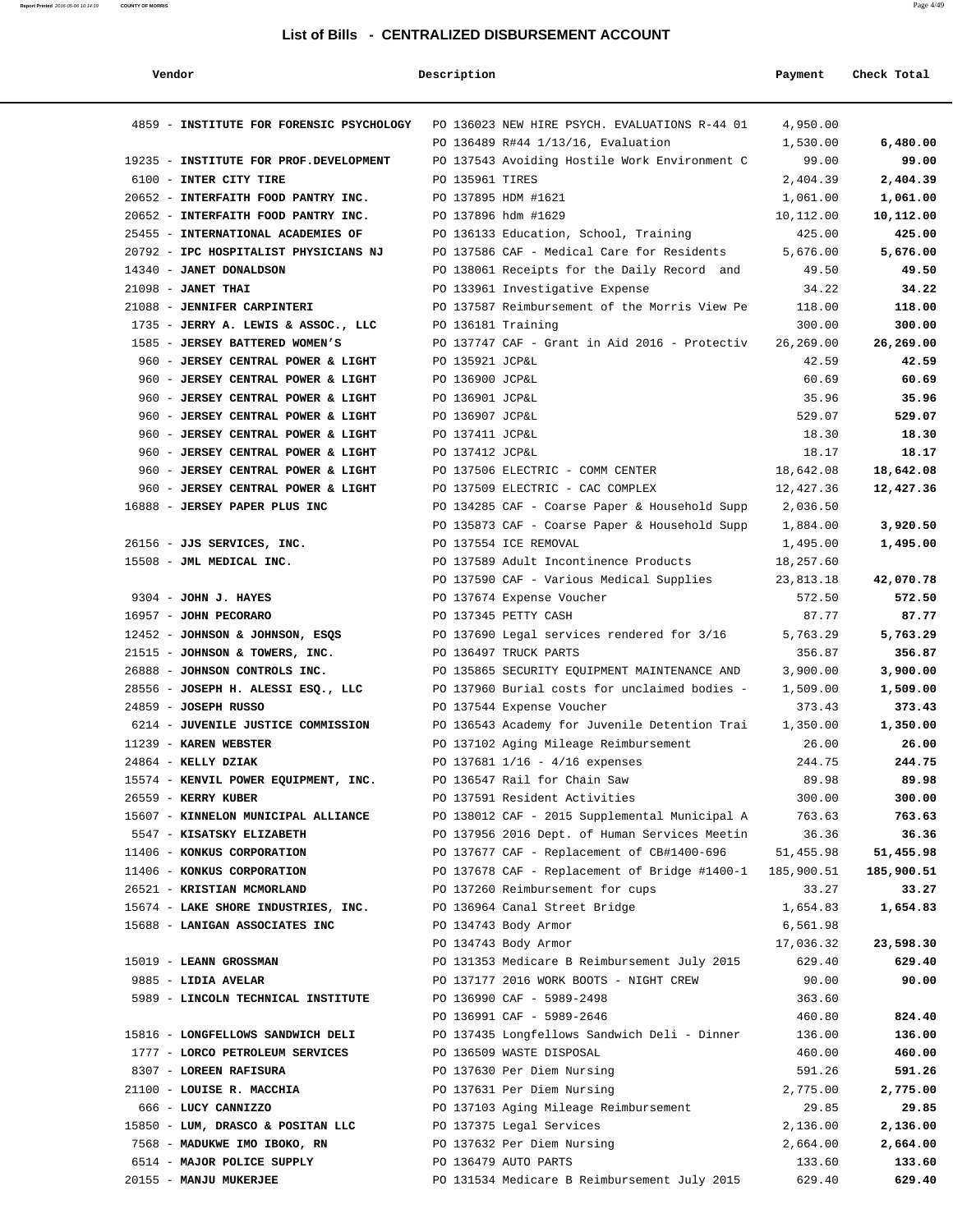| Report Printed 2016-05-06 10:14:19<br>the contract of the contract of the contract of the contract of the contract of the contract of the contract of | <b>COUNTY OF MORRIS</b> | Page 4/49 |
|-------------------------------------------------------------------------------------------------------------------------------------------------------|-------------------------|-----------|
|                                                                                                                                                       |                         |           |

| Vendor                                                     | Description        |                                                                            | Payment            | Check Total        |
|------------------------------------------------------------|--------------------|----------------------------------------------------------------------------|--------------------|--------------------|
| 4859 - INSTITUTE FOR FORENSIC PSYCHOLOGY                   |                    | PO 136023 NEW HIRE PSYCH. EVALUATIONS R-44 01                              | 4,950.00           |                    |
|                                                            |                    | PO 136489 R#44 1/13/16, Evaluation                                         | 1,530.00           | 6,480.00           |
| 19235 - INSTITUTE FOR PROF.DEVELOPMENT                     |                    | PO 137543 Avoiding Hostile Work Environment C                              | 99.00              | 99.00              |
| 6100 - INTER CITY TIRE                                     | PO 135961 TIRES    |                                                                            | 2,404.39           | 2,404.39           |
| 20652 - INTERFAITH FOOD PANTRY INC.                        |                    | PO 137895 HDM #1621                                                        | 1,061.00           | 1,061.00           |
| 20652 - INTERFAITH FOOD PANTRY INC.                        |                    | PO 137896 hdm #1629                                                        | 10,112.00          | 10,112.00          |
| 25455 - INTERNATIONAL ACADEMIES OF                         |                    | PO 136133 Education, School, Training                                      | 425.00             | 425.00             |
| 20792 - IPC HOSPITALIST PHYSICIANS NJ                      |                    | PO 137586 CAF - Medical Care for Residents                                 | 5,676.00           | 5,676.00           |
| 14340 - JANET DONALDSON                                    |                    | PO 138061 Receipts for the Daily Record and                                | 49.50              | 49.50              |
| $21098$ - JANET THAI                                       |                    | PO 133961 Investigative Expense                                            | 34.22              | 34.22              |
| 21088 - JENNIFER CARPINTERI                                |                    | PO 137587 Reimbursement of the Morris View Pe                              | 118.00             | 118.00             |
| 1735 - JERRY A. LEWIS & ASSOC., LLC                        | PO 136181 Training |                                                                            | 300.00             | 300.00             |
| 1585 - JERSEY BATTERED WOMEN'S                             |                    | PO 137747 CAF - Grant in Aid 2016 - Protectiv                              | 26,269.00          | 26,269.00          |
| 960 - JERSEY CENTRAL POWER & LIGHT                         | PO 135921 JCP&L    |                                                                            | 42.59              | 42.59              |
| 960 - JERSEY CENTRAL POWER & LIGHT                         | PO 136900 JCP&L    |                                                                            | 60.69              | 60.69              |
| 960 - JERSEY CENTRAL POWER & LIGHT                         | PO 136901 JCP&L    |                                                                            | 35.96              | 35.96              |
| 960 - JERSEY CENTRAL POWER & LIGHT                         | PO 136907 JCP&L    |                                                                            | 529.07             | 529.07             |
| 960 - JERSEY CENTRAL POWER & LIGHT                         | PO 137411 JCP&L    |                                                                            | 18.30              | 18.30              |
| 960 - JERSEY CENTRAL POWER & LIGHT                         | PO 137412 JCP&L    |                                                                            | 18.17              | 18.17              |
| 960 - JERSEY CENTRAL POWER & LIGHT                         |                    | PO 137506 ELECTRIC - COMM CENTER                                           | 18,642.08          | 18,642.08          |
| 960 - JERSEY CENTRAL POWER & LIGHT                         |                    | PO 137509 ELECTRIC - CAC COMPLEX                                           | 12,427.36          | 12,427.36          |
| 16888 - JERSEY PAPER PLUS INC                              |                    | PO 134285 CAF - Coarse Paper & Household Supp                              | 2,036.50           |                    |
|                                                            |                    | PO 135873 CAF - Coarse Paper & Household Supp                              | 1,884.00           | 3,920.50           |
| 26156 - JJS SERVICES, INC.                                 |                    | PO 137554 ICE REMOVAL                                                      | 1,495.00           | 1,495.00           |
| 15508 - JML MEDICAL INC.                                   |                    | PO 137589 Adult Incontinence Products                                      | 18,257.60          |                    |
|                                                            |                    | PO 137590 CAF - Various Medical Supplies                                   | 23,813.18          | 42,070.78          |
| 9304 - JOHN J. HAYES                                       |                    | PO 137674 Expense Voucher                                                  | 572.50             | 572.50             |
| 16957 - JOHN PECORARO                                      |                    | PO 137345 PETTY CASH                                                       | 87.77              | 87.77              |
| 12452 - JOHNSON & JOHNSON, ESQS                            |                    | PO 137690 Legal services rendered for 3/16                                 | 5,763.29           | 5,763.29           |
| 21515 - JOHNSON & TOWERS, INC.                             |                    | PO 136497 TRUCK PARTS                                                      | 356.87             | 356.87             |
| 26888 - JOHNSON CONTROLS INC.                              |                    | PO 135865 SECURITY EQUIPMENT MAINTENANCE AND                               | 3,900.00           | 3,900.00           |
| 28556 - JOSEPH H. ALESSI ESQ., LLC<br>24859 - JOSEPH RUSSO |                    | PO 137960 Burial costs for unclaimed bodies -<br>PO 137544 Expense Voucher | 1,509.00<br>373.43 | 1,509.00<br>373.43 |
| 6214 - JUVENILE JUSTICE COMMISSION                         |                    | PO 136543 Academy for Juvenile Detention Trai                              | 1,350.00           | 1,350.00           |
| 11239 - KAREN WEBSTER                                      |                    | PO 137102 Aging Mileage Reimbursement                                      | 26.00              | 26.00              |
| 24864 - KELLY DZIAK                                        |                    | PO 137681 1/16 - 4/16 expenses                                             | 244.75             | 244.75             |
| 15574 - KENVIL POWER EQUIPMENT, INC.                       |                    | PO 136547 Rail for Chain Saw                                               | 89.98              | 89.98              |
| 26559 - KERRY KUBER                                        |                    | PO 137591 Resident Activities                                              | 300.00             | 300.00             |
| 15607 - KINNELON MUNICIPAL ALLIANCE                        |                    | PO 138012 CAF - 2015 Supplemental Municipal A                              | 763.63             | 763.63             |
| 5547 - KISATSKY ELIZABETH                                  |                    | PO 137956 2016 Dept. of Human Services Meetin                              | 36.36              | 36.36              |
| 11406 - KONKUS CORPORATION                                 |                    | PO 137677 CAF - Replacement of CB#1400-696                                 | 51,455.98          | 51,455.98          |
| 11406 - KONKUS CORPORATION                                 |                    | PO 137678 CAF - Replacement of Bridge #1400-1                              | 185,900.51         | 185,900.51         |
| 26521 - KRISTIAN MCMORLAND                                 |                    | PO 137260 Reimbursement for cups                                           | 33.27              | 33.27              |
| 15674 - LAKE SHORE INDUSTRIES, INC.                        |                    | PO 136964 Canal Street Bridge                                              | 1,654.83           | 1,654.83           |
| 15688 - LANIGAN ASSOCIATES INC                             |                    | PO 134743 Body Armor                                                       | 6,561.98           |                    |
|                                                            |                    | PO 134743 Body Armor                                                       | 17,036.32          | 23,598.30          |
| 15019 - LEANN GROSSMAN                                     |                    | PO 131353 Medicare B Reimbursement July 2015                               | 629.40             | 629.40             |
| 9885 - LIDIA AVELAR                                        |                    | PO 137177 2016 WORK BOOTS - NIGHT CREW                                     | 90.00              | 90.00              |
| 5989 - LINCOLN TECHNICAL INSTITUTE                         |                    | PO 136990 CAF - 5989-2498                                                  | 363.60             |                    |
|                                                            |                    | PO 136991 CAF - 5989-2646                                                  | 460.80             | 824.40             |
| 15816 - LONGFELLOWS SANDWICH DELI                          |                    | PO 137435 Longfellows Sandwich Deli - Dinner                               | 136.00             | 136.00             |
| 1777 - LORCO PETROLEUM SERVICES                            |                    | PO 136509 WASTE DISPOSAL                                                   | 460.00             | 460.00             |
| 8307 - LOREEN RAFISURA                                     |                    | PO 137630 Per Diem Nursing                                                 | 591.26             | 591.26             |
| 21100 - LOUISE R. MACCHIA                                  |                    | PO 137631 Per Diem Nursing                                                 | 2,775.00           | 2,775.00           |
| 666 - LUCY CANNIZZO                                        |                    | PO 137103 Aging Mileage Reimbursement                                      | 29.85              | 29.85              |
| 15850 - LUM, DRASCO & POSITAN LLC                          |                    | PO 137375 Legal Services                                                   | 2,136.00           | 2,136.00           |
| 7568 - MADUKWE IMO IBOKO, RN                               |                    | PO 137632 Per Diem Nursing                                                 | 2,664.00           | 2,664.00           |
| 6514 - MAJOR POLICE SUPPLY                                 |                    | PO 136479 AUTO PARTS                                                       | 133.60             | 133.60             |
| 20155 - MANJU MUKERJEE                                     |                    | PO 131534 Medicare B Reimbursement July 2015                               | 629.40             | 629.40             |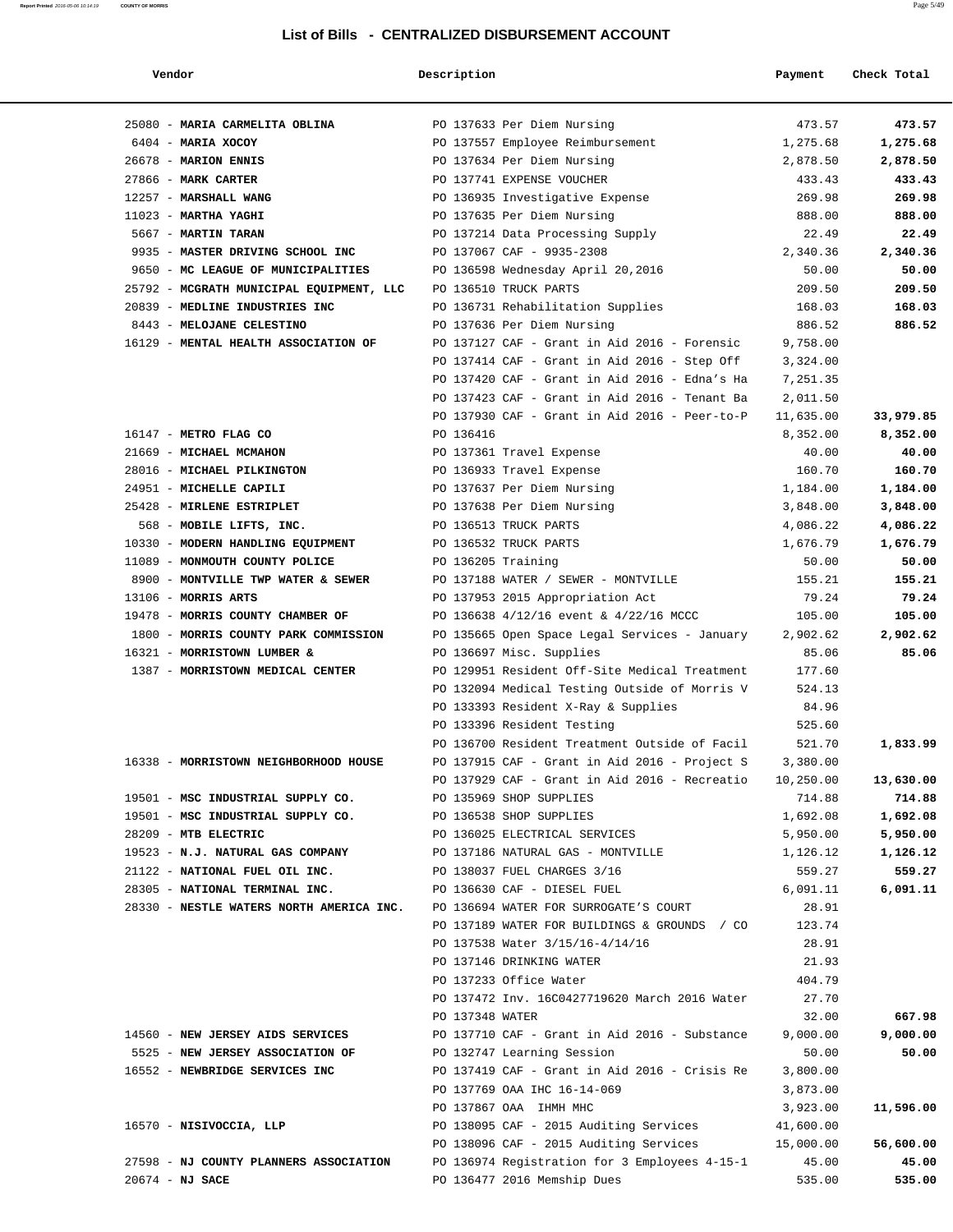| Vendor                                   | Description        |                                                    | Payment         | Check Total |
|------------------------------------------|--------------------|----------------------------------------------------|-----------------|-------------|
| 25080 - MARIA CARMELITA OBLINA           |                    | PO 137633 Per Diem Nursing                         | 473.57          | 473.57      |
| 6404 - MARIA XOCOY                       |                    | PO 137557 Employee Reimbursement                   | 1,275.68        | 1,275.68    |
| 26678 - MARION ENNIS                     |                    | PO 137634 Per Diem Nursing                         | 2,878.50        | 2,878.50    |
| 27866 - MARK CARTER                      |                    | PO 137741 EXPENSE VOUCHER                          | 433.43          | 433.43      |
| 12257 - MARSHALL WANG                    |                    | PO 136935 Investigative Expense                    | 269.98          | 269.98      |
| $11023$ - MARTHA YAGHI                   |                    | PO 137635 Per Diem Nursing                         | 888.00          | 888.00      |
| 5667 - MARTIN TARAN                      |                    | PO 137214 Data Processing Supply                   | 22.49           | 22.49       |
| 9935 - MASTER DRIVING SCHOOL INC         |                    | PO 137067 CAF - 9935-2308                          | 2,340.36        | 2,340.36    |
| 9650 - MC LEAGUE OF MUNICIPALITIES       |                    | PO 136598 Wednesday April 20,2016                  | 50.00           | 50.00       |
| 25792 - MCGRATH MUNICIPAL EQUIPMENT, LLC |                    | PO 136510 TRUCK PARTS                              | 209.50          | 209.50      |
| 20839 - MEDLINE INDUSTRIES INC           |                    | PO 136731 Rehabilitation Supplies                  | 168.03          | 168.03      |
| 8443 - MELOJANE CELESTINO                |                    | PO 137636 Per Diem Nursing                         | 886.52          | 886.52      |
| 16129 - MENTAL HEALTH ASSOCIATION OF     |                    | PO 137127 CAF - Grant in Aid 2016 - Forensic       | 9,758.00        |             |
|                                          |                    | PO 137414 CAF - Grant in Aid 2016 - Step Off       | 3,324.00        |             |
|                                          |                    | PO 137420 CAF - Grant in Aid 2016 - Edna's Ha      | 7,251.35        |             |
|                                          |                    | PO 137423 CAF - Grant in Aid 2016 - Tenant Ba      | 2,011.50        |             |
|                                          |                    | PO 137930 CAF - Grant in Aid 2016 - Peer-to-P      | 11,635.00       | 33,979.85   |
| 16147 - METRO FLAG CO                    | PO 136416          |                                                    | 8,352.00        | 8,352.00    |
| 21669 - MICHAEL MCMAHON                  |                    | PO 137361 Travel Expense                           | 40.00           | 40.00       |
| 28016 - MICHAEL PILKINGTON               |                    | PO 136933 Travel Expense                           | 160.70          | 160.70      |
| 24951 - MICHELLE CAPILI                  |                    | PO 137637 Per Diem Nursing                         | 1,184.00        | 1,184.00    |
| 25428 - MIRLENE ESTRIPLET                |                    | PO 137638 Per Diem Nursing                         | 3,848.00        | 3,848.00    |
| 568 - MOBILE LIFTS, INC.                 |                    | PO 136513 TRUCK PARTS                              | 4,086.22        | 4,086.22    |
| 10330 - MODERN HANDLING EQUIPMENT        |                    | PO 136532 TRUCK PARTS                              | 1,676.79        | 1,676.79    |
| 11089 - MONMOUTH COUNTY POLICE           | PO 136205 Training |                                                    | 50.00           | 50.00       |
| 8900 - MONTVILLE TWP WATER & SEWER       |                    | PO 137188 WATER / SEWER - MONTVILLE                | 155.21          | 155.21      |
| $13106$ - MORRIS ARTS                    |                    | PO 137953 2015 Appropriation Act                   | 79.24           | 79.24       |
| 19478 - MORRIS COUNTY CHAMBER OF         |                    | PO 136638 4/12/16 event & 4/22/16 MCCC             | 105.00          | 105.00      |
| 1800 - MORRIS COUNTY PARK COMMISSION     |                    | PO 135665 Open Space Legal Services - January      | 2,902.62        | 2,902.62    |
| 16321 - MORRISTOWN LUMBER &              |                    | PO 136697 Misc. Supplies                           | 85.06           | 85.06       |
| 1387 - MORRISTOWN MEDICAL CENTER         |                    | PO 129951 Resident Off-Site Medical Treatment      | 177.60          |             |
|                                          |                    | PO 132094 Medical Testing Outside of Morris V      | 524.13          |             |
|                                          |                    | PO 133393 Resident X-Ray & Supplies                | 84.96           |             |
|                                          |                    | PO 133396 Resident Testing                         | 525.60          |             |
|                                          |                    | PO 136700 Resident Treatment Outside of Facil      | 521.70          | 1,833.99    |
| 16338 - MORRISTOWN NEIGHBORHOOD HOUSE    |                    | PO 137915 CAF - Grant in Aid 2016 - Project S      | 3,380.00        |             |
|                                          |                    | PO 137929 CAF - Grant in Aid 2016 - Recreatio      | 10,250.00       | 13,630.00   |
| 19501 - MSC INDUSTRIAL SUPPLY CO.        |                    | PO 135969 SHOP SUPPLIES                            | 714.88          | 714.88      |
| 19501 - MSC INDUSTRIAL SUPPLY CO.        |                    | PO 136538 SHOP SUPPLIES                            | 1,692.08        | 1,692.08    |
| 28209 - MTB ELECTRIC                     |                    | PO 136025 ELECTRICAL SERVICES                      | 5,950.00        | 5,950.00    |
| 19523 - N.J. NATURAL GAS COMPANY         |                    | PO 137186 NATURAL GAS - MONTVILLE                  | 1,126.12        | 1,126.12    |
| 21122 - NATIONAL FUEL OIL INC.           |                    | PO 138037 FUEL CHARGES 3/16                        | 559.27          | 559.27      |
| 28305 - NATIONAL TERMINAL INC.           |                    | PO 136630 CAF - DIESEL FUEL                        | 6,091.11        | 6,091.11    |
| 28330 - NESTLE WATERS NORTH AMERICA INC. |                    | PO 136694 WATER FOR SURROGATE'S COURT              | 28.91           |             |
|                                          |                    | PO 137189 WATER FOR BUILDINGS & GROUNDS / CO       | 123.74          |             |
|                                          |                    | PO 137538 Water 3/15/16-4/14/16                    | 28.91           |             |
|                                          |                    | PO 137146 DRINKING WATER<br>PO 137233 Office Water | 21.93<br>404.79 |             |
|                                          |                    | PO 137472 Inv. 16C0427719620 March 2016 Water      | 27.70           |             |
|                                          | PO 137348 WATER    |                                                    | 32.00           | 667.98      |
| 14560 - NEW JERSEY AIDS SERVICES         |                    | PO 137710 CAF - Grant in Aid 2016 - Substance      | 9,000.00        | 9,000.00    |
| 5525 - NEW JERSEY ASSOCIATION OF         |                    | PO 132747 Learning Session                         | 50.00           | 50.00       |
| 16552 - NEWBRIDGE SERVICES INC           |                    | PO 137419 CAF - Grant in Aid 2016 - Crisis Re      | 3,800.00        |             |
|                                          |                    | PO 137769 OAA IHC 16-14-069                        | 3,873.00        |             |
|                                          |                    | PO 137867 OAA IHMH MHC                             | 3,923.00        | 11,596.00   |
| 16570 - NISIVOCCIA, LLP                  |                    | PO 138095 CAF - 2015 Auditing Services             | 41,600.00       |             |
|                                          |                    | PO 138096 CAF - 2015 Auditing Services             | 15,000.00       | 56,600.00   |
| 27598 - NJ COUNTY PLANNERS ASSOCIATION   |                    | PO 136974 Registration for 3 Employees 4-15-1      | 45.00           | 45.00       |
| $20674 - NJ$ SACE                        |                    | PO 136477 2016 Memship Dues                        | 535.00          | 535.00      |
|                                          |                    |                                                    |                 |             |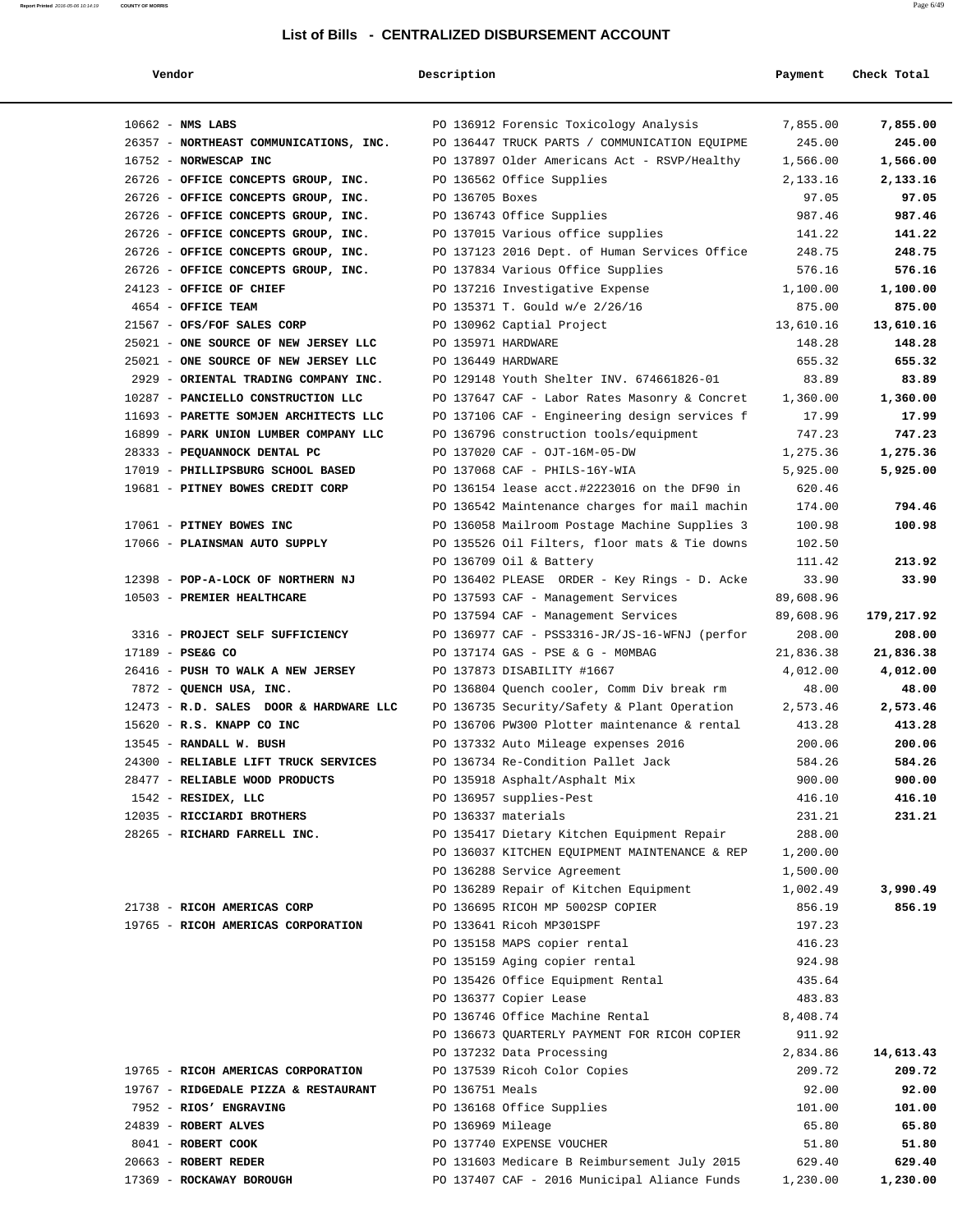| Vendor                                     | Description                     |                                               | Payment         | Check Total     |
|--------------------------------------------|---------------------------------|-----------------------------------------------|-----------------|-----------------|
| $10662$ - NMS LABS                         |                                 | PO 136912 Forensic Toxicology Analysis        | 7,855.00        | 7,855.00        |
| 26357 - NORTHEAST COMMUNICATIONS, INC.     |                                 | PO 136447 TRUCK PARTS / COMMUNICATION EQUIPME | 245.00          | 245.00          |
| 16752 - NORWESCAP INC                      |                                 | PO 137897 Older Americans Act - RSVP/Healthy  | 1,566.00        | 1,566.00        |
| 26726 - OFFICE CONCEPTS GROUP, INC.        | PO 136562 Office Supplies       |                                               | 2,133.16        | 2,133.16        |
| 26726 - OFFICE CONCEPTS GROUP, INC.        | PO 136705 Boxes                 |                                               | 97.05           | 97.05           |
| 26726 - OFFICE CONCEPTS GROUP, INC.        | PO 136743 Office Supplies       |                                               | 987.46          | 987.46          |
| 26726 - OFFICE CONCEPTS GROUP, INC.        |                                 | PO 137015 Various office supplies             | 141.22          | 141.22          |
| 26726 - OFFICE CONCEPTS GROUP, INC.        |                                 | PO 137123 2016 Dept. of Human Services Office | 248.75          | 248.75          |
| 26726 - OFFICE CONCEPTS GROUP, INC.        |                                 | PO 137834 Various Office Supplies             | 576.16          | 576.16          |
| 24123 - OFFICE OF CHIEF                    |                                 | PO 137216 Investigative Expense               | 1,100.00        | 1,100.00        |
| 4654 - OFFICE TEAM                         | PO 135371 T. Gould w/e 2/26/16  |                                               | 875.00          | 875.00          |
| 21567 - OFS/FOF SALES CORP                 | PO 130962 Captial Project       |                                               | 13,610.16       | 13,610.16       |
| 25021 - ONE SOURCE OF NEW JERSEY LLC       | PO 135971 HARDWARE              |                                               | 148.28          | 148.28          |
| 25021 - ONE SOURCE OF NEW JERSEY LLC       | PO 136449 HARDWARE              |                                               | 655.32          | 655.32          |
| 2929 - ORIENTAL TRADING COMPANY INC.       |                                 | PO 129148 Youth Shelter INV. 674661826-01     | 83.89           | 83.89           |
| 10287 - PANCIELLO CONSTRUCTION LLC         |                                 | PO 137647 CAF - Labor Rates Masonry & Concret | 1,360.00        | 1,360.00        |
| 11693 - PARETTE SOMJEN ARCHITECTS LLC      |                                 | PO 137106 CAF - Engineering design services f | 17.99           | 17.99           |
| 16899 - PARK UNION LUMBER COMPANY LLC      |                                 | PO 136796 construction tools/equipment        | 747.23          | 747.23          |
| 28333 - PEQUANNOCK DENTAL PC               | PO 137020 CAF - OJT-16M-05-DW   |                                               | 1,275.36        | 1,275.36        |
| 17019 - PHILLIPSBURG SCHOOL BASED          | PO 137068 CAF - PHILS-16Y-WIA   |                                               | 5,925.00        | 5,925.00        |
| 19681 - PITNEY BOWES CREDIT CORP           |                                 | PO 136154 lease acct.#2223016 on the DF90 in  | 620.46          |                 |
|                                            |                                 | PO 136542 Maintenance charges for mail machin | 174.00          | 794.46          |
| 17061 - PITNEY BOWES INC                   |                                 | PO 136058 Mailroom Postage Machine Supplies 3 | 100.98          | 100.98          |
| 17066 - PLAINSMAN AUTO SUPPLY              |                                 | PO 135526 Oil Filters, floor mats & Tie downs | 102.50          |                 |
|                                            | PO 136709 Oil & Battery         |                                               | 111.42          | 213.92          |
| 12398 - POP-A-LOCK OF NORTHERN NJ          |                                 | PO 136402 PLEASE ORDER - Key Rings - D. Acke  | 33.90           | 33.90           |
| 10503 - PREMIER HEALTHCARE                 |                                 | PO 137593 CAF - Management Services           | 89,608.96       |                 |
|                                            |                                 | PO 137594 CAF - Management Services           | 89,608.96       | 179,217.92      |
| 3316 - PROJECT SELF SUFFICIENCY            |                                 | PO 136977 CAF - PSS3316-JR/JS-16-WFNJ (perfor | 208.00          | 208.00          |
| 17189 - PSE&G CO                           |                                 | PO 137174 GAS - PSE & G - MOMBAG              | 21,836.38       | 21,836.38       |
| 26416 - PUSH TO WALK A NEW JERSEY          | PO 137873 DISABILITY #1667      |                                               | 4,012.00        | 4,012.00        |
| 7872 - QUENCH USA, INC.                    |                                 | PO 136804 Quench cooler, Comm Div break rm    | 48.00           | 48.00           |
| 12473 - R.D. SALES DOOR & HARDWARE LLC     |                                 | PO 136735 Security/Safety & Plant Operation   | 2,573.46        | 2,573.46        |
| 15620 - R.S. KNAPP CO INC                  |                                 | PO 136706 PW300 Plotter maintenance & rental  | 413.28          | 413.28          |
| 13545 - RANDALL W. BUSH                    |                                 | PO 137332 Auto Mileage expenses 2016          | 200.06          | 200.06          |
| 24300 - RELIABLE LIFT TRUCK SERVICES       |                                 | PO 136734 Re-Condition Pallet Jack            | 584.26          | 584.26          |
| 28477 - RELIABLE WOOD PRODUCTS             | PO 135918 Asphalt/Asphalt Mix   |                                               | 900.00          | 900.00          |
| 1542 - RESIDEX, LLC                        | PO 136957 supplies-Pest         |                                               | 416.10          | 416.10          |
| 12035 - RICCIARDI BROTHERS                 | PO 136337 materials             |                                               | 231.21          | 231.21          |
| 28265 - RICHARD FARRELL INC.               |                                 | PO 135417 Dietary Kitchen Equipment Repair    | 288.00          |                 |
|                                            |                                 | PO 136037 KITCHEN EQUIPMENT MAINTENANCE & REP | 1,200.00        |                 |
|                                            | PO 136288 Service Agreement     |                                               | 1,500.00        |                 |
|                                            |                                 | PO 136289 Repair of Kitchen Equipment         | 1,002.49        | 3,990.49        |
| 21738 - RICOH AMERICAS CORP                |                                 | PO 136695 RICOH MP 5002SP COPIER              | 856.19          | 856.19          |
| 19765 - RICOH AMERICAS CORPORATION         | PO 133641 Ricoh MP301SPF        |                                               | 197.23          |                 |
|                                            | PO 135158 MAPS copier rental    |                                               | 416.23          |                 |
|                                            | PO 135159 Aging copier rental   |                                               | 924.98          |                 |
|                                            |                                 | PO 135426 Office Equipment Rental             | 435.64          |                 |
|                                            | PO 136377 Copier Lease          |                                               | 483.83          |                 |
|                                            | PO 136746 Office Machine Rental |                                               | 8,408.74        |                 |
|                                            |                                 | PO 136673 QUARTERLY PAYMENT FOR RICOH COPIER  | 911.92          |                 |
|                                            | PO 137232 Data Processing       |                                               | 2,834.86        | 14,613.43       |
| 19765 - RICOH AMERICAS CORPORATION         | PO 137539 Ricoh Color Copies    |                                               | 209.72          | 209.72          |
| 19767 - RIDGEDALE PIZZA & RESTAURANT       | PO 136751 Meals                 |                                               | 92.00           | 92.00           |
| 7952 - RIOS' ENGRAVING                     | PO 136168 Office Supplies       |                                               | 101.00          | 101.00          |
| 24839 - ROBERT ALVES                       | PO 136969 Mileage               |                                               | 65.80           | 65.80           |
| 8041 - ROBERT COOK<br>20663 - ROBERT REDER | PO 137740 EXPENSE VOUCHER       | PO 131603 Medicare B Reimbursement July 2015  | 51.80<br>629.40 | 51.80<br>629.40 |
| 17369 - ROCKAWAY BOROUGH                   |                                 | PO 137407 CAF - 2016 Municipal Aliance Funds  | 1,230.00        | 1,230.00        |
|                                            |                                 |                                               |                 |                 |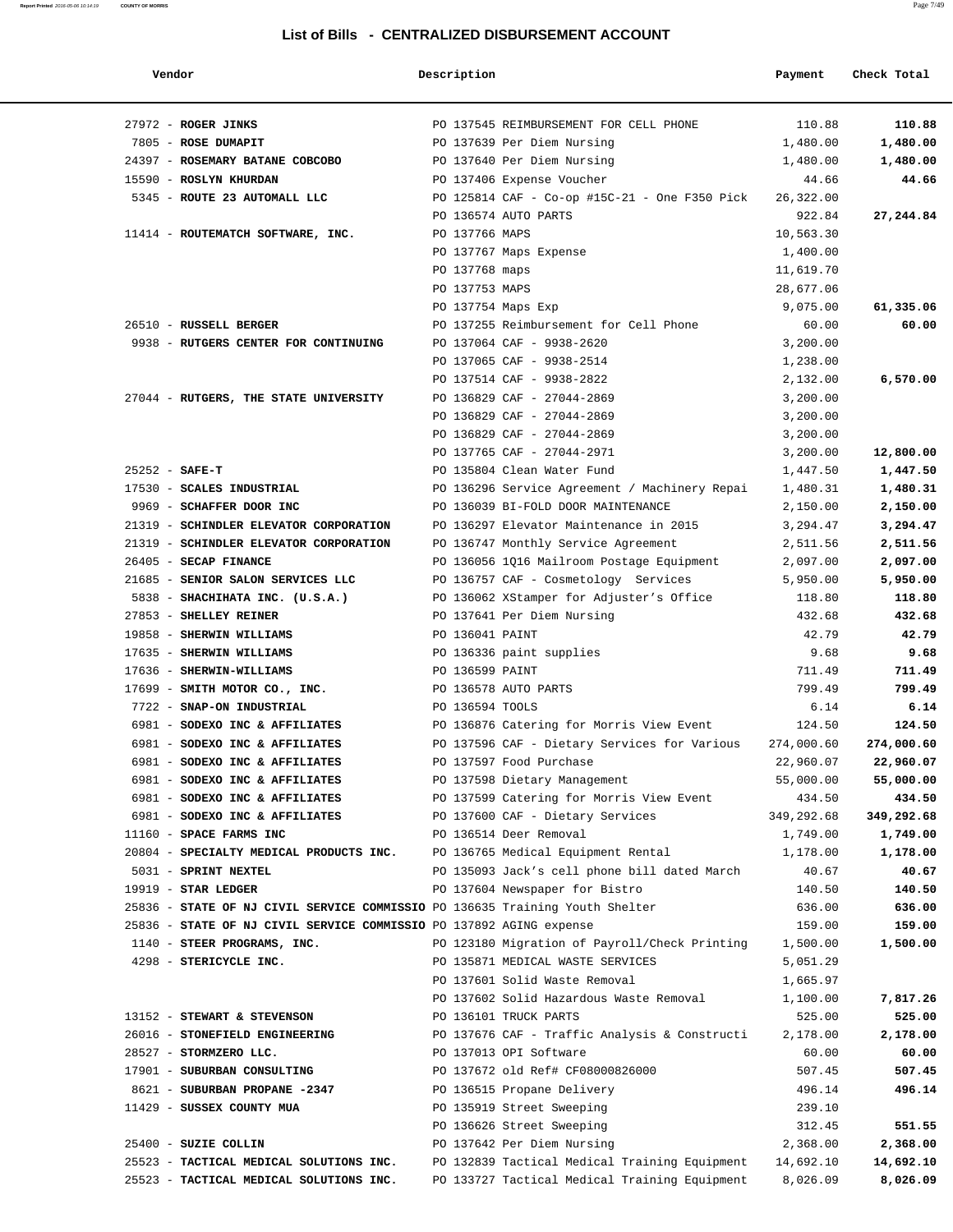| Vendor                                                                       | Description        |                                               | Payment    | Check Total |
|------------------------------------------------------------------------------|--------------------|-----------------------------------------------|------------|-------------|
| 27972 - ROGER JINKS                                                          |                    | PO 137545 REIMBURSEMENT FOR CELL PHONE        | 110.88     | 110.88      |
| 7805 - ROSE DUMAPIT                                                          |                    | PO 137639 Per Diem Nursing                    | 1,480.00   | 1,480.00    |
| 24397 - ROSEMARY BATANE COBCOBO                                              |                    | PO 137640 Per Diem Nursing                    | 1,480.00   | 1,480.00    |
| 15590 - ROSLYN KHURDAN                                                       |                    | PO 137406 Expense Voucher                     | 44.66      | 44.66       |
| 5345 - ROUTE 23 AUTOMALL LLC                                                 |                    | PO 125814 CAF - Co-op #15C-21 - One F350 Pick | 26,322.00  |             |
|                                                                              |                    | PO 136574 AUTO PARTS                          | 922.84     | 27,244.84   |
| 11414 - ROUTEMATCH SOFTWARE, INC.                                            | PO 137766 MAPS     |                                               | 10,563.30  |             |
|                                                                              |                    | PO 137767 Maps Expense                        | 1,400.00   |             |
|                                                                              | PO 137768 maps     |                                               | 11,619.70  |             |
|                                                                              | PO 137753 MAPS     |                                               | 28,677.06  |             |
|                                                                              | PO 137754 Maps Exp |                                               | 9,075.00   | 61,335.06   |
| 26510 - RUSSELL BERGER                                                       |                    | PO 137255 Reimbursement for Cell Phone        | 60.00      | 60.00       |
| 9938 - RUTGERS CENTER FOR CONTINUING                                         |                    | PO 137064 CAF - 9938-2620                     | 3,200.00   |             |
|                                                                              |                    | PO 137065 CAF - 9938-2514                     | 1,238.00   |             |
|                                                                              |                    | PO 137514 CAF - 9938-2822                     | 2,132.00   | 6,570.00    |
| 27044 - RUTGERS, THE STATE UNIVERSITY                                        |                    | PO 136829 CAF - 27044-2869                    | 3,200.00   |             |
|                                                                              |                    | PO 136829 CAF - 27044-2869                    | 3,200.00   |             |
|                                                                              |                    | PO 136829 CAF - 27044-2869                    | 3,200.00   |             |
|                                                                              |                    | PO 137765 CAF - 27044-2971                    |            |             |
|                                                                              |                    |                                               | 3,200.00   | 12,800.00   |
| $25252 - SAFE-T$                                                             |                    | PO 135804 Clean Water Fund                    | 1,447.50   | 1,447.50    |
| 17530 - SCALES INDUSTRIAL                                                    |                    | PO 136296 Service Agreement / Machinery Repai | 1,480.31   | 1,480.31    |
| 9969 - SCHAFFER DOOR INC                                                     |                    | PO 136039 BI-FOLD DOOR MAINTENANCE            | 2,150.00   | 2,150.00    |
| 21319 - SCHINDLER ELEVATOR CORPORATION                                       |                    | PO 136297 Elevator Maintenance in 2015        | 3,294.47   | 3,294.47    |
| 21319 - SCHINDLER ELEVATOR CORPORATION                                       |                    | PO 136747 Monthly Service Agreement           | 2,511.56   | 2,511.56    |
| 26405 - SECAP FINANCE                                                        |                    | PO 136056 1Q16 Mailroom Postage Equipment     | 2,097.00   | 2,097.00    |
| 21685 - SENIOR SALON SERVICES LLC                                            |                    | PO 136757 CAF - Cosmetology Services          | 5,950.00   | 5,950.00    |
| 5838 - SHACHIHATA INC. (U.S.A.)                                              |                    | PO 136062 XStamper for Adjuster's Office      | 118.80     | 118.80      |
| 27853 - SHELLEY REINER                                                       |                    | PO 137641 Per Diem Nursing                    | 432.68     | 432.68      |
| 19858 - SHERWIN WILLIAMS                                                     | PO 136041 PAINT    |                                               | 42.79      | 42.79       |
| 17635 - SHERWIN WILLIAMS                                                     |                    | PO 136336 paint supplies                      | 9.68       | 9.68        |
| 17636 - SHERWIN-WILLIAMS                                                     | PO 136599 PAINT    |                                               | 711.49     | 711.49      |
| 17699 - SMITH MOTOR CO., INC.                                                |                    | PO 136578 AUTO PARTS                          | 799.49     | 799.49      |
| 7722 - SNAP-ON INDUSTRIAL                                                    | PO 136594 TOOLS    |                                               | 6.14       | 6.14        |
| 6981 - SODEXO INC & AFFILIATES                                               |                    | PO 136876 Catering for Morris View Event      | 124.50     | 124.50      |
| 6981 - SODEXO INC & AFFILIATES                                               |                    | PO 137596 CAF - Dietary Services for Various  | 274,000.60 | 274,000.60  |
| 6981 - SODEXO INC & AFFILIATES                                               |                    | PO 137597 Food Purchase                       | 22,960.07  | 22,960.07   |
| 6981 - SODEXO INC & AFFILIATES                                               |                    | PO 137598 Dietary Management                  | 55,000.00  | 55,000.00   |
| 6981 - SODEXO INC & AFFILIATES                                               |                    | PO 137599 Catering for Morris View Event      | 434.50     | 434.50      |
| 6981 - SODEXO INC & AFFILIATES                                               |                    | PO 137600 CAF - Dietary Services              | 349,292.68 | 349,292.68  |
| 11160 - SPACE FARMS INC                                                      |                    | PO 136514 Deer Removal                        | 1,749.00   | 1,749.00    |
| 20804 - SPECIALTY MEDICAL PRODUCTS INC.                                      |                    | PO 136765 Medical Equipment Rental            | 1,178.00   | 1,178.00    |
| 5031 - SPRINT NEXTEL                                                         |                    | PO 135093 Jack's cell phone bill dated March  | 40.67      | 40.67       |
| $19919$ - STAR LEDGER                                                        |                    | PO 137604 Newspaper for Bistro                | 140.50     | 140.50      |
| 25836 - STATE OF NJ CIVIL SERVICE COMMISSIO PO 136635 Training Youth Shelter |                    |                                               | 636.00     | 636.00      |
| 25836 - STATE OF NJ CIVIL SERVICE COMMISSIO PO 137892 AGING expense          |                    |                                               | 159.00     | 159.00      |
| 1140 - STEER PROGRAMS, INC.                                                  |                    | PO 123180 Migration of Payroll/Check Printing | 1,500.00   | 1,500.00    |
| 4298 - STERICYCLE INC.                                                       |                    | PO 135871 MEDICAL WASTE SERVICES              | 5,051.29   |             |
|                                                                              |                    | PO 137601 Solid Waste Removal                 | 1,665.97   |             |
|                                                                              |                    | PO 137602 Solid Hazardous Waste Removal       | 1,100.00   | 7,817.26    |
| 13152 - STEWART & STEVENSON                                                  |                    | PO 136101 TRUCK PARTS                         | 525.00     | 525.00      |
| 26016 - STONEFIELD ENGINEERING                                               |                    | PO 137676 CAF - Traffic Analysis & Constructi | 2,178.00   | 2,178.00    |
| 28527 - STORMZERO LLC.                                                       |                    | PO 137013 OPI Software                        | 60.00      | 60.00       |
| 17901 - SUBURBAN CONSULTING                                                  |                    | PO 137672 old Ref# CF08000826000              | 507.45     | 507.45      |
| 8621 - SUBURBAN PROPANE -2347                                                |                    |                                               | 496.14     | 496.14      |
|                                                                              |                    | PO 136515 Propane Delivery                    |            |             |
| 11429 - SUSSEX COUNTY MUA                                                    |                    | PO 135919 Street Sweeping                     | 239.10     |             |
|                                                                              |                    | PO 136626 Street Sweeping                     | 312.45     | 551.55      |
| 25400 - SUZIE COLLIN                                                         |                    | PO 137642 Per Diem Nursing                    | 2,368.00   | 2,368.00    |
| 25523 - TACTICAL MEDICAL SOLUTIONS INC.                                      |                    | PO 132839 Tactical Medical Training Equipment | 14,692.10  | 14,692.10   |
| 25523 - TACTICAL MEDICAL SOLUTIONS INC.                                      |                    | PO 133727 Tactical Medical Training Equipment | 8,026.09   | 8,026.09    |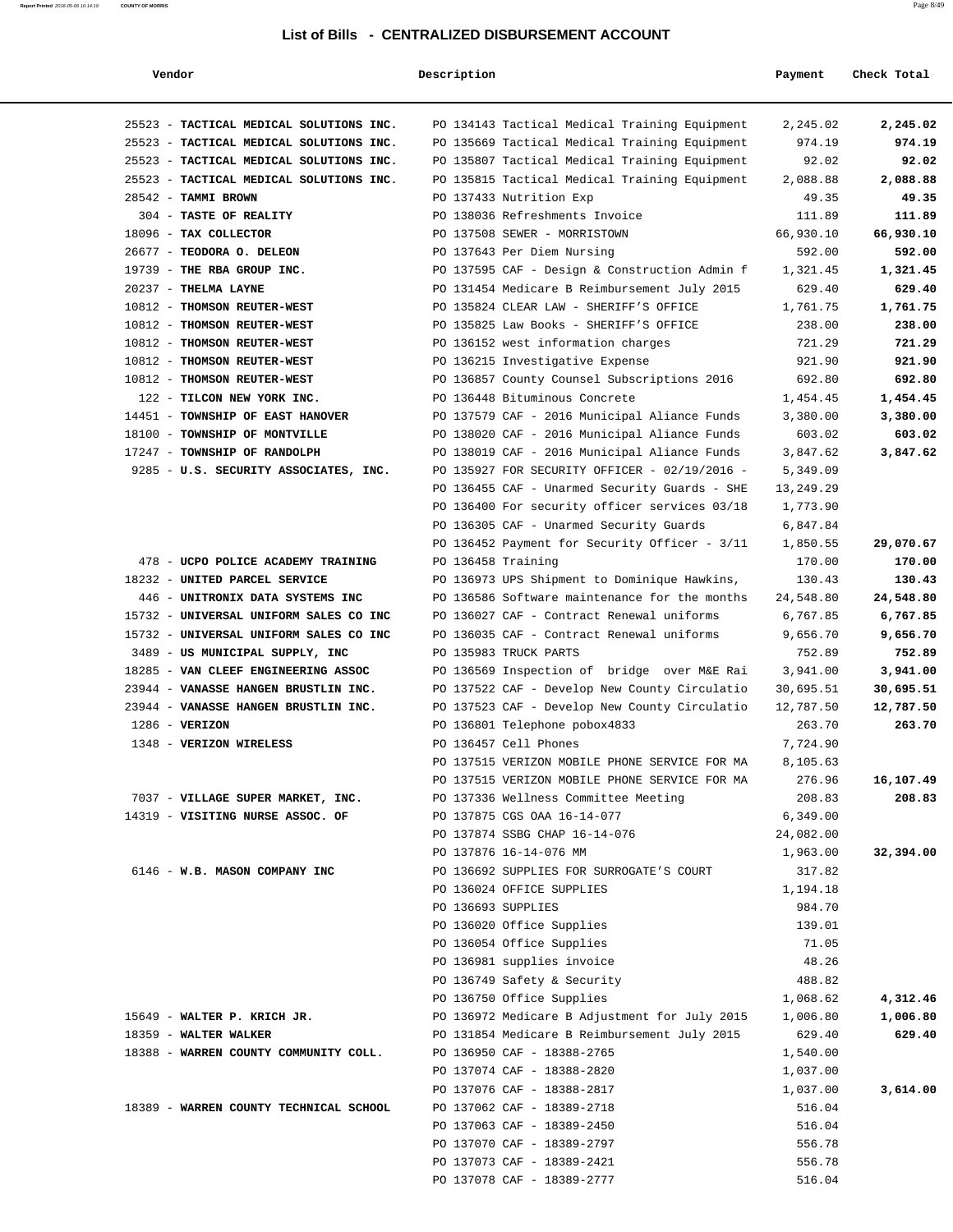| Vendor                                                                 | Description |                                                                                                | Payment          | Check Total         |
|------------------------------------------------------------------------|-------------|------------------------------------------------------------------------------------------------|------------------|---------------------|
| 25523 - TACTICAL MEDICAL SOLUTIONS INC.                                |             | PO 134143 Tactical Medical Training Equipment                                                  | 2,245.02         | 2,245.02            |
| 25523 - TACTICAL MEDICAL SOLUTIONS INC.                                |             | PO 135669 Tactical Medical Training Equipment                                                  | 974.19           | 974.19              |
| 25523 - TACTICAL MEDICAL SOLUTIONS INC.                                |             | PO 135807 Tactical Medical Training Equipment                                                  | 92.02            | 92.02               |
| 25523 - TACTICAL MEDICAL SOLUTIONS INC.                                |             | PO 135815 Tactical Medical Training Equipment                                                  | 2,088.88         | 2,088.88            |
| 28542 - TAMMI BROWN                                                    |             | PO 137433 Nutrition Exp                                                                        | 49.35            | 49.35               |
| 304 - TASTE OF REALITY                                                 |             | PO 138036 Refreshments Invoice                                                                 | 111.89           | 111.89              |
| 18096 - TAX COLLECTOR                                                  |             | PO 137508 SEWER - MORRISTOWN                                                                   | 66,930.10        | 66,930.10           |
| 26677 - TEODORA O. DELEON                                              |             | PO 137643 Per Diem Nursing                                                                     | 592.00           | 592.00              |
| 19739 - THE RBA GROUP INC.                                             |             | PO 137595 CAF - Design & Construction Admin f                                                  | 1,321.45         | 1,321.45            |
| 20237 - THELMA LAYNE                                                   |             | PO 131454 Medicare B Reimbursement July 2015                                                   | 629.40           | 629.40              |
| 10812 - THOMSON REUTER-WEST                                            |             | PO 135824 CLEAR LAW - SHERIFF'S OFFICE                                                         | 1,761.75         | 1,761.75            |
| 10812 - THOMSON REUTER-WEST                                            |             | PO 135825 Law Books - SHERIFF'S OFFICE                                                         | 238.00           | 238.00              |
| 10812 - THOMSON REUTER-WEST                                            |             | PO 136152 west information charges                                                             | 721.29           | 721.29              |
| 10812 - THOMSON REUTER-WEST                                            |             | PO 136215 Investigative Expense                                                                | 921.90           | 921.90              |
| 10812 - THOMSON REUTER-WEST                                            |             | PO 136857 County Counsel Subscriptions 2016                                                    | 692.80           | 692.80              |
| 122 - TILCON NEW YORK INC.                                             |             | PO 136448 Bituminous Concrete                                                                  | 1,454.45         | 1,454.45            |
| 14451 - TOWNSHIP OF EAST HANOVER                                       |             | PO 137579 CAF - 2016 Municipal Aliance Funds                                                   | 3,380.00         | 3,380.00            |
| 18100 - TOWNSHIP OF MONTVILLE                                          |             | PO 138020 CAF - 2016 Municipal Aliance Funds                                                   | 603.02           | 603.02              |
| 17247 - TOWNSHIP OF RANDOLPH                                           |             | PO 138019 CAF - 2016 Municipal Aliance Funds                                                   | 3,847.62         | 3,847.62            |
| 9285 - U.S. SECURITY ASSOCIATES, INC.                                  |             | PO 135927 FOR SECURITY OFFICER - 02/19/2016 -                                                  | 5,349.09         |                     |
|                                                                        |             | PO 136455 CAF - Unarmed Security Guards - SHE                                                  | 13,249.29        |                     |
|                                                                        |             | PO 136400 For security officer services 03/18                                                  | 1,773.90         |                     |
|                                                                        |             | PO 136305 CAF - Unarmed Security Guards                                                        | 6,847.84         |                     |
|                                                                        |             | PO 136452 Payment for Security Officer - 3/11                                                  | 1,850.55         | 29,070.67           |
| 478 - UCPO POLICE ACADEMY TRAINING                                     |             | PO 136458 Training                                                                             | 170.00           | 170.00              |
| 18232 - UNITED PARCEL SERVICE                                          |             | PO 136973 UPS Shipment to Dominique Hawkins,                                                   | 130.43           | 130.43              |
| 446 - UNITRONIX DATA SYSTEMS INC                                       |             | PO 136586 Software maintenance for the months                                                  | 24,548.80        | 24,548.80           |
| 15732 - UNIVERSAL UNIFORM SALES CO INC                                 |             | PO 136027 CAF - Contract Renewal uniforms                                                      | 6,767.85         | 6,767.85            |
| 15732 - UNIVERSAL UNIFORM SALES CO INC                                 |             | PO 136035 CAF - Contract Renewal uniforms                                                      | 9,656.70         | 9,656.70            |
| 3489 - US MUNICIPAL SUPPLY, INC                                        |             | PO 135983 TRUCK PARTS                                                                          | 752.89           | 752.89              |
| 18285 - VAN CLEEF ENGINEERING ASSOC                                    |             | PO 136569 Inspection of bridge over M&E Rai                                                    | 3,941.00         | 3,941.00            |
| 23944 - VANASSE HANGEN BRUSTLIN INC.                                   |             | PO 137522 CAF - Develop New County Circulatio                                                  | 30,695.51        | 30,695.51           |
| 23944 - VANASSE HANGEN BRUSTLIN INC.                                   |             | PO 137523 CAF - Develop New County Circulatio                                                  | 12,787.50        | 12,787.50           |
| $1286$ - VERIZON                                                       |             | PO 136801 Telephone pobox4833                                                                  | 263.70           | 263.70              |
| 1348 - VERIZON WIRELESS                                                |             | PO 136457 Cell Phones                                                                          | 7,724.90         |                     |
|                                                                        |             | PO 137515 VERIZON MOBILE PHONE SERVICE FOR MA<br>PO 137515 VERIZON MOBILE PHONE SERVICE FOR MA | 8,105.63         |                     |
| 7037 - VILLAGE SUPER MARKET, INC. PO 137336 Wellness Committee Meeting |             |                                                                                                | 276.96<br>208.83 | 16,107.49<br>208.83 |
| 14319 - VISITING NURSE ASSOC. OF                                       |             | PO 137875 CGS OAA 16-14-077                                                                    | 6,349.00         |                     |
|                                                                        |             | PO 137874 SSBG CHAP 16-14-076                                                                  | 24,082.00        |                     |
|                                                                        |             | PO 137876 16-14-076 MM                                                                         | 1,963.00         | 32,394.00           |
| 6146 - W.B. MASON COMPANY INC                                          |             | PO 136692 SUPPLIES FOR SURROGATE'S COURT                                                       | 317.82           |                     |
|                                                                        |             | PO 136024 OFFICE SUPPLIES                                                                      | 1,194.18         |                     |
|                                                                        |             | PO 136693 SUPPLIES                                                                             | 984.70           |                     |
|                                                                        |             | PO 136020 Office Supplies                                                                      | 139.01           |                     |
|                                                                        |             | PO 136054 Office Supplies                                                                      | 71.05            |                     |
|                                                                        |             | PO 136981 supplies invoice                                                                     | 48.26            |                     |
|                                                                        |             | PO 136749 Safety & Security                                                                    | 488.82           |                     |
|                                                                        |             | PO 136750 Office Supplies                                                                      | 1,068.62         | 4,312.46            |
| 15649 - WALTER P. KRICH JR.                                            |             | PO 136972 Medicare B Adjustment for July 2015                                                  | 1,006.80         | 1,006.80            |
| 18359 - WALTER WALKER                                                  |             | PO 131854 Medicare B Reimbursement July 2015                                                   | 629.40           | 629.40              |
| 18388 - WARREN COUNTY COMMUNITY COLL.                                  |             | PO 136950 CAF - 18388-2765                                                                     | 1,540.00         |                     |
|                                                                        |             | PO 137074 CAF - 18388-2820                                                                     | 1,037.00         |                     |
|                                                                        |             | PO 137076 CAF - 18388-2817                                                                     | 1,037.00         | 3,614.00            |
| 18389 - WARREN COUNTY TECHNICAL SCHOOL                                 |             | PO 137062 CAF - 18389-2718                                                                     | 516.04           |                     |
|                                                                        |             | PO 137063 CAF - 18389-2450                                                                     | 516.04           |                     |
|                                                                        |             | PO 137070 CAF - 18389-2797                                                                     | 556.78           |                     |
|                                                                        |             | PO 137073 CAF - 18389-2421                                                                     | 556.78           |                     |
|                                                                        |             | PO 137078 CAF - 18389-2777                                                                     | 516.04           |                     |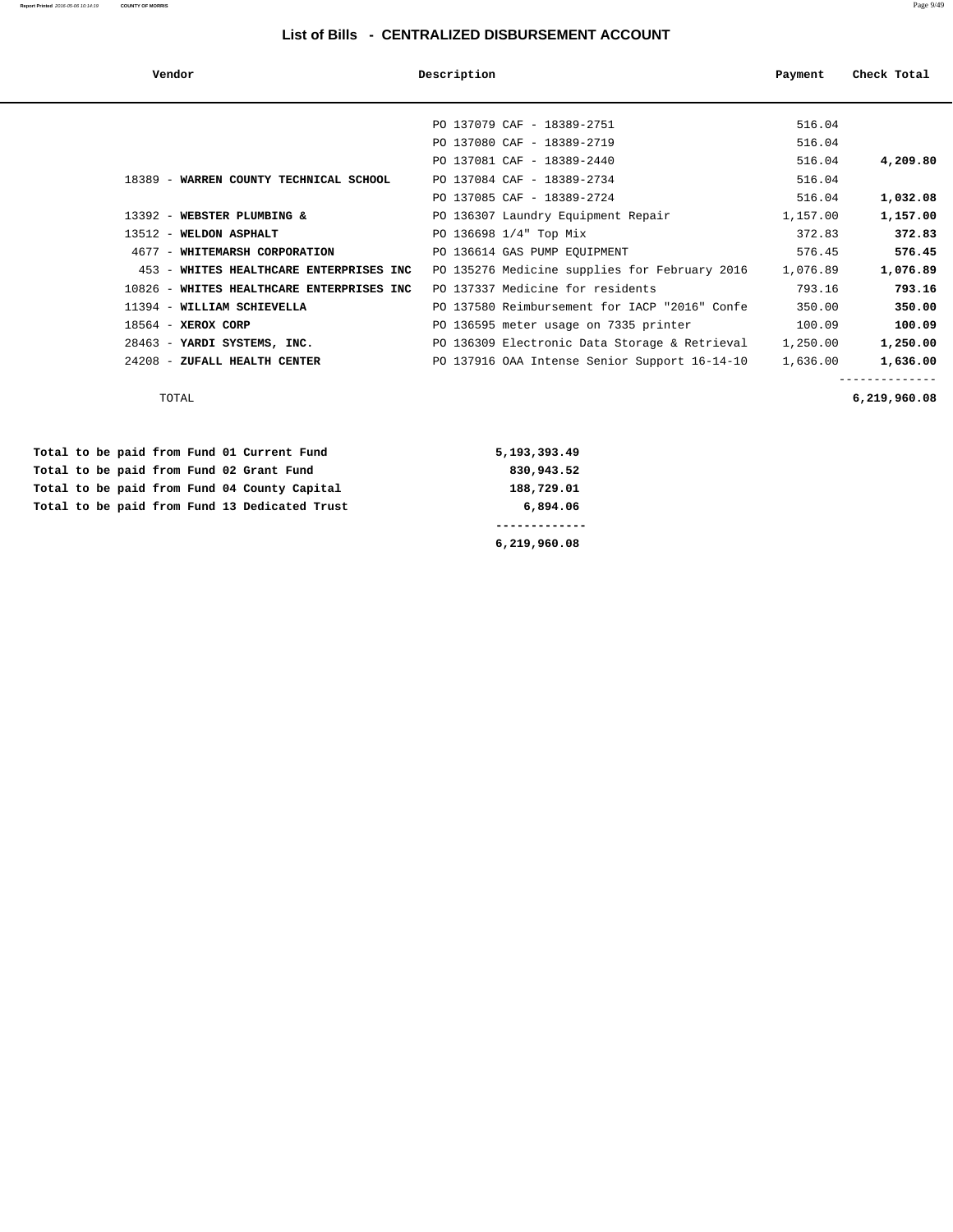| Vendor                                    | Description                                   | Payment  | Check Total |
|-------------------------------------------|-----------------------------------------------|----------|-------------|
|                                           |                                               |          |             |
|                                           | PO 137079 CAF - 18389-2751                    | 516.04   |             |
|                                           | PO 137080 CAF - 18389-2719                    | 516.04   |             |
|                                           | PO 137081 CAF - 18389-2440                    | 516.04   | 4,209.80    |
| 18389 - WARREN COUNTY TECHNICAL SCHOOL    | PO 137084 CAF - 18389-2734                    | 516.04   |             |
|                                           | PO 137085 CAF - 18389-2724                    | 516.04   | 1,032.08    |
| 13392 - WEBSTER PLUMBING &                | PO 136307 Laundry Equipment Repair            | 1,157.00 | 1,157.00    |
| 13512 - WELDON ASPHALT                    | PO 136698 1/4" Top Mix                        | 372.83   | 372.83      |
| 4677 - WHITEMARSH CORPORATION             | PO 136614 GAS PUMP EQUIPMENT                  | 576.45   | 576.45      |
| 453 - WHITES HEALTHCARE ENTERPRISES INC   | PO 135276 Medicine supplies for February 2016 | 1,076.89 | 1,076.89    |
| 10826 - WHITES HEALTHCARE ENTERPRISES INC | PO 137337 Medicine for residents              | 793.16   | 793.16      |
| 11394 - WILLIAM SCHIEVELLA                | PO 137580 Reimbursement for IACP "2016" Confe | 350.00   | 350.00      |
| 18564 - XEROX CORP                        | PO 136595 meter usage on 7335 printer         | 100.09   | 100.09      |
| 28463 - YARDI SYSTEMS, INC.               | PO 136309 Electronic Data Storage & Retrieval | 1,250.00 | 1,250.00    |
| 24208 - ZUFALL HEALTH CENTER              | PO 137916 OAA Intense Senior Support 16-14-10 | 1,636.00 | 1,636.00    |
|                                           |                                               |          |             |

 **6,219,960.08**

TOTAL **6,219,960.08**

|  |  |  |  | Total to be paid from Fund 13 Dedicated Trust | 6,894.06     |
|--|--|--|--|-----------------------------------------------|--------------|
|  |  |  |  | Total to be paid from Fund 04 County Capital  | 188,729.01   |
|  |  |  |  | Total to be paid from Fund 02 Grant Fund      | 830,943.52   |
|  |  |  |  | Total to be paid from Fund 01 Current Fund    | 5,193,393.49 |

**Report Printed** 2016-05-06 10:14:19 **COUNTY OF MORRIS** Page 9/49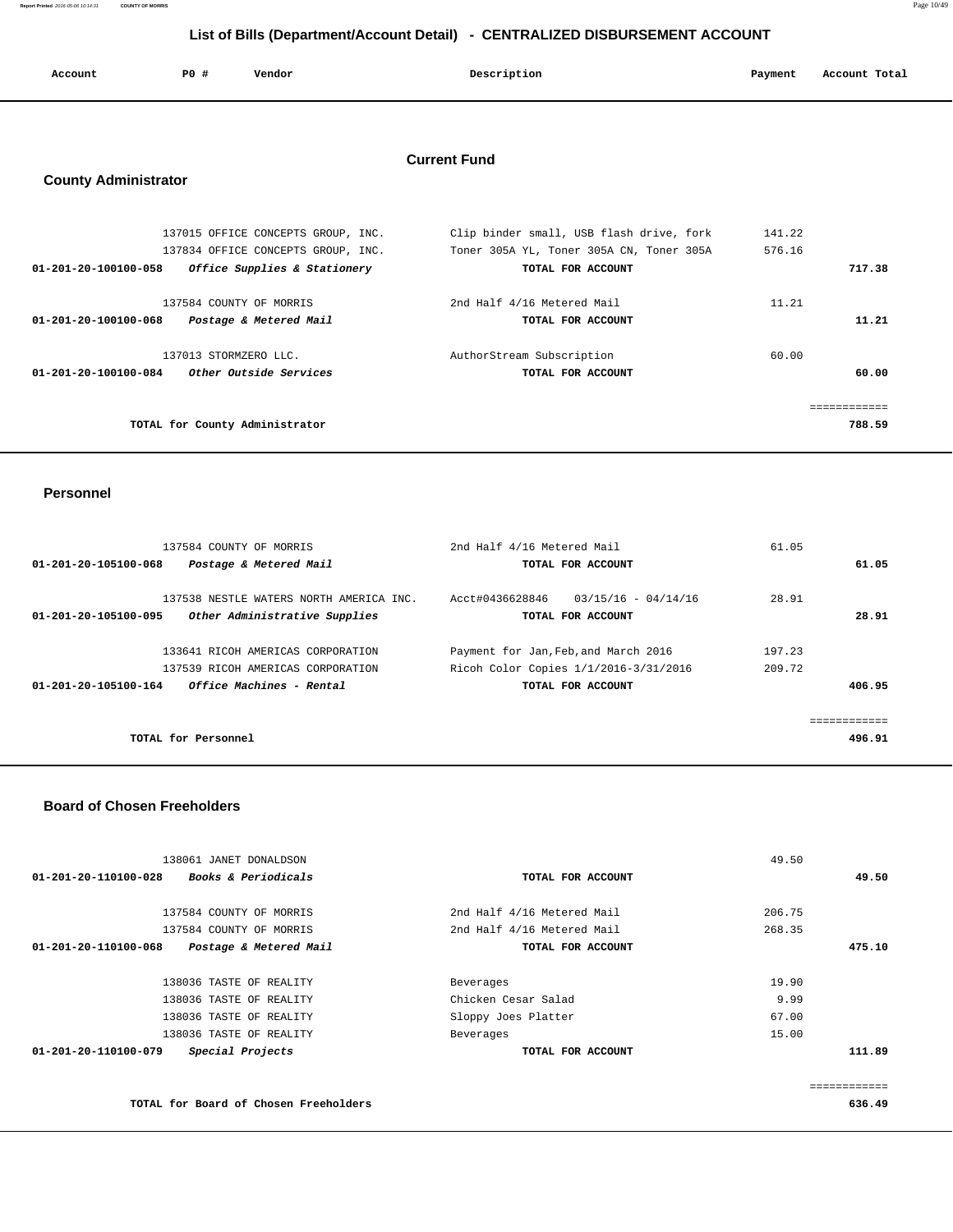**Report Printed** 2016-05-06 10:14:31 **COUNTY OF MORRIS** Page 10/49

# **List of Bills (Department/Account Detail) - CENTRALIZED DISBURSEMENT ACCOUNT**

| Account | P0 # | Vendor | Description | Payment | Account Total |
|---------|------|--------|-------------|---------|---------------|
|         |      |        |             |         |               |

## **Current Fund**

# **County Administrator**

| Clip binder small, USB flash drive, fork | 141.22       |
|------------------------------------------|--------------|
| Toner 305A YL, Toner 305A CN, Toner 305A | 576.16       |
| TOTAL FOR ACCOUNT                        | 717.38       |
| 2nd Half 4/16 Metered Mail               | 11.21        |
| TOTAL FOR ACCOUNT                        | 11.21        |
| AuthorStream Subscription                | 60.00        |
| TOTAL FOR ACCOUNT                        | 60.00        |
|                                          | ============ |
|                                          | 788.59       |
|                                          |              |

#### **Personnel**

| 137584 COUNTY OF MORRIS                                        | 2nd Half 4/16 Metered Mail               | 61.05  |
|----------------------------------------------------------------|------------------------------------------|--------|
| Postage & Metered Mail<br>01-201-20-105100-068                 | TOTAL FOR ACCOUNT                        | 61.05  |
|                                                                |                                          |        |
| 137538 NESTLE WATERS NORTH AMERICA INC.                        | Acct#0436628846<br>$03/15/16 - 04/14/16$ | 28.91  |
| Other Administrative Supplies<br>01-201-20-105100-095          | TOTAL FOR ACCOUNT                        | 28.91  |
|                                                                |                                          |        |
| 133641 RICOH AMERICAS CORPORATION                              | Payment for Jan, Feb, and March 2016     | 197.23 |
| 137539 RICOH AMERICAS CORPORATION                              | Ricoh Color Copies 1/1/2016-3/31/2016    | 209.72 |
| <i><b>Office Machines - Rental</b></i><br>01-201-20-105100-164 | TOTAL FOR ACCOUNT                        | 406.95 |
|                                                                |                                          |        |
|                                                                |                                          |        |
| TOTAL for Personnel                                            |                                          | 496.91 |
|                                                                |                                          |        |

#### **Board of Chosen Freeholders**

| 138061 JANET DONALDSON                                 |                            | 49.50  |              |
|--------------------------------------------------------|----------------------------|--------|--------------|
| 01-201-20-110100-028<br><b>Books &amp; Periodicals</b> | TOTAL FOR ACCOUNT          |        | 49.50        |
| 137584 COUNTY OF MORRIS                                | 2nd Half 4/16 Metered Mail | 206.75 |              |
| 137584 COUNTY OF MORRIS                                | 2nd Half 4/16 Metered Mail | 268.35 |              |
| 01-201-20-110100-068<br>Postage & Metered Mail         | TOTAL FOR ACCOUNT          |        | 475.10       |
|                                                        |                            |        |              |
| 138036 TASTE OF REALITY                                | Beverages                  | 19.90  |              |
| 138036 TASTE OF REALITY                                | Chicken Cesar Salad        | 9.99   |              |
| 138036 TASTE OF REALITY                                | Sloppy Joes Platter        | 67.00  |              |
| 138036 TASTE OF REALITY                                | Beverages                  | 15.00  |              |
| 01-201-20-110100-079<br>Special Projects               | TOTAL FOR ACCOUNT          |        | 111.89       |
|                                                        |                            |        |              |
|                                                        |                            |        | ============ |
| TOTAL for Board of Chosen Freeholders                  |                            |        | 636.49       |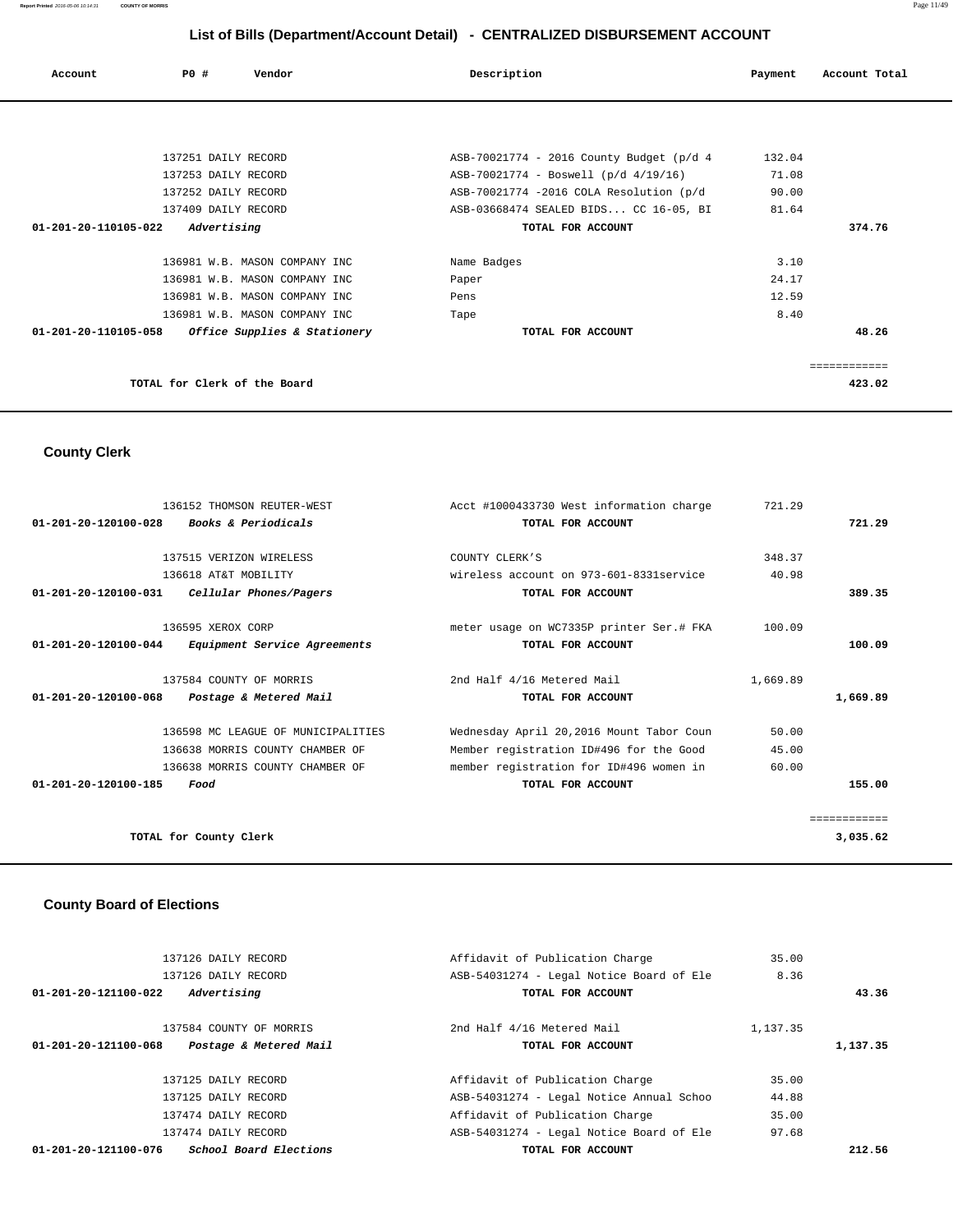| Account              | PO#                          | Vendor                                            | Description                              | Payment | Account Total |
|----------------------|------------------------------|---------------------------------------------------|------------------------------------------|---------|---------------|
|                      |                              |                                                   |                                          |         |               |
|                      | 137251 DAILY RECORD          |                                                   | ASB-70021774 - 2016 County Budget (p/d 4 | 132.04  |               |
|                      | 137253 DAILY RECORD          |                                                   | ASB-70021774 - Boswell (p/d 4/19/16)     | 71.08   |               |
|                      | 137252 DAILY RECORD          |                                                   | ASB-70021774 -2016 COLA Resolution (p/d  | 90.00   |               |
|                      | 137409 DAILY RECORD          |                                                   | ASB-03668474 SEALED BIDS CC 16-05, BI    | 81.64   |               |
| 01-201-20-110105-022 | Advertising                  |                                                   | TOTAL FOR ACCOUNT                        |         | 374.76        |
|                      |                              | 136981 W.B. MASON COMPANY INC                     | Name Badges                              | 3.10    |               |
|                      |                              | 136981 W.B. MASON COMPANY INC                     | Paper                                    | 24.17   |               |
|                      |                              | 136981 W.B. MASON COMPANY INC                     | Pens                                     | 12.59   |               |
|                      |                              | 136981 W.B. MASON COMPANY INC                     | Tape                                     | 8.40    |               |
|                      |                              | 01-201-20-110105-058 Office Supplies & Stationery | TOTAL FOR ACCOUNT                        |         | 48.26         |
|                      |                              |                                                   |                                          |         | ------------  |
|                      | TOTAL for Clerk of the Board |                                                   |                                          |         | 423.02        |

 **County Clerk** 

|                                | 136152 THOMSON REUTER-WEST          | Acct #1000433730 West information charge | 721.29   |              |
|--------------------------------|-------------------------------------|------------------------------------------|----------|--------------|
| $01 - 201 - 20 - 120100 - 028$ | <i>Books &amp; Periodicals</i>      | TOTAL FOR ACCOUNT                        |          | 721.29       |
|                                |                                     |                                          |          |              |
|                                | 137515 VERIZON WIRELESS             | COUNTY CLERK'S                           | 348.37   |              |
|                                | 136618 AT&T MOBILITY                | wireless account on 973-601-8331 service | 40.98    |              |
| $01 - 201 - 20 - 120100 - 031$ | Cellular Phones/Pagers              | TOTAL FOR ACCOUNT                        |          | 389.35       |
|                                | 136595 XEROX CORP                   | meter usage on WC7335P printer Ser.# FKA | 100.09   |              |
| 01-201-20-120100-044           | <i>Equipment Service Agreements</i> | TOTAL FOR ACCOUNT                        |          | 100.09       |
|                                | 137584 COUNTY OF MORRIS             | 2nd Half 4/16 Metered Mail               | 1,669.89 |              |
| $01 - 201 - 20 - 120100 - 068$ | Postage & Metered Mail              | TOTAL FOR ACCOUNT                        |          | 1,669.89     |
|                                | 136598 MC LEAGUE OF MUNICIPALITIES  | Wednesday April 20,2016 Mount Tabor Coun | 50.00    |              |
|                                | 136638 MORRIS COUNTY CHAMBER OF     | Member registration ID#496 for the Good  | 45.00    |              |
|                                | 136638 MORRIS COUNTY CHAMBER OF     | member registration for ID#496 women in  | 60.00    |              |
| 01-201-20-120100-185           | Food                                | TOTAL FOR ACCOUNT                        |          | 155.00       |
|                                |                                     |                                          |          | ------------ |
|                                | TOTAL for County Clerk              |                                          |          | 3,035.62     |

# **County Board of Elections**

| 137126 DAILY RECORD                            | Affidavit of Publication Charge          | 35.00    |          |
|------------------------------------------------|------------------------------------------|----------|----------|
| 137126 DAILY RECORD                            | ASB-54031274 - Legal Notice Board of Ele | 8.36     |          |
| 01-201-20-121100-022<br>Advertising            | TOTAL FOR ACCOUNT                        |          | 43.36    |
| 137584 COUNTY OF MORRIS                        | 2nd Half 4/16 Metered Mail               | 1,137.35 |          |
| Postage & Metered Mail<br>01-201-20-121100-068 | TOTAL FOR ACCOUNT                        |          | 1,137.35 |
| 137125 DAILY RECORD                            | Affidavit of Publication Charge          | 35.00    |          |
| 137125 DAILY RECORD                            | ASB-54031274 - Legal Notice Annual Schoo | 44.88    |          |
| 137474 DAILY RECORD                            | Affidavit of Publication Charge          | 35.00    |          |
| 137474 DAILY RECORD                            | ASB-54031274 - Legal Notice Board of Ele | 97.68    |          |
| School Board Elections<br>01-201-20-121100-076 | TOTAL FOR ACCOUNT                        |          | 212.56   |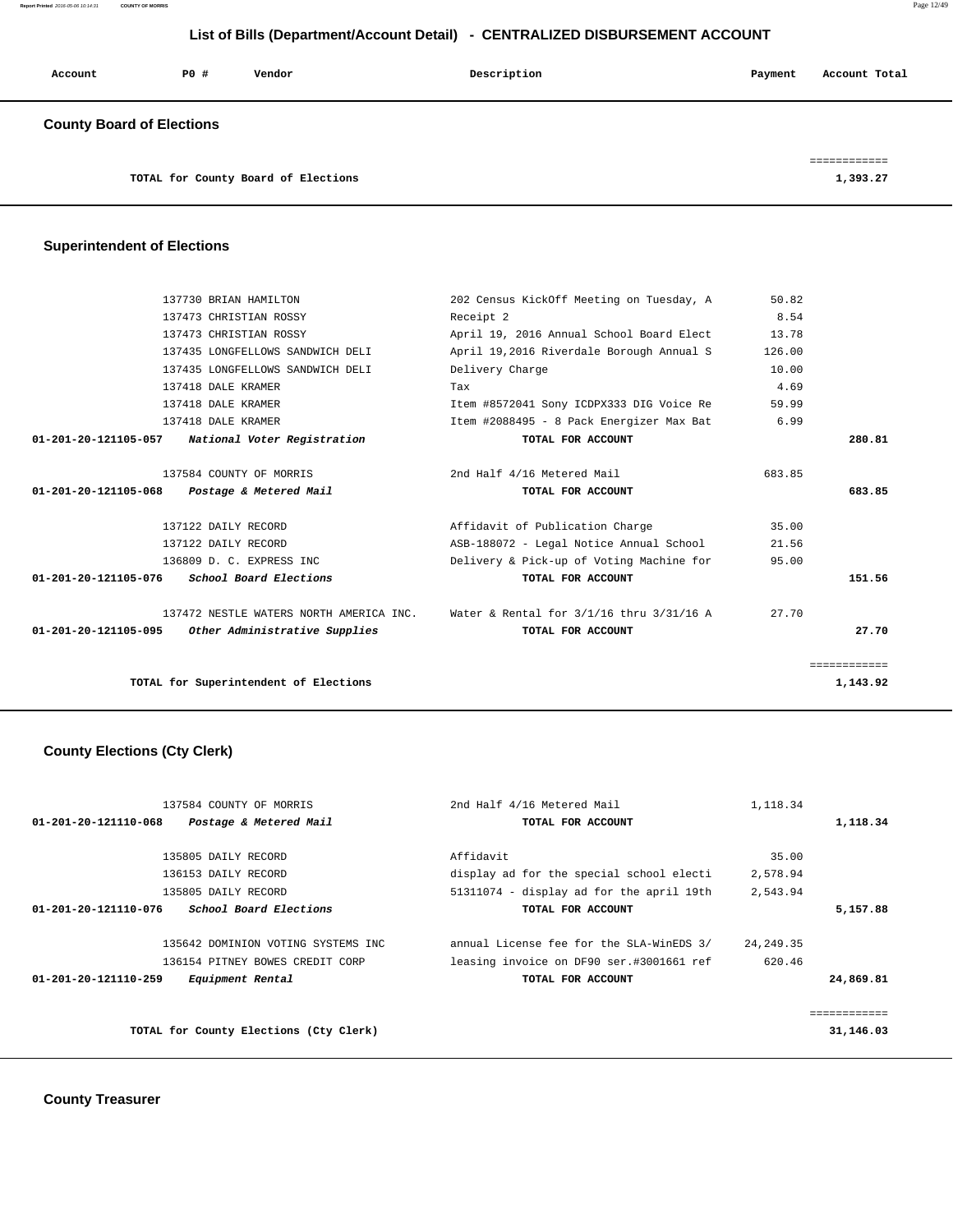**Report Printed** 2016-05-06 10:14:31 **COUNTY OF MORRIS** Page 12/49

# **List of Bills (Department/Account Detail) - CENTRALIZED DISBURSEMENT ACCOUNT**

| Account                          | PO# | Vendor | Description | Payment | Account Total |
|----------------------------------|-----|--------|-------------|---------|---------------|
| <b>County Board of Elections</b> |     |        |             |         |               |

============

| TOTAL for County Board of Elections | 1,393.27 |
|-------------------------------------|----------|
|-------------------------------------|----------|

# **Superintendent of Elections**

| TOTAL for Superintendent of Elections              |                                                                                      |        | 1,143.92     |
|----------------------------------------------------|--------------------------------------------------------------------------------------|--------|--------------|
|                                                    |                                                                                      |        | ============ |
| 01-201-20-121105-095 Other Administrative Supplies | TOTAL FOR ACCOUNT                                                                    |        | 27.70        |
|                                                    | 137472 NESTLE WATERS NORTH AMERICA INC. Water & Rental for $3/1/16$ thru $3/31/16$ A | 27.70  |              |
| $01-201-20-121105-076$ School Board Elections      | TOTAL FOR ACCOUNT                                                                    |        | 151.56       |
| 136809 D. C. EXPRESS INC                           | Delivery & Pick-up of Voting Machine for                                             | 95.00  |              |
| 137122 DAILY RECORD                                | ASB-188072 - Legal Notice Annual School                                              | 21.56  |              |
| 137122 DAILY RECORD                                | Affidavit of Publication Charge                                                      | 35.00  |              |
| 01-201-20-121105-068 Postage & Metered Mail        | TOTAL FOR ACCOUNT                                                                    |        | 683.85       |
| 137584 COUNTY OF MORRIS                            | 2nd Half 4/16 Metered Mail                                                           | 683.85 |              |
| 01-201-20-121105-057 National Voter Registration   | TOTAL FOR ACCOUNT                                                                    |        | 280.81       |
| 137418 DALE KRAMER                                 | Item #2088495 - 8 Pack Energizer Max Bat                                             | 6.99   |              |
| 137418 DALE KRAMER                                 | Item #8572041 Sony ICDPX333 DIG Voice Re                                             | 59.99  |              |
| 137418 DALE KRAMER                                 | Tax                                                                                  | 4.69   |              |
| 137435 LONGFELLOWS SANDWICH DELI                   | Delivery Charge                                                                      | 10.00  |              |
| 137435 LONGFELLOWS SANDWICH DELI                   | April 19,2016 Riverdale Borough Annual S                                             | 126.00 |              |
| 137473 CHRISTIAN ROSSY                             | April 19, 2016 Annual School Board Elect                                             | 13.78  |              |
| 137473 CHRISTIAN ROSSY                             | Receipt 2                                                                            | 8.54   |              |
| 137730 BRIAN HAMILTON                              | 202 Census KickOff Meeting on Tuesday, A                                             | 50.82  |              |

# **County Elections (Cty Clerk)**

| 137584 COUNTY OF MORRIS                        | 2nd Half 4/16 Metered Mail               | 1,118.34    |           |
|------------------------------------------------|------------------------------------------|-------------|-----------|
| Postage & Metered Mail<br>01-201-20-121110-068 | TOTAL FOR ACCOUNT                        |             | 1,118.34  |
|                                                |                                          |             |           |
| 135805 DAILY RECORD                            | Affidavit                                | 35.00       |           |
| 136153 DAILY RECORD                            | display ad for the special school electi | 2,578.94    |           |
| 135805 DAILY RECORD                            | 51311074 - display ad for the april 19th | 2,543.94    |           |
| School Board Elections<br>01-201-20-121110-076 | TOTAL FOR ACCOUNT                        |             | 5,157.88  |
| 135642 DOMINION VOTING SYSTEMS INC             | annual License fee for the SLA-WinEDS 3/ | 24, 249. 35 |           |
| 136154 PITNEY BOWES CREDIT CORP                | leasing invoice on DF90 ser.#3001661 ref | 620.46      |           |
| 01-201-20-121110-259<br>Equipment Rental       | TOTAL FOR ACCOUNT                        |             | 24,869.81 |
|                                                |                                          |             | .         |
| TOTAL for County Elections (Cty Clerk)         |                                          |             | 31,146.03 |
|                                                |                                          |             |           |

 **County Treasurer**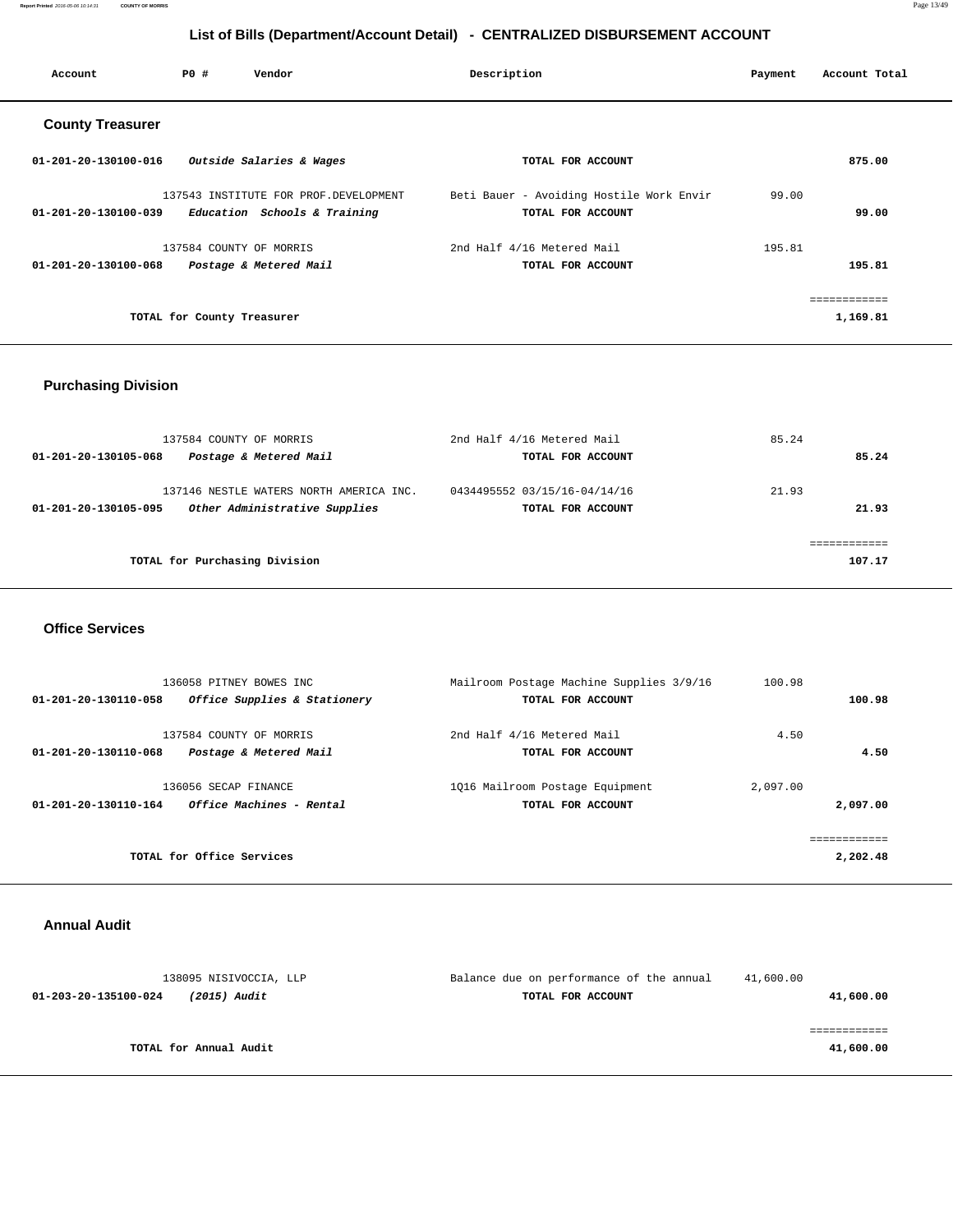**Report Printed** 2016-05-06 10:14:31 **COUNTY OF MORRIS** Page 13/49

# **List of Bills (Department/Account Detail) - CENTRALIZED DISBURSEMENT ACCOUNT**

| Account                        | PO#                        | Vendor                                | Description                              | Payment | Account Total |
|--------------------------------|----------------------------|---------------------------------------|------------------------------------------|---------|---------------|
| <b>County Treasurer</b>        |                            |                                       |                                          |         |               |
| $01 - 201 - 20 - 130100 - 016$ |                            | Outside Salaries & Wages              | TOTAL FOR ACCOUNT                        |         | 875.00        |
|                                |                            | 137543 INSTITUTE FOR PROF.DEVELOPMENT | Beti Bauer - Avoiding Hostile Work Envir | 99.00   |               |
| $01 - 201 - 20 - 130100 - 039$ |                            | Education Schools & Training          | TOTAL FOR ACCOUNT                        |         | 99.00         |
|                                |                            | 137584 COUNTY OF MORRIS               | 2nd Half 4/16 Metered Mail               | 195.81  |               |
| 01-201-20-130100-068           |                            | Postage & Metered Mail                | TOTAL FOR ACCOUNT                        |         | 195.81        |
|                                |                            |                                       |                                          |         | ------------  |
|                                | TOTAL for County Treasurer |                                       |                                          |         | 1,169.81      |
|                                |                            |                                       |                                          |         |               |

# **Purchasing Division**

| 137584 COUNTY OF MORRIS                               | 2nd Half 4/16 Metered Mail   | 85.24        |
|-------------------------------------------------------|------------------------------|--------------|
| Postage & Metered Mail<br>01-201-20-130105-068        | TOTAL FOR ACCOUNT            | 85.24        |
| 137146 NESTLE WATERS NORTH AMERICA INC.               | 0434495552 03/15/16-04/14/16 | 21.93        |
| Other Administrative Supplies<br>01-201-20-130105-095 | TOTAL FOR ACCOUNT            | 21.93        |
|                                                       |                              | ------------ |
| TOTAL for Purchasing Division                         |                              | 107.17       |
|                                                       |                              |              |

#### **Office Services**

| 136058 PITNEY BOWES INC<br>Office Supplies & Stationery<br>01-201-20-130110-058 | Mailroom Postage Machine Supplies 3/9/16<br>TOTAL FOR ACCOUNT | 100.98   | 100.98   |
|---------------------------------------------------------------------------------|---------------------------------------------------------------|----------|----------|
| 137584 COUNTY OF MORRIS<br>01-201-20-130110-068<br>Postage & Metered Mail       | 2nd Half 4/16 Metered Mail<br>TOTAL FOR ACCOUNT               | 4.50     | 4.50     |
| 136056 SECAP FINANCE<br><i>Office Machines - Rental</i><br>01-201-20-130110-164 | 1016 Mailroom Postage Equipment<br>TOTAL FOR ACCOUNT          | 2,097.00 | 2,097.00 |
| TOTAL for Office Services                                                       |                                                               |          | 2,202.48 |

### **Annual Audit**

| 138095 NISIVOCCIA, LLP               | Balance due on performance of the annual | 41,600.00 |
|--------------------------------------|------------------------------------------|-----------|
| (2015) Audit<br>01-203-20-135100-024 | TOTAL FOR ACCOUNT                        | 41,600.00 |
|                                      |                                          |           |
|                                      |                                          |           |
| TOTAL for Annual Audit               |                                          | 41,600.00 |
|                                      |                                          |           |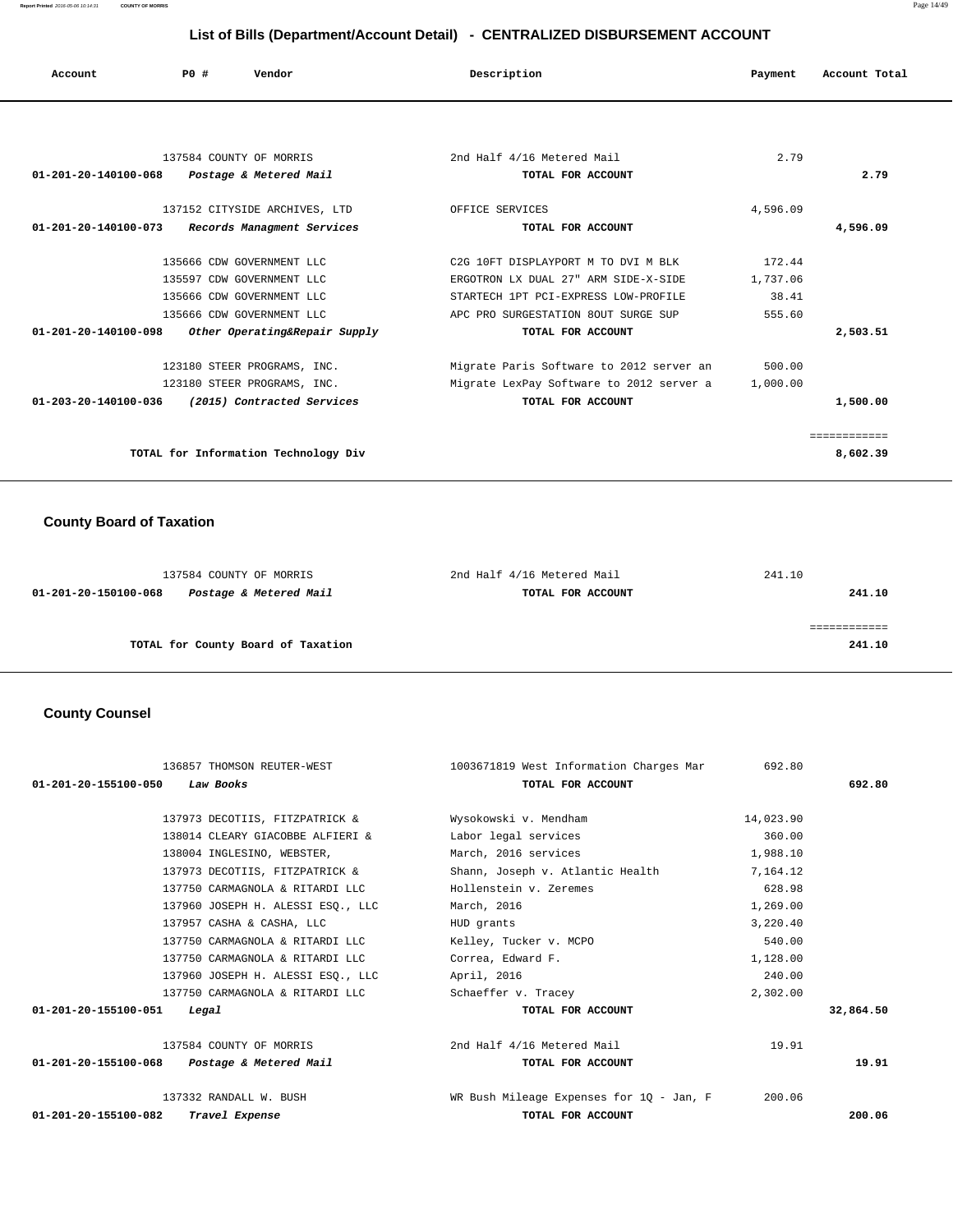**Report Printed** 2016-05-06 10:14:31 **COUNTY OF MORRIS** Page 14/49

# **List of Bills (Department/Account Detail) - CENTRALIZED DISBURSEMENT ACCOUNT**

| List of Bills (Department/Account Detail) - CENTRALIZED DISBURSEMENT ACCOUNT |     |                               |                                          |          |               |
|------------------------------------------------------------------------------|-----|-------------------------------|------------------------------------------|----------|---------------|
| Account                                                                      | PO# | Vendor                        | Description                              | Payment  | Account Total |
|                                                                              |     |                               |                                          |          |               |
|                                                                              |     | 137584 COUNTY OF MORRIS       | 2nd Half 4/16 Metered Mail               | 2.79     |               |
| $01 - 201 - 20 - 140100 - 068$                                               |     | Postage & Metered Mail        | TOTAL FOR ACCOUNT                        |          | 2.79          |
|                                                                              |     | 137152 CITYSIDE ARCHIVES, LTD | OFFICE SERVICES                          | 4,596.09 |               |
| $01 - 201 - 20 - 140100 - 073$                                               |     | Records Managment Services    | TOTAL FOR ACCOUNT                        |          | 4,596.09      |
|                                                                              |     | 135666 CDW GOVERNMENT LLC     | C2G 10FT DISPLAYPORT M TO DVI M BLK      | 172.44   |               |
|                                                                              |     | 135597 CDW GOVERNMENT LLC     | ERGOTRON LX DUAL 27" ARM SIDE-X-SIDE     | 1,737.06 |               |
|                                                                              |     | 135666 CDW GOVERNMENT LLC     | STARTECH 1PT PCI-EXPRESS LOW-PROFILE     | 38.41    |               |
|                                                                              |     | 135666 CDW GOVERNMENT LLC     | APC PRO SURGESTATION 80UT SURGE SUP      | 555.60   |               |
| $01 - 201 - 20 - 140100 - 098$                                               |     | Other Operating&Repair Supply | TOTAL FOR ACCOUNT                        |          | 2,503.51      |
|                                                                              |     | 123180 STEER PROGRAMS, INC.   | Migrate Paris Software to 2012 server an | 500.00   |               |
|                                                                              |     | 123180 STEER PROGRAMS, INC.   | Migrate LexPay Software to 2012 server a | 1,000.00 |               |
| 01-203-20-140100-036                                                         |     | (2015) Contracted Services    | TOTAL FOR ACCOUNT                        |          | 1,500.00      |
|                                                                              |     |                               |                                          |          | ============  |

**TOTAL for Information Technology Div 8,602.39**

# **County Board of Taxation**

| 137584 COUNTY OF MORRIS                        | 2nd Half 4/16 Metered Mail | 241.10 |
|------------------------------------------------|----------------------------|--------|
| Postage & Metered Mail<br>01-201-20-150100-068 | TOTAL FOR ACCOUNT          | 241.10 |
|                                                |                            |        |
|                                                |                            |        |
| TOTAL for County Board of Taxation             |                            | 241.10 |
|                                                |                            |        |

## **County Counsel**

| 136857 THOMSON REUTER-WEST                  | 1003671819 West Information Charges Mar  | 692.80    |           |
|---------------------------------------------|------------------------------------------|-----------|-----------|
| Law Books<br>01-201-20-155100-050           | TOTAL FOR ACCOUNT                        |           | 692.80    |
|                                             |                                          |           |           |
| 137973 DECOTIIS, FITZPATRICK &              | Wysokowski v. Mendham                    | 14,023.90 |           |
| 138014 CLEARY GIACOBBE ALFIERI &            | Labor legal services                     | 360.00    |           |
| 138004 INGLESINO, WEBSTER,                  | March, 2016 services                     | 1,988.10  |           |
| 137973 DECOTIIS, FITZPATRICK &              | Shann, Joseph v. Atlantic Health         | 7,164.12  |           |
| 137750 CARMAGNOLA & RITARDI LLC             | Hollenstein v. Zeremes                   | 628.98    |           |
| 137960 JOSEPH H. ALESSI ESO., LLC           | March, 2016                              | 1,269.00  |           |
| 137957 CASHA & CASHA, LLC                   | HUD grants                               | 3,220.40  |           |
| 137750 CARMAGNOLA & RITARDI LLC             | Kelley, Tucker v. MCPO                   | 540.00    |           |
| 137750 CARMAGNOLA & RITARDI LLC             | Correa, Edward F.                        | 1,128.00  |           |
| 137960 JOSEPH H. ALESSI ESO., LLC           | April, 2016                              | 240.00    |           |
| 137750 CARMAGNOLA & RITARDI LLC             | Schaeffer v. Tracey                      | 2,302.00  |           |
| 01-201-20-155100-051<br>Legal               | TOTAL FOR ACCOUNT                        |           | 32,864.50 |
| 137584 COUNTY OF MORRIS                     | 2nd Half 4/16 Metered Mail               | 19.91     |           |
| 01-201-20-155100-068 Postage & Metered Mail | TOTAL FOR ACCOUNT                        |           | 19.91     |
| 137332 RANDALL W. BUSH                      | WR Bush Mileage Expenses for 1Q - Jan, F | 200.06    |           |
| Travel Expense<br>01-201-20-155100-082      | TOTAL FOR ACCOUNT                        |           | 200.06    |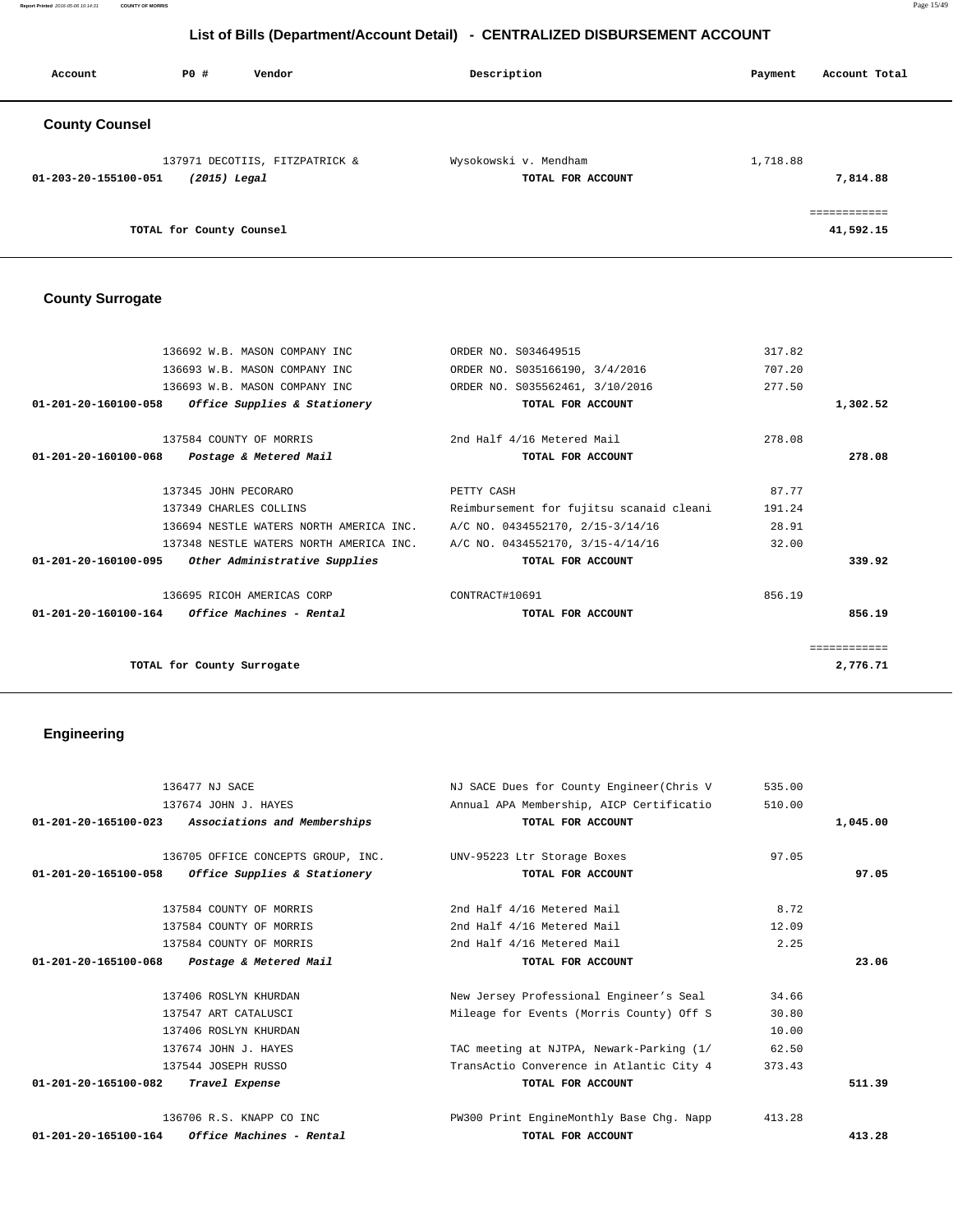**Report Printed** 2016-05-06 10:14:31 **COUNTY OF MORRIS** Page 15/49

# **List of Bills (Department/Account Detail) - CENTRALIZED DISBURSEMENT ACCOUNT**

| Account               | PO#                      | Vendor                         | Description                                | Account Total<br>Payment  |
|-----------------------|--------------------------|--------------------------------|--------------------------------------------|---------------------------|
| <b>County Counsel</b> |                          |                                |                                            |                           |
| 01-203-20-155100-051  | $(2015)$ Legal           | 137971 DECOTIIS, FITZPATRICK & | Wysokowski v. Mendham<br>TOTAL FOR ACCOUNT | 1,718.88<br>7,814.88      |
|                       | TOTAL for County Counsel |                                |                                            | ------------<br>41,592.15 |

# **County Surrogate**

|                      | 136692 W.B. MASON COMPANY INC                                            | ORDER NO. S034649515                     | 317.82 |              |
|----------------------|--------------------------------------------------------------------------|------------------------------------------|--------|--------------|
|                      | 136693 W.B. MASON COMPANY INC                                            | ORDER NO. S035166190, 3/4/2016           | 707.20 |              |
|                      | 136693 W.B. MASON COMPANY INC                                            | ORDER NO. S035562461, 3/10/2016          | 277.50 |              |
| 01-201-20-160100-058 | Office Supplies & Stationery                                             | TOTAL FOR ACCOUNT                        |        | 1,302.52     |
|                      | 137584 COUNTY OF MORRIS                                                  | 2nd Half 4/16 Metered Mail               | 278.08 |              |
|                      | $01 - 201 - 20 - 160100 - 068$ Postage & Metered Mail                    | TOTAL FOR ACCOUNT                        |        | 278.08       |
|                      | 137345 JOHN PECORARO                                                     | PETTY CASH                               | 87.77  |              |
|                      | 137349 CHARLES COLLINS                                                   | Reimbursement for fujitsu scanaid cleani | 191.24 |              |
|                      | 136694 NESTLE WATERS NORTH AMERICA INC.                                  | A/C NO. 0434552170, 2/15-3/14/16         | 28.91  |              |
|                      | 137348 NESTLE WATERS NORTH AMERICA INC. A/C NO. 0434552170, 3/15-4/14/16 |                                          | 32.00  |              |
| 01-201-20-160100-095 | Other Administrative Supplies                                            | TOTAL FOR ACCOUNT                        |        | 339.92       |
|                      | 136695 RICOH AMERICAS CORP                                               | CONTRACT#10691                           | 856.19 |              |
|                      | $01 - 201 - 20 - 160100 - 164$ Office Machines - Rental                  | TOTAL FOR ACCOUNT                        |        | 856.19       |
|                      |                                                                          |                                          |        | ============ |
|                      | TOTAL for County Surrogate                                               |                                          |        | 2,776.71     |
|                      |                                                                          |                                          |        |              |

# **Engineering**

|                      | 136477 NJ SACE                                                 | NJ SACE Dues for County Engineer (Chris V | 535.00 |          |
|----------------------|----------------------------------------------------------------|-------------------------------------------|--------|----------|
|                      | 137674 JOHN J. HAYES                                           | Annual APA Membership, AICP Certificatio  | 510.00 |          |
| 01-201-20-165100-023 | Associations and Memberships                                   | TOTAL FOR ACCOUNT                         |        | 1,045.00 |
|                      |                                                                |                                           |        |          |
|                      | 136705 OFFICE CONCEPTS GROUP, INC. UNV-95223 Ltr Storage Boxes |                                           | 97.05  |          |
| 01-201-20-165100-058 | <i>Office Supplies &amp; Stationery</i>                        | TOTAL FOR ACCOUNT                         |        | 97.05    |
|                      |                                                                |                                           |        |          |
|                      | 137584 COUNTY OF MORRIS                                        | 2nd Half 4/16 Metered Mail                | 8.72   |          |
|                      | 137584 COUNTY OF MORRIS                                        | 2nd Half 4/16 Metered Mail                | 12.09  |          |
|                      | 137584 COUNTY OF MORRIS                                        | 2nd Half 4/16 Metered Mail                | 2.25   |          |
| 01-201-20-165100-068 | Postage & Metered Mail                                         | TOTAL FOR ACCOUNT                         |        | 23.06    |
|                      | 137406 ROSLYN KHURDAN                                          | New Jersey Professional Engineer's Seal   | 34.66  |          |
|                      | 137547 ART CATALUSCI                                           | Mileage for Events (Morris County) Off S  | 30.80  |          |
|                      | 137406 ROSLYN KHURDAN                                          |                                           | 10.00  |          |
|                      | 137674 JOHN J. HAYES                                           | TAC meeting at NJTPA, Newark-Parking (1/  | 62.50  |          |
|                      | 137544 JOSEPH RUSSO                                            | TransActio Converence in Atlantic City 4  | 373.43 |          |
| 01-201-20-165100-082 | <i>Travel Expense</i>                                          | TOTAL FOR ACCOUNT                         |        | 511.39   |
|                      | 136706 R.S. KNAPP CO INC                                       | PW300 Print EngineMonthly Base Chq. Napp  | 413.28 |          |
| 01-201-20-165100-164 | <i><b>Office Machines - Rental</b></i>                         | TOTAL FOR ACCOUNT                         |        | 413.28   |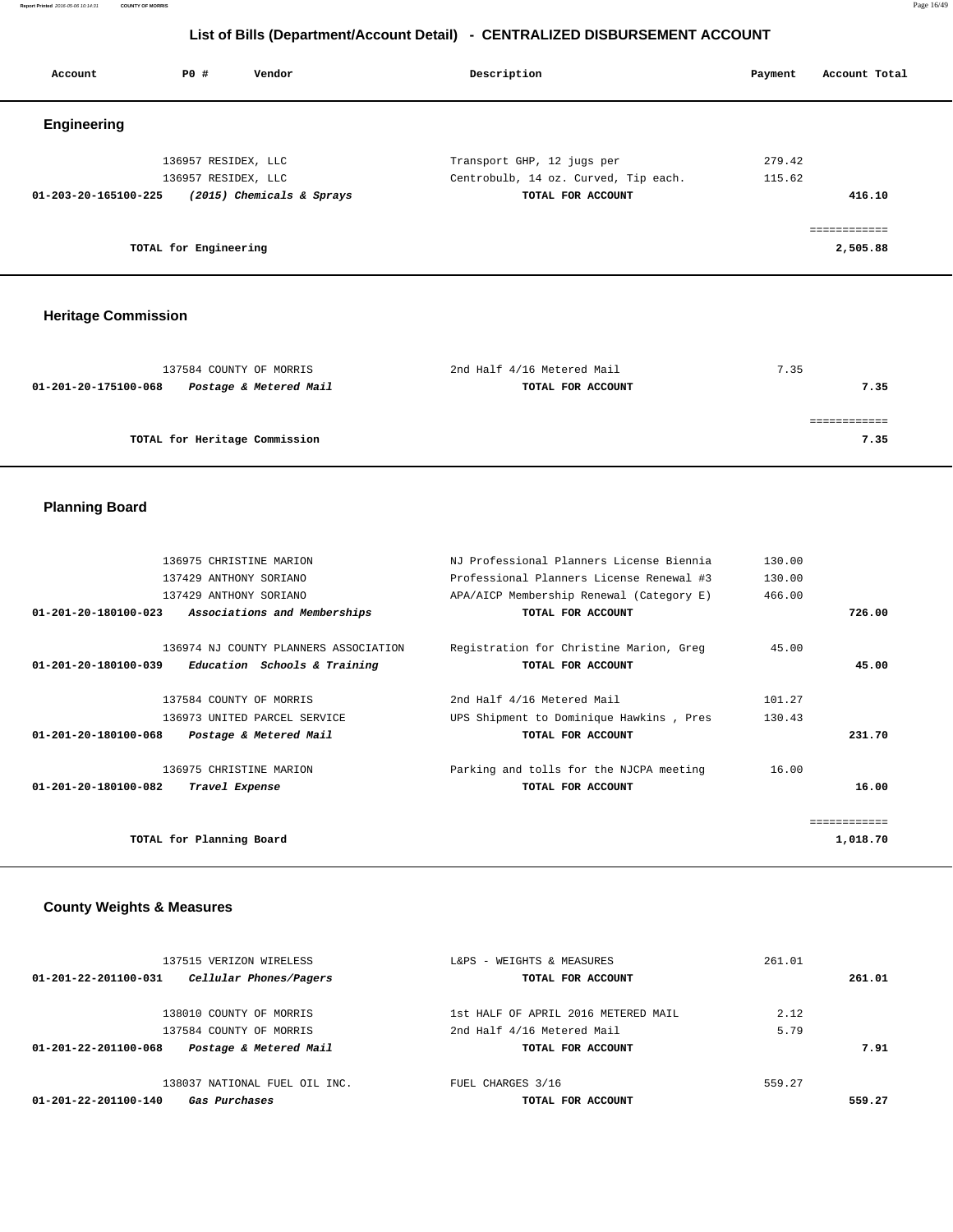**Report Printed** 2016-05-06 10:14:31 **COUNTY OF MORRIS** Page 16/49

# **List of Bills (Department/Account Detail) - CENTRALIZED DISBURSEMENT ACCOUNT**

| Account                        | PO#                   | Vendor                    | Description                          | Payment | Account Total |
|--------------------------------|-----------------------|---------------------------|--------------------------------------|---------|---------------|
| Engineering                    |                       |                           |                                      |         |               |
|                                | 136957 RESIDEX, LLC   |                           | Transport GHP, 12 jugs per           | 279.42  |               |
|                                | 136957 RESIDEX, LLC   |                           | Centrobulb, 14 oz. Curved, Tip each. | 115.62  |               |
| $01 - 203 - 20 - 165100 - 225$ |                       | (2015) Chemicals & Sprays | TOTAL FOR ACCOUNT                    |         | 416.10        |
|                                |                       |                           |                                      |         | ============  |
|                                | TOTAL for Engineering |                           |                                      |         | 2,505.88      |

# **Heritage Commission**

| 137584 COUNTY OF MORRIS                        | 2nd Half 4/16 Metered Mail | 7.35 |
|------------------------------------------------|----------------------------|------|
| Postage & Metered Mail<br>01-201-20-175100-068 | TOTAL FOR ACCOUNT          | 7.35 |
|                                                |                            |      |
|                                                |                            |      |
| TOTAL for Heritage Commission                  |                            | 7.35 |
|                                                |                            |      |

# **Planning Board**

|                                | 136975 CHRISTINE MARION               | NJ Professional Planners License Biennia | 130.00 |              |
|--------------------------------|---------------------------------------|------------------------------------------|--------|--------------|
|                                | 137429 ANTHONY SORIANO                | Professional Planners License Renewal #3 | 130.00 |              |
|                                | 137429 ANTHONY SORIANO                | APA/AICP Membership Renewal (Category E) | 466.00 |              |
| 01-201-20-180100-023           | Associations and Memberships          | TOTAL FOR ACCOUNT                        |        | 726.00       |
|                                | 136974 NJ COUNTY PLANNERS ASSOCIATION | Registration for Christine Marion, Greg  | 45.00  |              |
| $01 - 201 - 20 - 180100 - 039$ | Education Schools & Training          | TOTAL FOR ACCOUNT                        |        | 45.00        |
|                                | 137584 COUNTY OF MORRIS               | 2nd Half 4/16 Metered Mail               | 101.27 |              |
|                                | 136973 UNITED PARCEL SERVICE          | UPS Shipment to Dominique Hawkins, Pres  | 130.43 |              |
| 01-201-20-180100-068           | Postage & Metered Mail                | TOTAL FOR ACCOUNT                        |        | 231.70       |
|                                | 136975 CHRISTINE MARION               | Parking and tolls for the NJCPA meeting  | 16.00  |              |
| 01-201-20-180100-082           | Travel Expense                        | TOTAL FOR ACCOUNT                        |        | 16.00        |
|                                |                                       |                                          |        | ============ |
| TOTAL for Planning Board       |                                       |                                          |        | 1,018.70     |
|                                |                                       |                                          |        |              |

# **County Weights & Measures**

| 137515 VERIZON WIRELESS                        | L&PS - WEIGHTS & MEASURES           | 261.01 |        |
|------------------------------------------------|-------------------------------------|--------|--------|
| Cellular Phones/Pagers<br>01-201-22-201100-031 | TOTAL FOR ACCOUNT                   |        | 261.01 |
| 138010 COUNTY OF MORRIS                        | 1st HALF OF APRIL 2016 METERED MAIL | 2.12   |        |
| 137584 COUNTY OF MORRIS                        | 2nd Half 4/16 Metered Mail          | 5.79   |        |
| Postage & Metered Mail<br>01-201-22-201100-068 | TOTAL FOR ACCOUNT                   |        | 7.91   |
| 138037 NATIONAL FUEL OIL INC.                  | FUEL CHARGES 3/16                   | 559.27 |        |
| 01-201-22-201100-140<br>Gas Purchases          | TOTAL FOR ACCOUNT                   |        | 559.27 |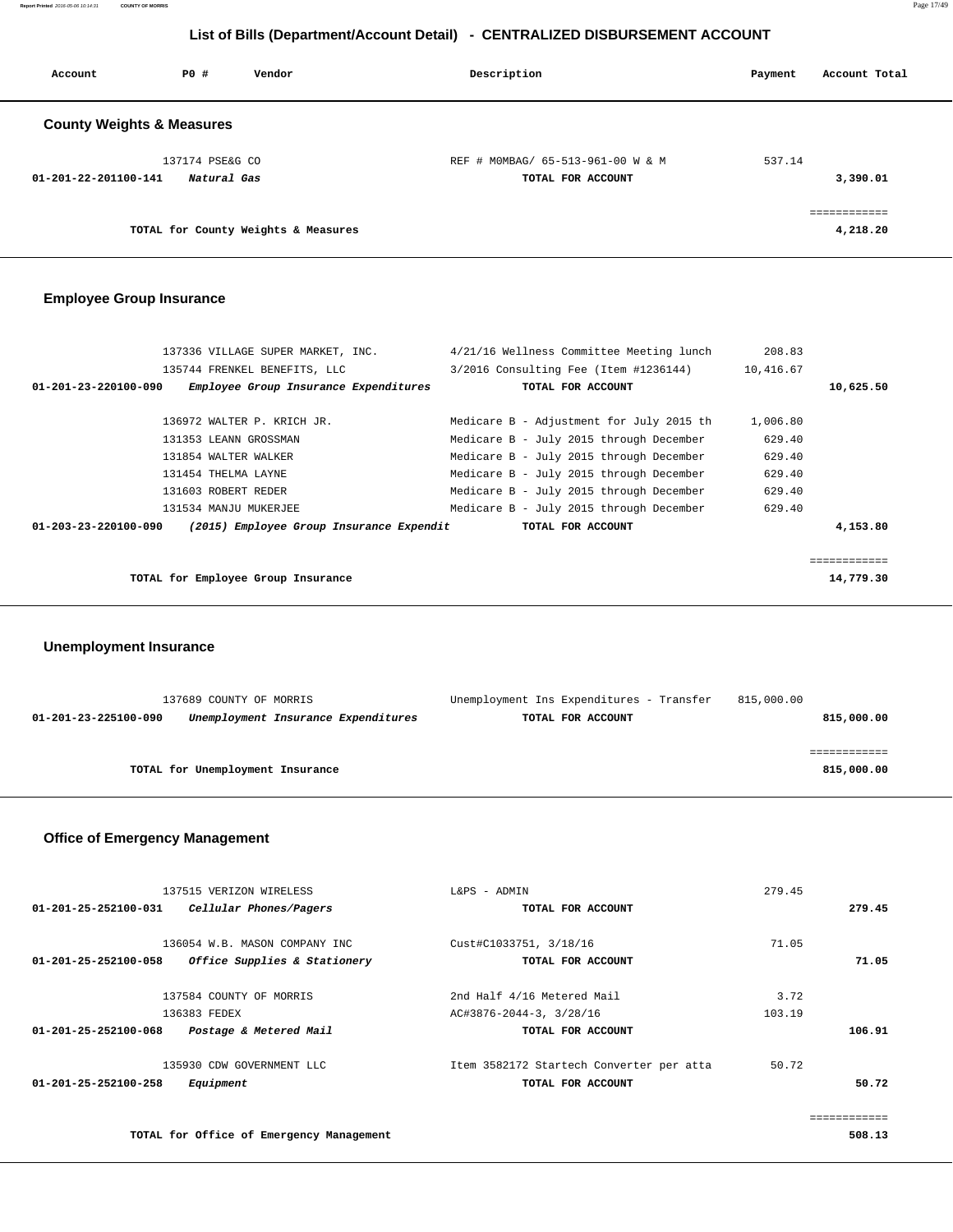**Report Printed** 2016-05-06 10:14:31 **COUNTY OF MORRIS** Page 17/49

# **List of Bills (Department/Account Detail) - CENTRALIZED DISBURSEMENT ACCOUNT**

| Account                              | PO#             | Vendor                              | Description                       | Payment | Account Total |
|--------------------------------------|-----------------|-------------------------------------|-----------------------------------|---------|---------------|
| <b>County Weights &amp; Measures</b> |                 |                                     |                                   |         |               |
|                                      | 137174 PSE&G CO |                                     | REF # MOMBAG/ 65-513-961-00 W & M | 537.14  |               |
| 01-201-22-201100-141                 | Natural Gas     |                                     | TOTAL FOR ACCOUNT                 |         | 3,390.01      |
|                                      |                 |                                     |                                   |         | ============  |
|                                      |                 | TOTAL for County Weights & Measures |                                   |         | 4,218.20      |

# **Employee Group Insurance**

|                                | 137336 VILLAGE SUPER MARKET, INC.        | 4/21/16 Wellness Committee Meeting lunch | 208.83    |           |
|--------------------------------|------------------------------------------|------------------------------------------|-----------|-----------|
|                                | 135744 FRENKEL BENEFITS, LLC             | 3/2016 Consulting Fee (Item #1236144)    | 10,416.67 |           |
| 01-201-23-220100-090           | Employee Group Insurance Expenditures    | TOTAL FOR ACCOUNT                        |           | 10,625.50 |
|                                | 136972 WALTER P. KRICH JR.               | Medicare B - Adjustment for July 2015 th | 1,006.80  |           |
|                                | 131353 LEANN GROSSMAN                    | Medicare B - July 2015 through December  | 629.40    |           |
|                                | 131854 WALTER WALKER                     | Medicare B - July 2015 through December  | 629.40    |           |
|                                | 131454 THELMA LAYNE                      | Medicare B - July 2015 through December  | 629.40    |           |
|                                | 131603 ROBERT REDER                      | Medicare B - July 2015 through December  | 629.40    |           |
|                                | 131534 MANJU MUKERJEE                    | Medicare B - July 2015 through December  | 629.40    |           |
| $01 - 203 - 23 - 220100 - 090$ | (2015) Employee Group Insurance Expendit | TOTAL FOR ACCOUNT                        |           | 4,153.80  |
|                                |                                          |                                          |           |           |
|                                |                                          |                                          |           |           |
|                                | TOTAL for Employee Group Insurance       |                                          |           | 14,779.30 |
|                                |                                          |                                          |           |           |

## **Unemployment Insurance**

|                      | 137689 COUNTY OF MORRIS          |                                     | Unemployment Ins Expenditures - Transfer | 815,000.00 |
|----------------------|----------------------------------|-------------------------------------|------------------------------------------|------------|
| 01-201-23-225100-090 |                                  | Unemployment Insurance Expenditures | TOTAL FOR ACCOUNT                        | 815,000.00 |
|                      |                                  |                                     |                                          |            |
|                      |                                  |                                     |                                          |            |
|                      | TOTAL for Unemployment Insurance |                                     |                                          | 815,000.00 |
|                      |                                  |                                     |                                          |            |

# **Office of Emergency Management**

| 137515 VERIZON WIRELESS                                  | L&PS - ADMIN                             | 279.45 |        |
|----------------------------------------------------------|------------------------------------------|--------|--------|
| $01 - 201 - 25 - 252100 - 031$<br>Cellular Phones/Pagers | TOTAL FOR ACCOUNT                        |        | 279.45 |
|                                                          |                                          |        |        |
| 136054 W.B. MASON COMPANY INC                            | Cust#C1033751, 3/18/16                   | 71.05  |        |
| Office Supplies & Stationery<br>01-201-25-252100-058     | TOTAL FOR ACCOUNT                        |        | 71.05  |
| 137584 COUNTY OF MORRIS                                  | 2nd Half 4/16 Metered Mail               | 3.72   |        |
| 136383 FEDEX                                             | AC#3876-2044-3, 3/28/16                  | 103.19 |        |
| 01-201-25-252100-068<br>Postage & Metered Mail           | TOTAL FOR ACCOUNT                        |        | 106.91 |
| 135930 CDW GOVERNMENT LLC                                | Item 3582172 Startech Converter per atta | 50.72  |        |
| $01 - 201 - 25 - 252100 - 258$<br>Equipment              | TOTAL FOR ACCOUNT                        |        | 50.72  |
|                                                          |                                          |        |        |
| TOTAL for Office of Emergency Management                 |                                          |        | 508.13 |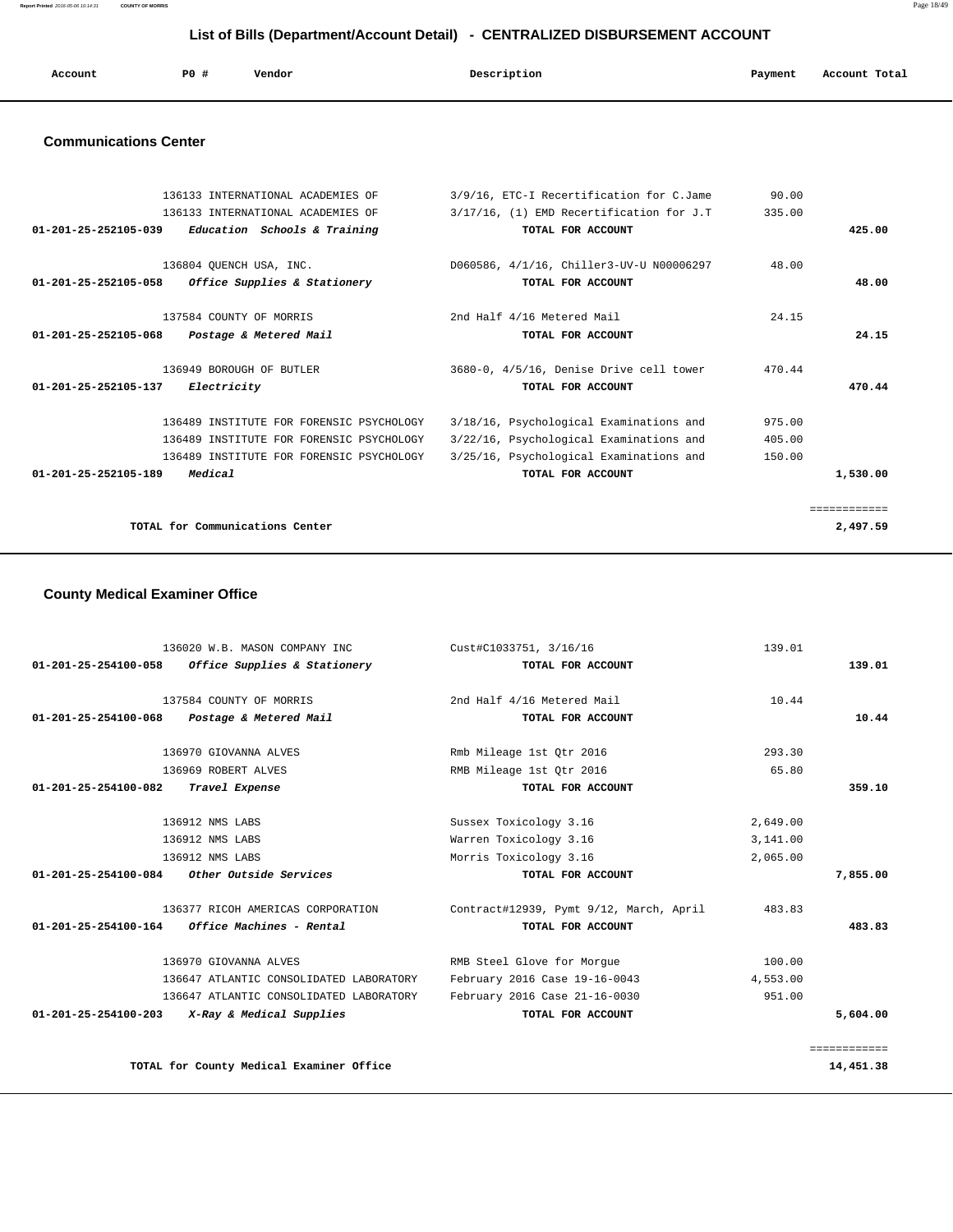**Report Printed** 2016-05-06 10:14:31 **COUNTY OF MORRIS** Page 18/49

# **List of Bills (Department/Account Detail) - CENTRALIZED DISBURSEMENT ACCOUNT**

| Account | P0 # | Vendor | Description | Payment | Account Total |
|---------|------|--------|-------------|---------|---------------|
|         |      |        |             |         |               |

## **Communications Center**

| 136133 INTERNATIONAL ACADEMIES OF<br>136133 INTERNATIONAL ACADEMIES OF | 3/9/16, ETC-I Recertification for C.Jame<br>3/17/16, (1) EMD Recertification for J.T | 90.00<br>335.00 |              |
|------------------------------------------------------------------------|--------------------------------------------------------------------------------------|-----------------|--------------|
| $01 - 201 - 25 - 252105 - 039$<br>Education Schools & Training         | TOTAL FOR ACCOUNT                                                                    |                 | 425.00       |
| 136804 OUENCH USA, INC.                                                | D060586, 4/1/16, Chiller3-UV-U N00006297                                             | 48.00           |              |
| Office Supplies & Stationery<br>01-201-25-252105-058                   | TOTAL FOR ACCOUNT                                                                    |                 | 48.00        |
| 137584 COUNTY OF MORRIS                                                | 2nd Half 4/16 Metered Mail                                                           | 24.15           |              |
| 01-201-25-252105-068<br>Postage & Metered Mail                         | TOTAL FOR ACCOUNT                                                                    |                 | 24.15        |
| 136949 BOROUGH OF BUTLER<br>01-201-25-252105-137<br>Electricity        | 3680-0, 4/5/16, Denise Drive cell tower<br>TOTAL FOR ACCOUNT                         | 470.44          | 470.44       |
|                                                                        |                                                                                      |                 |              |
| 136489 INSTITUTE FOR FORENSIC PSYCHOLOGY                               | 3/18/16, Psychological Examinations and                                              | 975.00          |              |
| 136489 INSTITUTE FOR FORENSIC PSYCHOLOGY                               | 3/22/16, Psychological Examinations and                                              | 405.00          |              |
| 136489 INSTITUTE FOR FORENSIC PSYCHOLOGY                               | 3/25/16, Psychological Examinations and                                              | 150.00          |              |
| $01 - 201 - 25 - 252105 - 189$<br>Medical                              | TOTAL FOR ACCOUNT                                                                    |                 | 1,530.00     |
|                                                                        |                                                                                      |                 |              |
|                                                                        |                                                                                      |                 | ============ |
| TOTAL for Communications Center                                        |                                                                                      |                 | 2,497.59     |

# **County Medical Examiner Office**

|                                | 136020 W.B. MASON COMPANY INC                       | Cust#C1033751, 3/16/16                  | 139.01   |              |
|--------------------------------|-----------------------------------------------------|-----------------------------------------|----------|--------------|
|                                | $01-201-25-254100-058$ Office Supplies & Stationery | TOTAL FOR ACCOUNT                       |          | 139.01       |
|                                | 137584 COUNTY OF MORRIS                             | 2nd Half 4/16 Metered Mail              | 10.44    |              |
| $01 - 201 - 25 - 254100 - 068$ | Postage & Metered Mail                              | TOTAL FOR ACCOUNT                       |          | 10.44        |
|                                | 136970 GIOVANNA ALVES                               | Rmb Mileage 1st Otr 2016                | 293.30   |              |
|                                | 136969 ROBERT ALVES                                 | RMB Mileage 1st Qtr 2016                | 65.80    |              |
| 01-201-25-254100-082           | Travel Expense                                      | TOTAL FOR ACCOUNT                       |          | 359.10       |
|                                | 136912 NMS LABS                                     | Sussex Toxicology 3.16                  | 2,649.00 |              |
|                                | 136912 NMS LABS                                     | Warren Toxicology 3.16                  | 3,141.00 |              |
|                                | 136912 NMS LABS                                     | Morris Toxicology 3.16                  | 2,065.00 |              |
|                                | 01-201-25-254100-084 Other Outside Services         | TOTAL FOR ACCOUNT                       |          | 7,855.00     |
|                                | 136377 RICOH AMERICAS CORPORATION                   | Contract#12939, Pymt 9/12, March, April | 483.83   |              |
| 01-201-25-254100-164           | Office Machines - Rental                            | TOTAL FOR ACCOUNT                       |          | 483.83       |
|                                | 136970 GIOVANNA ALVES                               | RMB Steel Glove for Morque              | 100.00   |              |
|                                | 136647 ATLANTIC CONSOLIDATED LABORATORY             | February 2016 Case 19-16-0043           | 4,553.00 |              |
|                                | 136647 ATLANTIC CONSOLIDATED LABORATORY             | February 2016 Case 21-16-0030           | 951.00   |              |
|                                | 01-201-25-254100-203 X-Ray & Medical Supplies       | TOTAL FOR ACCOUNT                       |          | 5,604.00     |
|                                |                                                     |                                         |          | ============ |
|                                | TOTAL for County Medical Examiner Office            |                                         |          | 14,451.38    |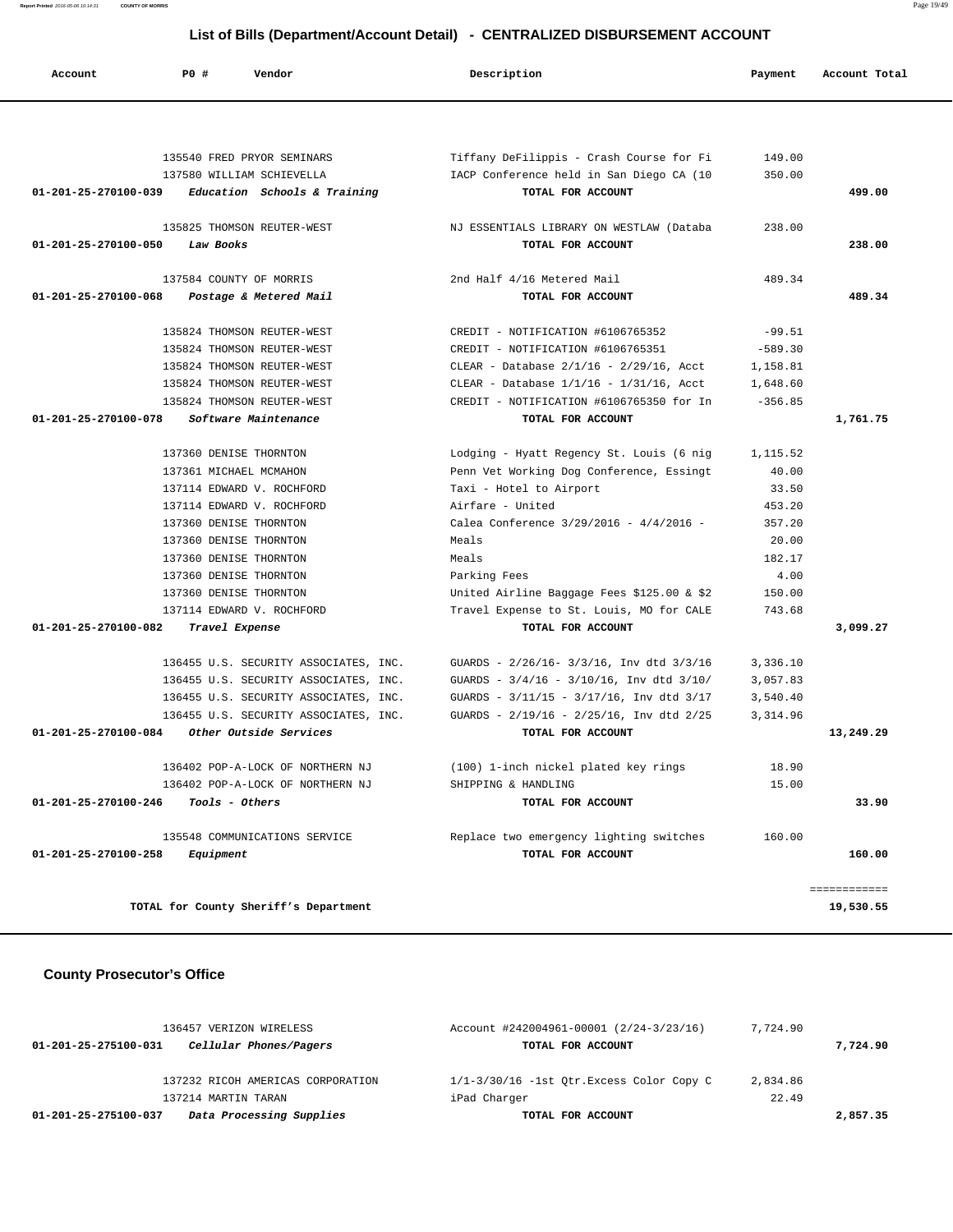**Report Printed** 2016-05-06 10:14:31 **COUNTY OF MORRIS** Page 19/49

# **List of Bills (Department/Account Detail) - CENTRALIZED DISBURSEMENT ACCOUNT**

| Account              | PO#                                              | Vendor                                | Description                                     | Payment        | Account Total |
|----------------------|--------------------------------------------------|---------------------------------------|-------------------------------------------------|----------------|---------------|
|                      |                                                  |                                       |                                                 |                |               |
|                      |                                                  | 135540 FRED PRYOR SEMINARS            | Tiffany DeFilippis - Crash Course for Fi        | 149.00         |               |
|                      |                                                  | 137580 WILLIAM SCHIEVELLA             | IACP Conference held in San Diego CA (10        | 350.00         |               |
| 01-201-25-270100-039 |                                                  | Education Schools & Training          | TOTAL FOR ACCOUNT                               |                | 499.00        |
|                      |                                                  | 135825 THOMSON REUTER-WEST            | NJ ESSENTIALS LIBRARY ON WESTLAW (Databa        | 238.00         |               |
|                      |                                                  |                                       | TOTAL FOR ACCOUNT                               |                |               |
| 01-201-25-270100-050 | Law Books                                        |                                       |                                                 |                | 238.00        |
|                      | 137584 COUNTY OF MORRIS                          |                                       | 2nd Half 4/16 Metered Mail                      | 489.34         |               |
| 01-201-25-270100-068 |                                                  | Postage & Metered Mail                | TOTAL FOR ACCOUNT                               |                | 489.34        |
|                      |                                                  | 135824 THOMSON REUTER-WEST            | CREDIT - NOTIFICATION #6106765352               | $-99.51$       |               |
|                      |                                                  | 135824 THOMSON REUTER-WEST            | CREDIT - NOTIFICATION #6106765351               | $-589.30$      |               |
|                      |                                                  | 135824 THOMSON REUTER-WEST            | CLEAR - Database $2/1/16$ - $2/29/16$ , Acct    | 1,158.81       |               |
|                      |                                                  | 135824 THOMSON REUTER-WEST            | CLEAR - Database $1/1/16 - 1/31/16$ , Acct      | 1,648.60       |               |
|                      |                                                  | 135824 THOMSON REUTER-WEST            | CREDIT - NOTIFICATION #6106765350 for In        | $-356.85$      |               |
| 01-201-25-270100-078 |                                                  | Software Maintenance                  | TOTAL FOR ACCOUNT                               |                | 1,761.75      |
|                      |                                                  |                                       |                                                 |                |               |
|                      | 137360 DENISE THORNTON<br>137361 MICHAEL MCMAHON |                                       | Lodging - Hyatt Regency St. Louis (6 nig        | 1,115.52       |               |
|                      |                                                  | 137114 EDWARD V. ROCHFORD             | Penn Vet Working Dog Conference, Essingt        | 40.00<br>33.50 |               |
|                      |                                                  | 137114 EDWARD V. ROCHFORD             | Taxi - Hotel to Airport<br>Airfare - United     | 453.20         |               |
|                      | 137360 DENISE THORNTON                           |                                       | Calea Conference 3/29/2016 - 4/4/2016 -         | 357.20         |               |
|                      | 137360 DENISE THORNTON                           |                                       | Meals                                           | 20.00          |               |
|                      | 137360 DENISE THORNTON                           |                                       | Meals                                           | 182.17         |               |
|                      | 137360 DENISE THORNTON                           |                                       | Parking Fees                                    | 4.00           |               |
|                      | 137360 DENISE THORNTON                           |                                       | United Airline Baggage Fees \$125.00 & \$2      | 150.00         |               |
|                      |                                                  | 137114 EDWARD V. ROCHFORD             | Travel Expense to St. Louis, MO for CALE        | 743.68         |               |
| 01-201-25-270100-082 | Travel Expense                                   |                                       | TOTAL FOR ACCOUNT                               |                | 3,099.27      |
|                      |                                                  | 136455 U.S. SECURITY ASSOCIATES, INC. | GUARDS - 2/26/16- 3/3/16, Inv dtd 3/3/16        | 3,336.10       |               |
|                      |                                                  | 136455 U.S. SECURITY ASSOCIATES, INC. | GUARDS - $3/4/16$ - $3/10/16$ , Inv dtd $3/10/$ | 3,057.83       |               |
|                      |                                                  | 136455 U.S. SECURITY ASSOCIATES, INC. | GUARDS - 3/11/15 - 3/17/16, Inv dtd 3/17        | 3,540.40       |               |
|                      |                                                  | 136455 U.S. SECURITY ASSOCIATES, INC. | GUARDS - 2/19/16 - 2/25/16, Inv dtd 2/25        | 3,314.96       |               |
| 01-201-25-270100-084 |                                                  | Other Outside Services                | TOTAL FOR ACCOUNT                               |                | 13,249.29     |
|                      |                                                  | 136402 POP-A-LOCK OF NORTHERN NJ      | (100) 1-inch nickel plated key rings            | 18.90          |               |
|                      |                                                  | 136402 POP-A-LOCK OF NORTHERN NJ      | SHIPPING & HANDLING                             | 15.00          |               |
| 01-201-25-270100-246 | Tools - Others                                   |                                       | TOTAL FOR ACCOUNT                               |                | 33.90         |
|                      |                                                  | 135548 COMMUNICATIONS SERVICE         | Replace two emergency lighting switches         | 160.00         |               |
| 01-201-25-270100-258 | Equipment                                        |                                       | TOTAL FOR ACCOUNT                               |                | 160.00        |
|                      |                                                  |                                       |                                                 |                |               |
|                      |                                                  |                                       |                                                 |                | ============  |
|                      |                                                  | TOTAL for County Sheriff's Department |                                                 |                | 19,530.55     |

# **County Prosecutor's Office**

| 136457 VERIZON WIRELESS                          | Account #242004961-00001 (2/24-3/23/16)     | 7,724.90 |          |
|--------------------------------------------------|---------------------------------------------|----------|----------|
| Cellular Phones/Pagers<br>01-201-25-275100-031   | TOTAL FOR ACCOUNT                           |          | 7,724.90 |
| 137232 RICOH AMERICAS CORPORATION                | $1/1-3/30/16$ -1st Otr. Excess Color Copy C | 2,834.86 |          |
| 137214 MARTIN TARAN                              | iPad Charger                                | 22.49    |          |
| Data Processing Supplies<br>01-201-25-275100-037 | TOTAL FOR ACCOUNT                           |          | 2,857.35 |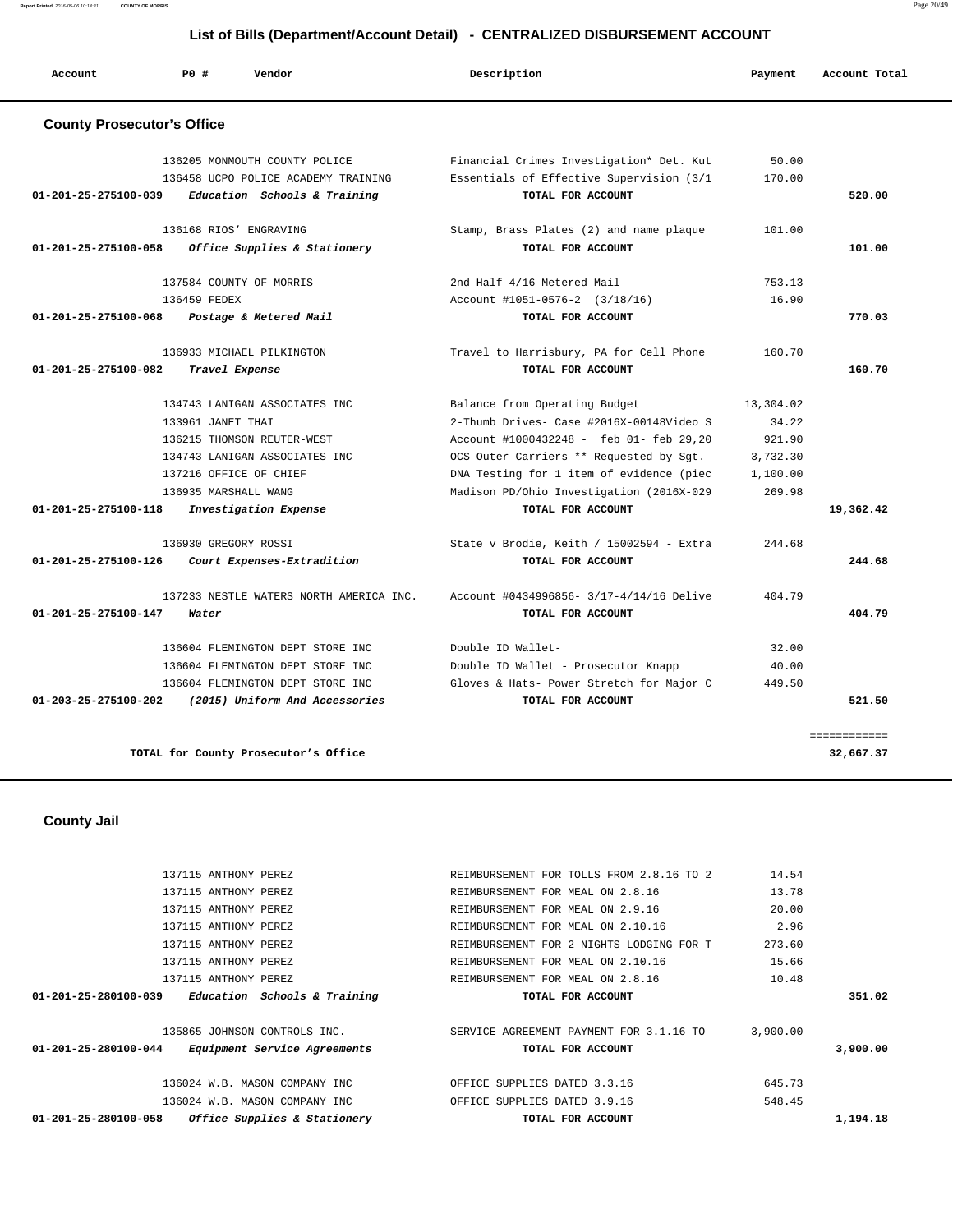**Report Printed** 2016-05-06 10:14:31 **COUNTY OF MORRIS** Page 20/49

### **List of Bills (Department/Account Detail) - CENTRALIZED DISBURSEMENT ACCOUNT**

| Account                           | PO#                  | Vendor                                  | Description                              | Payment   | Account Total |
|-----------------------------------|----------------------|-----------------------------------------|------------------------------------------|-----------|---------------|
| <b>County Prosecutor's Office</b> |                      |                                         |                                          |           |               |
|                                   |                      | 136205 MONMOUTH COUNTY POLICE           | Financial Crimes Investigation* Det. Kut | 50.00     |               |
|                                   |                      | 136458 UCPO POLICE ACADEMY TRAINING     | Essentials of Effective Supervision (3/1 | 170.00    |               |
| 01-201-25-275100-039              |                      | Education Schools & Training            | TOTAL FOR ACCOUNT                        |           | 520.00        |
|                                   |                      | 136168 RIOS' ENGRAVING                  | Stamp, Brass Plates (2) and name plaque  | 101.00    |               |
| 01-201-25-275100-058              |                      | Office Supplies & Stationery            | TOTAL FOR ACCOUNT                        |           | 101.00        |
|                                   |                      | 137584 COUNTY OF MORRIS                 | 2nd Half 4/16 Metered Mail               | 753.13    |               |
|                                   | 136459 FEDEX         |                                         | Account $\text{\#}1051-0576-2$ (3/18/16) | 16.90     |               |
| 01-201-25-275100-068              |                      | Postage & Metered Mail                  | TOTAL FOR ACCOUNT                        |           | 770.03        |
|                                   |                      | 136933 MICHAEL PILKINGTON               | Travel to Harrisbury, PA for Cell Phone  | 160.70    |               |
| 01-201-25-275100-082              | Travel Expense       |                                         | TOTAL FOR ACCOUNT                        |           | 160.70        |
|                                   |                      | 134743 LANIGAN ASSOCIATES INC           | Balance from Operating Budget            | 13,304.02 |               |
|                                   | 133961 JANET THAI    |                                         | 2-Thumb Drives- Case #2016X-00148Video S | 34.22     |               |
|                                   |                      | 136215 THOMSON REUTER-WEST              | Account #1000432248 - feb 01- feb 29,20  | 921.90    |               |
|                                   |                      | 134743 LANIGAN ASSOCIATES INC           | OCS Outer Carriers ** Requested by Sgt.  | 3,732.30  |               |
|                                   |                      | 137216 OFFICE OF CHIEF                  | DNA Testing for 1 item of evidence (piec | 1,100.00  |               |
|                                   | 136935 MARSHALL WANG |                                         | Madison PD/Ohio Investigation (2016X-029 | 269.98    |               |
| 01-201-25-275100-118              |                      | Investigation Expense                   | TOTAL FOR ACCOUNT                        |           | 19,362.42     |
|                                   | 136930 GREGORY ROSSI |                                         | State v Brodie, Keith / 15002594 - Extra | 244.68    |               |
| 01-201-25-275100-126              |                      | Court Expenses-Extradition              | TOTAL FOR ACCOUNT                        |           | 244.68        |
|                                   |                      | 137233 NESTLE WATERS NORTH AMERICA INC. | Account #0434996856- 3/17-4/14/16 Delive | 404.79    |               |
| 01-201-25-275100-147              | Water                |                                         | TOTAL FOR ACCOUNT                        |           | 404.79        |
|                                   |                      | 136604 FLEMINGTON DEPT STORE INC        | Double ID Wallet-                        | 32.00     |               |
|                                   |                      | 136604 FLEMINGTON DEPT STORE INC        | Double ID Wallet - Prosecutor Knapp      | 40.00     |               |
|                                   |                      | 136604 FLEMINGTON DEPT STORE INC        | Gloves & Hats- Power Stretch for Major C | 449.50    |               |
| 01-203-25-275100-202              |                      | (2015) Uniform And Accessories          | TOTAL FOR ACCOUNT                        |           | 521.50        |
|                                   |                      |                                         |                                          |           | ============  |
|                                   |                      | TOTAL for County Prosecutor's Office    |                                          |           | 32,667.37     |

 **County Jail** 

| Office Supplies & Stationery<br>01-201-25-280100-058           | TOTAL FOR ACCOUNT                        |          | 1,194.18 |
|----------------------------------------------------------------|------------------------------------------|----------|----------|
| 136024 W.B. MASON COMPANY INC                                  | OFFICE SUPPLIES DATED 3.9.16             | 548.45   |          |
| 136024 W.B. MASON COMPANY INC                                  | OFFICE SUPPLIES DATED 3.3.16             | 645.73   |          |
| $01 - 201 - 25 - 280100 - 044$<br>Equipment Service Agreements | TOTAL FOR ACCOUNT                        |          | 3,900,00 |
| 135865 JOHNSON CONTROLS INC.                                   | SERVICE AGREEMENT PAYMENT FOR 3.1.16 TO  | 3,900.00 |          |
| Education Schools & Training<br>$01 - 201 - 25 - 280100 - 039$ | TOTAL FOR ACCOUNT                        |          | 351.02   |
| 137115 ANTHONY PEREZ                                           | REIMBURSEMENT FOR MEAL ON 2.8.16         | 10.48    |          |
| 137115 ANTHONY PEREZ                                           | REIMBURSEMENT FOR MEAL ON 2.10.16        | 15.66    |          |
| 137115 ANTHONY PEREZ                                           | REIMBURSEMENT FOR 2 NIGHTS LODGING FOR T | 273.60   |          |
| 137115 ANTHONY PEREZ                                           | REIMBURSEMENT FOR MEAL ON 2.10.16        | 2.96     |          |
| 137115 ANTHONY PEREZ                                           | REIMBURSEMENT FOR MEAL ON 2.9.16         | 20.00    |          |
| 137115 ANTHONY PEREZ                                           | REIMBURSEMENT FOR MEAL ON 2.8.16         | 13.78    |          |
| 137115 ANTHONY PEREZ                                           | REIMBURSEMENT FOR TOLLS FROM 2.8.16 TO 2 | 14.54    |          |
|                                                                |                                          |          |          |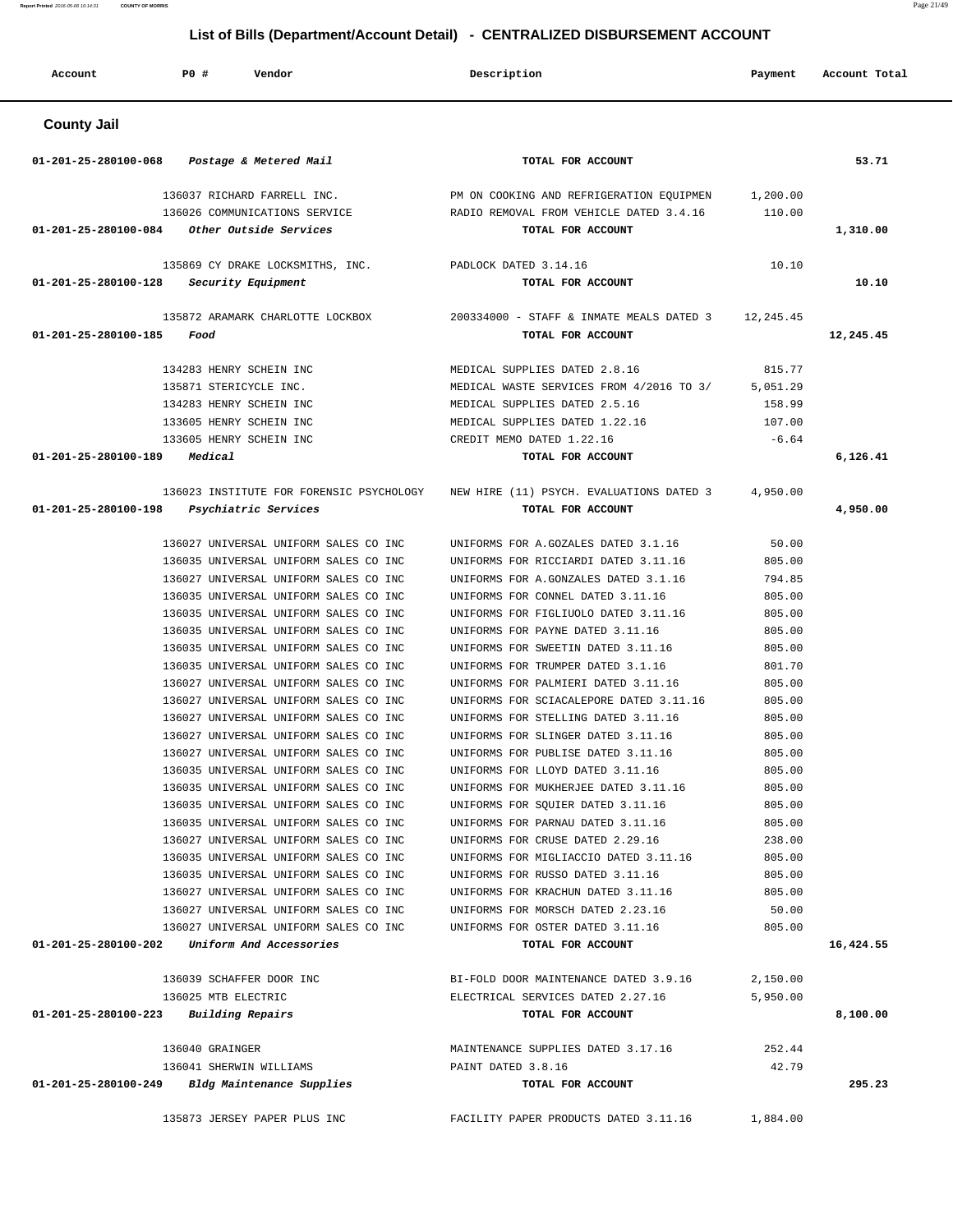| Account                                         | <b>PO #</b>         | Vendor                                                                         | Description                                                            | Payment          | Account Total |
|-------------------------------------------------|---------------------|--------------------------------------------------------------------------------|------------------------------------------------------------------------|------------------|---------------|
| <b>County Jail</b>                              |                     |                                                                                |                                                                        |                  |               |
| 01-201-25-280100-068                            |                     | Postage & Metered Mail                                                         | TOTAL FOR ACCOUNT                                                      |                  | 53.71         |
|                                                 |                     | 136037 RICHARD FARRELL INC.                                                    | PM ON COOKING AND REFRIGERATION EQUIPMEN                               | 1,200.00         |               |
|                                                 |                     | 136026 COMMUNICATIONS SERVICE                                                  | RADIO REMOVAL FROM VEHICLE DATED 3.4.16                                | 110.00           |               |
| 01-201-25-280100-084                            |                     | Other Outside Services                                                         | TOTAL FOR ACCOUNT                                                      |                  | 1,310.00      |
|                                                 |                     | 135869 CY DRAKE LOCKSMITHS, INC.                                               | PADLOCK DATED 3.14.16                                                  | 10.10            |               |
| 01-201-25-280100-128                            |                     | Security Equipment                                                             | TOTAL FOR ACCOUNT                                                      |                  | 10.10         |
|                                                 |                     | 135872 ARAMARK CHARLOTTE LOCKBOX                                               | 200334000 - STAFF & INMATE MEALS DATED 3                               | 12,245.45        |               |
| 01-201-25-280100-185                            | Food                |                                                                                | TOTAL FOR ACCOUNT                                                      |                  | 12,245.45     |
|                                                 |                     | 134283 HENRY SCHEIN INC                                                        | MEDICAL SUPPLIES DATED 2.8.16                                          | 815.77           |               |
|                                                 |                     | 135871 STERICYCLE INC.                                                         | MEDICAL WASTE SERVICES FROM 4/2016 TO 3/                               | 5,051.29         |               |
|                                                 |                     | 134283 HENRY SCHEIN INC                                                        | MEDICAL SUPPLIES DATED 2.5.16                                          | 158.99           |               |
|                                                 |                     | 133605 HENRY SCHEIN INC                                                        | MEDICAL SUPPLIES DATED 1.22.16                                         | 107.00           |               |
|                                                 |                     | 133605 HENRY SCHEIN INC                                                        | CREDIT MEMO DATED 1.22.16                                              | $-6.64$          |               |
| 01-201-25-280100-189                            | Medical             |                                                                                | TOTAL FOR ACCOUNT                                                      |                  | 6,126.41      |
|                                                 |                     | 136023 INSTITUTE FOR FORENSIC PSYCHOLOGY                                       | NEW HIRE (11) PSYCH. EVALUATIONS DATED 3                               | 4,950.00         |               |
| 01-201-25-280100-198                            |                     | Psychiatric Services                                                           | TOTAL FOR ACCOUNT                                                      |                  | 4,950.00      |
|                                                 |                     | 136027 UNIVERSAL UNIFORM SALES CO INC                                          | UNIFORMS FOR A.GOZALES DATED 3.1.16                                    | 50.00            |               |
|                                                 |                     | 136035 UNIVERSAL UNIFORM SALES CO INC                                          | UNIFORMS FOR RICCIARDI DATED 3.11.16                                   | 805.00           |               |
|                                                 |                     | 136027 UNIVERSAL UNIFORM SALES CO INC                                          | UNIFORMS FOR A.GONZALES DATED 3.1.16                                   | 794.85           |               |
|                                                 |                     | 136035 UNIVERSAL UNIFORM SALES CO INC                                          | UNIFORMS FOR CONNEL DATED 3.11.16                                      | 805.00           |               |
|                                                 |                     | 136035 UNIVERSAL UNIFORM SALES CO INC                                          | UNIFORMS FOR FIGLIUOLO DATED 3.11.16                                   | 805.00           |               |
|                                                 |                     | 136035 UNIVERSAL UNIFORM SALES CO INC                                          | UNIFORMS FOR PAYNE DATED 3.11.16                                       | 805.00           |               |
|                                                 |                     | 136035 UNIVERSAL UNIFORM SALES CO INC                                          | UNIFORMS FOR SWEETIN DATED 3.11.16                                     | 805.00           |               |
|                                                 |                     | 136035 UNIVERSAL UNIFORM SALES CO INC                                          | UNIFORMS FOR TRUMPER DATED 3.1.16                                      | 801.70           |               |
|                                                 |                     | 136027 UNIVERSAL UNIFORM SALES CO INC                                          | UNIFORMS FOR PALMIERI DATED 3.11.16                                    | 805.00           |               |
|                                                 |                     | 136027 UNIVERSAL UNIFORM SALES CO INC                                          | UNIFORMS FOR SCIACALEPORE DATED 3.11.16                                | 805.00           |               |
|                                                 |                     | 136027 UNIVERSAL UNIFORM SALES CO INC                                          | UNIFORMS FOR STELLING DATED 3.11.16                                    | 805.00           |               |
|                                                 |                     | 136027 UNIVERSAL UNIFORM SALES CO INC                                          | UNIFORMS FOR SLINGER DATED 3.11.16                                     | 805.00<br>805.00 |               |
|                                                 |                     | 136027 UNIVERSAL UNIFORM SALES CO INC<br>136035 UNIVERSAL UNIFORM SALES CO INC | UNIFORMS FOR PUBLISE DATED 3.11.16<br>UNIFORMS FOR LLOYD DATED 3.11.16 | 805.00           |               |
|                                                 |                     | 136035 UNIVERSAL UNIFORM SALES CO INC                                          | UNIFORMS FOR MUKHERJEE DATED 3.11.16                                   | 805.00           |               |
|                                                 |                     | 136035 UNIVERSAL UNIFORM SALES CO INC                                          | UNIFORMS FOR SQUIER DATED 3.11.16                                      | 805.00           |               |
|                                                 |                     | 136035 UNIVERSAL UNIFORM SALES CO INC                                          | UNIFORMS FOR PARNAU DATED 3.11.16                                      | 805.00           |               |
|                                                 |                     | 136027 UNIVERSAL UNIFORM SALES CO INC                                          | UNIFORMS FOR CRUSE DATED 2.29.16                                       | 238.00           |               |
|                                                 |                     | 136035 UNIVERSAL UNIFORM SALES CO INC                                          | UNIFORMS FOR MIGLIACCIO DATED 3.11.16                                  | 805.00           |               |
|                                                 |                     | 136035 UNIVERSAL UNIFORM SALES CO INC                                          | UNIFORMS FOR RUSSO DATED 3.11.16                                       | 805.00           |               |
|                                                 |                     | 136027 UNIVERSAL UNIFORM SALES CO INC                                          | UNIFORMS FOR KRACHUN DATED 3.11.16                                     | 805.00           |               |
|                                                 |                     | 136027 UNIVERSAL UNIFORM SALES CO INC                                          | UNIFORMS FOR MORSCH DATED 2.23.16                                      | 50.00            |               |
|                                                 |                     | 136027 UNIVERSAL UNIFORM SALES CO INC                                          | UNIFORMS FOR OSTER DATED 3.11.16                                       | 805.00           |               |
| 01-201-25-280100-202                            |                     | Uniform And Accessories                                                        | TOTAL FOR ACCOUNT                                                      |                  | 16,424.55     |
|                                                 |                     | 136039 SCHAFFER DOOR INC                                                       | BI-FOLD DOOR MAINTENANCE DATED 3.9.16                                  | 2,150.00         |               |
|                                                 | 136025 MTB ELECTRIC |                                                                                | ELECTRICAL SERVICES DATED 2.27.16                                      | 5,950.00         |               |
| $01 - 201 - 25 - 280100 - 223$ Building Repairs |                     |                                                                                | TOTAL FOR ACCOUNT                                                      |                  | 8,100.00      |
|                                                 | 136040 GRAINGER     |                                                                                | MAINTENANCE SUPPLIES DATED 3.17.16                                     | 252.44           |               |
|                                                 |                     | 136041 SHERWIN WILLIAMS                                                        | PAINT DATED 3.8.16                                                     | 42.79            |               |
|                                                 |                     | 01-201-25-280100-249 Bldg Maintenance Supplies                                 | TOTAL FOR ACCOUNT                                                      |                  | 295.23        |
|                                                 |                     | 135873 JERSEY PAPER PLUS INC                                                   | FACILITY PAPER PRODUCTS DATED 3.11.16 1,884.00                         |                  |               |

**Report Printed** 2016-05-06 10:14:31 **COUNTY OF MORRIS** Page 21/49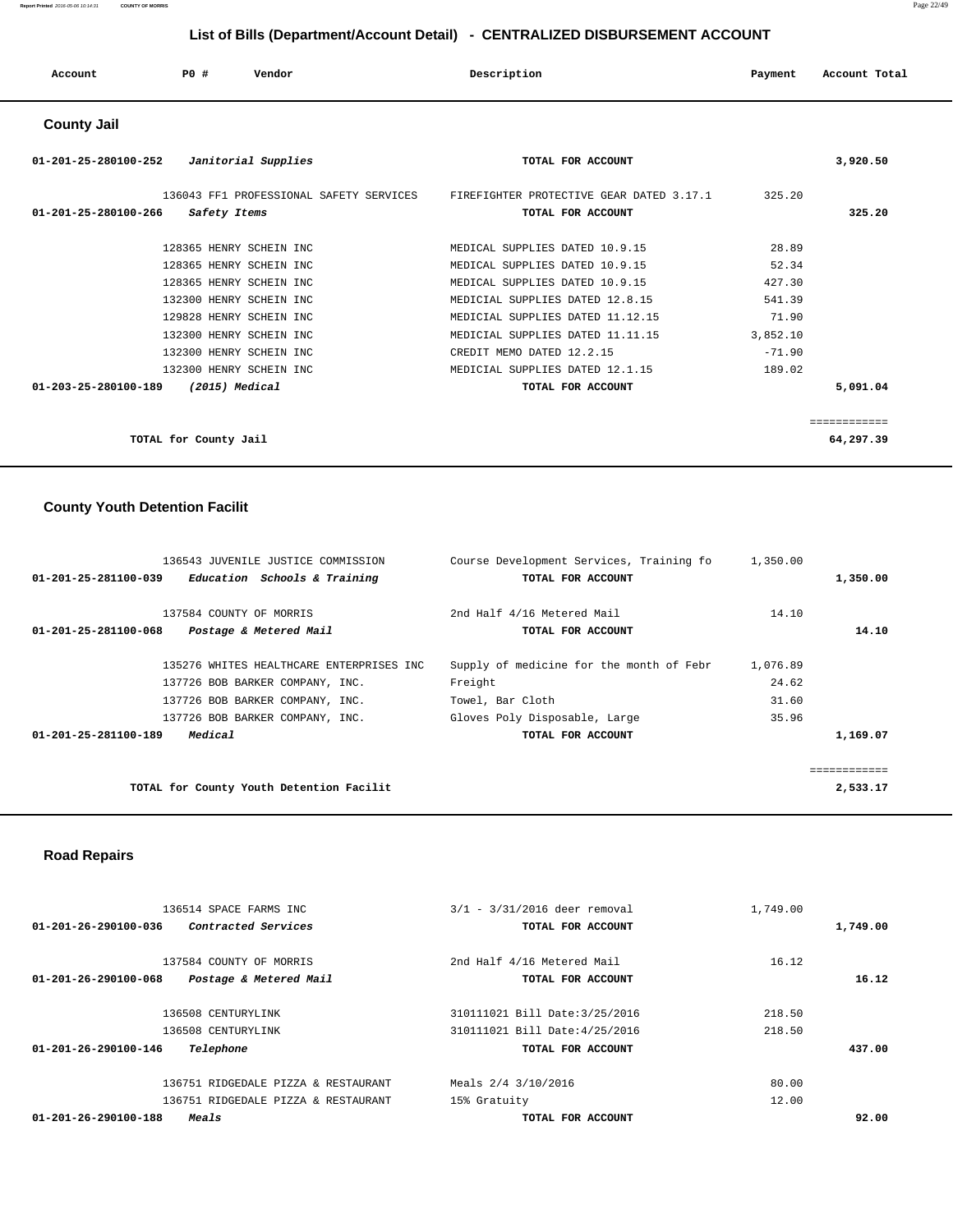|                                |                       | $\sim$ . $\sim$ . $\sim$ , $\sim$ , $\sim$ , $\sim$ , $\sim$ , $\sim$ , $\sim$ , $\sim$ , $\sim$ , $\sim$ , $\sim$ , $\sim$ , $\sim$ , $\sim$ , $\sim$ , $\sim$ , $\sim$ , $\sim$ , $\sim$ , $\sim$ , $\sim$ , $\sim$ , $\sim$ , $\sim$ , $\sim$ , $\sim$ , $\sim$ , $\sim$ , $\sim$ , $\sim$ |                                          |          |               |
|--------------------------------|-----------------------|-----------------------------------------------------------------------------------------------------------------------------------------------------------------------------------------------------------------------------------------------------------------------------------------------|------------------------------------------|----------|---------------|
| Account                        | PO#                   | Vendor                                                                                                                                                                                                                                                                                        | Description                              | Payment  | Account Total |
| <b>County Jail</b>             |                       |                                                                                                                                                                                                                                                                                               |                                          |          |               |
| 01-201-25-280100-252           |                       | Janitorial Supplies                                                                                                                                                                                                                                                                           | TOTAL FOR ACCOUNT                        |          | 3,920.50      |
|                                |                       | 136043 FF1 PROFESSIONAL SAFETY SERVICES                                                                                                                                                                                                                                                       | FIREFIGHTER PROTECTIVE GEAR DATED 3.17.1 | 325.20   |               |
| $01 - 201 - 25 - 280100 - 266$ | Safety Items          |                                                                                                                                                                                                                                                                                               | TOTAL FOR ACCOUNT                        |          | 325.20        |
|                                |                       | 128365 HENRY SCHEIN INC                                                                                                                                                                                                                                                                       | MEDICAL SUPPLIES DATED 10.9.15           | 28.89    |               |
|                                |                       | 128365 HENRY SCHEIN INC                                                                                                                                                                                                                                                                       | MEDICAL SUPPLIES DATED 10.9.15           | 52.34    |               |
|                                |                       | 128365 HENRY SCHEIN INC                                                                                                                                                                                                                                                                       | MEDICAL SUPPLIES DATED 10.9.15           | 427.30   |               |
|                                |                       | 132300 HENRY SCHEIN INC                                                                                                                                                                                                                                                                       | MEDICIAL SUPPLIES DATED 12.8.15          | 541.39   |               |
|                                |                       | 129828 HENRY SCHEIN INC                                                                                                                                                                                                                                                                       | MEDICIAL SUPPLIES DATED 11.12.15         | 71.90    |               |
|                                |                       | 132300 HENRY SCHEIN INC                                                                                                                                                                                                                                                                       | MEDICIAL SUPPLIES DATED 11.11.15         | 3,852.10 |               |
|                                |                       | 132300 HENRY SCHEIN INC                                                                                                                                                                                                                                                                       | CREDIT MEMO DATED 12.2.15                | $-71.90$ |               |
|                                |                       | 132300 HENRY SCHEIN INC                                                                                                                                                                                                                                                                       | MEDICIAL SUPPLIES DATED 12.1.15          | 189.02   |               |
| 01-203-25-280100-189           |                       | (2015) Medical                                                                                                                                                                                                                                                                                | TOTAL FOR ACCOUNT                        |          | 5,091.04      |
|                                |                       |                                                                                                                                                                                                                                                                                               |                                          |          |               |
|                                |                       |                                                                                                                                                                                                                                                                                               |                                          |          | ============  |
|                                | TOTAL for County Jail |                                                                                                                                                                                                                                                                                               |                                          |          | 64,297.39     |

# **County Youth Detention Facilit**

| 136543 JUVENILE JUSTICE COMMISSION                   | Course Development Services, Training fo | 1,350.00 |          |
|------------------------------------------------------|------------------------------------------|----------|----------|
| Education Schools & Training<br>01-201-25-281100-039 | TOTAL FOR ACCOUNT                        |          | 1,350.00 |
|                                                      |                                          |          |          |
| 137584 COUNTY OF MORRIS                              | 2nd Half 4/16 Metered Mail               | 14.10    |          |
| Postage & Metered Mail<br>01-201-25-281100-068       | TOTAL FOR ACCOUNT                        |          | 14.10    |
|                                                      |                                          |          |          |
| 135276 WHITES HEALTHCARE ENTERPRISES INC             | Supply of medicine for the month of Febr | 1,076.89 |          |
| 137726 BOB BARKER COMPANY, INC.                      | Freight                                  | 24.62    |          |
| 137726 BOB BARKER COMPANY, INC.                      | Towel, Bar Cloth                         | 31.60    |          |
| 137726 BOB BARKER COMPANY, INC.                      | Gloves Poly Disposable, Large            | 35.96    |          |
| Medical<br>01-201-25-281100-189                      | TOTAL FOR ACCOUNT                        |          | 1,169.07 |
|                                                      |                                          |          |          |
|                                                      |                                          |          |          |
| TOTAL for County Youth Detention Facilit             |                                          |          | 2,533.17 |

## **Road Repairs**

|          | 1,749.00 | $3/1 - 3/31/2016$ deer removal | 136514 SPACE FARMS INC              |                                |
|----------|----------|--------------------------------|-------------------------------------|--------------------------------|
| 1,749.00 |          | TOTAL FOR ACCOUNT              | <i>Contracted Services</i>          | 01-201-26-290100-036           |
|          | 16.12    | 2nd Half 4/16 Metered Mail     | 137584 COUNTY OF MORRIS             |                                |
| 16.12    |          | TOTAL FOR ACCOUNT              | Postage & Metered Mail              | 01-201-26-290100-068           |
|          | 218.50   | 310111021 Bill Date: 3/25/2016 | 136508 CENTURYLINK                  |                                |
|          | 218.50   | 310111021 Bill Date: 4/25/2016 | 136508 CENTURYLINK                  |                                |
| 437.00   |          | TOTAL FOR ACCOUNT              | Telephone                           | 01-201-26-290100-146           |
|          | 80.00    | Meals 2/4 3/10/2016            | 136751 RIDGEDALE PIZZA & RESTAURANT |                                |
|          | 12.00    | 15% Gratuity                   | 136751 RIDGEDALE PIZZA & RESTAURANT |                                |
| 92.00    |          | TOTAL FOR ACCOUNT              | Meals                               | $01 - 201 - 26 - 290100 - 188$ |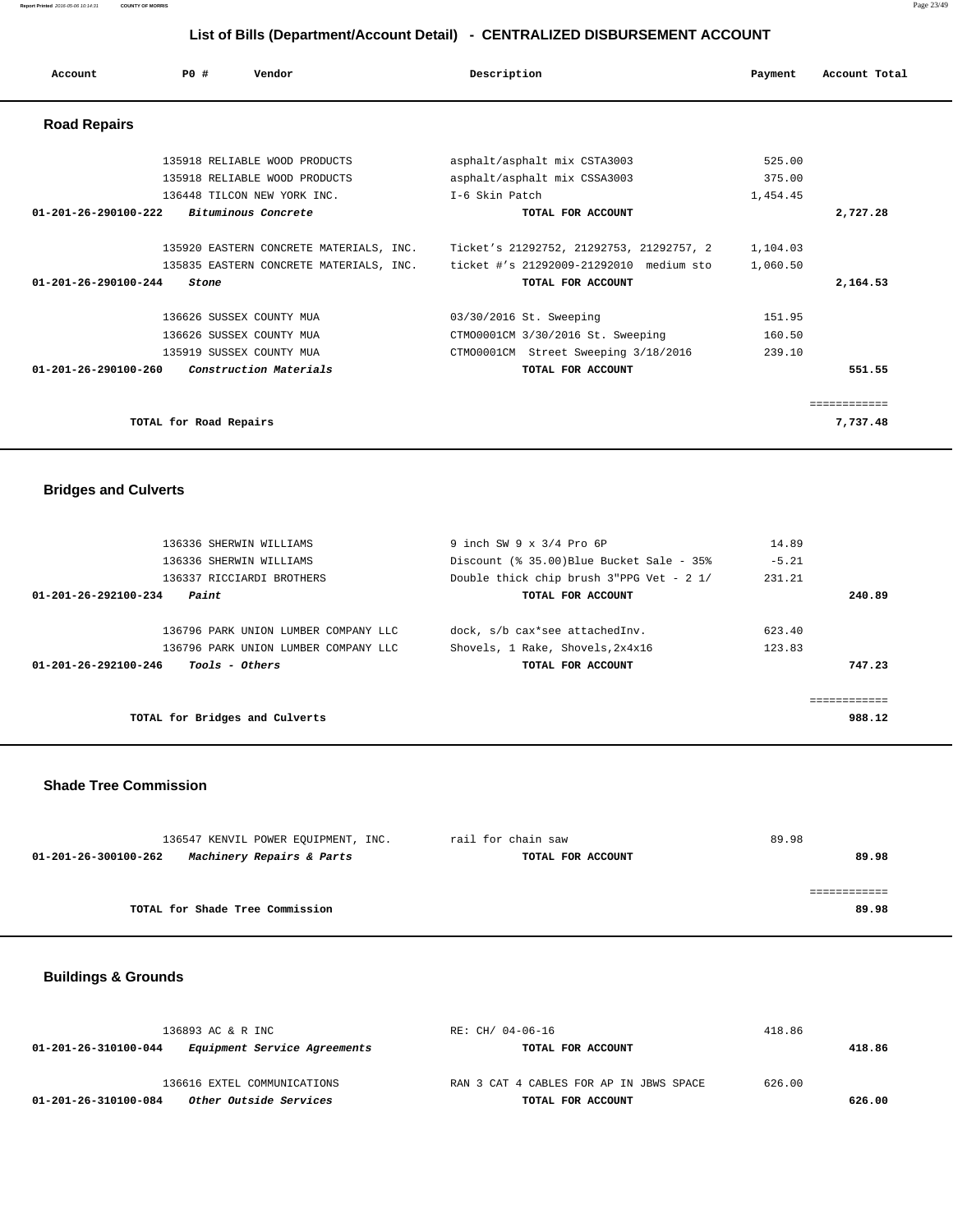| Account                        | PO#                    | Vendor                                                                             | Description                                                                                          | Payment                    | Account Total            |
|--------------------------------|------------------------|------------------------------------------------------------------------------------|------------------------------------------------------------------------------------------------------|----------------------------|--------------------------|
| <b>Road Repairs</b>            |                        |                                                                                    |                                                                                                      |                            |                          |
|                                |                        | 135918 RELIABLE WOOD PRODUCTS                                                      | asphalt/asphalt mix CSTA3003                                                                         | 525.00                     |                          |
|                                |                        | 135918 RELIABLE WOOD PRODUCTS                                                      | asphalt/asphalt mix CSSA3003                                                                         | 375.00                     |                          |
|                                |                        | 136448 TILCON NEW YORK INC.                                                        | T-6 Skin Patch                                                                                       | 1,454.45                   |                          |
| 01-201-26-290100-222           |                        | Bituminous Concrete                                                                | TOTAL FOR ACCOUNT                                                                                    |                            | 2,727.28                 |
|                                |                        | 135920 EASTERN CONCRETE MATERIALS, INC.<br>135835 EASTERN CONCRETE MATERIALS, INC. | Ticket's 21292752, 21292753, 21292757, 2<br>ticket #'s 21292009-21292010 medium sto                  | 1,104.03<br>1,060.50       |                          |
| $01 - 201 - 26 - 290100 - 244$ | Stone                  |                                                                                    | TOTAL FOR ACCOUNT                                                                                    |                            | 2,164.53                 |
|                                |                        | 136626 SUSSEX COUNTY MUA<br>136626 SUSSEX COUNTY MUA<br>135919 SUSSEX COUNTY MUA   | 03/30/2016 St. Sweeping<br>CTM00001CM 3/30/2016 St. Sweeping<br>CTM00001CM Street Sweeping 3/18/2016 | 151.95<br>160.50<br>239.10 |                          |
| 01-201-26-290100-260           |                        | Construction Materials                                                             | TOTAL FOR ACCOUNT                                                                                    |                            | 551.55                   |
|                                | TOTAL for Road Repairs |                                                                                    |                                                                                                      |                            | ------------<br>7,737.48 |

## **Bridges and Culverts**

| 136336 SHERWIN WILLIAMS                                 | 9 inch SW $9 \times 3/4$ Pro $6P$        | 14.89   |
|---------------------------------------------------------|------------------------------------------|---------|
| 136336 SHERWIN WILLIAMS                                 | Discount (% 35.00)Blue Bucket Sale - 35% | $-5.21$ |
| 136337 RICCIARDI BROTHERS                               | Double thick chip brush 3"PPG Vet - 2 1/ | 231.21  |
| $01 - 201 - 26 - 292100 - 234$<br>Paint                 | TOTAL FOR ACCOUNT                        | 240.89  |
|                                                         |                                          |         |
| 136796 PARK UNION LUMBER COMPANY LLC                    | dock, s/b cax*see attachedInv.           | 623.40  |
| 136796 PARK UNION LUMBER COMPANY LLC                    | Shovels, 1 Rake, Shovels, 2x4x16         | 123.83  |
| <i>Tools - Others</i><br>$01 - 201 - 26 - 292100 - 246$ | TOTAL FOR ACCOUNT                        | 747.23  |
|                                                         |                                          |         |
|                                                         |                                          |         |
| TOTAL for Bridges and Culverts                          |                                          | 988.12  |
|                                                         |                                          |         |

### **Shade Tree Commission**

|                      |                                 | 136547 KENVIL POWER EOUIPMENT, INC. | rail for chain saw | 89.98 |
|----------------------|---------------------------------|-------------------------------------|--------------------|-------|
| 01-201-26-300100-262 |                                 | Machinery Repairs & Parts           | TOTAL FOR ACCOUNT  | 89.98 |
|                      |                                 |                                     |                    |       |
|                      |                                 |                                     |                    |       |
|                      | TOTAL for Shade Tree Commission |                                     |                    | 89.98 |
|                      |                                 |                                     |                    |       |

## **Buildings & Grounds**

| 136893 AC & R INC                                           | RE: CH/ 04-06-16                        | 418.86 |        |
|-------------------------------------------------------------|-----------------------------------------|--------|--------|
| <i>Equipment Service Agreements</i><br>01-201-26-310100-044 | TOTAL FOR ACCOUNT                       |        | 418.86 |
| 136616 EXTEL COMMUNICATIONS                                 | RAN 3 CAT 4 CABLES FOR AP IN JBWS SPACE | 626.00 |        |
| Other Outside Services<br>01-201-26-310100-084              | TOTAL FOR ACCOUNT                       |        | 626.00 |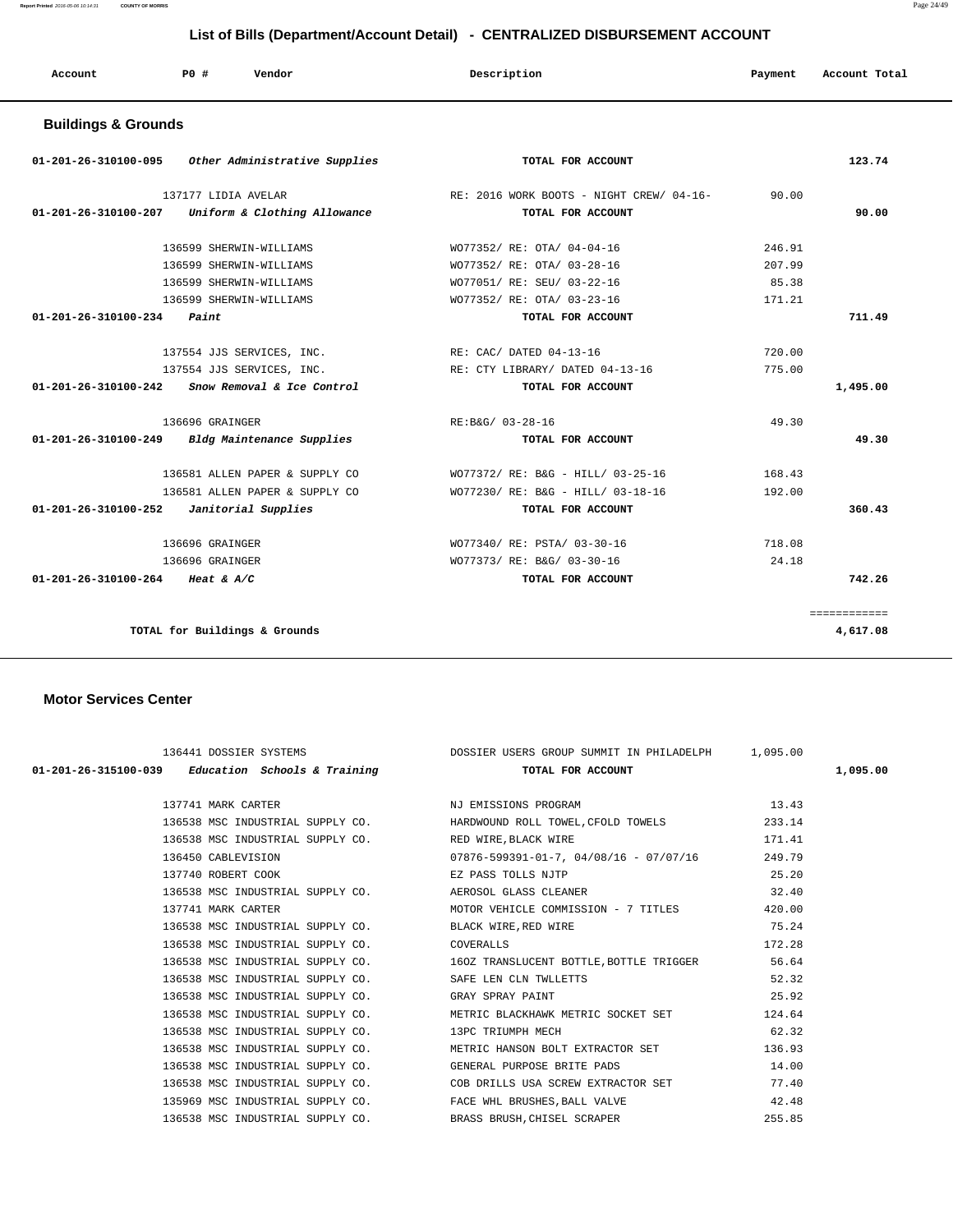**Report Printed** 2016-05-06 10:14:31 **COUNTY OF MORRIS** Page 24/49

# **List of Bills (Department/Account Detail) - CENTRALIZED DISBURSEMENT ACCOUNT**

| Account | PO# | Vendor<br>. | Description | Payment | Account Total |
|---------|-----|-------------|-------------|---------|---------------|
|         |     |             |             |         |               |

## **Buildings & Grounds**

| 01-201-26-310100-095                       | Other Administrative Supplies                     | TOTAL FOR ACCOUNT                        |        | 123.74       |
|--------------------------------------------|---------------------------------------------------|------------------------------------------|--------|--------------|
|                                            | 137177 LIDIA AVELAR                               | RE: 2016 WORK BOOTS - NIGHT CREW/ 04-16- | 90.00  |              |
| 01-201-26-310100-207                       | Uniform & Clothing Allowance                      | TOTAL FOR ACCOUNT                        |        | 90.00        |
|                                            | 136599 SHERWIN-WILLIAMS                           | WO77352/ RE: OTA/ 04-04-16               | 246.91 |              |
|                                            | 136599 SHERWIN-WILLIAMS                           | WO77352/ RE: OTA/ 03-28-16               | 207.99 |              |
|                                            | 136599 SHERWIN-WILLIAMS                           | WO77051/ RE: SEU/ 03-22-16               | 85.38  |              |
|                                            | 136599 SHERWIN-WILLIAMS                           | WO77352/ RE: OTA/ 03-23-16               | 171.21 |              |
| 01-201-26-310100-234                       | Paint                                             | TOTAL FOR ACCOUNT                        |        | 711.49       |
|                                            | 137554 JJS SERVICES, INC.                         | RE: CAC/ DATED 04-13-16                  | 720.00 |              |
|                                            | 137554 JJS SERVICES, INC.                         | RE: CTY LIBRARY/ DATED 04-13-16          | 775.00 |              |
|                                            | $01-201-26-310100-242$ Snow Removal & Ice Control | TOTAL FOR ACCOUNT                        |        | 1,495.00     |
|                                            | 136696 GRAINGER                                   | RE:B&G/ 03-28-16                         | 49.30  |              |
|                                            | 01-201-26-310100-249 Bldg Maintenance Supplies    | TOTAL FOR ACCOUNT                        |        | 49.30        |
|                                            | 136581 ALLEN PAPER & SUPPLY CO                    | WO77372/ RE: B&G - HILL/ 03-25-16        | 168.43 |              |
|                                            | 136581 ALLEN PAPER & SUPPLY CO                    | WO77230/ RE: B&G - HILL/ 03-18-16        | 192.00 |              |
| $01-201-26-310100-252$ Janitorial Supplies |                                                   | TOTAL FOR ACCOUNT                        |        | 360.43       |
|                                            | 136696 GRAINGER                                   | WO77340/ RE: PSTA/ 03-30-16              | 718.08 |              |
|                                            | 136696 GRAINGER                                   | WO77373/ RE: B&G/ 03-30-16               | 24.18  |              |
| 01-201-26-310100-264 Heat & A/C            |                                                   | TOTAL FOR ACCOUNT                        |        | 742.26       |
|                                            |                                                   |                                          |        | ============ |
|                                            | TOTAL for Buildings & Grounds                     |                                          |        | 4,617.08     |

#### **Motor Services Center**

|                                            | 136441 DOSSIER SYSTEMS <b>DOSSIER USERS GROUP SUMMIT IN PHILADELPH</b> 1,095.00<br>01-201-26-315100-039 Education Schools & Training $01-201-26-315100-039$                                                                                                                                                             | 1,095.00 |
|--------------------------------------------|-------------------------------------------------------------------------------------------------------------------------------------------------------------------------------------------------------------------------------------------------------------------------------------------------------------------------|----------|
|                                            |                                                                                                                                                                                                                                                                                                                         |          |
|                                            | 136538 MSC INDUSTRIAL SUPPLY CO. HARDWOUND ROLL TOWEL, CFOLD TOWELS 233.14                                                                                                                                                                                                                                              |          |
|                                            | 136538 MSC INDUSTRIAL SUPPLY CO. RED WIRE, BLACK WIRE                                                                                                                                                                                                                                                                   | 171.41   |
|                                            | 136450 CABLEVISION 07876-599391-01-7, 04/08/16 - 07/07/16 249.79                                                                                                                                                                                                                                                        |          |
|                                            |                                                                                                                                                                                                                                                                                                                         |          |
|                                            | ${\tt 137740~ROBERT~COOK}~~{\tt EZ~PASS~TOLLS~NJTP}~~{\tt 25.20}~~\\ 136538~MSC~INDUSTRIAL~SUPPLY~CO.~~{\tt AEROSOL~GLASS~CLEANER}~~{\tt 25.20}~~{\tt 32.40}~~{\tt 26.20}~~{\tt 26.20}~~{\tt 26.20}~~{\tt 27.20}~~{\tt 28.20}~~{\tt 28.20}~~{\tt 29.20}~~{\tt 20.20}~~{\tt 21.20}~~{\tt 22.20}~~{\tt 23.20}~~{\tt 24.2$ |          |
|                                            | 137741 MARK CARTER 420.00 MOTOR VEHICLE COMMISSION - 7 TITLES 420.00                                                                                                                                                                                                                                                    |          |
|                                            | 136538 MSC INDUSTRIAL SUPPLY CO.<br>136538 MSC INDUSTRIAL SUPPLY CO. COVERALLS CONTRALLS CONTRALLS 172.28                                                                                                                                                                                                               |          |
| 136538 MSC INDUSTRIAL SUPPLY CO. COVERALLS |                                                                                                                                                                                                                                                                                                                         |          |
|                                            | 136538 MSC INDUSTRIAL SUPPLY CO. 160Z TRANSLUCENT BOTTLE, BOTTLE TRIGGER 56.64                                                                                                                                                                                                                                          |          |
|                                            | 136538 MSC INDUSTRIAL SUPPLY CO.<br>136538 MSC INDUSTRIAL SUPPLY CO. GRAY SPRAY PAINT CONTROLLERY PAINT 25.92                                                                                                                                                                                                           |          |
|                                            |                                                                                                                                                                                                                                                                                                                         |          |
|                                            | 136538 MSC INDUSTRIAL SUPPLY CO. METRIC BLACKHAWK METRIC SOCKET SET 124.64                                                                                                                                                                                                                                              |          |
|                                            | 136538 MSC INDUSTRIAL SUPPLY CO. 13PC TRIUMPH MECH                                                                                                                                                                                                                                                                      | 62.32    |
|                                            | 136538 MSC INDUSTRIAL SUPPLY CO. METRIC HANSON BOLT EXTRACTOR SET 136.93                                                                                                                                                                                                                                                |          |
|                                            | 136538 MSC INDUSTRIAL SUPPLY CO. GENERAL PURPOSE BRITE PADS                                                                                                                                                                                                                                                             | 14.00    |
|                                            | 136538 MSC INDUSTRIAL SUPPLY CO. COB DRILLS USA SCREW EXTRACTOR SET 77.40                                                                                                                                                                                                                                               |          |
|                                            | 135969 MSC INDUSTRIAL SUPPLY CO. TACE WHL BRUSHES, BALL VALVE 42.48                                                                                                                                                                                                                                                     |          |
|                                            | 136538 MSC INDUSTRIAL SUPPLY CO. BRASS BRUSH, CHISEL SCRAPER                                                                                                                                                                                                                                                            | 255.85   |
|                                            |                                                                                                                                                                                                                                                                                                                         |          |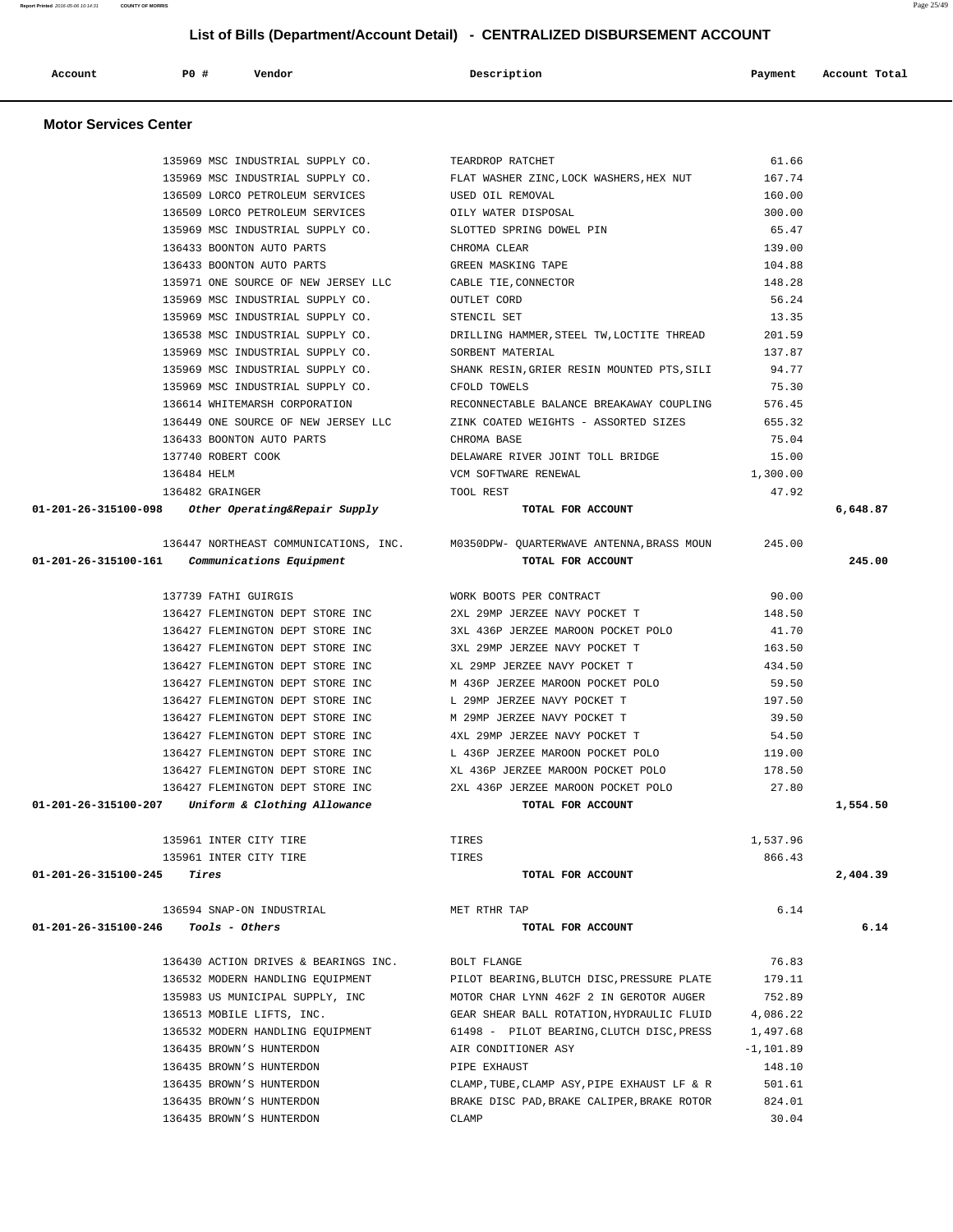| 135969 MSC INDUSTRIAL SUPPLY CO.                                   | TEARDROP RATCHET                                                                         | 61.66       |          |
|--------------------------------------------------------------------|------------------------------------------------------------------------------------------|-------------|----------|
|                                                                    | 135969 MSC INDUSTRIAL SUPPLY CO. FLAT WASHER ZINC, LOCK WASHERS, HEX NUT                 | 167.74      |          |
| 136509 LORCO PETROLEUM SERVICES USED OIL REMOVAL                   |                                                                                          | 160.00      |          |
| 136509 LORCO PETROLEUM SERVICES OILY WATER DISPOSAL                |                                                                                          | 300.00      |          |
| 135969 MSC INDUSTRIAL SUPPLY CO. SLOTTED SPRING DOWEL PIN          |                                                                                          | 65.47       |          |
| 136433 BOONTON AUTO PARTS                                          | CHROMA CLEAR                                                                             | 139.00      |          |
| 136433 BOONTON AUTO PARTS                                          | GREEN MASKING TAPE                                                                       | 104.88      |          |
| 135971 ONE SOURCE OF NEW JERSEY LLC                                | CABLE TIE, CONNECTOR                                                                     | 148.28      |          |
| 135969 MSC INDUSTRIAL SUPPLY CO.                                   | OUTLET CORD                                                                              | 56.24       |          |
| 135969 MSC INDUSTRIAL SUPPLY CO.                                   | STENCIL SET                                                                              | 13.35       |          |
|                                                                    | 136538 MSC INDUSTRIAL SUPPLY CO. THE DRILLING HAMMER, STEEL TW, LOCTITE THREAD           | 201.59      |          |
| 135969 MSC INDUSTRIAL SUPPLY CO.                                   | SORBENT MATERIAL                                                                         | 137.87      |          |
|                                                                    | 135969 MSC INDUSTRIAL SUPPLY CO. SHANK RESIN, GRIER RESIN MOUNTED PTS, SILI              | 94.77       |          |
| 135969 MSC INDUSTRIAL SUPPLY CO.                                   | CFOLD TOWELS                                                                             | 75.30       |          |
| 136614 WHITEMARSH CORPORATION                                      | RECONNECTABLE BALANCE BREAKAWAY COUPLING                                                 | 576.45      |          |
| 136449 ONE SOURCE OF NEW JERSEY LLC                                | ZINK COATED WEIGHTS - ASSORTED SIZES                                                     | 655.32      |          |
| 136433 BOONTON AUTO PARTS                                          | CHROMA BASE                                                                              | 75.04       |          |
| 137740 ROBERT COOK                                                 | DELAWARE RIVER JOINT TOLL BRIDGE                                                         | 15.00       |          |
| 136484 HELM                                                        | VCM SOFTWARE RENEWAL                                                                     | 1,300.00    |          |
| 136482 GRAINGER                                                    | TOOL REST                                                                                | 47.92       |          |
| 01-201-26-315100-098 Other Operating&Repair Supply                 | TOTAL FOR ACCOUNT                                                                        |             | 6,648.87 |
|                                                                    |                                                                                          |             |          |
|                                                                    | 136447 NORTHEAST COMMUNICATIONS, INC. M0350DPW- QUARTERWAVE ANTENNA, BRASS MOUN          | 245.00      |          |
| $01-201-26-315100-161$ Communications Equipment                    | TOTAL FOR ACCOUNT                                                                        |             | 245.00   |
|                                                                    |                                                                                          |             |          |
| 137739 FATHI GUIRGIS                                               | WORK BOOTS PER CONTRACT                                                                  | 90.00       |          |
|                                                                    | 136427 FLEMINGTON DEPT STORE INC 2XL 29MP JERZEE NAVY POCKET T                           | 148.50      |          |
|                                                                    | 136427 FLEMINGTON DEPT STORE INC 3XL 436P JERZEE MAROON POCKET POLO                      | 41.70       |          |
| 136427 FLEMINGTON DEPT STORE INC                                   | 3XL 29MP JERZEE NAVY POCKET T                                                            | 163.50      |          |
| 136427 FLEMINGTON DEPT STORE INC                                   | XL 29MP JERZEE NAVY POCKET T                                                             | 434.50      |          |
| 136427 FLEMINGTON DEPT STORE INC                                   | M 436P JERZEE MAROON POCKET POLO                                                         | 59.50       |          |
| 136427 FLEMINGTON DEPT STORE INC                                   | L 29MP JERZEE NAVY POCKET T                                                              | 197.50      |          |
| 136427 FLEMINGTON DEPT STORE INC                                   | M 29MP JERZEE NAVY POCKET T                                                              | 39.50       |          |
| 136427 FLEMINGTON DEPT STORE INC                                   | 4XL 29MP JERZEE NAVY POCKET T                                                            | 54.50       |          |
| 136427 FLEMINGTON DEPT STORE INC                                   | L 436P JERZEE MAROON POCKET POLO                                                         | 119.00      |          |
| 136427 FLEMINGTON DEPT STORE INC XL 436P JERZEE MAROON POCKET POLO |                                                                                          | 178.50      |          |
|                                                                    |                                                                                          | 27.80       |          |
| $01-201-26-315100-207$ Uniform & Clothing Allowance                | 136427 FLEMINGTON DEPT STORE INC 2XL 436P JERZEE MAROON POCKET POLO<br>TOTAL FOR ACCOUNT |             | 1,554.50 |
|                                                                    |                                                                                          |             |          |
| 135961 INTER CITY TIRE                                             | TIRES                                                                                    | 1,537.96    |          |
| 135961 INTER CITY TIRE                                             | TIRES                                                                                    | 866.43      |          |
| 01-201-26-315100-245<br>Tires                                      | TOTAL FOR ACCOUNT                                                                        |             | 2,404.39 |
|                                                                    |                                                                                          |             |          |
| 136594 SNAP-ON INDUSTRIAL                                          | MET RTHR TAP                                                                             | 6.14        |          |
| Tools - Others<br>01-201-26-315100-246                             | TOTAL FOR ACCOUNT                                                                        |             | 6.14     |
|                                                                    |                                                                                          |             |          |
| 136430 ACTION DRIVES & BEARINGS INC.                               | BOLT FLANGE                                                                              | 76.83       |          |
| 136532 MODERN HANDLING EQUIPMENT                                   | PILOT BEARING, BLUTCH DISC, PRESSURE PLATE                                               | 179.11      |          |
| 135983 US MUNICIPAL SUPPLY, INC                                    | MOTOR CHAR LYNN 462F 2 IN GEROTOR AUGER                                                  | 752.89      |          |
| 136513 MOBILE LIFTS, INC.                                          | GEAR SHEAR BALL ROTATION, HYDRAULIC FLUID                                                | 4,086.22    |          |
| 136532 MODERN HANDLING EQUIPMENT                                   | 61498 - PILOT BEARING, CLUTCH DISC, PRESS                                                | 1,497.68    |          |
| 136435 BROWN'S HUNTERDON                                           | AIR CONDITIONER ASY                                                                      | $-1,101.89$ |          |
| 136435 BROWN'S HUNTERDON                                           | PIPE EXHAUST                                                                             | 148.10      |          |
| 136435 BROWN'S HUNTERDON                                           | CLAMP, TUBE, CLAMP ASY, PIPE EXHAUST LF & R                                              | 501.61      |          |
| 136435 BROWN'S HUNTERDON                                           | BRAKE DISC PAD, BRAKE CALIPER, BRAKE ROTOR                                               | 824.01      |          |
| 136435 BROWN'S HUNTERDON                                           | CLAMP                                                                                    | 30.04       |          |
|                                                                    |                                                                                          |             |          |

 **Account P0 # Vendor Description Payment Account Total**

 **Motor Services Center**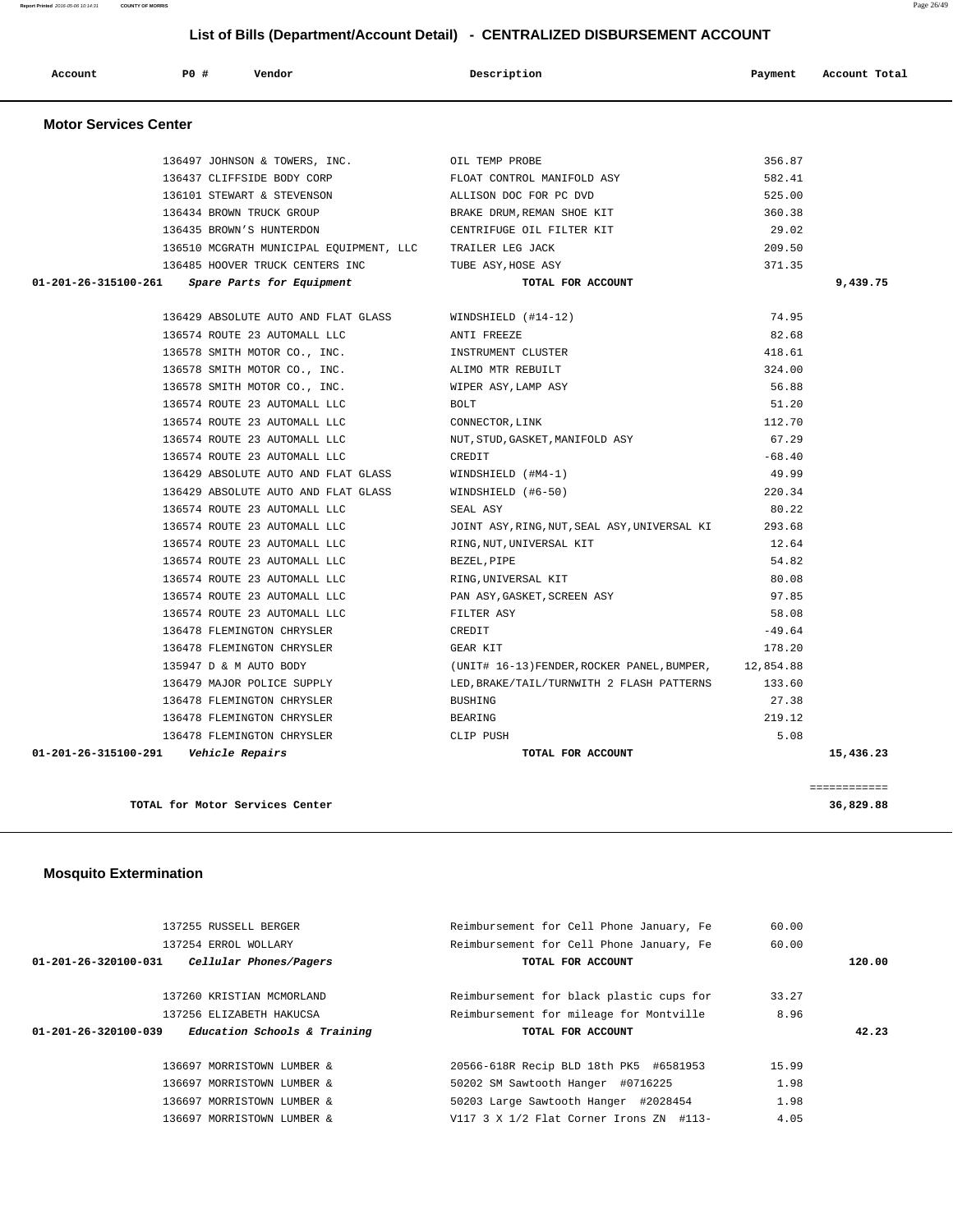|                              | LIST OF BIIIS (DEPARTMENTACCOUNT DETAIL) - CENTRALIZED DISBURSEMENT ACCOUNT |                                         |                                              |           |               |  |  |
|------------------------------|-----------------------------------------------------------------------------|-----------------------------------------|----------------------------------------------|-----------|---------------|--|--|
| Account                      | <b>PO #</b>                                                                 | Vendor                                  | Description                                  | Payment   | Account Total |  |  |
| <b>Motor Services Center</b> |                                                                             |                                         |                                              |           |               |  |  |
|                              |                                                                             | 136497 JOHNSON & TOWERS, INC.           | OIL TEMP PROBE                               | 356.87    |               |  |  |
|                              |                                                                             | 136437 CLIFFSIDE BODY CORP              | FLOAT CONTROL MANIFOLD ASY                   | 582.41    |               |  |  |
|                              |                                                                             | 136101 STEWART & STEVENSON              | ALLISON DOC FOR PC DVD                       | 525.00    |               |  |  |
|                              |                                                                             | 136434 BROWN TRUCK GROUP                | BRAKE DRUM, REMAN SHOE KIT                   | 360.38    |               |  |  |
|                              |                                                                             | 136435 BROWN'S HUNTERDON                | CENTRIFUGE OIL FILTER KIT                    | 29.02     |               |  |  |
|                              |                                                                             | 136510 MCGRATH MUNICIPAL EQUIPMENT, LLC | TRAILER LEG JACK                             | 209.50    |               |  |  |
|                              |                                                                             | 136485 HOOVER TRUCK CENTERS INC         | TUBE ASY, HOSE ASY                           | 371.35    |               |  |  |
| 01-201-26-315100-261         |                                                                             | Spare Parts for Equipment               | TOTAL FOR ACCOUNT                            |           | 9,439.75      |  |  |
|                              |                                                                             |                                         |                                              |           |               |  |  |
|                              |                                                                             | 136429 ABSOLUTE AUTO AND FLAT GLASS     | WINDSHIELD (#14-12)                          | 74.95     |               |  |  |
|                              |                                                                             | 136574 ROUTE 23 AUTOMALL LLC            | ANTI FREEZE                                  | 82.68     |               |  |  |
|                              |                                                                             | 136578 SMITH MOTOR CO., INC.            | INSTRUMENT CLUSTER                           | 418.61    |               |  |  |
|                              |                                                                             | 136578 SMITH MOTOR CO., INC.            | ALIMO MTR REBUILT                            | 324.00    |               |  |  |
|                              |                                                                             | 136578 SMITH MOTOR CO., INC.            | WIPER ASY, LAMP ASY                          | 56.88     |               |  |  |
|                              |                                                                             | 136574 ROUTE 23 AUTOMALL LLC            | <b>BOLT</b>                                  | 51.20     |               |  |  |
|                              |                                                                             | 136574 ROUTE 23 AUTOMALL LLC            | CONNECTOR, LINK                              | 112.70    |               |  |  |
|                              |                                                                             | 136574 ROUTE 23 AUTOMALL LLC            | NUT, STUD, GASKET, MANIFOLD ASY              | 67.29     |               |  |  |
|                              |                                                                             | 136574 ROUTE 23 AUTOMALL LLC            | CREDIT                                       | $-68.40$  |               |  |  |
|                              |                                                                             | 136429 ABSOLUTE AUTO AND FLAT GLASS     | $WINDSHIELD$ (#M4-1)                         | 49.99     |               |  |  |
|                              |                                                                             | 136429 ABSOLUTE AUTO AND FLAT GLASS     | WINDSHIELD (#6-50)                           | 220.34    |               |  |  |
|                              |                                                                             | 136574 ROUTE 23 AUTOMALL LLC            | SEAL ASY                                     | 80.22     |               |  |  |
|                              |                                                                             | 136574 ROUTE 23 AUTOMALL LLC            | JOINT ASY, RING, NUT, SEAL ASY, UNIVERSAL KI | 293.68    |               |  |  |
|                              |                                                                             | 136574 ROUTE 23 AUTOMALL LLC            | RING, NUT, UNIVERSAL KIT                     | 12.64     |               |  |  |
|                              |                                                                             | 136574 ROUTE 23 AUTOMALL LLC            | BEZEL, PIPE                                  | 54.82     |               |  |  |
|                              |                                                                             | 136574 ROUTE 23 AUTOMALL LLC            | RING, UNIVERSAL KIT                          | 80.08     |               |  |  |
|                              |                                                                             | 136574 ROUTE 23 AUTOMALL LLC            | PAN ASY, GASKET, SCREEN ASY                  | 97.85     |               |  |  |
|                              |                                                                             | 136574 ROUTE 23 AUTOMALL LLC            | FILTER ASY                                   | 58.08     |               |  |  |
|                              |                                                                             | 136478 FLEMINGTON CHRYSLER              | CREDIT                                       | $-49.64$  |               |  |  |
|                              |                                                                             | 136478 FLEMINGTON CHRYSLER              | GEAR KIT                                     | 178.20    |               |  |  |
|                              |                                                                             | 135947 D & M AUTO BODY                  | (UNIT# 16-13) FENDER, ROCKER PANEL, BUMPER,  | 12,854.88 |               |  |  |
|                              |                                                                             | 136479 MAJOR POLICE SUPPLY              | LED, BRAKE/TAIL/TURNWITH 2 FLASH PATTERNS    | 133.60    |               |  |  |
|                              |                                                                             | 136478 FLEMINGTON CHRYSLER              | <b>BUSHING</b>                               | 27.38     |               |  |  |
|                              |                                                                             | 136478 FLEMINGTON CHRYSLER              | BEARING                                      | 219.12    |               |  |  |
|                              |                                                                             | 136478 FLEMINGTON CHRYSLER              | CLIP PUSH                                    | 5.08      |               |  |  |
| 01-201-26-315100-291         |                                                                             | Vehicle Repairs                         | TOTAL FOR ACCOUNT                            |           | 15,436.23     |  |  |

**TOTAL for Motor Services Center 36,829.88**

============

# **Mosquito Extermination**

| 137255 RUSSELL BERGER                                          | Reimbursement for Cell Phone January, Fe | 60.00 |        |
|----------------------------------------------------------------|------------------------------------------|-------|--------|
| 137254 ERROL WOLLARY                                           | Reimbursement for Cell Phone January, Fe | 60.00 |        |
| Cellular Phones/Pagers<br>$01 - 201 - 26 - 320100 - 031$       | TOTAL FOR ACCOUNT                        |       | 120.00 |
|                                                                |                                          |       |        |
| 137260 KRISTIAN MCMORLAND                                      | Reimbursement for black plastic cups for | 33.27 |        |
| 137256 ELIZABETH HAKUCSA                                       | Reimbursement for mileage for Montville  | 8.96  |        |
|                                                                |                                          |       |        |
| Education Schools & Training<br>$01 - 201 - 26 - 320100 - 039$ | TOTAL FOR ACCOUNT                        |       | 42.23  |
| 136697 MORRISTOWN LUMBER &                                     | 20566-618R Recip BLD 18th PK5 #6581953   | 15.99 |        |
| 136697 MORRISTOWN LUMBER &                                     | 50202 SM Sawtooth Hanger #0716225        | 1.98  |        |
| 136697 MORRISTOWN LUMBER &                                     | 50203 Large Sawtooth Hanger #2028454     | 1.98  |        |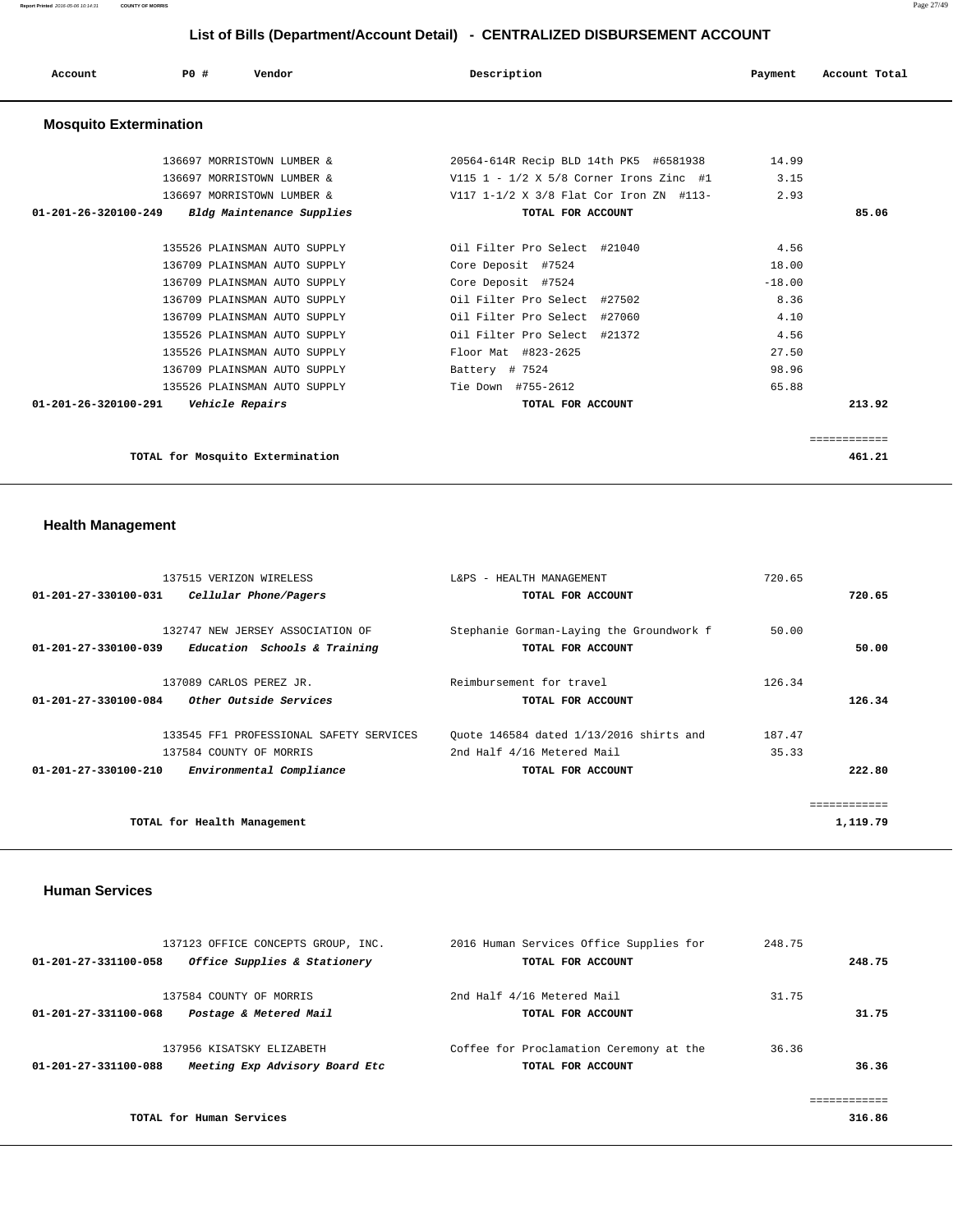| Account                        | PO# | Vendor                                                                                       | Description                                                                         | Payment               | Account Total |
|--------------------------------|-----|----------------------------------------------------------------------------------------------|-------------------------------------------------------------------------------------|-----------------------|---------------|
| <b>Mosquito Extermination</b>  |     |                                                                                              |                                                                                     |                       |               |
|                                |     | 136697 MORRISTOWN LUMBER &                                                                   | 20564-614R Recip BLD 14th PK5 #6581938                                              | 14.99                 |               |
|                                |     | 136697 MORRISTOWN LUMBER &                                                                   | V115 $1 - 1/2$ X 5/8 Corner Irons Zinc #1                                           | 3.15                  |               |
|                                |     | 136697 MORRISTOWN LUMBER &                                                                   | V117 1-1/2 X 3/8 Flat Cor Iron ZN #113-                                             | 2.93                  |               |
| $01 - 201 - 26 - 320100 - 249$ |     | Bldg Maintenance Supplies                                                                    | TOTAL FOR ACCOUNT                                                                   |                       | 85.06         |
|                                |     | 135526 PLAINSMAN AUTO SUPPLY<br>136709 PLAINSMAN AUTO SUPPLY                                 | Oil Filter Pro Select #21040<br>Core Deposit #7524                                  | 4.56<br>18.00         |               |
|                                |     | 136709 PLAINSMAN AUTO SUPPLY<br>136709 PLAINSMAN AUTO SUPPLY                                 | Core Deposit #7524<br>Oil Filter Pro Select #27502                                  | $-18.00$<br>8.36      |               |
|                                |     | 136709 PLAINSMAN AUTO SUPPLY<br>135526 PLAINSMAN AUTO SUPPLY<br>135526 PLAINSMAN AUTO SUPPLY | Oil Filter Pro Select #27060<br>Oil Filter Pro Select #21372<br>Floor Mat #823-2625 | 4.10<br>4.56<br>27.50 |               |
|                                |     | 136709 PLAINSMAN AUTO SUPPLY<br>135526 PLAINSMAN AUTO SUPPLY                                 | Battery # 7524<br>Tie Down #755-2612                                                | 98.96<br>65.88        |               |
| 01-201-26-320100-291           |     | Vehicle Repairs                                                                              | TOTAL FOR ACCOUNT                                                                   |                       | 213.92        |
|                                |     |                                                                                              |                                                                                     |                       | ============  |
|                                |     | TOTAL for Mosquito Extermination                                                             |                                                                                     |                       | 461.21        |

# **Health Management**

|                                | 137515 VERIZON WIRELESS                 | L&PS - HEALTH MANAGEMENT                 | 720.65 |             |
|--------------------------------|-----------------------------------------|------------------------------------------|--------|-------------|
| 01-201-27-330100-031           | Cellular Phone/Pagers                   | TOTAL FOR ACCOUNT                        |        | 720.65      |
|                                |                                         |                                          |        |             |
|                                | 132747 NEW JERSEY ASSOCIATION OF        | Stephanie Gorman-Laying the Groundwork f | 50.00  |             |
| 01-201-27-330100-039           | Education Schools & Training            | TOTAL FOR ACCOUNT                        |        | 50.00       |
|                                |                                         |                                          |        |             |
|                                | 137089 CARLOS PEREZ JR.                 | Reimbursement for travel                 | 126.34 |             |
| 01-201-27-330100-084           | Other Outside Services                  | TOTAL FOR ACCOUNT                        |        | 126.34      |
|                                |                                         |                                          |        |             |
|                                | 133545 FF1 PROFESSIONAL SAFETY SERVICES | Quote 146584 dated 1/13/2016 shirts and  | 187.47 |             |
|                                | 137584 COUNTY OF MORRIS                 | 2nd Half 4/16 Metered Mail               | 35.33  |             |
| $01 - 201 - 27 - 330100 - 210$ | Environmental Compliance                | TOTAL FOR ACCOUNT                        |        | 222.80      |
|                                |                                         |                                          |        |             |
|                                |                                         |                                          |        | =========== |
|                                | TOTAL for Health Management             |                                          |        | 1,119.79    |
|                                |                                         |                                          |        |             |

## **Human Services**

| 01-201-27-331100-058 | 137123 OFFICE CONCEPTS GROUP, INC. | 2016 Human Services Office Supplies for | 248.75 |
|----------------------|------------------------------------|-----------------------------------------|--------|
|                      | Office Supplies & Stationery       | TOTAL FOR ACCOUNT                       | 248.75 |
| 01-201-27-331100-068 | 137584 COUNTY OF MORRIS            | 2nd Half 4/16 Metered Mail              | 31.75  |
|                      | Postage & Metered Mail             | TOTAL FOR ACCOUNT                       | 31.75  |
| 01-201-27-331100-088 | 137956 KISATSKY ELIZABETH          | Coffee for Proclamation Ceremony at the | 36.36  |
|                      | Meeting Exp Advisory Board Etc     | TOTAL FOR ACCOUNT                       | 36.36  |
|                      | TOTAL for Human Services           |                                         | 316.86 |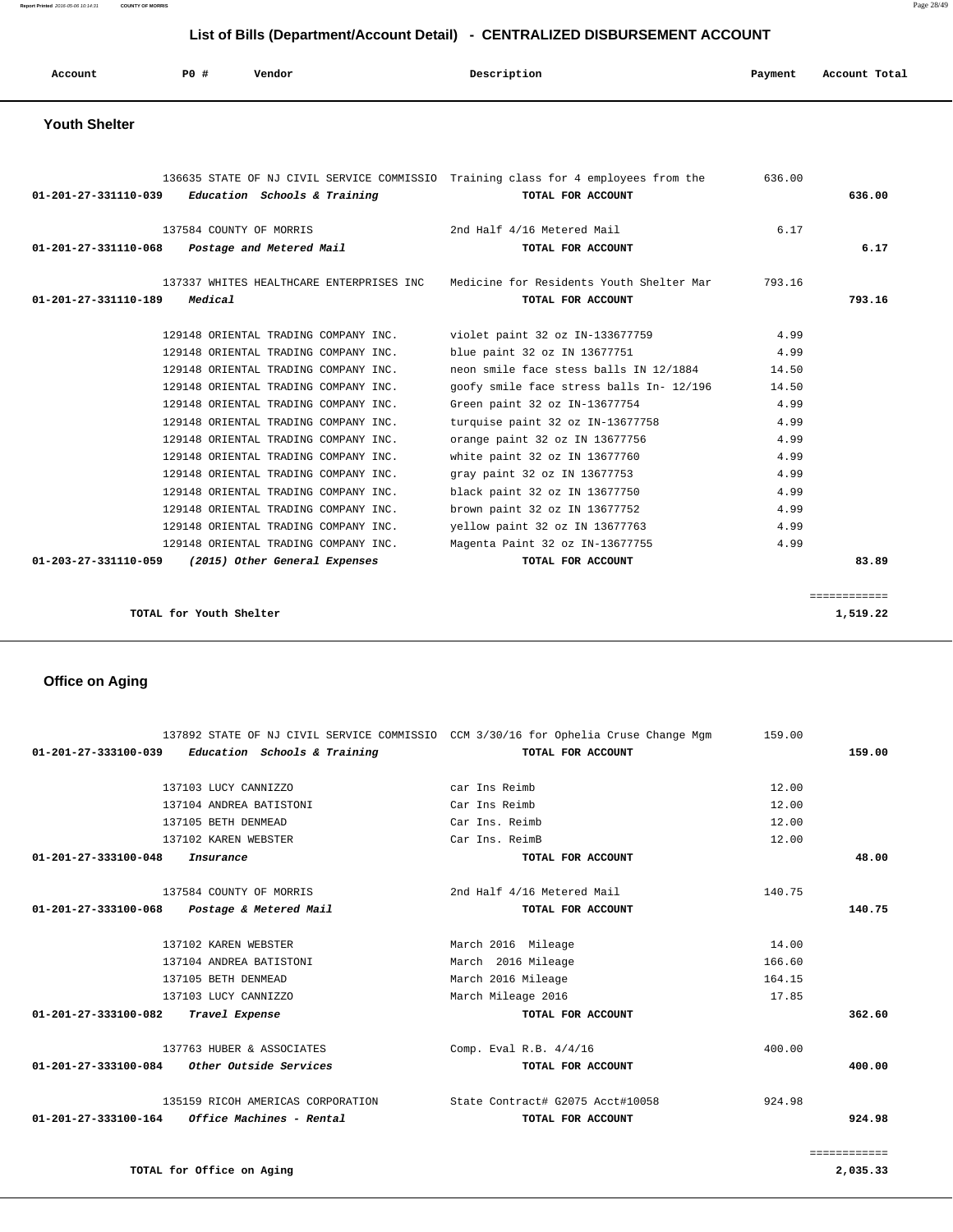**Report Printed** 2016-05-06 10:14:31 **COUNTY OF MORRIS** Page 28/49

| List of Bills (Department/Account Detail) - CENTRALIZED DISBURSEMENT ACCOUNT |                         |                                                                                                                      |                                                                                                           |                       |                          |
|------------------------------------------------------------------------------|-------------------------|----------------------------------------------------------------------------------------------------------------------|-----------------------------------------------------------------------------------------------------------|-----------------------|--------------------------|
| Account                                                                      | <b>PO #</b>             | Vendor                                                                                                               | Description                                                                                               | Payment               | Account Total            |
| <b>Youth Shelter</b>                                                         |                         |                                                                                                                      |                                                                                                           |                       |                          |
| 01-201-27-331110-039                                                         |                         | Education Schools & Training                                                                                         | 136635 STATE OF NJ CIVIL SERVICE COMMISSIO Training class for 4 employees from the<br>TOTAL FOR ACCOUNT   | 636.00                | 636.00                   |
| $01 - 201 - 27 - 331110 - 068$                                               | 137584 COUNTY OF MORRIS | Postage and Metered Mail                                                                                             | 2nd Half 4/16 Metered Mail<br>TOTAL FOR ACCOUNT                                                           | 6.17                  | 6.17                     |
| 01-201-27-331110-189                                                         | Medical                 | 137337 WHITES HEALTHCARE ENTERPRISES INC                                                                             | Medicine for Residents Youth Shelter Mar<br>TOTAL FOR ACCOUNT                                             | 793.16                | 793.16                   |
|                                                                              |                         | 129148 ORIENTAL TRADING COMPANY INC.<br>129148 ORIENTAL TRADING COMPANY INC.<br>129148 ORIENTAL TRADING COMPANY INC. | violet paint 32 oz IN-133677759<br>blue paint 32 oz IN 13677751<br>neon smile face stess balls IN 12/1884 | 4.99<br>4.99<br>14.50 |                          |
|                                                                              |                         | 129148 ORIENTAL TRADING COMPANY INC.<br>129148 ORIENTAL TRADING COMPANY INC.                                         | goofy smile face stress balls In- 12/196<br>Green paint 32 oz IN-13677754                                 | 14.50<br>4.99         |                          |
|                                                                              |                         | 129148 ORIENTAL TRADING COMPANY INC.<br>129148 ORIENTAL TRADING COMPANY INC.<br>129148 ORIENTAL TRADING COMPANY INC. | turquise paint 32 oz IN-13677758<br>orange paint 32 oz IN 13677756<br>white paint 32 oz IN 13677760       | 4.99<br>4.99<br>4.99  |                          |
|                                                                              |                         | 129148 ORIENTAL TRADING COMPANY INC.<br>129148 ORIENTAL TRADING COMPANY INC.<br>129148 ORIENTAL TRADING COMPANY INC. | gray paint 32 oz IN 13677753<br>black paint 32 oz IN 13677750<br>brown paint 32 oz IN 13677752            | 4.99<br>4.99<br>4.99  |                          |
| 01-203-27-331110-059                                                         |                         | 129148 ORIENTAL TRADING COMPANY INC.<br>129148 ORIENTAL TRADING COMPANY INC.<br>(2015) Other General Expenses        | yellow paint 32 oz IN 13677763<br>Magenta Paint 32 oz IN-13677755<br>TOTAL FOR ACCOUNT                    | 4.99<br>4.99          | 83.89                    |
|                                                                              | TOTAL for Youth Shelter |                                                                                                                      |                                                                                                           |                       | ============<br>1,519.22 |

# **Office on Aging**

|                      |                                   |                            | 137892 STATE OF NJ CIVIL SERVICE COMMISSIO CCM 3/30/16 for Ophelia Cruse Change Mgm | 159.00 |        |
|----------------------|-----------------------------------|----------------------------|-------------------------------------------------------------------------------------|--------|--------|
| 01-201-27-333100-039 | Education Schools & Training      |                            | TOTAL FOR ACCOUNT                                                                   |        | 159.00 |
|                      |                                   |                            |                                                                                     |        |        |
|                      | 137103 LUCY CANNIZZO              | car Ins Reimb              |                                                                                     | 12.00  |        |
|                      | 137104 ANDREA BATISTONI           | Car Ins Reimb              |                                                                                     | 12.00  |        |
|                      | 137105 BETH DENMEAD               | Car Ins. Reimb             |                                                                                     | 12.00  |        |
|                      | 137102 KAREN WEBSTER              | Car Ins. ReimB             |                                                                                     | 12.00  |        |
| 01-201-27-333100-048 | Insurance                         |                            | TOTAL FOR ACCOUNT                                                                   |        | 48.00  |
|                      | 137584 COUNTY OF MORRIS           | 2nd Half 4/16 Metered Mail |                                                                                     | 140.75 |        |
| 01-201-27-333100-068 | Postage & Metered Mail            |                            | TOTAL FOR ACCOUNT                                                                   |        | 140.75 |
|                      |                                   |                            |                                                                                     |        |        |
|                      | 137102 KAREN WEBSTER              | March 2016 Mileage         |                                                                                     | 14.00  |        |
|                      | 137104 ANDREA BATISTONI           | March 2016 Mileage         |                                                                                     | 166.60 |        |
|                      | 137105 BETH DENMEAD               | March 2016 Mileage         |                                                                                     | 164.15 |        |
|                      | 137103 LUCY CANNIZZO              | March Mileage 2016         |                                                                                     | 17.85  |        |
| 01-201-27-333100-082 | Travel Expense                    |                            | TOTAL FOR ACCOUNT                                                                   |        | 362.60 |
|                      | 137763 HUBER & ASSOCIATES         | Comp. Eval R.B. 4/4/16     |                                                                                     | 400.00 |        |
| 01-201-27-333100-084 | Other Outside Services            |                            | TOTAL FOR ACCOUNT                                                                   |        | 400.00 |
|                      | 135159 RICOH AMERICAS CORPORATION |                            | State Contract# G2075 Acct#10058                                                    | 924.98 |        |
| 01-201-27-333100-164 | Office Machines - Rental          |                            | TOTAL FOR ACCOUNT                                                                   |        | 924.98 |
|                      |                                   |                            |                                                                                     |        |        |

**TOTAL for Office on Aging 2,035.33**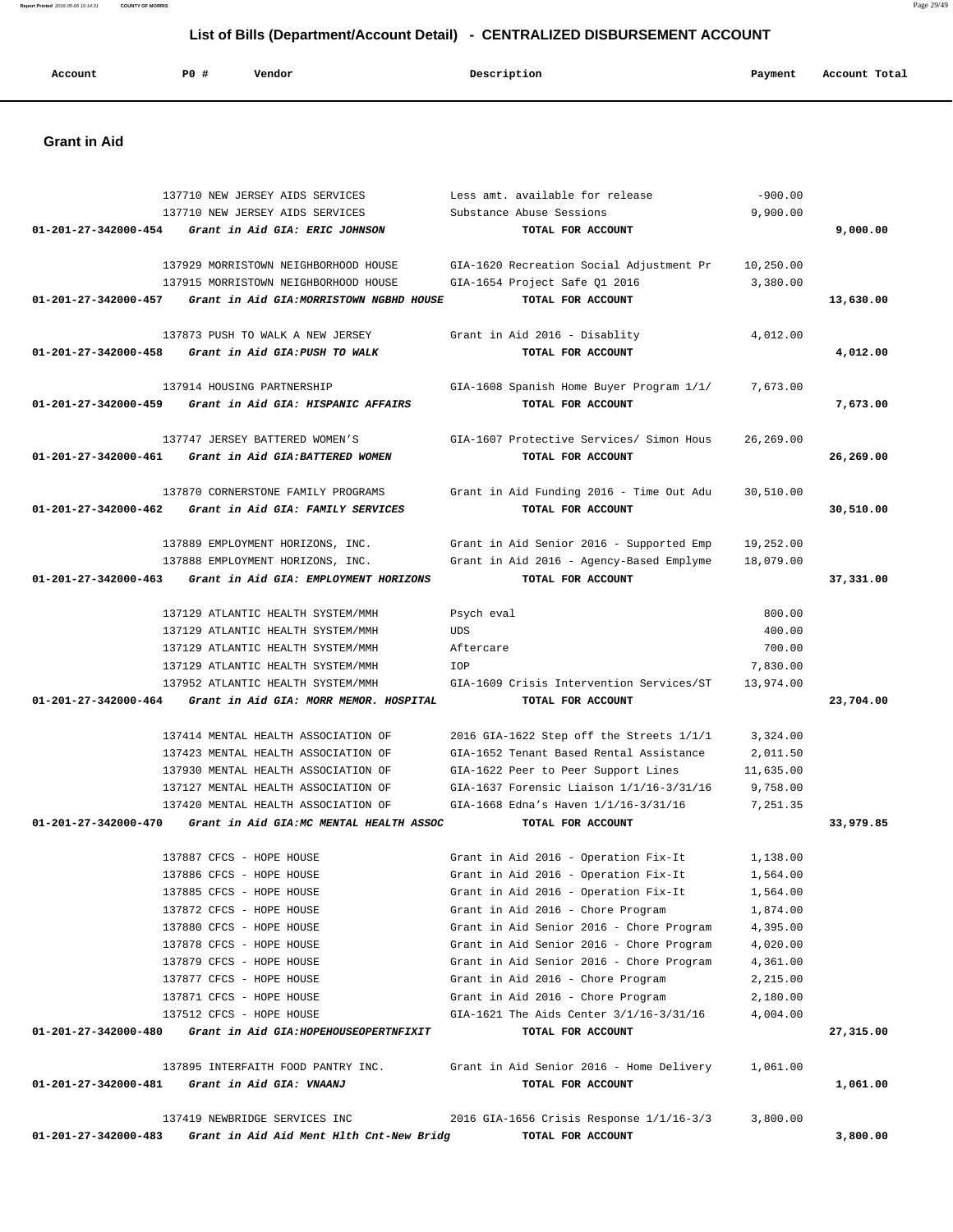# 137710 NEW JERSEY AIDS SERVICES Less amt. available for release -900.00 137710 NEW JERSEY AIDS SERVICES Substance Abuse Sessions 9,900.00  **01-201-27-342000-454 Grant in Aid GIA: ERIC JOHNSON TOTAL FOR ACCOUNT 9,000.00** 137929 MORRISTOWN NEIGHBORHOOD HOUSE GIA-1620 Recreation Social Adjustment Pr 10,250.00 137915 MORRISTOWN NEIGHBORHOOD HOUSE GIA-1654 Project Safe Q1 2016 3,380.00  **01-201-27-342000-457 Grant in Aid GIA:MORRISTOWN NGBHD HOUSE TOTAL FOR ACCOUNT 13,630.00** 137873 PUSH TO WALK A NEW JERSEY Grant in Aid 2016 - Disablity 4,012.00  **01-201-27-342000-458 Grant in Aid GIA:PUSH TO WALK TOTAL FOR ACCOUNT 4,012.00** 137914 HOUSING PARTNERSHIP GIA-1608 Spanish Home Buyer Program 1/1/ 7,673.00  **01-201-27-342000-459 Grant in Aid GIA: HISPANIC AFFAIRS TOTAL FOR ACCOUNT 7,673.00** 137747 JERSEY BATTERED WOMEN'S GIA-1607 Protective Services/ Simon Hous 26,269.00  **01-201-27-342000-461 Grant in Aid GIA:BATTERED WOMEN TOTAL FOR ACCOUNT 26,269.00** 137870 CORNERSTONE FAMILY PROGRAMS Grant in Aid Funding 2016 - Time Out Adu 30,510.00  **01-201-27-342000-462 Grant in Aid GIA: FAMILY SERVICES TOTAL FOR ACCOUNT 30,510.00** 137889 EMPLOYMENT HORIZONS, INC. Grant in Aid Senior 2016 - Supported Emp 19,252.00 137888 EMPLOYMENT HORIZONS, INC. Grant in Aid 2016 - Agency-Based Emplyme 18,079.00  **01-201-27-342000-463 Grant in Aid GIA: EMPLOYMENT HORIZONS TOTAL FOR ACCOUNT 37,331.00** 137129 ATLANTIC HEALTH SYSTEM/MMH Psych eval 800.00 137129 ATLANTIC HEALTH SYSTEM/MMH UDS 400.00 137129 ATLANTIC HEALTH SYSTEM/MMH Aftercare 700.00 137129 ATLANTIC HEALTH SYSTEM/MMH IOP 7,830.00 137952 ATLANTIC HEALTH SYSTEM/MMH GIA-1609 Crisis Intervention Services/ST 13,974.00  **01-201-27-342000-464 Grant in Aid GIA: MORR MEMOR. HOSPITAL TOTAL FOR ACCOUNT 23,704.00** 137414 MENTAL HEALTH ASSOCIATION OF 2016 GIA-1622 Step off the Streets 1/1/1 3,324.00 137423 MENTAL HEALTH ASSOCIATION OF GIA-1652 Tenant Based Rental Assistance 2,011.50 137930 MENTAL HEALTH ASSOCIATION OF GIA-1622 Peer to Peer Support Lines 11,635.00 137127 MENTAL HEALTH ASSOCIATION OF GIA-1637 Forensic Liaison 1/1/16-3/31/16 9,758.00 137420 MENTAL HEALTH ASSOCIATION OF GIA-1668 Edna's Haven 1/1/16-3/31/16 7,251.35  **01-201-27-342000-470 Grant in Aid GIA:MC MENTAL HEALTH ASSOC TOTAL FOR ACCOUNT 33,979.85** 137887 CFCS - HOPE HOUSE Grant in Aid 2016 - Operation Fix-It 1,138.00 137886 CFCS - HOPE HOUSE Grant in Aid 2016 - Operation Fix-It 1,564.00 137885 CFCS - HOPE HOUSE Grant in Aid 2016 - Operation Fix-It 1,564.00 137872 CFCS - HOPE HOUSE Grant in Aid 2016 - Chore Program 1,874.00 137880 CFCS - HOPE HOUSE Grant in Aid Senior 2016 - Chore Program 4,395.00 137878 CFCS - HOPE HOUSE Grant in Aid Senior 2016 - Chore Program 4,020.00 137879 CFCS - HOPE HOUSE Grant in Aid Senior 2016 - Chore Program 4,361.00 137877 CFCS - HOPE HOUSE Grant in Aid 2016 - Chore Program 2,215.00 137871 CFCS - HOPE HOUSE Grant in Aid 2016 - Chore Program 2,180.00 137512 CFCS - HOPE HOUSE GIA-1621 The Aids Center 3/1/16-3/31/16 4,004.00  **01-201-27-342000-480 Grant in Aid GIA:HOPEHOUSEOPERTNFIXIT TOTAL FOR ACCOUNT 27,315.00** 137895 INTERFAITH FOOD PANTRY INC. Grant in Aid Senior 2016 - Home Delivery 1,061.00  **01-201-27-342000-481 Grant in Aid GIA: VNAANJ TOTAL FOR ACCOUNT 1,061.00** 137419 NEWBRIDGE SERVICES INC 2016 GIA-1656 Crisis Response 1/1/16-3/3 3,800.00  **01-201-27-342000-483 Grant in Aid Aid Ment Hlth Cnt-New Bridg TOTAL FOR ACCOUNT 3,800.00**

 **Account P0 # Vendor Description Payment Account Total**

#### **Grant in Aid**

 **Report Printed** 2016-05-06 10:14:31 **COUNTY OF MORRIS** Page 29/49  **List of Bills (Department/Account Detail) - CENTRALIZED DISBURSEMENT ACCOUNT**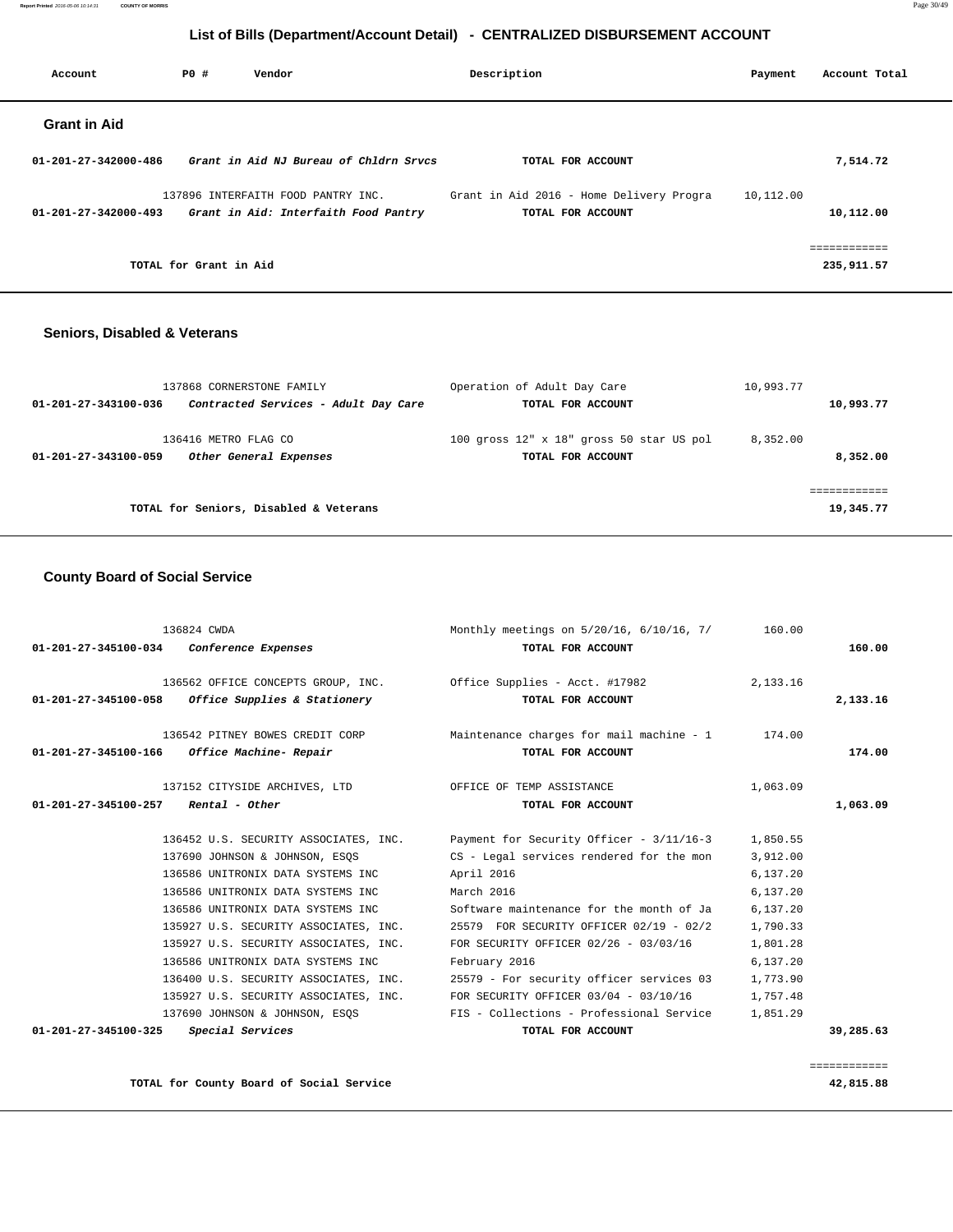**Report Printed** 2016-05-06 10:14:31 **COUNTY OF MORRIS** Page 30/49

# **List of Bills (Department/Account Detail) - CENTRALIZED DISBURSEMENT ACCOUNT**

| Account                        | PO#                    | Vendor                                                                     | Description                                                   | Payment   | Account Total |
|--------------------------------|------------------------|----------------------------------------------------------------------------|---------------------------------------------------------------|-----------|---------------|
| <b>Grant in Aid</b>            |                        |                                                                            |                                                               |           |               |
| 01-201-27-342000-486           |                        | Grant in Aid NJ Bureau of Chldrn Srvcs                                     | TOTAL FOR ACCOUNT                                             |           | 7,514.72      |
| $01 - 201 - 27 - 342000 - 493$ |                        | 137896 INTERFAITH FOOD PANTRY INC.<br>Grant in Aid: Interfaith Food Pantry | Grant in Aid 2016 - Home Delivery Progra<br>TOTAL FOR ACCOUNT | 10,112.00 | 10,112.00     |
|                                | TOTAL for Grant in Aid |                                                                            |                                                               |           | 235,911.57    |

## **Seniors, Disabled & Veterans**

| 137868 CORNERSTONE FAMILY                                              | Operation of Adult Day Care                                   | 10,993.77            |
|------------------------------------------------------------------------|---------------------------------------------------------------|----------------------|
| Contracted Services - Adult Day Care<br>01-201-27-343100-036           | TOTAL FOR ACCOUNT                                             | 10,993.77            |
| 136416 METRO FLAG CO<br>01-201-27-343100-059<br>Other General Expenses | 100 gross 12" x 18" gross 50 star US pol<br>TOTAL FOR ACCOUNT | 8,352.00<br>8,352.00 |
| TOTAL for Seniors, Disabled & Veterans                                 |                                                               | 19,345.77            |

## **County Board of Social Service**

|                                       | 136824 CWDA                                                                    | Monthly meetings on 5/20/16, 6/10/16, 7/ 160.00                                           |          |           |
|---------------------------------------|--------------------------------------------------------------------------------|-------------------------------------------------------------------------------------------|----------|-----------|
|                                       | 01-201-27-345100-034 Conference Expenses                                       | TOTAL FOR ACCOUNT                                                                         |          | 160.00    |
|                                       | $01-201-27-345100-058$ Office Supplies & Stationery                            | 136562 OFFICE CONCEPTS GROUP, INC.    Qffice Supplies - Acct. #17982<br>TOTAL FOR ACCOUNT | 2,133.16 | 2,133.16  |
|                                       | 136542 PITNEY BOWES CREDIT CORP<br>01-201-27-345100-166 Office Machine- Repair | Maintenance charges for mail machine $-1$ 174.00<br>TOTAL FOR ACCOUNT                     |          | 174.00    |
| $01-201-27-345100-257$ Rental - Other | 137152 CITYSIDE ARCHIVES, LTD OFFICE OF TEMP ASSISTANCE                        | TOTAL FOR ACCOUNT                                                                         | 1,063.09 | 1,063.09  |
|                                       |                                                                                | 136452 U.S. SECURITY ASSOCIATES, INC. Payment for Security Officer - 3/11/16-3 1,850.55   |          |           |
|                                       | 137690 JOHNSON & JOHNSON, ESOS                                                 | CS - Legal services rendered for the mon                                                  | 3,912.00 |           |
|                                       | 136586 UNITRONIX DATA SYSTEMS INC                                              | April 2016                                                                                | 6,137.20 |           |
|                                       | 136586 UNITRONIX DATA SYSTEMS INC                                              | March 2016                                                                                | 6,137.20 |           |
|                                       | 136586 UNITRONIX DATA SYSTEMS INC                                              | Software maintenance for the month of Ja                                                  | 6,137.20 |           |
|                                       | 135927 U.S. SECURITY ASSOCIATES, INC.                                          | 25579 FOR SECURITY OFFICER 02/19 - 02/2                                                   | 1,790.33 |           |
|                                       | 135927 U.S. SECURITY ASSOCIATES, INC.                                          | FOR SECURITY OFFICER 02/26 - 03/03/16                                                     | 1,801.28 |           |
|                                       | 136586 UNITRONIX DATA SYSTEMS INC                                              | February 2016                                                                             | 6,137.20 |           |
|                                       | 136400 U.S. SECURITY ASSOCIATES, INC.                                          | 25579 - For security officer services 03                                                  | 1,773.90 |           |
|                                       | 135927 U.S. SECURITY ASSOCIATES, INC.                                          | FOR SECURITY OFFICER 03/04 - 03/10/16                                                     | 1,757.48 |           |
|                                       | 137690 JOHNSON & JOHNSON, ESOS                                                 | FIS - Collections - Professional Service                                                  | 1,851.29 |           |
| 01-201-27-345100-325                  | Special Services                                                               | TOTAL FOR ACCOUNT                                                                         |          | 39,285.63 |
|                                       |                                                                                |                                                                                           |          |           |

============

**TOTAL for County Board of Social Service 42,815.88**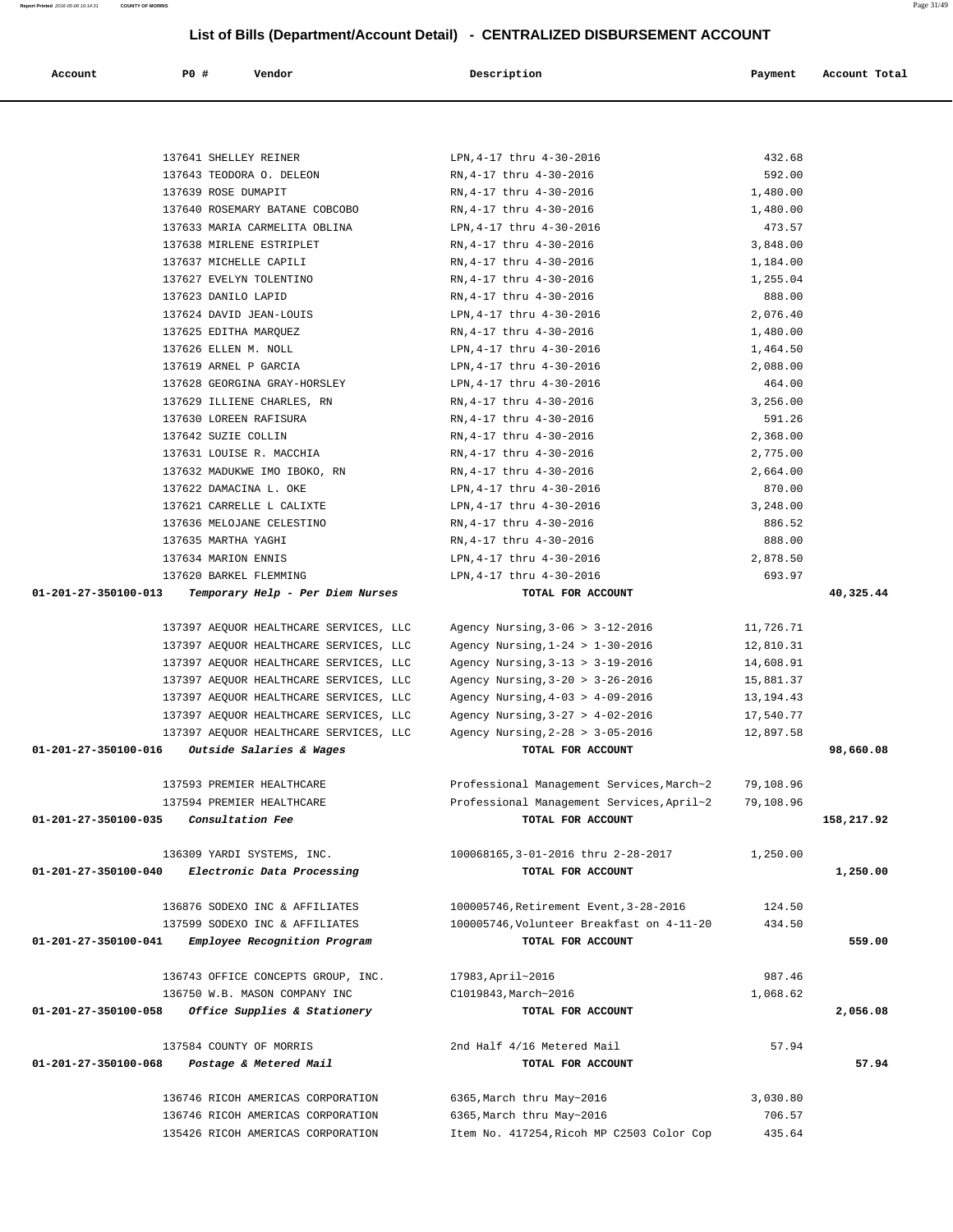| Account              | <b>PO #</b> | Vendor                                                     | Description                                           | Payment              | Account Total |
|----------------------|-------------|------------------------------------------------------------|-------------------------------------------------------|----------------------|---------------|
|                      |             |                                                            |                                                       |                      |               |
|                      |             |                                                            |                                                       |                      |               |
|                      |             | 137641 SHELLEY REINER                                      | LPN, 4-17 thru 4-30-2016                              | 432.68               |               |
|                      |             | 137643 TEODORA O. DELEON                                   | RN, 4-17 thru 4-30-2016                               | 592.00               |               |
|                      |             | 137639 ROSE DUMAPIT                                        | RN, 4-17 thru 4-30-2016                               | 1,480.00             |               |
|                      |             | 137640 ROSEMARY BATANE COBCOBO                             | RN, 4-17 thru 4-30-2016                               | 1,480.00             |               |
|                      |             | 137633 MARIA CARMELITA OBLINA<br>137638 MIRLENE ESTRIPLET  | LPN, 4-17 thru 4-30-2016                              | 473.57               |               |
|                      |             | 137637 MICHELLE CAPILI                                     | RN, 4-17 thru 4-30-2016<br>RN, 4-17 thru 4-30-2016    | 3,848.00<br>1,184.00 |               |
|                      |             | 137627 EVELYN TOLENTINO                                    | RN, 4-17 thru 4-30-2016                               | 1,255.04             |               |
|                      |             | 137623 DANILO LAPID                                        | RN, 4-17 thru 4-30-2016                               | 888.00               |               |
|                      |             | 137624 DAVID JEAN-LOUIS                                    | LPN, 4-17 thru 4-30-2016                              | 2,076.40             |               |
|                      |             | 137625 EDITHA MARQUEZ                                      | RN, 4-17 thru 4-30-2016                               | 1,480.00             |               |
|                      |             | 137626 ELLEN M. NOLL                                       | LPN, 4-17 thru 4-30-2016                              | 1,464.50             |               |
|                      |             | 137619 ARNEL P GARCIA                                      | LPN, 4-17 thru 4-30-2016                              | 2,088.00             |               |
|                      |             | 137628 GEORGINA GRAY-HORSLEY                               | LPN, 4-17 thru 4-30-2016                              | 464.00               |               |
|                      |             | 137629 ILLIENE CHARLES, RN                                 | RN, 4-17 thru 4-30-2016                               | 3,256.00             |               |
|                      |             | 137630 LOREEN RAFISURA                                     | RN, 4-17 thru 4-30-2016                               | 591.26               |               |
|                      |             |                                                            |                                                       |                      |               |
|                      |             | 137642 SUZIE COLLIN                                        | RN, 4-17 thru 4-30-2016                               | 2,368.00             |               |
|                      |             | 137631 LOUISE R. MACCHIA                                   | RN, 4-17 thru 4-30-2016                               | 2,775.00             |               |
|                      |             | 137632 MADUKWE IMO IBOKO, RN                               | RN, 4-17 thru 4-30-2016                               | 2,664.00             |               |
|                      |             | 137622 DAMACINA L. OKE<br>137621 CARRELLE L CALIXTE        | LPN, 4-17 thru 4-30-2016                              | 870.00               |               |
|                      |             |                                                            | LPN, 4-17 thru 4-30-2016                              | 3,248.00             |               |
|                      |             | 137636 MELOJANE CELESTINO                                  | RN, 4-17 thru 4-30-2016                               | 886.52               |               |
|                      |             | 137635 MARTHA YAGHI                                        | RN, 4-17 thru 4-30-2016                               | 888.00               |               |
|                      |             | 137634 MARION ENNIS                                        | LPN, 4-17 thru 4-30-2016                              | 2,878.50             |               |
| 01-201-27-350100-013 |             | 137620 BARKEL FLEMMING<br>Temporary Help - Per Diem Nurses | LPN, 4-17 thru 4-30-2016<br>TOTAL FOR ACCOUNT         | 693.97               | 40,325.44     |
|                      |             | 137397 AEQUOR HEALTHCARE SERVICES, LLC                     | Agency Nursing, 3-06 > 3-12-2016                      | 11,726.71            |               |
|                      |             | 137397 AEQUOR HEALTHCARE SERVICES, LLC                     | Agency Nursing, $1-24 > 1-30-2016$                    | 12,810.31            |               |
|                      |             | 137397 AEQUOR HEALTHCARE SERVICES, LLC                     | Agency Nursing, 3-13 > 3-19-2016                      | 14,608.91            |               |
|                      |             | 137397 AEQUOR HEALTHCARE SERVICES, LLC                     | Agency Nursing, 3-20 > 3-26-2016                      | 15,881.37            |               |
|                      |             | 137397 AEQUOR HEALTHCARE SERVICES, LLC                     | Agency Nursing, $4-03$ > $4-09-2016$                  | 13,194.43            |               |
|                      |             | 137397 AEQUOR HEALTHCARE SERVICES, LLC                     | Agency Nursing, 3-27 > 4-02-2016                      | 17,540.77            |               |
|                      |             | 137397 AEQUOR HEALTHCARE SERVICES, LLC                     |                                                       |                      |               |
| 01-201-27-350100-016 |             | Outside Salaries & Wages                                   | Agency Nursing, 2-28 > 3-05-2016<br>TOTAL FOR ACCOUNT | 12,897.58            | 98,660.08     |
|                      |             | 137593 PREMIER HEALTHCARE                                  | Professional Management Services, March~2             | 79,108.96            |               |
|                      |             | 137594 PREMIER HEALTHCARE                                  | Professional Management Services, April~2             | 79,108.96            |               |
| 01-201-27-350100-035 |             | Consultation Fee                                           | TOTAL FOR ACCOUNT                                     |                      | 158,217.92    |
|                      |             | 136309 YARDI SYSTEMS, INC.                                 | 100068165, 3-01-2016 thru 2-28-2017                   | 1,250.00             |               |
| 01-201-27-350100-040 |             | Electronic Data Processing                                 | TOTAL FOR ACCOUNT                                     |                      | 1,250.00      |
|                      |             | 136876 SODEXO INC & AFFILIATES                             | 100005746, Retirement Event, 3-28-2016                | 124.50               |               |
|                      |             | 137599 SODEXO INC & AFFILIATES                             | 100005746, Volunteer Breakfast on 4-11-20             | 434.50               |               |
| 01-201-27-350100-041 |             | Employee Recognition Program                               | TOTAL FOR ACCOUNT                                     |                      | 559.00        |
|                      |             | 136743 OFFICE CONCEPTS GROUP, INC.                         | 17983, April~2016                                     | 987.46               |               |
|                      |             | 136750 W.B. MASON COMPANY INC                              | C1019843, March~2016                                  | 1,068.62             |               |
| 01-201-27-350100-058 |             | Office Supplies & Stationery                               | TOTAL FOR ACCOUNT                                     |                      | 2,056.08      |
|                      |             | 137584 COUNTY OF MORRIS                                    | 2nd Half 4/16 Metered Mail                            | 57.94                |               |
| 01-201-27-350100-068 |             | Postage & Metered Mail                                     | TOTAL FOR ACCOUNT                                     |                      | 57.94         |
|                      |             | 136746 RICOH AMERICAS CORPORATION                          | 6365, March thru May~2016                             | 3,030.80             |               |
|                      |             | 136746 RICOH AMERICAS CORPORATION                          | 6365, March thru May~2016                             | 706.57               |               |
|                      |             | 135426 RICOH AMERICAS CORPORATION                          | Item No. 417254, Ricoh MP C2503 Color Cop             | 435.64               |               |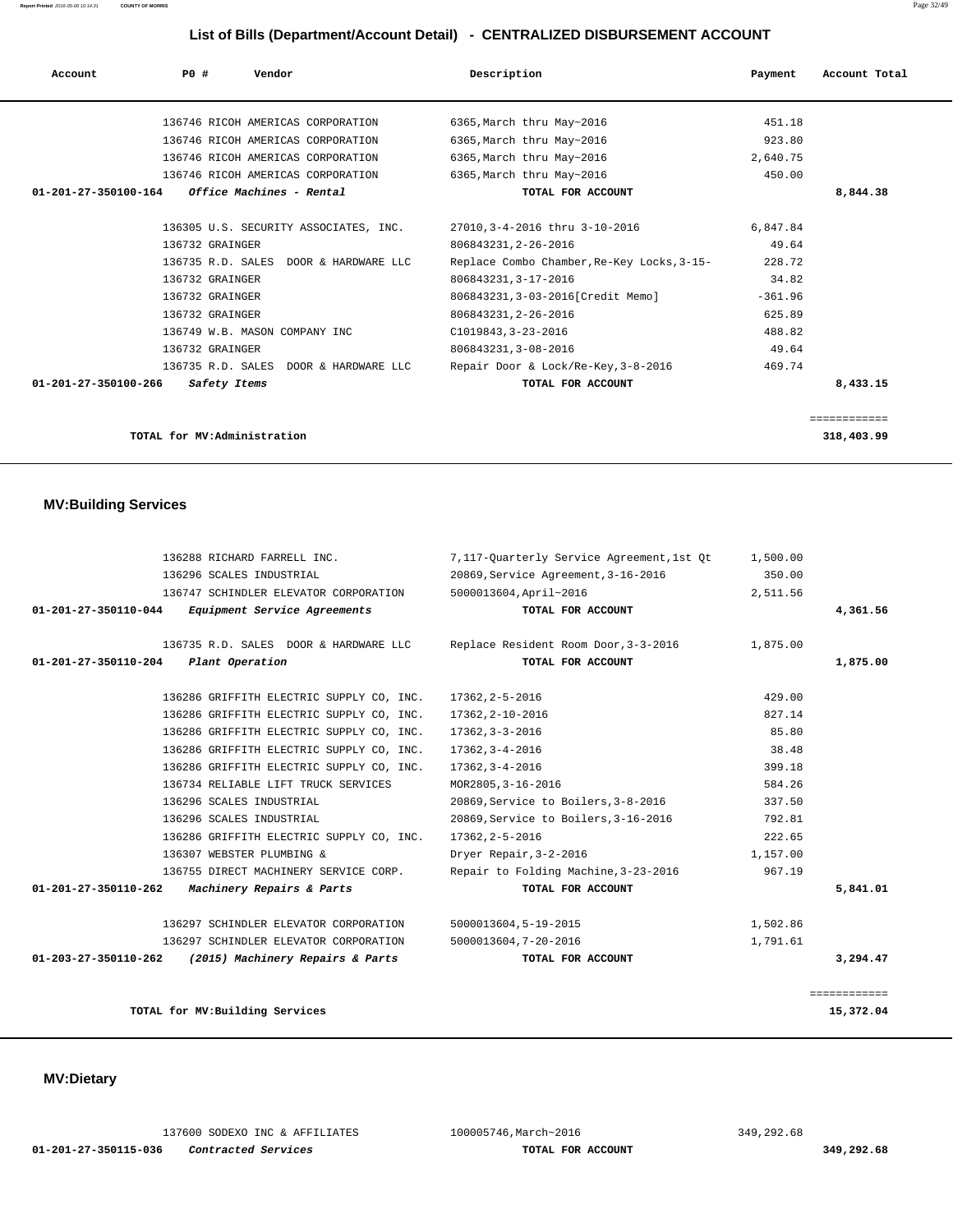| Account              | PO# | Vendor                            |                                       | Description                                | Payment   | Account Total |
|----------------------|-----|-----------------------------------|---------------------------------------|--------------------------------------------|-----------|---------------|
|                      |     | 136746 RICOH AMERICAS CORPORATION |                                       | 6365, March thru May~2016                  | 451.18    |               |
|                      |     | 136746 RICOH AMERICAS CORPORATION |                                       | 6365, March thru May~2016                  | 923.80    |               |
|                      |     | 136746 RICOH AMERICAS CORPORATION |                                       | 6365, March thru May~2016                  | 2,640.75  |               |
|                      |     | 136746 RICOH AMERICAS CORPORATION |                                       | 6365, March thru May~2016                  | 450.00    |               |
| 01-201-27-350100-164 |     | Office Machines - Rental          |                                       | TOTAL FOR ACCOUNT                          |           | 8,844.38      |
|                      |     |                                   |                                       |                                            |           |               |
|                      |     |                                   | 136305 U.S. SECURITY ASSOCIATES, INC. | 27010, 3-4-2016 thru 3-10-2016             | 6.847.84  |               |
|                      |     | 136732 GRAINGER                   |                                       | 806843231, 2-26-2016                       | 49.64     |               |
|                      |     |                                   | 136735 R.D. SALES DOOR & HARDWARE LLC | Replace Combo Chamber, Re-Key Locks, 3-15- | 228.72    |               |
|                      |     | 136732 GRAINGER                   |                                       | 806843231, 3-17-2016                       | 34.82     |               |
|                      |     | 136732 GRAINGER                   |                                       | 806843231, 3-03-2016[Credit Memo]          | $-361.96$ |               |
|                      |     | 136732 GRAINGER                   |                                       | 806843231, 2-26-2016                       | 625.89    |               |
|                      |     | 136749 W.B. MASON COMPANY INC     |                                       | C1019843, 3-23-2016                        | 488.82    |               |
|                      |     | 136732 GRAINGER                   |                                       | 806843231, 3-08-2016                       | 49.64     |               |
|                      |     |                                   | 136735 R.D. SALES DOOR & HARDWARE LLC | Repair Door & Lock/Re-Key, 3-8-2016        | 469.74    |               |
| 01-201-27-350100-266 |     | Safety Items                      |                                       | TOTAL FOR ACCOUNT                          |           | 8,433.15      |
|                      |     |                                   |                                       |                                            |           |               |
|                      |     |                                   |                                       |                                            |           | ============  |

**TOTAL for MV:Administration 318,403.99**

## **MV:Building Services**

| 136288 RICHARD FARRELL INC.                              | 7,117-Ouarterly Service Agreement, 1st Ot     | 1,500.00 |              |
|----------------------------------------------------------|-----------------------------------------------|----------|--------------|
| 136296 SCALES INDUSTRIAL                                 | 20869, Service Agreement, 3-16-2016           | 350.00   |              |
| 136747 SCHINDLER ELEVATOR CORPORATION                    | 5000013604, April~2016                        | 2,511.56 |              |
| Equipment Service Agreements<br>01-201-27-350110-044     | TOTAL FOR ACCOUNT                             |          | 4,361.56     |
| 136735 R.D. SALES DOOR & HARDWARE LLC                    | Replace Resident Room Door, 3-3-2016 1,875.00 |          |              |
| $01 - 201 - 27 - 350110 - 204$<br>Plant Operation        | TOTAL FOR ACCOUNT                             |          | 1,875.00     |
| 136286 GRIFFITH ELECTRIC SUPPLY CO, INC.                 | 17362,2-5-2016                                | 429.00   |              |
| 136286 GRIFFITH ELECTRIC SUPPLY CO, INC.                 | 17362, 2-10-2016                              | 827.14   |              |
| 136286 GRIFFITH ELECTRIC SUPPLY CO, INC.                 | 17362,3-3-2016                                | 85.80    |              |
| 136286 GRIFFITH ELECTRIC SUPPLY CO, INC.                 | 17362,3-4-2016                                | 38.48    |              |
| 136286 GRIFFITH ELECTRIC SUPPLY CO, INC.                 | 17362,3-4-2016                                | 399.18   |              |
| 136734 RELIABLE LIFT TRUCK SERVICES                      | MOR2805, 3-16-2016                            | 584.26   |              |
| 136296 SCALES INDUSTRIAL                                 | 20869, Service to Boilers, 3-8-2016           | 337.50   |              |
| 136296 SCALES INDUSTRIAL                                 | 20869, Service to Boilers, 3-16-2016          | 792.81   |              |
| 136286 GRIFFITH ELECTRIC SUPPLY CO, INC.                 | 17362, 2-5-2016                               | 222.65   |              |
| 136307 WEBSTER PLUMBING &                                | Dryer Repair, 3-2-2016                        | 1,157.00 |              |
| 136755 DIRECT MACHINERY SERVICE CORP.                    | Repair to Folding Machine, 3-23-2016          | 967.19   |              |
| Machinery Repairs & Parts<br>01-201-27-350110-262        | TOTAL FOR ACCOUNT                             |          | 5,841.01     |
| 136297 SCHINDLER ELEVATOR CORPORATION                    | 5000013604,5-19-2015                          | 1,502.86 |              |
| 136297 SCHINDLER ELEVATOR CORPORATION                    | 5000013604,7-20-2016                          | 1,791.61 |              |
| 01-203-27-350110-262<br>(2015) Machinery Repairs & Parts | TOTAL FOR ACCOUNT                             |          | 3,294.47     |
|                                                          |                                               |          | ============ |
| TOTAL for MV: Building Services                          |                                               |          | 15,372.04    |

# **MV:Dietary**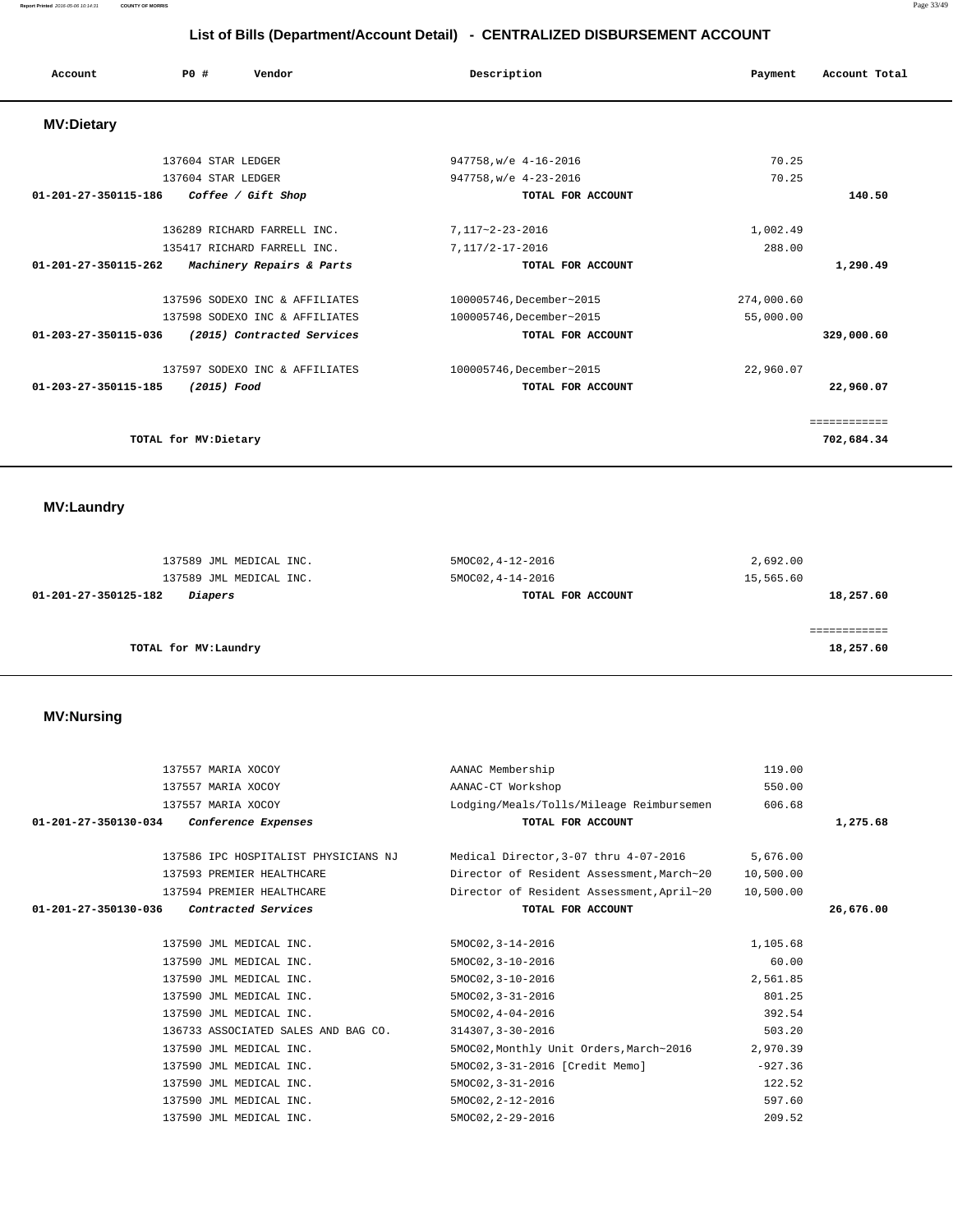| Account              | PO#                  | Vendor                         | Description              | Payment    | Account Total |
|----------------------|----------------------|--------------------------------|--------------------------|------------|---------------|
| <b>MV:Dietary</b>    |                      |                                |                          |            |               |
|                      | 137604 STAR LEDGER   |                                | 947758, w/e 4-16-2016    | 70.25      |               |
|                      | 137604 STAR LEDGER   |                                | 947758, w/e 4-23-2016    | 70.25      |               |
| 01-201-27-350115-186 |                      | Coffee / Gift Shop             | TOTAL FOR ACCOUNT        |            | 140.50        |
|                      |                      | 136289 RICHARD FARRELL INC.    | 7,117~2-23-2016          | 1,002.49   |               |
|                      |                      | 135417 RICHARD FARRELL INC.    | 7,117/2-17-2016          | 288.00     |               |
| 01-201-27-350115-262 |                      | Machinery Repairs & Parts      | TOTAL FOR ACCOUNT        |            | 1,290.49      |
|                      |                      | 137596 SODEXO INC & AFFILIATES | 100005746, December~2015 | 274,000.60 |               |
|                      |                      | 137598 SODEXO INC & AFFILIATES | 100005746, December~2015 | 55,000.00  |               |
| 01-203-27-350115-036 |                      | (2015) Contracted Services     | TOTAL FOR ACCOUNT        |            | 329,000.60    |
|                      |                      | 137597 SODEXO INC & AFFILIATES | 100005746, December~2015 | 22,960.07  |               |
| 01-203-27-350115-185 | (2015) Food          |                                | TOTAL FOR ACCOUNT        |            | 22,960.07     |
|                      |                      |                                |                          |            | ============  |
|                      | TOTAL for MV:Dietary |                                |                          |            | 702,684.34    |
|                      |                      |                                |                          |            |               |

 **MV:Laundry** 

| 137589 JML MEDICAL INC.                | 5MOC02, 4-12-2016 | 2,692.00  |
|----------------------------------------|-------------------|-----------|
| 137589 JML MEDICAL INC.                | 5MOC02, 4-14-2016 | 15,565.60 |
| 01-201-27-350125-182<br><i>Diapers</i> | TOTAL FOR ACCOUNT | 18,257.60 |
|                                        |                   |           |
|                                        |                   |           |
| TOTAL for MV:Laundry                   |                   | 18,257.60 |

## **MV:Nursing**

| 137557 MARIA XOCOY                          | AANAC Membership                          | 119.00    |           |
|---------------------------------------------|-------------------------------------------|-----------|-----------|
| 137557 MARIA XOCOY                          | AANAC-CT Workshop                         | 550.00    |           |
| 137557 MARIA XOCOY                          | Lodging/Meals/Tolls/Mileage Reimbursemen  | 606.68    |           |
| 01-201-27-350130-034<br>Conference Expenses | TOTAL FOR ACCOUNT                         |           | 1,275.68  |
|                                             |                                           |           |           |
| 137586 IPC HOSPITALIST PHYSICIANS NJ        | Medical Director, 3-07 thru 4-07-2016     | 5,676.00  |           |
| 137593 PREMIER HEALTHCARE                   | Director of Resident Assessment, March~20 | 10,500.00 |           |
| 137594 PREMIER HEALTHCARE                   | Director of Resident Assessment, April~20 | 10,500.00 |           |
| Contracted Services<br>01-201-27-350130-036 | TOTAL FOR ACCOUNT                         |           | 26,676.00 |
|                                             |                                           |           |           |
| 137590 JML MEDICAL INC.                     | 5MOC02, 3-14-2016                         | 1,105.68  |           |
| 137590 JML MEDICAL INC.                     | 5MOC02, 3-10-2016                         | 60.00     |           |
| 137590 JML MEDICAL INC.                     | 5MOC02, 3-10-2016                         | 2,561.85  |           |
| 137590 JML MEDICAL INC.                     | $5MOCO2, 3-31-2016$                       | 801.25    |           |
| 137590 JML MEDICAL INC.                     | $5MOCO2, 4-04-2016$                       | 392.54    |           |
| 136733 ASSOCIATED SALES AND BAG CO.         | 314307.3-30-2016                          | 503.20    |           |
| 137590 JML MEDICAL INC.                     | 5MOC02, Monthly Unit Orders, March~2016   | 2,970.39  |           |
| 137590 JML MEDICAL INC.                     | 5MOC02, 3-31-2016 [Credit Memo]           | $-927.36$ |           |
| 137590 JML MEDICAL INC.                     | 5MOC02, 3-31-2016                         | 122.52    |           |
| 137590 JML MEDICAL INC.                     | 5MOC02, 2-12-2016                         | 597.60    |           |
| 137590 JML MEDICAL INC.                     | 5MOC02, 2-29-2016                         | 209.52    |           |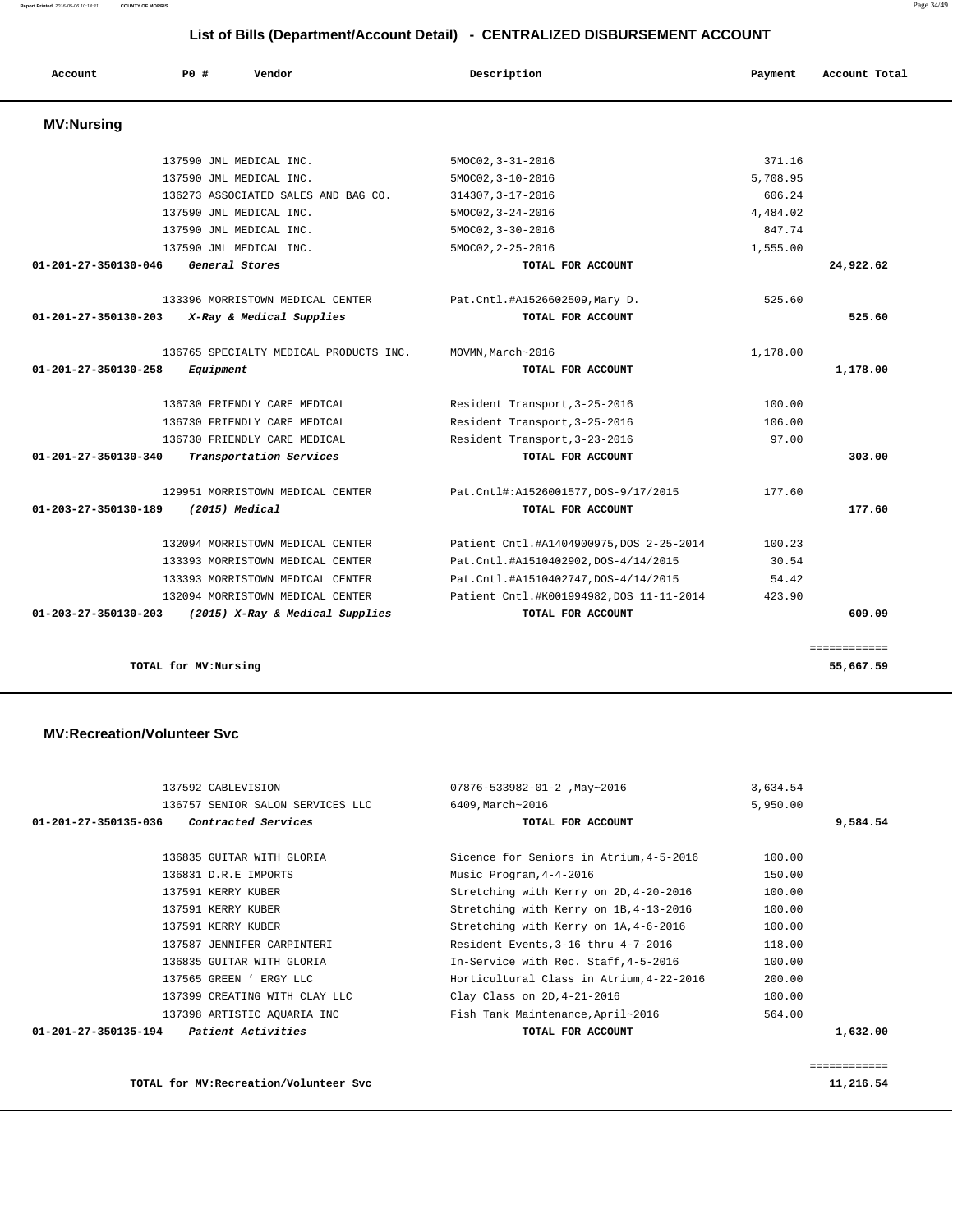**MV:Recreation/Volunteer Svc**

 **MV:Nursing** 

| 137592 CABLEVISION<br>136757 SENIOR SALON SERVICES LLC | 07876-533982-01-2, May~2016<br>6409, March~2016 | 3,634.54<br>5,950.00 |          |
|--------------------------------------------------------|-------------------------------------------------|----------------------|----------|
| Contracted Services<br>01-201-27-350135-036            | TOTAL FOR ACCOUNT                               |                      | 9,584.54 |
| 136835 GUITAR WITH GLORIA                              | Sicence for Seniors in Atrium, 4-5-2016         | 100.00               |          |
| 136831 D.R.E IMPORTS                                   | Music Program, 4-4-2016                         | 150.00               |          |
| 137591 KERRY KUBER                                     | Stretching with Kerry on 2D, 4-20-2016          | 100.00               |          |
| 137591 KERRY KUBER                                     | Stretching with Kerry on 1B, 4-13-2016          | 100.00               |          |
| 137591 KERRY KUBER                                     | Stretching with Kerry on 1A, 4-6-2016           | 100.00               |          |
| 137587 JENNIFER CARPINTERI                             | Resident Events, 3-16 thru 4-7-2016             | 118.00               |          |
| 136835 GUITAR WITH GLORIA                              | In-Service with Rec. Staff, 4-5-2016            | 100.00               |          |
| 137565 GREEN ' ERGY LLC                                | Horticultural Class in Atrium, 4-22-2016        | 200.00               |          |
| 137399 CREATING WITH CLAY LLC                          | Clay Class on 2D, 4-21-2016                     | 100.00               |          |
| 137398 ARTISTIC AOUARIA INC                            | Fish Tank Maintenance, April~2016               | 564.00               |          |
| $01 - 201 - 27 - 350135 - 194$<br>Patient Activities   | TOTAL FOR ACCOUNT                               |                      | 1,632.00 |

============

**TOTAL for MV:Recreation/Volunteer Svc 11,216.54**

| 137590 JML MEDICAL INC.                                 | $5MOC02, 3-31-2016$                      | 371.16   |              |
|---------------------------------------------------------|------------------------------------------|----------|--------------|
| 137590 JML MEDICAL INC.                                 | $5MOCO2, 3-10-2016$                      | 5,708.95 |              |
| 136273 ASSOCIATED SALES AND BAG CO.                     | 314307, 3-17-2016                        | 606.24   |              |
| 137590 JML MEDICAL INC.                                 | $5MOCO2, 3-24-2016$                      | 4,484.02 |              |
| 137590 JML MEDICAL INC.                                 | $5MOCO2, 3-30-2016$                      | 847.74   |              |
| 137590 JML MEDICAL INC.                                 | 5MOC02, 2-25-2016                        | 1,555.00 |              |
| General Stores<br>01-201-27-350130-046                  | TOTAL FOR ACCOUNT                        |          | 24,922.62    |
| 133396 MORRISTOWN MEDICAL CENTER                        | Pat.Cntl.#A1526602509,Mary D.            | 525.60   |              |
| 01-201-27-350130-203<br>X-Ray & Medical Supplies        | TOTAL FOR ACCOUNT                        |          | 525.60       |
| 136765 SPECIALTY MEDICAL PRODUCTS INC.                  | MOVMN, March~2016                        | 1,178.00 |              |
| 01-201-27-350130-258<br>Equipment                       | TOTAL FOR ACCOUNT                        |          | 1,178.00     |
| 136730 FRIENDLY CARE MEDICAL                            | Resident Transport, 3-25-2016            | 100.00   |              |
| 136730 FRIENDLY CARE MEDICAL                            | Resident Transport, 3-25-2016            | 106.00   |              |
| 136730 FRIENDLY CARE MEDICAL                            | Resident Transport, 3-23-2016            | 97.00    |              |
| 01-201-27-350130-340<br>Transportation Services         | TOTAL FOR ACCOUNT                        |          | 303.00       |
| 129951 MORRISTOWN MEDICAL CENTER                        | Pat.Cntl#:A1526001577,DOS-9/17/2015      | 177.60   |              |
| 01-203-27-350130-189<br>(2015) Medical                  | TOTAL FOR ACCOUNT                        |          | 177.60       |
| 132094 MORRISTOWN MEDICAL CENTER                        | Patient Cntl.#A1404900975, DOS 2-25-2014 | 100.23   |              |
| 133393 MORRISTOWN MEDICAL CENTER                        | Pat.Cntl.#A1510402902, DOS-4/14/2015     | 30.54    |              |
| 133393 MORRISTOWN MEDICAL CENTER                        | Pat. Cntl.#A1510402747, DOS-4/14/2015    | 54.42    |              |
| 132094 MORRISTOWN MEDICAL CENTER                        | Patient Cntl.#K001994982, DOS 11-11-2014 | 423.90   |              |
| 01-203-27-350130-203<br>(2015) X-Ray & Medical Supplies | TOTAL FOR ACCOUNT                        |          | 609.09       |
|                                                         |                                          |          | ============ |
| TOTAL for MV:Nursing                                    |                                          |          | 55,667.59    |

 **Account P0 # Vendor Description Payment Account Total**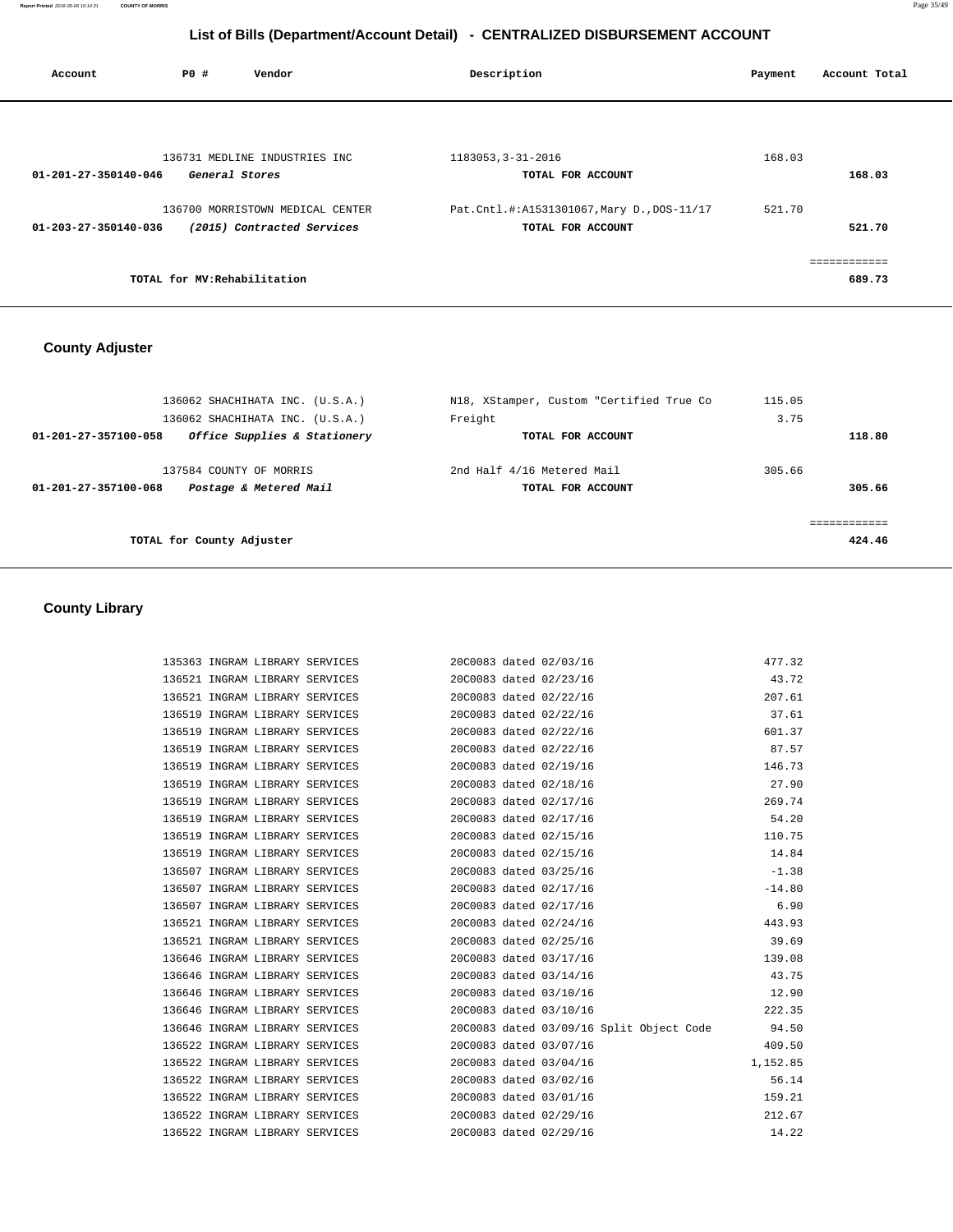**Report Printed** 2016-05-06 10:14:31 **COUNTY OF MORRIS** Page 35/49

# **List of Bills (Department/Account Detail) - CENTRALIZED DISBURSEMENT ACCOUNT**

| Account              | PO#                          | Vendor                           | Description                              | Payment | Account Total |
|----------------------|------------------------------|----------------------------------|------------------------------------------|---------|---------------|
|                      |                              |                                  |                                          |         |               |
|                      |                              | 136731 MEDLINE INDUSTRIES INC    | 1183053, 3-31-2016                       | 168.03  |               |
| 01-201-27-350140-046 | General Stores               |                                  | TOTAL FOR ACCOUNT                        |         | 168.03        |
|                      |                              | 136700 MORRISTOWN MEDICAL CENTER | Pat.Cntl.#:A1531301067,Mary D.,DOS-11/17 | 521.70  |               |
| 01-203-27-350140-036 |                              | (2015) Contracted Services       | TOTAL FOR ACCOUNT                        |         | 521.70        |
|                      |                              |                                  |                                          |         | ------------  |
|                      | TOTAL for MV: Rehabilitation |                                  |                                          |         | 689.73        |

# **County Adjuster**

| 136062 SHACHIHATA INC. (U.S.A.)<br>136062 SHACHIHATA INC. (U.S.A.) | N18, XStamper, Custom "Certified True Co<br>Freight | 115.05<br>3.75 |                        |
|--------------------------------------------------------------------|-----------------------------------------------------|----------------|------------------------|
| Office Supplies & Stationery<br>01-201-27-357100-058               | TOTAL FOR ACCOUNT                                   |                | 118.80                 |
| 137584 COUNTY OF MORRIS                                            | 2nd Half 4/16 Metered Mail                          | 305.66         |                        |
| Postage & Metered Mail<br>01-201-27-357100-068                     | TOTAL FOR ACCOUNT                                   |                | 305.66                 |
| TOTAL for County Adjuster                                          |                                                     |                | ------------<br>424.46 |

# **County Library**

| 135363 INGRAM LIBRARY SERVICES |                                | 20C0083 dated 02/03/16                                | 477.32                                                                        |
|--------------------------------|--------------------------------|-------------------------------------------------------|-------------------------------------------------------------------------------|
| 136521 INGRAM LIBRARY SERVICES |                                | 20C0083 dated 02/23/16                                | 43.72                                                                         |
|                                |                                | 136521 INGRAM LIBRARY SERVICES 20C0083 dated 02/22/16 | 207.61                                                                        |
|                                |                                | 136519 INGRAM LIBRARY SERVICES 20C0083 dated 02/22/16 | 37.61                                                                         |
|                                |                                | 136519 INGRAM LIBRARY SERVICES 20C0083 dated 02/22/16 | 601.37                                                                        |
|                                |                                | 136519 INGRAM LIBRARY SERVICES 20C0083 dated 02/22/16 | 87.57                                                                         |
|                                |                                | 136519 INGRAM LIBRARY SERVICES 20C0083 dated 02/19/16 | 146.73                                                                        |
| 136519 INGRAM LIBRARY SERVICES |                                | 20C0083 dated 02/18/16                                | 27.90                                                                         |
|                                |                                | 136519 INGRAM LIBRARY SERVICES 20C0083 dated 02/17/16 | 269.74                                                                        |
|                                |                                | 136519 INGRAM LIBRARY SERVICES 20C0083 dated 02/17/16 | 54.20                                                                         |
|                                |                                | 136519 INGRAM LIBRARY SERVICES 20C0083 dated 02/15/16 | 110.75                                                                        |
|                                |                                | 136519 INGRAM LIBRARY SERVICES 20C0083 dated 02/15/16 | 14.84                                                                         |
|                                |                                | 136507 INGRAM LIBRARY SERVICES 20C0083 dated 03/25/16 | $-1.38$                                                                       |
|                                |                                | 136507 INGRAM LIBRARY SERVICES 20C0083 dated 02/17/16 | $-14.80$                                                                      |
| 136507 INGRAM LIBRARY SERVICES |                                | 20C0083 dated 02/17/16                                | 6.90                                                                          |
|                                |                                | 136521 INGRAM LIBRARY SERVICES 20C0083 dated 02/24/16 | 443.93                                                                        |
|                                |                                | 136521 INGRAM LIBRARY SERVICES 20C0083 dated 02/25/16 | 39.69                                                                         |
|                                |                                | 136646 INGRAM LIBRARY SERVICES 20C0083 dated 03/17/16 | 139.08                                                                        |
|                                |                                | 136646 INGRAM LIBRARY SERVICES 20C0083 dated 03/14/16 | 43.75                                                                         |
|                                | 136646 INGRAM LIBRARY SERVICES | 20C0083 dated 03/10/16                                | 12.90                                                                         |
|                                |                                | 136646 INGRAM LIBRARY SERVICES 20C0083 dated 03/10/16 | 222.35                                                                        |
|                                |                                |                                                       | 136646 INGRAM LIBRARY SERVICES 20C0083 dated 03/09/16 Split Object Code 94.50 |
|                                | 136522 INGRAM LIBRARY SERVICES | 20C0083 dated 03/07/16                                | 409.50                                                                        |
|                                |                                | 136522 INGRAM LIBRARY SERVICES 20C0083 dated 03/04/16 | 1,152.85                                                                      |
| 136522 INGRAM LIBRARY SERVICES |                                | 20C0083 dated 03/02/16                                | 56.14                                                                         |
|                                |                                | 136522 INGRAM LIBRARY SERVICES 20C0083 dated 03/01/16 | 159.21                                                                        |
| 136522 INGRAM LIBRARY SERVICES |                                | 20C0083 dated 02/29/16                                | 212.67                                                                        |
| 136522 INGRAM LIBRARY SERVICES |                                | 20C0083 dated 02/29/16                                | 14.22                                                                         |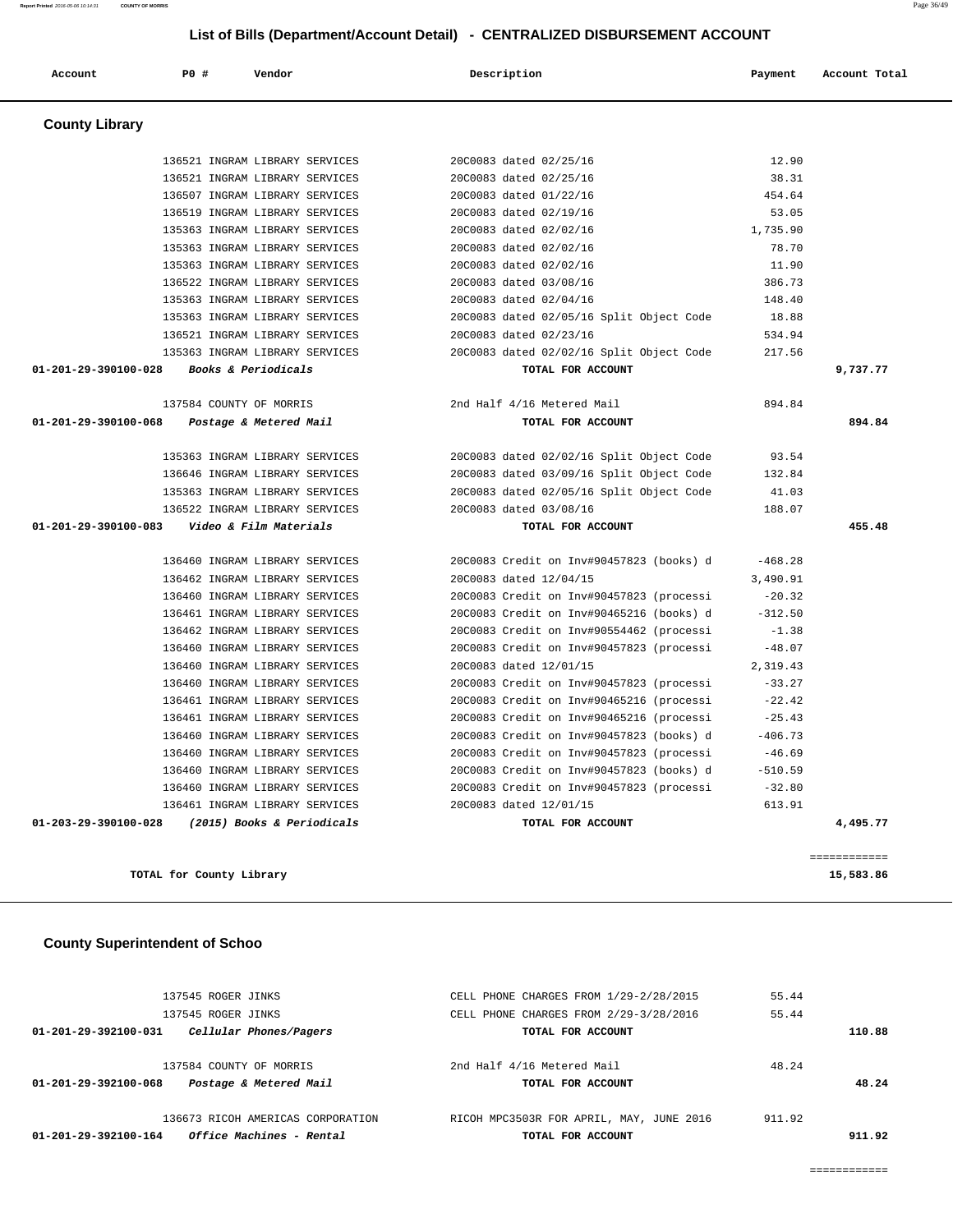| Office Machines - Rental<br>01-201-29-392100-164 | TOTAL FOR ACCOUNT                        |        | 911.92 |
|--------------------------------------------------|------------------------------------------|--------|--------|
| 136673 RICOH AMERICAS CORPORATION                | RICOH MPC3503R FOR APRIL, MAY, JUNE 2016 | 911.92 |        |
| Postage & Metered Mail<br>01-201-29-392100-068   | TOTAL FOR ACCOUNT                        |        | 48.24  |
| 137584 COUNTY OF MORRIS                          | 2nd Half 4/16 Metered Mail               | 48.24  |        |
| Cellular Phones/Pagers<br>01-201-29-392100-031   | TOTAL FOR ACCOUNT                        |        | 110.88 |
| 137545 ROGER JINKS                               | CELL PHONE CHARGES FROM 2/29-3/28/2016   | 55.44  |        |

137545 ROGER JINKS CELL PHONE CHARGES FROM 1/29-2/28/2015 55.44

**TOTAL for County Library 15,583.86**

# **County Superintendent of Schoo**

 135363 INGRAM LIBRARY SERVICES 20C0083 dated 02/02/16 1,735.90 135363 INGRAM LIBRARY SERVICES 20C0083 dated 02/02/16 78.70 135363 INGRAM LIBRARY SERVICES 20C0083 dated 02/02/16 11.90 136522 INGRAM LIBRARY SERVICES 20C0083 dated 03/08/16 386.73 135363 INGRAM LIBRARY SERVICES 20C0083 dated 02/04/16 148.40 135363 INGRAM LIBRARY SERVICES 20C0083 dated 02/05/16 Split Object Code 18.88 136521 INGRAM LIBRARY SERVICES 20C0083 dated 02/23/16 534.94 135363 INGRAM LIBRARY SERVICES 20C0083 dated 02/02/16 Split Object Code 217.56 137584 COUNTY OF MORRIS 2nd Half 4/16 Metered Mail 894.84 135363 INGRAM LIBRARY SERVICES 20C0083 dated 02/02/16 Split Object Code 93.54 136646 INGRAM LIBRARY SERVICES 20C0083 dated 03/09/16 Split Object Code 132.84 135363 INGRAM LIBRARY SERVICES 20C0083 dated 02/05/16 Split Object Code 41.03 136522 INGRAM LIBRARY SERVICES 20C0083 dated 03/08/16 188.07 136460 INGRAM LIBRARY SERVICES 20C0083 Credit on Inv#90457823 (books) d -468.28 136462 INGRAM LIBRARY SERVICES 20C0083 dated 12/04/15 3,490.91 136460 INGRAM LIBRARY SERVICES 20C0083 Credit on Inv#90457823 (processi -20.32 136461 INGRAM LIBRARY SERVICES 20C0083 Credit on Inv#90465216 (books) d -312.50 136462 INGRAM LIBRARY SERVICES 20C0083 Credit on Inv#90554462 (processi -1.38 136460 INGRAM LIBRARY SERVICES 20C0083 Credit on Inv#90457823 (processi -48.07 136460 INGRAM LIBRARY SERVICES 20C0083 dated 12/01/15 2,319.43 136460 INGRAM LIBRARY SERVICES 20C0083 Credit on Inv#90457823 (processi -33.27 136461 INGRAM LIBRARY SERVICES 20C0083 Credit on Inv#90465216 (processi -22.42 136461 INGRAM LIBRARY SERVICES 20C0083 Credit on Inv#90465216 (processi -25.43 136460 INGRAM LIBRARY SERVICES 20C0083 Credit on Inv#90457823 (books) d -406.73 136460 INGRAM LIBRARY SERVICES 20C0083 Credit on Inv#90457823 (processi -46.69 136460 INGRAM LIBRARY SERVICES 20C0083 Credit on Inv#90457823 (books) d -510.59 136460 INGRAM LIBRARY SERVICES 20C0083 Credit on Inv#90457823 (processi -32.80 136461 INGRAM LIBRARY SERVICES 20C0083 dated 12/01/15 613.91  **01-203-29-390100-028 (2015) Books & Periodicals TOTAL FOR ACCOUNT 4,495.77** ============

|                       | List of Bills (Department/Account Detail) - CENTRALIZED DISBURSEMENT ACCOUNT |                                |                                          |           |               |  |
|-----------------------|------------------------------------------------------------------------------|--------------------------------|------------------------------------------|-----------|---------------|--|
| Account               | P0 #                                                                         | Vendor                         | Description                              | Payment   | Account Total |  |
| <b>County Library</b> |                                                                              |                                |                                          |           |               |  |
|                       |                                                                              | 136521 INGRAM LIBRARY SERVICES | 20C0083 dated 02/25/16                   | 12.90     |               |  |
|                       |                                                                              | 136521 INGRAM LIBRARY SERVICES | 20C0083 dated 02/25/16                   | 38.31     |               |  |
|                       |                                                                              | 136507 INGRAM LIBRARY SERVICES | 20C0083 dated 01/22/16                   | 454.64    |               |  |
|                       |                                                                              | 136519 INGRAM LIBRARY SERVICES | 20C0083 dated 02/19/16                   | 53.05     |               |  |
|                       |                                                                              | 135363 INGRAM LIBRARY SERVICES | 20C0083 dated 02/02/16                   | 1,735.90  |               |  |
|                       |                                                                              | 135363 INGRAM LIBRARY SERVICES | 20C0083 dated 02/02/16                   | 78.70     |               |  |
|                       |                                                                              | 135363 INGRAM LIBRARY SERVICES | 20C0083 dated 02/02/16                   | 11.90     |               |  |
|                       |                                                                              | 136522 INGRAM LIBRARY SERVICES | 20C0083 dated 03/08/16                   | 386.73    |               |  |
|                       |                                                                              | 135363 INGRAM LIBRARY SERVICES | 20C0083 dated 02/04/16                   | 148.40    |               |  |
|                       |                                                                              | 135363 INGRAM LIBRARY SERVICES | 20C0083 dated 02/05/16 Split Object Code | 18.88     |               |  |
|                       |                                                                              | 136521 INGRAM LIBRARY SERVICES | 20C0083 dated 02/23/16                   | 534.94    |               |  |
|                       |                                                                              | 135363 INGRAM LIBRARY SERVICES | 20C0083 dated 02/02/16 Split Object Code | 217.56    |               |  |
| 01-201-29-390100-028  |                                                                              | Books & Periodicals            | TOTAL FOR ACCOUNT                        |           | 9,737.77      |  |
|                       | 137584 COUNTY OF MORRIS                                                      |                                | 2nd Half 4/16 Metered Mail               | 894.84    |               |  |
| 01-201-29-390100-068  |                                                                              | Postage & Metered Mail         | TOTAL FOR ACCOUNT                        |           | 894.84        |  |
|                       |                                                                              |                                |                                          |           |               |  |
|                       |                                                                              | 135363 INGRAM LIBRARY SERVICES | 20C0083 dated 02/02/16 Split Object Code | 93.54     |               |  |
|                       |                                                                              | 136646 INGRAM LIBRARY SERVICES | 20C0083 dated 03/09/16 Split Object Code | 132.84    |               |  |
|                       |                                                                              | 135363 INGRAM LIBRARY SERVICES | 20C0083 dated 02/05/16 Split Object Code | 41.03     |               |  |
|                       |                                                                              | 136522 INGRAM LIBRARY SERVICES | 20C0083 dated 03/08/16                   | 188.07    |               |  |
| 01-201-29-390100-083  |                                                                              | Video & Film Materials         | TOTAL FOR ACCOUNT                        |           | 455.48        |  |
|                       |                                                                              | 136460 INGRAM LIBRARY SERVICES | 20C0083 Credit on Inv#90457823 (books) d | $-468.28$ |               |  |
|                       |                                                                              | 136462 INGRAM LIBRARY SERVICES | 20C0083 dated 12/04/15                   | 3,490.91  |               |  |
|                       |                                                                              | 136460 INGRAM LIBRARY SERVICES | 20C0083 Credit on Inv#90457823 (processi | $-20.32$  |               |  |
|                       |                                                                              | 136461 INGRAM LIBRARY SERVICES | 2000083 Credit on Inv#90465216 (books) d | $-312.50$ |               |  |
|                       |                                                                              | 136462 INGRAM LIBRARY SERVICES | 20C0083 Credit on Inv#90554462 (processi | $-1.38$   |               |  |
|                       |                                                                              | 136460 INGRAM LIBRARY SERVICES | 20C0083 Credit on Inv#90457823 (processi | $-48.07$  |               |  |
|                       |                                                                              | 136460 INGRAM LIBRARY SERVICES | 20C0083 dated 12/01/15                   | 2,319.43  |               |  |
|                       |                                                                              | 136460 INGRAM LIBRARY SERVICES | 20C0083 Credit on Inv#90457823 (processi | $-33.27$  |               |  |
|                       |                                                                              | 136461 INGRAM LIBRARY SERVICES | 20C0083 Credit on Inv#90465216 (processi | $-22.42$  |               |  |
|                       |                                                                              |                                |                                          |           |               |  |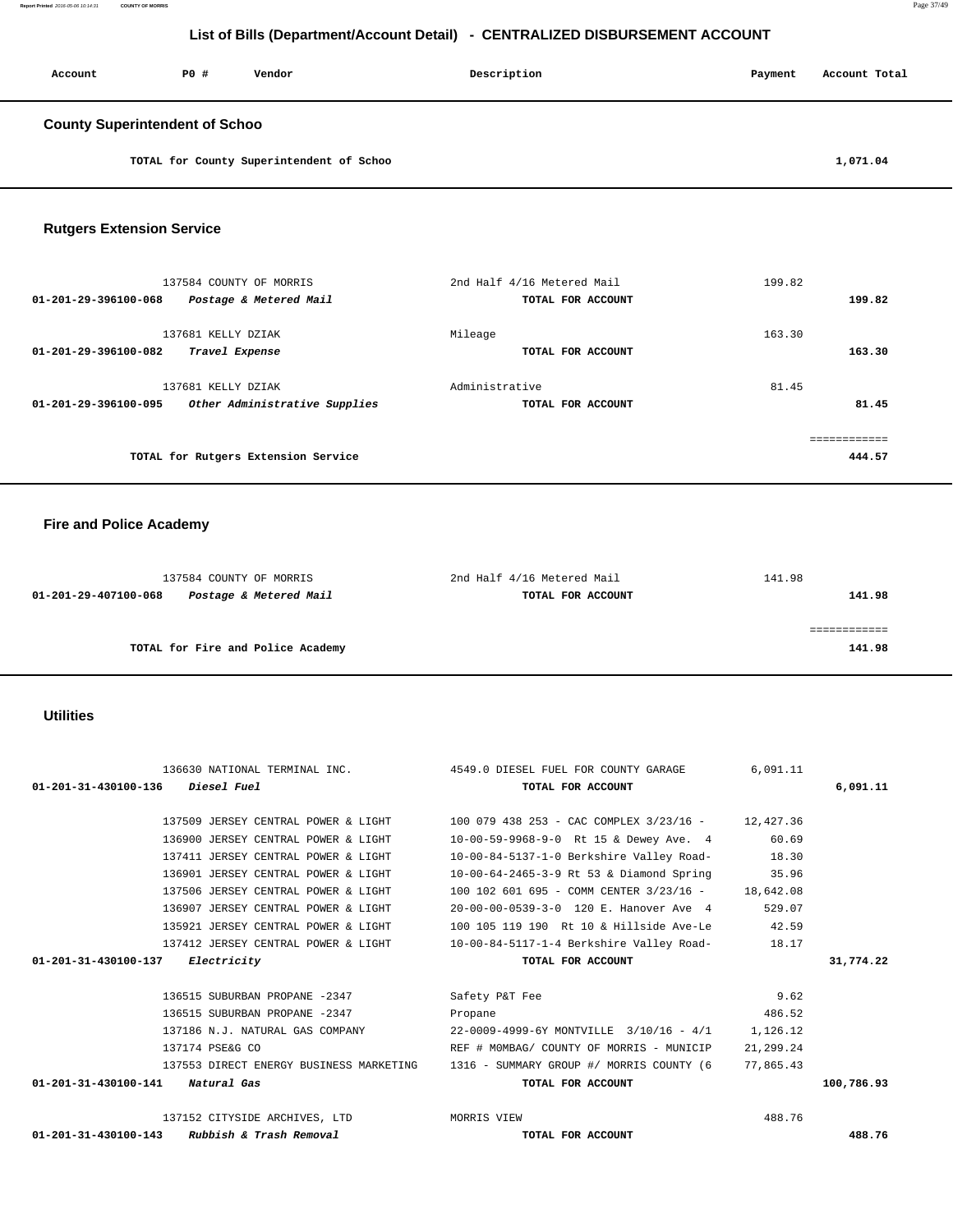| <b>PO #</b><br>Account<br>Vendor                                           | Description                                                                          | Payment        | Account Total |
|----------------------------------------------------------------------------|--------------------------------------------------------------------------------------|----------------|---------------|
|                                                                            |                                                                                      |                |               |
| <b>County Superintendent of Schoo</b>                                      |                                                                                      |                |               |
| TOTAL for County Superintendent of Schoo                                   |                                                                                      |                | 1,071.04      |
|                                                                            |                                                                                      |                |               |
|                                                                            |                                                                                      |                |               |
| <b>Rutgers Extension Service</b>                                           |                                                                                      |                |               |
|                                                                            |                                                                                      |                |               |
| 137584 COUNTY OF MORRIS                                                    | 2nd Half 4/16 Metered Mail                                                           | 199.82         |               |
| 01-201-29-396100-068<br>Postage & Metered Mail                             | TOTAL FOR ACCOUNT                                                                    |                | 199.82        |
| 137681 KELLY DZIAK                                                         | Mileage                                                                              | 163.30         |               |
| 01-201-29-396100-082<br>Travel Expense                                     | TOTAL FOR ACCOUNT                                                                    |                | 163.30        |
| 137681 KELLY DZIAK                                                         | Administrative                                                                       | 81.45          |               |
| 01-201-29-396100-095<br>Other Administrative Supplies                      | TOTAL FOR ACCOUNT                                                                    |                | 81.45         |
|                                                                            |                                                                                      |                | ============  |
| TOTAL for Rutgers Extension Service                                        |                                                                                      |                | 444.57        |
|                                                                            |                                                                                      |                |               |
|                                                                            |                                                                                      |                |               |
| <b>Fire and Police Academy</b>                                             |                                                                                      |                |               |
|                                                                            |                                                                                      |                |               |
| 137584 COUNTY OF MORRIS                                                    | 2nd Half 4/16 Metered Mail                                                           | 141.98         |               |
| 01-201-29-407100-068<br>Postage & Metered Mail                             | TOTAL FOR ACCOUNT                                                                    |                | 141.98        |
|                                                                            |                                                                                      |                | ============  |
| TOTAL for Fire and Police Academy                                          |                                                                                      |                | 141.98        |
|                                                                            |                                                                                      |                |               |
|                                                                            |                                                                                      |                |               |
| <b>Utilities</b>                                                           |                                                                                      |                |               |
|                                                                            |                                                                                      |                |               |
| 136630 NATIONAL TERMINAL INC.                                              | 4549.0 DIESEL FUEL FOR COUNTY GARAGE                                                 | 6,091.11       |               |
| 01-201-31-430100-136<br>Diesel Fuel                                        | TOTAL FOR ACCOUNT                                                                    |                | 6,091.11      |
| 137509 JERSEY CENTRAL POWER & LIGHT                                        | 100 079 438 253 - CAC COMPLEX 3/23/16 -                                              | 12,427.36      |               |
| 136900 JERSEY CENTRAL POWER & LIGHT                                        | 10-00-59-9968-9-0 Rt 15 & Dewey Ave. 4                                               | 60.69          |               |
| 137411 JERSEY CENTRAL POWER & LIGHT<br>136901 JERSEY CENTRAL POWER & LIGHT | 10-00-84-5137-1-0 Berkshire Valley Road-<br>10-00-64-2465-3-9 Rt 53 & Diamond Spring | 18.30<br>35.96 |               |
| 137506 JERSEY CENTRAL POWER & LIGHT                                        | 100 102 601 695 - COMM CENTER 3/23/16 -                                              | 18,642.08      |               |
| 136907 JERSEY CENTRAL POWER & LIGHT                                        | 20-00-00-0539-3-0 120 E. Hanover Ave 4                                               | 529.07         |               |
| 135921 JERSEY CENTRAL POWER & LIGHT                                        | 100 105 119 190 Rt 10 & Hillside Ave-Le                                              | 42.59          |               |
| 137412 JERSEY CENTRAL POWER & LIGHT                                        | 10-00-84-5117-1-4 Berkshire Valley Road-                                             | 18.17          |               |
| 01-201-31-430100-137<br>Electricity                                        | TOTAL FOR ACCOUNT                                                                    |                | 31,774.22     |
| 136515 SUBURBAN PROPANE -2347                                              | Safety P&T Fee                                                                       | 9.62           |               |
| 136515 SUBURBAN PROPANE -2347                                              | Propane                                                                              | 486.52         |               |
| 137186 N.J. NATURAL GAS COMPANY                                            | 22-0009-4999-6Y MONTVILLE 3/10/16 - 4/1                                              | 1,126.12       |               |
| 137174 PSE&G CO                                                            | REF # MOMBAG/ COUNTY OF MORRIS - MUNICIP                                             | 21,299.24      |               |
| 137553 DIRECT ENERGY BUSINESS MARKETING                                    | 1316 - SUMMARY GROUP #/ MORRIS COUNTY (6                                             | 77,865.43      |               |
| 01-201-31-430100-141<br>Natural Gas                                        |                                                                                      |                |               |
|                                                                            | TOTAL FOR ACCOUNT                                                                    |                | 100,786.93    |
| 137152 CITYSIDE ARCHIVES, LTD                                              | MORRIS VIEW                                                                          | 488.76         |               |

**Report Printed** 2016-05-06 10:14:31 **COUNTY OF MORRIS** Page 37/49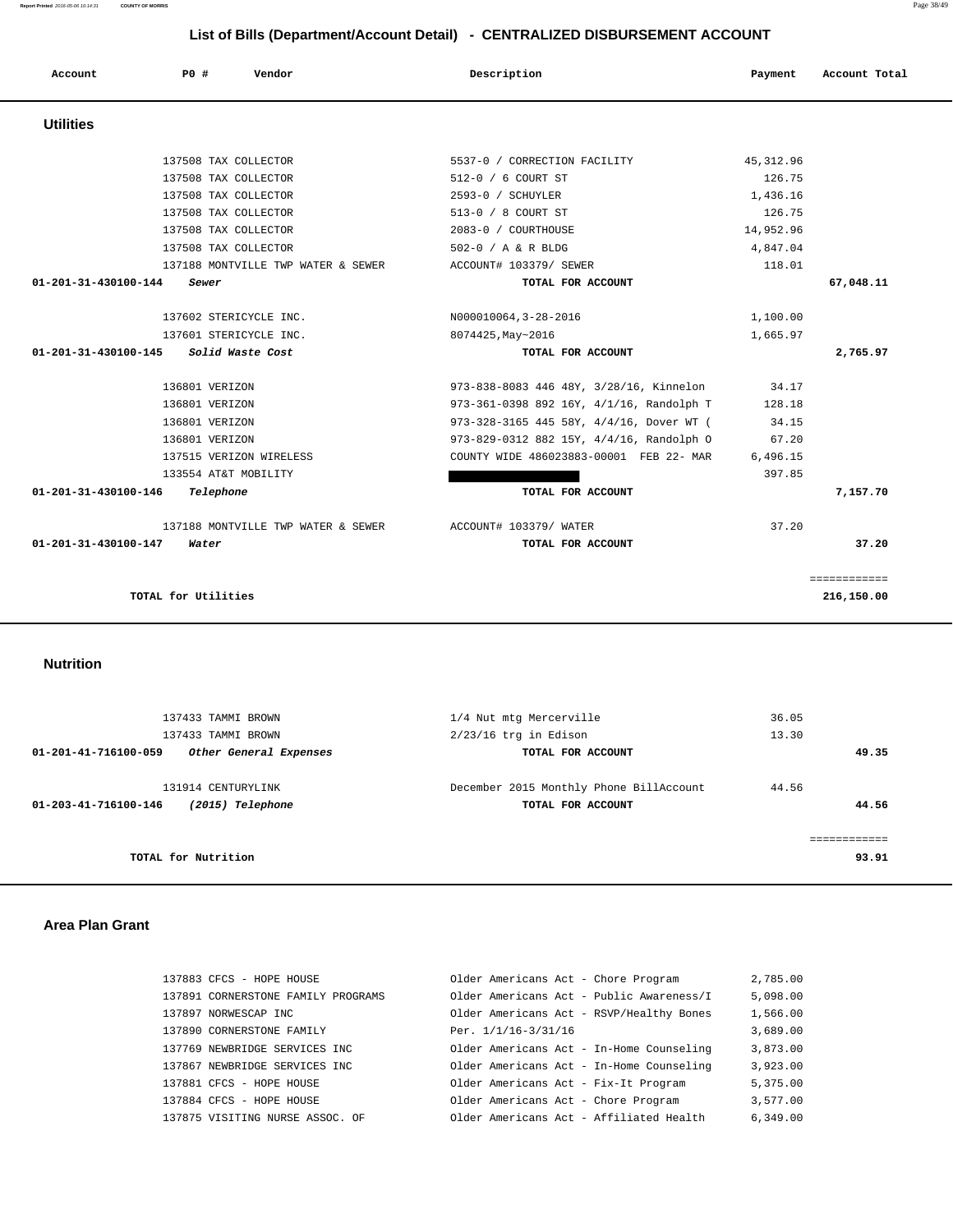| Account              | P0 #                   | Vendor                             | Description                              | Payment    | Account Total |
|----------------------|------------------------|------------------------------------|------------------------------------------|------------|---------------|
| <b>Utilities</b>     |                        |                                    |                                          |            |               |
|                      | 137508 TAX COLLECTOR   |                                    | 5537-0 / CORRECTION FACILITY             | 45, 312.96 |               |
|                      | 137508 TAX COLLECTOR   |                                    | 512-0 / 6 COURT ST                       | 126.75     |               |
|                      | 137508 TAX COLLECTOR   |                                    | 2593-0 / SCHUYLER                        | 1,436.16   |               |
|                      | 137508 TAX COLLECTOR   |                                    | 513-0 / 8 COURT ST                       | 126.75     |               |
|                      | 137508 TAX COLLECTOR   |                                    | 2083-0 / COURTHOUSE                      | 14,952.96  |               |
|                      | 137508 TAX COLLECTOR   |                                    | 502-0 / A & R BLDG                       | 4,847.04   |               |
|                      |                        | 137188 MONTVILLE TWP WATER & SEWER | ACCOUNT# 103379/ SEWER                   | 118.01     |               |
| 01-201-31-430100-144 | Sewer                  |                                    | TOTAL FOR ACCOUNT                        |            | 67,048.11     |
|                      | 137602 STERICYCLE INC. |                                    | N000010064, 3-28-2016                    | 1,100.00   |               |
|                      | 137601 STERICYCLE INC. |                                    | 8074425, May~2016                        | 1,665.97   |               |
| 01-201-31-430100-145 |                        | Solid Waste Cost                   | TOTAL FOR ACCOUNT                        |            | 2,765.97      |
|                      | 136801 VERIZON         |                                    | 973-838-8083 446 48Y, 3/28/16, Kinnelon  | 34.17      |               |
|                      | 136801 VERIZON         |                                    | 973-361-0398 892 16Y, 4/1/16, Randolph T | 128.18     |               |
|                      | 136801 VERIZON         |                                    | 973-328-3165 445 58Y, 4/4/16, Dover WT ( | 34.15      |               |
|                      | 136801 VERIZON         |                                    | 973-829-0312 882 15Y, 4/4/16, Randolph O | 67.20      |               |
|                      |                        | 137515 VERIZON WIRELESS            | COUNTY WIDE 486023883-00001 FEB 22- MAR  | 6,496.15   |               |
|                      | 133554 AT&T MOBILITY   |                                    |                                          | 397.85     |               |
| 01-201-31-430100-146 | Telephone              |                                    | TOTAL FOR ACCOUNT                        |            | 7,157.70      |
|                      |                        | 137188 MONTVILLE TWP WATER & SEWER | ACCOUNT# 103379/ WATER                   | 37.20      |               |
| 01-201-31-430100-147 | Water                  |                                    | TOTAL FOR ACCOUNT                        |            | 37.20         |
|                      |                        |                                    |                                          |            | ============  |
|                      | TOTAL for Utilities    |                                    |                                          |            | 216,150.00    |

 **Nutrition** 

|              | 36.05 | 1/4 Nut mtg Mercerville                 | 137433 TAMMI BROWN     |                      |
|--------------|-------|-----------------------------------------|------------------------|----------------------|
|              | 13.30 | $2/23/16$ trq in Edison                 | 137433 TAMMI BROWN     |                      |
| 49.35        |       | TOTAL FOR ACCOUNT                       | Other General Expenses | 01-201-41-716100-059 |
|              |       |                                         |                        |                      |
|              | 44.56 | December 2015 Monthly Phone BillAccount | 131914 CENTURYLINK     |                      |
| 44.56        |       | TOTAL FOR ACCOUNT                       | (2015) Telephone       | 01-203-41-716100-146 |
|              |       |                                         |                        |                      |
| ------------ |       |                                         |                        |                      |
| 93.91        |       |                                         | TOTAL for Nutrition    |                      |

## **Area Plan Grant**

| 137883 CFCS - HOPE HOUSE           | Older Americans Act - Chore Program      | 2,785.00 |
|------------------------------------|------------------------------------------|----------|
| 137891 CORNERSTONE FAMILY PROGRAMS | Older Americans Act - Public Awareness/I | 5,098.00 |
| 137897 NORWESCAP INC               | Older Americans Act - RSVP/Healthy Bones | 1,566.00 |
| 137890 CORNERSTONE FAMILY          | Per. 1/1/16-3/31/16                      | 3,689.00 |
| 137769 NEWBRIDGE SERVICES INC      | Older Americans Act - In-Home Counseling | 3,873.00 |
| 137867 NEWBRIDGE SERVICES INC      | Older Americans Act - In-Home Counseling | 3,923.00 |
| 137881 CFCS - HOPE HOUSE           | Older Americans Act - Fix-It Program     | 5,375.00 |
| 137884 CFCS - HOPE HOUSE           | Older Americans Act - Chore Program      | 3,577.00 |
| 137875 VISITING NURSE ASSOC. OF    | Older Americans Act - Affiliated Health  | 6,349.00 |

**Report Printed** 2016-05-06 10:14:31 **COUNTY OF MORRIS** Page 38/49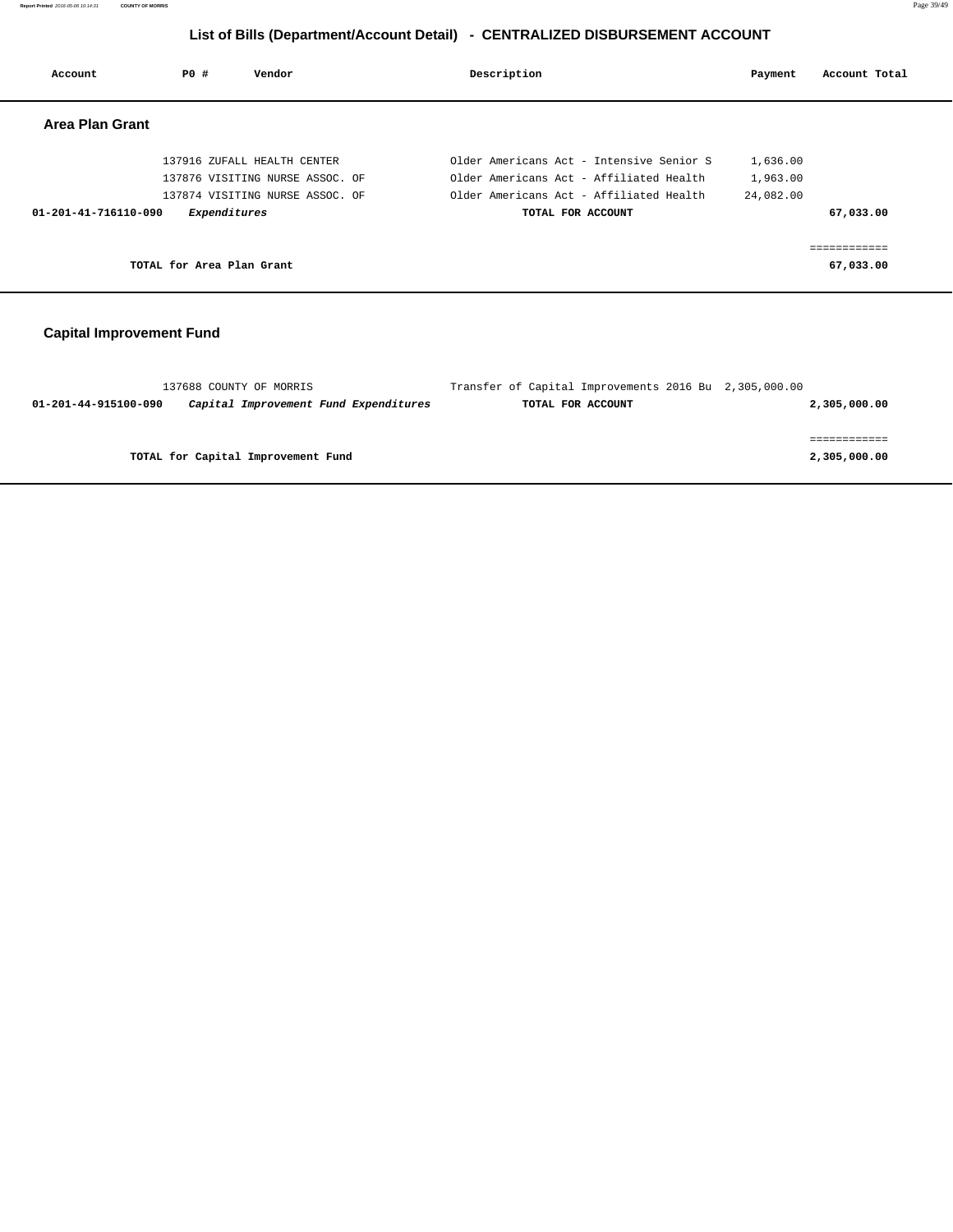**Report Printed** 2016-05-06 10:14:31 **COUNTY OF MORRIS** Page 39/49

# **List of Bills (Department/Account Detail) - CENTRALIZED DISBURSEMENT ACCOUNT**

| Account              | PO#                       | Vendor                          | Description                              | Payment   | Account Total |
|----------------------|---------------------------|---------------------------------|------------------------------------------|-----------|---------------|
| Area Plan Grant      |                           |                                 |                                          |           |               |
|                      |                           | 137916 ZUFALL HEALTH CENTER     | Older Americans Act - Intensive Senior S | 1,636.00  |               |
|                      |                           | 137876 VISITING NURSE ASSOC. OF | Older Americans Act - Affiliated Health  | 1,963.00  |               |
|                      |                           | 137874 VISITING NURSE ASSOC. OF | Older Americans Act - Affiliated Health  | 24,082.00 |               |
| 01-201-41-716110-090 | Expenditures              |                                 | TOTAL FOR ACCOUNT                        |           | 67,033.00     |
|                      | TOTAL for Area Plan Grant |                                 |                                          |           | 67,033.00     |
|                      |                           |                                 |                                          |           |               |

# **Capital Improvement Fund**

|                      | 137688 COUNTY OF MORRIS               | Transfer of Capital Improvements 2016 Bu 2,305,000.00 |              |
|----------------------|---------------------------------------|-------------------------------------------------------|--------------|
| 01-201-44-915100-090 | Capital Improvement Fund Expenditures | TOTAL FOR ACCOUNT                                     | 2,305,000.00 |
|                      |                                       |                                                       |              |
|                      |                                       |                                                       |              |
|                      | TOTAL for Capital Improvement Fund    |                                                       | 2,305,000.00 |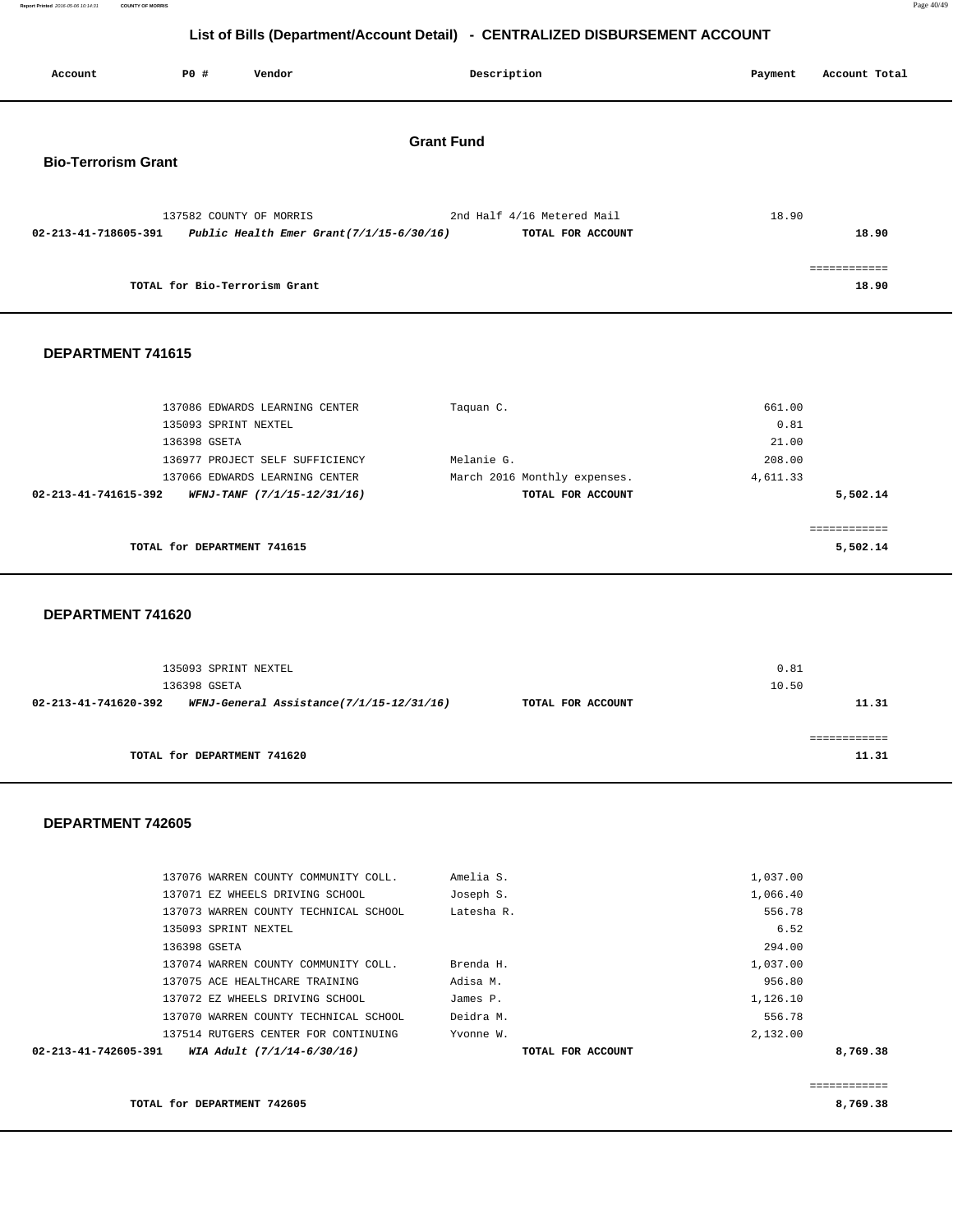**Report Printed** 2016-05-06 10:14:31 **COUNTY OF MORRIS** Page 40/49

## **List of Bills (Department/Account Detail) - CENTRALIZED DISBURSEMENT ACCOUNT**

| Account                    | P0 #                          | Vendor                                                                 | Description                                     | Payment<br>Account Total |
|----------------------------|-------------------------------|------------------------------------------------------------------------|-------------------------------------------------|--------------------------|
| <b>Bio-Terrorism Grant</b> |                               |                                                                        | <b>Grant Fund</b>                               |                          |
| 02-213-41-718605-391       |                               | 137582 COUNTY OF MORRIS<br>Public Health Emer Grant $(7/1/15-6/30/16)$ | 2nd Half 4/16 Metered Mail<br>TOTAL FOR ACCOUNT | 18.90<br>18.90           |
|                            | TOTAL for Bio-Terrorism Grant |                                                                        |                                                 | ============<br>18.90    |
| DEPARTMENT 741615          |                               |                                                                        |                                                 |                          |
|                            | 135093 SPRINT NEXTEL          | 137086 EDWARDS LEARNING CENTER                                         | Taquan C.                                       | 661.00<br>0.81           |
|                            | 136398 GSETA                  |                                                                        |                                                 | 21.00                    |
|                            |                               | 136977 PROJECT SELF SUFFICIENCY                                        | Melanie G.                                      | 208.00                   |
|                            |                               | 137066 EDWARDS LEARNING CENTER                                         | March 2016 Monthly expenses.                    | 4,611.33                 |
| 02-213-41-741615-392       |                               | WFNJ-TANF (7/1/15-12/31/16)                                            | TOTAL FOR ACCOUNT                               | 5,502.14                 |

|                             | -------------<br>------------ |
|-----------------------------|-------------------------------|
| TOTAL for DEPARTMENT 741615 | 5,502.14                      |

 **DEPARTMENT 741620** 

|                      | 135093 SPRINT NEXTEL<br>136398 GSETA     |                   | 0.81<br>10.50 |  |
|----------------------|------------------------------------------|-------------------|---------------|--|
| 02-213-41-741620-392 | WFNJ-General Assistance(7/1/15-12/31/16) | TOTAL FOR ACCOUNT | 11.31         |  |
|                      | TOTAL for DEPARTMENT 741620              |                   | 11.31         |  |

### **DEPARTMENT 742605**

|                      | 137076 WARREN COUNTY COMMUNITY COLL.  | Amelia S.         | 1,037.00 |          |
|----------------------|---------------------------------------|-------------------|----------|----------|
|                      | 137071 EZ WHEELS DRIVING SCHOOL       | Joseph S.         | 1,066.40 |          |
|                      | 137073 WARREN COUNTY TECHNICAL SCHOOL | Latesha R.        | 556.78   |          |
|                      | 135093 SPRINT NEXTEL                  |                   | 6.52     |          |
|                      | 136398 GSETA                          |                   | 294.00   |          |
|                      | 137074 WARREN COUNTY COMMUNITY COLL.  | Brenda H.         | 1,037.00 |          |
|                      | 137075 ACE HEALTHCARE TRAINING        | Adisa M.          | 956.80   |          |
|                      | 137072 EZ WHEELS DRIVING SCHOOL       | James P.          | 1,126.10 |          |
|                      | 137070 WARREN COUNTY TECHNICAL SCHOOL | Deidra M.         | 556.78   |          |
|                      | 137514 RUTGERS CENTER FOR CONTINUING  | Yvonne W.         | 2,132.00 |          |
| 02-213-41-742605-391 | WIA Adult (7/1/14-6/30/16)            | TOTAL FOR ACCOUNT |          | 8,769.38 |
|                      |                                       |                   |          |          |

**TOTAL for DEPARTMENT 742605 8,769.38**

============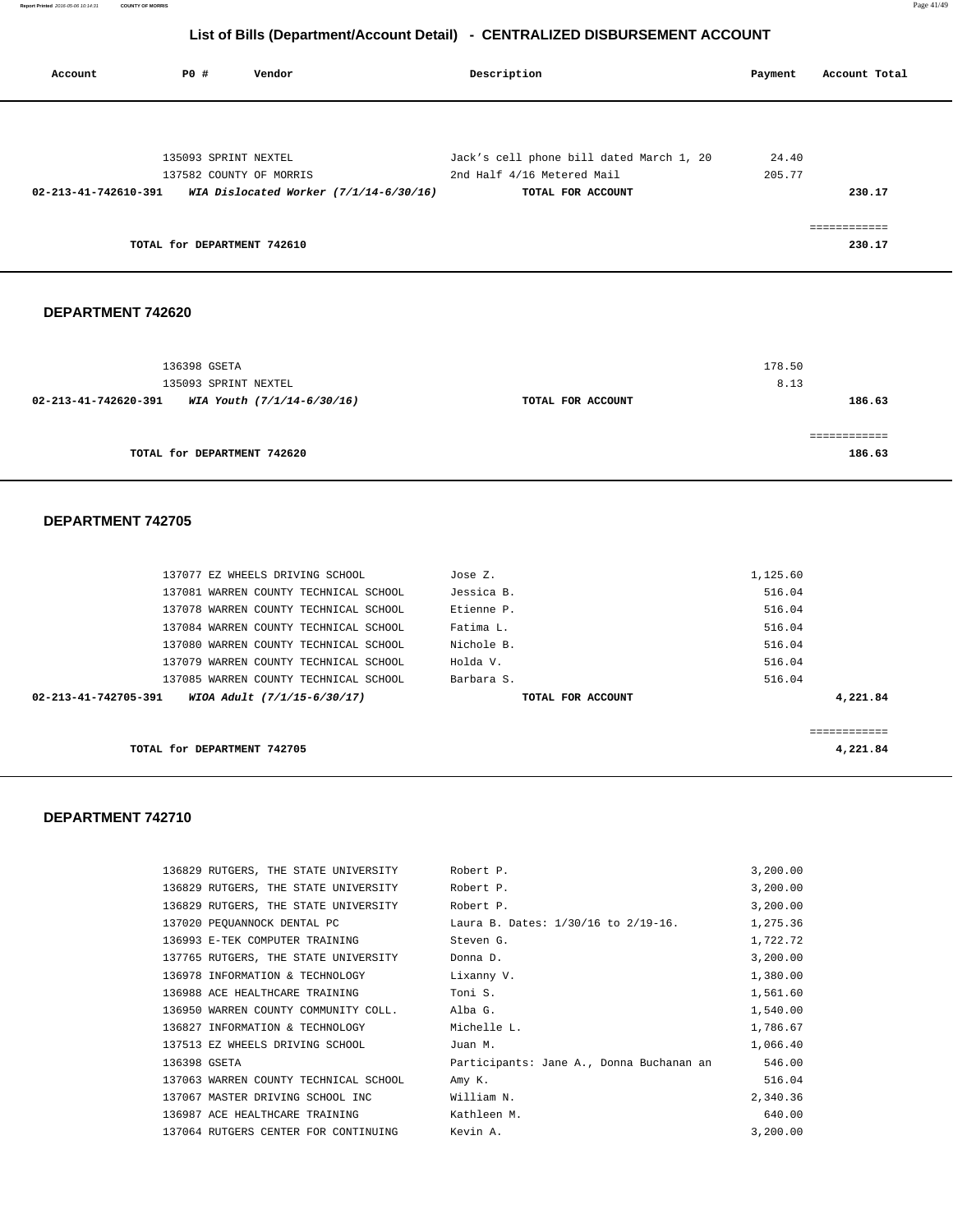| Account              | <b>PO #</b> | Vendor                                   | Description                              | Payment | Account Total |
|----------------------|-------------|------------------------------------------|------------------------------------------|---------|---------------|
|                      |             |                                          |                                          |         |               |
|                      |             | 135093 SPRINT NEXTEL                     | Jack's cell phone bill dated March 1, 20 | 24.40   |               |
|                      |             | 137582 COUNTY OF MORRIS                  | 2nd Half 4/16 Metered Mail               | 205.77  |               |
| 02-213-41-742610-391 |             | WIA Dislocated Worker $(7/1/14-6/30/16)$ | TOTAL FOR ACCOUNT                        |         | 230.17        |
|                      |             |                                          |                                          |         | ============  |
|                      |             | TOTAL for DEPARTMENT 742610              |                                          |         | 230.17        |
|                      |             |                                          |                                          |         |               |

#### **DEPARTMENT 742620**

| 136398 GSETA<br>135093 SPRINT NEXTEL               |                   | 178.50<br>8.13            |
|----------------------------------------------------|-------------------|---------------------------|
| WIA Youth (7/1/14-6/30/16)<br>02-213-41-742620-391 | TOTAL FOR ACCOUNT | 186.63                    |
| TOTAL for DEPARTMENT 742620                        |                   | . = = = = = = =<br>186.63 |

#### **DEPARTMENT 742705**

| TOTAL for DEPARTMENT 742705                         |                   | 4,221.84  |
|-----------------------------------------------------|-------------------|-----------|
|                                                     |                   | eeeeeeeee |
| 02-213-41-742705-391<br>WIOA Adult (7/1/15-6/30/17) | TOTAL FOR ACCOUNT | 4,221.84  |
| 137085 WARREN COUNTY TECHNICAL SCHOOL               | Barbara S.        | 516.04    |
| 137079 WARREN COUNTY TECHNICAL SCHOOL               | Holda V.          | 516.04    |
| 137080 WARREN COUNTY TECHNICAL SCHOOL               | Nichole B.        | 516.04    |
| 137084 WARREN COUNTY TECHNICAL SCHOOL               | Fatima L.         | 516.04    |
| 137078 WARREN COUNTY TECHNICAL SCHOOL               | Etienne P.        | 516.04    |
| 137081 WARREN COUNTY TECHNICAL SCHOOL               | Jessica B.        | 516.04    |
| 137077 EZ WHEELS DRIVING SCHOOL                     | Jose Z.           | 1,125.60  |

| 136829 RUTGERS, THE STATE UNIVERSITY           | Robert P.                                | 3,200.00 |
|------------------------------------------------|------------------------------------------|----------|
| 136829 RUTGERS, THE STATE UNIVERSITY Robert P. |                                          | 3,200.00 |
| 136829 RUTGERS, THE STATE UNIVERSITY           | Robert P.                                | 3,200.00 |
| 137020 PEOUANNOCK DENTAL PC                    | Laura B. Dates: 1/30/16 to 2/19-16.      | 1,275.36 |
| 136993 E-TEK COMPUTER TRAINING                 | Steven G.                                | 1,722.72 |
| 137765 RUTGERS, THE STATE UNIVERSITY           | Donna D.                                 | 3,200.00 |
| 136978 INFORMATION & TECHNOLOGY                | Lixanny V.                               | 1,380.00 |
| 136988 ACE HEALTHCARE TRAINING                 | Toni S.                                  | 1,561.60 |
| 136950 WARREN COUNTY COMMUNITY COLL.           | Alba G.                                  | 1,540.00 |
| 136827 INFORMATION & TECHNOLOGY                | Michelle L.                              | 1,786.67 |
| 137513 EZ WHEELS DRIVING SCHOOL                | Juan M.                                  | 1,066.40 |
| 136398 GSETA                                   | Participants: Jane A., Donna Buchanan an | 546.00   |
| 137063 WARREN COUNTY TECHNICAL SCHOOL          | Amy K.                                   | 516.04   |
| 137067 MASTER DRIVING SCHOOL INC               | William N.                               | 2,340.36 |
| 136987 ACE HEALTHCARE TRAINING                 | Kathleen M.                              | 640.00   |
| 137064 RUTGERS CENTER FOR CONTINUING           | Kevin A.                                 | 3,200.00 |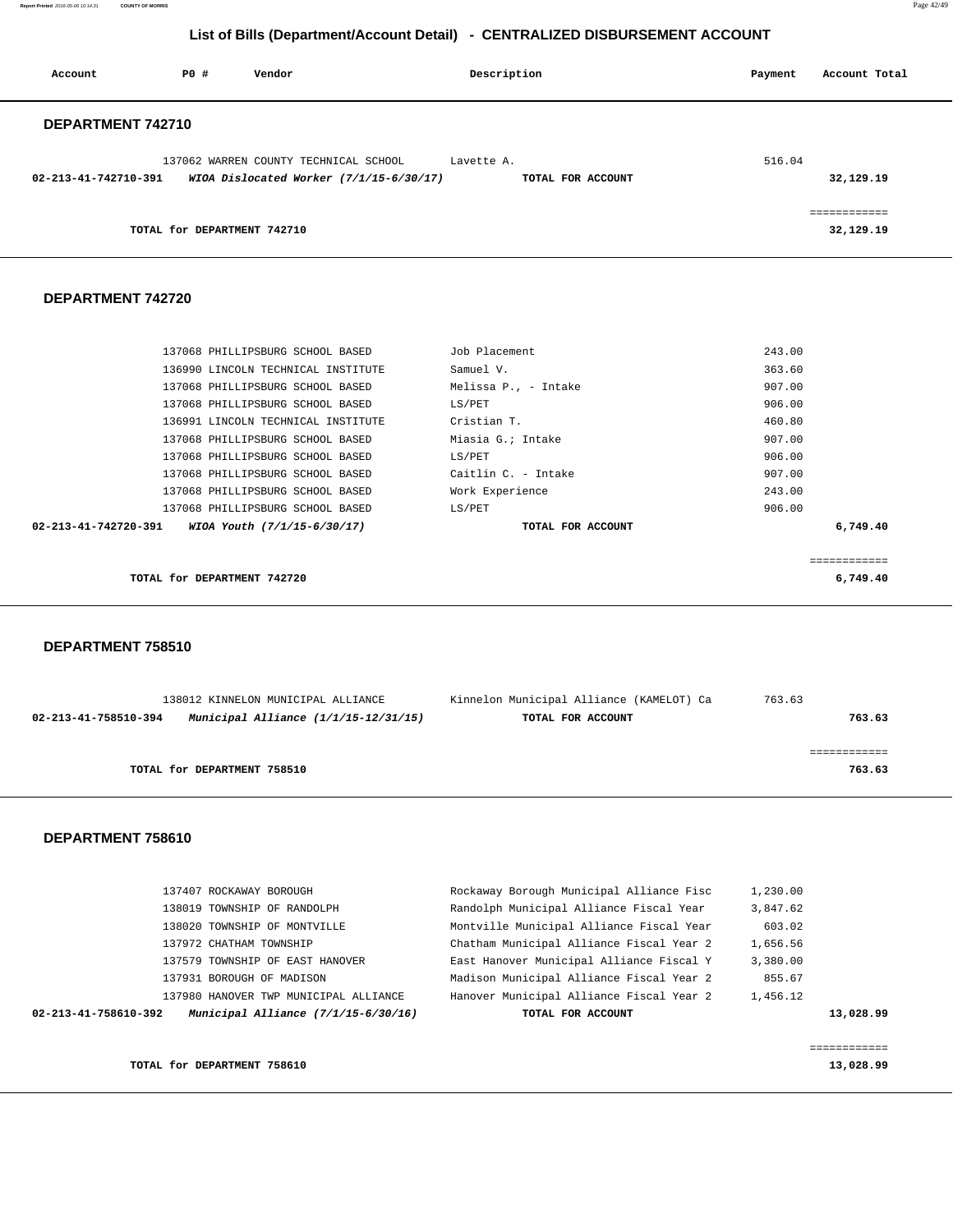**Report Printed** 2016-05-06 10:14:31 **COUNTY OF MORRIS** Page 42/49

# **List of Bills (Department/Account Detail) - CENTRALIZED DISBURSEMENT ACCOUNT**

| Account              | PO#                         | Vendor                                                                           |            | Description       | Payment | Account Total             |
|----------------------|-----------------------------|----------------------------------------------------------------------------------|------------|-------------------|---------|---------------------------|
| DEPARTMENT 742710    |                             |                                                                                  |            |                   |         |                           |
| 02-213-41-742710-391 |                             | 137062 WARREN COUNTY TECHNICAL SCHOOL<br>WIOA Dislocated Worker (7/1/15-6/30/17) | Lavette A. | TOTAL FOR ACCOUNT | 516.04  | 32,129.19                 |
|                      | TOTAL for DEPARTMENT 742710 |                                                                                  |            |                   |         | eessessesses<br>32,129.19 |

#### **DEPARTMENT 742720**

| 137068 PHILLIPSBURG SCHOOL BASED                    | Job Placement        | 243.00   |
|-----------------------------------------------------|----------------------|----------|
| 136990 LINCOLN TECHNICAL INSTITUTE                  | Samuel V.            | 363.60   |
| 137068 PHILLIPSBURG SCHOOL BASED                    | Melissa P., - Intake | 907.00   |
| 137068 PHILLIPSBURG SCHOOL BASED                    | LS/PET               | 906.00   |
| 136991 LINCOLN TECHNICAL INSTITUTE                  | Cristian T.          | 460.80   |
| 137068 PHILLIPSBURG SCHOOL BASED                    | Miasia G.; Intake    | 907.00   |
| 137068 PHILLIPSBURG SCHOOL BASED                    | LS/PET               | 906.00   |
| 137068 PHILLIPSBURG SCHOOL BASED                    | Caitlin C. - Intake  | 907.00   |
| 137068 PHILLIPSBURG SCHOOL BASED                    | Work Experience      | 243.00   |
| 137068 PHILLIPSBURG SCHOOL BASED                    | LS/PET               | 906.00   |
| 02-213-41-742720-391<br>WIOA Youth (7/1/15-6/30/17) | TOTAL FOR ACCOUNT    | 6,749.40 |
|                                                     |                      |          |
|                                                     |                      |          |
| TOTAL for DEPARTMENT 742720                         |                      | 6,749.40 |
|                                                     |                      |          |

#### **DEPARTMENT 758510**

|                      | 138012 KINNELON MUNICIPAL ALLIANCE   | Kinnelon Municipal Alliance (KAMELOT) Ca | 763.63 |
|----------------------|--------------------------------------|------------------------------------------|--------|
| 02-213-41-758510-394 | Municipal Alliance (1/1/15-12/31/15) | TOTAL FOR ACCOUNT                        | 763.63 |
|                      |                                      |                                          |        |
|                      |                                      |                                          |        |
|                      | TOTAL for DEPARTMENT 758510          |                                          | 763.63 |

#### **DEPARTMENT 758610**

| Municipal Alliance $(7/1/15-6/30/16)$<br>02-213-41-758610-392 | TOTAL FOR ACCOUNT                        |          | 13,028.99 |
|---------------------------------------------------------------|------------------------------------------|----------|-----------|
| 137980 HANOVER TWP MUNICIPAL ALLIANCE                         | Hanover Municipal Alliance Fiscal Year 2 | 1,456.12 |           |
| 137931 BOROUGH OF MADISON                                     | Madison Municipal Alliance Fiscal Year 2 | 855.67   |           |
| 137579 TOWNSHIP OF EAST HANOVER                               | East Hanover Municipal Alliance Fiscal Y | 3,380.00 |           |
| 137972 CHATHAM TOWNSHIP                                       | Chatham Municipal Alliance Fiscal Year 2 | 1,656.56 |           |
| 138020 TOWNSHIP OF MONTVILLE                                  | Montville Municipal Alliance Fiscal Year | 603.02   |           |
| 138019 TOWNSHIP OF RANDOLPH                                   | Randolph Municipal Alliance Fiscal Year  | 3,847.62 |           |
| 137407 ROCKAWAY BOROUGH                                       | Rockaway Borough Municipal Alliance Fisc | 1,230.00 |           |
|                                                               |                                          |          |           |

============

#### **TOTAL for DEPARTMENT 758610** 13,028.99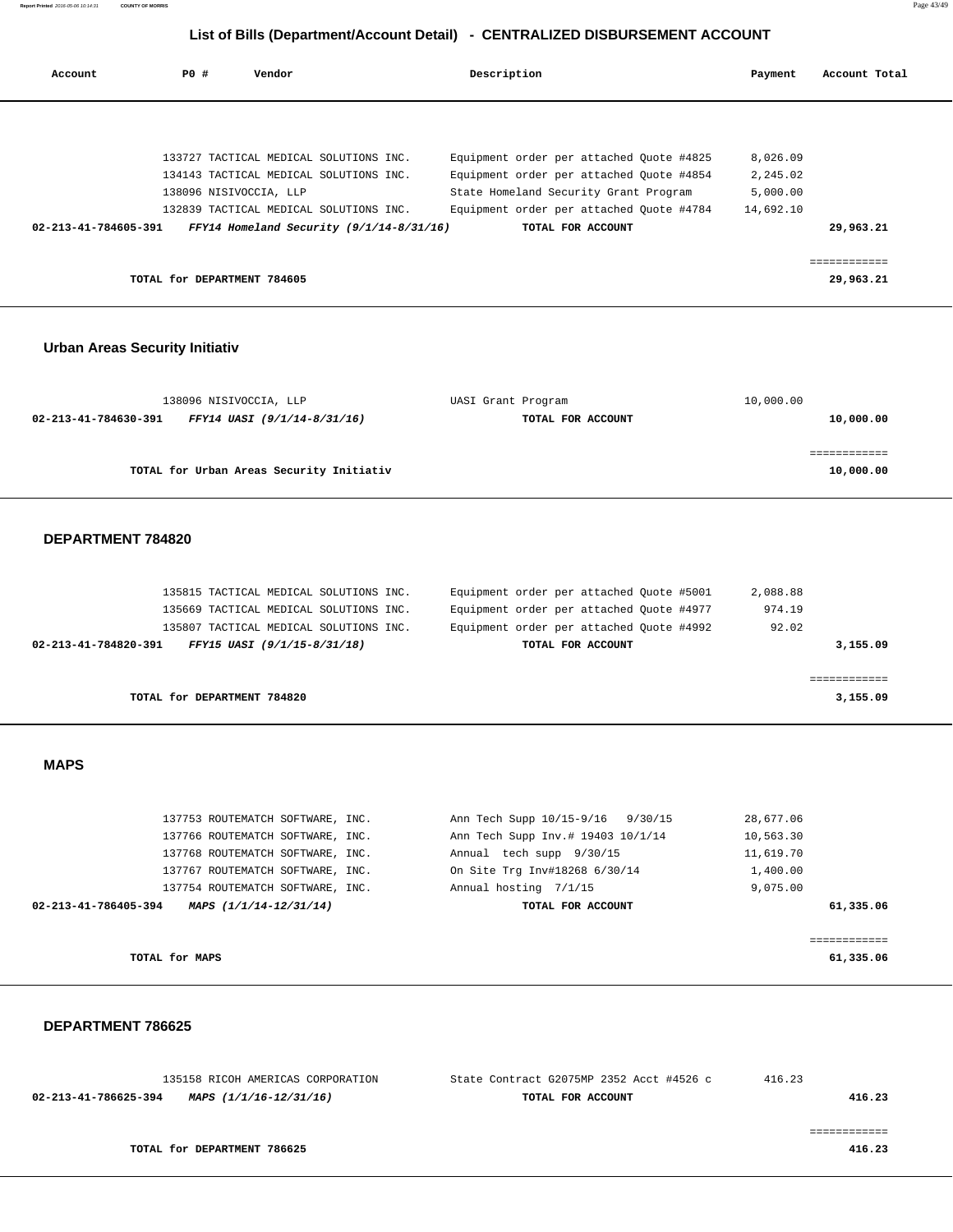| <b>COUNTY OF MORRIS</b> | Page 43/49 |
|-------------------------|------------|
|                         |            |

| Account                               | <b>PO #</b>                                           | Vendor                                                                                                                                                                                                     | Description        |                                                                                                                                                                                                | Payment                                                     | Account Total                          |
|---------------------------------------|-------------------------------------------------------|------------------------------------------------------------------------------------------------------------------------------------------------------------------------------------------------------------|--------------------|------------------------------------------------------------------------------------------------------------------------------------------------------------------------------------------------|-------------------------------------------------------------|----------------------------------------|
| 02-213-41-784605-391                  | 138096 NISIVOCCIA, LLP<br>TOTAL for DEPARTMENT 784605 | 133727 TACTICAL MEDICAL SOLUTIONS INC.<br>134143 TACTICAL MEDICAL SOLUTIONS INC.<br>132839 TACTICAL MEDICAL SOLUTIONS INC.<br>FFY14 Homeland Security (9/1/14-8/31/16)                                     |                    | Equipment order per attached Quote #4825<br>Equipment order per attached Quote #4854<br>State Homeland Security Grant Program<br>Equipment order per attached Quote #4784<br>TOTAL FOR ACCOUNT | 8,026.09<br>2,245.02<br>5,000.00<br>14,692.10               | 29,963.21<br>============<br>29,963.21 |
|                                       |                                                       |                                                                                                                                                                                                            |                    |                                                                                                                                                                                                |                                                             |                                        |
| <b>Urban Areas Security Initiativ</b> |                                                       |                                                                                                                                                                                                            |                    |                                                                                                                                                                                                |                                                             |                                        |
| 02-213-41-784630-391                  | 138096 NISIVOCCIA, LLP                                | FFY14 UASI (9/1/14-8/31/16)                                                                                                                                                                                | UASI Grant Program | TOTAL FOR ACCOUNT                                                                                                                                                                              | 10,000.00                                                   | 10,000.00                              |
|                                       |                                                       | TOTAL for Urban Areas Security Initiativ                                                                                                                                                                   |                    |                                                                                                                                                                                                |                                                             | ============<br>10,000.00              |
| DEPARTMENT 784820                     |                                                       |                                                                                                                                                                                                            |                    |                                                                                                                                                                                                |                                                             |                                        |
| 02-213-41-784820-391                  |                                                       | 135815 TACTICAL MEDICAL SOLUTIONS INC.<br>135669 TACTICAL MEDICAL SOLUTIONS INC.<br>135807 TACTICAL MEDICAL SOLUTIONS INC.<br>FFY15 UASI (9/1/15-8/31/18)                                                  |                    | Equipment order per attached Quote #5001<br>Equipment order per attached Quote #4977<br>Equipment order per attached Quote #4992<br>TOTAL FOR ACCOUNT                                          | 2,088.88<br>974.19<br>92.02                                 | 3,155.09                               |
|                                       | TOTAL for DEPARTMENT 784820                           |                                                                                                                                                                                                            |                    |                                                                                                                                                                                                |                                                             | ============<br>3,155.09               |
| <b>MAPS</b>                           |                                                       |                                                                                                                                                                                                            |                    |                                                                                                                                                                                                |                                                             |                                        |
| 02-213-41-786405-394                  |                                                       | 137753 ROUTEMATCH SOFTWARE, INC.<br>137766 ROUTEMATCH SOFTWARE, INC.<br>137768 ROUTEMATCH SOFTWARE, INC.<br>137767 ROUTEMATCH SOFTWARE, INC.<br>137754 ROUTEMATCH SOFTWARE, INC.<br>MAPS (1/1/14-12/31/14) |                    | Ann Tech Supp 10/15-9/16 9/30/15<br>Ann Tech Supp Inv.# 19403 10/1/14<br>Annual tech supp 9/30/15<br>On Site Trg Inv#18268 6/30/14<br>Annual hosting 7/1/15<br>TOTAL FOR ACCOUNT               | 28,677.06<br>10,563.30<br>11,619.70<br>1,400.00<br>9,075.00 | 61,335.06                              |
|                                       | TOTAL for MAPS                                        |                                                                                                                                                                                                            |                    |                                                                                                                                                                                                |                                                             | ============<br>61,335.06              |
| DEPARTMENT 786625                     |                                                       |                                                                                                                                                                                                            |                    |                                                                                                                                                                                                |                                                             |                                        |

|        | 416.23 | State Contract G2075MP 2352 Acct #4526 c | 135158 RICOH AMERICAS CORPORATION |                      |
|--------|--------|------------------------------------------|-----------------------------------|----------------------|
| 416.23 |        | TOTAL FOR ACCOUNT                        | MAPS (1/1/16-12/31/16)            | 02-213-41-786625-394 |
|        |        |                                          |                                   |                      |
|        |        |                                          |                                   |                      |
| 416.23 |        |                                          | TOTAL for DEPARTMENT 786625       |                      |
|        |        |                                          |                                   |                      |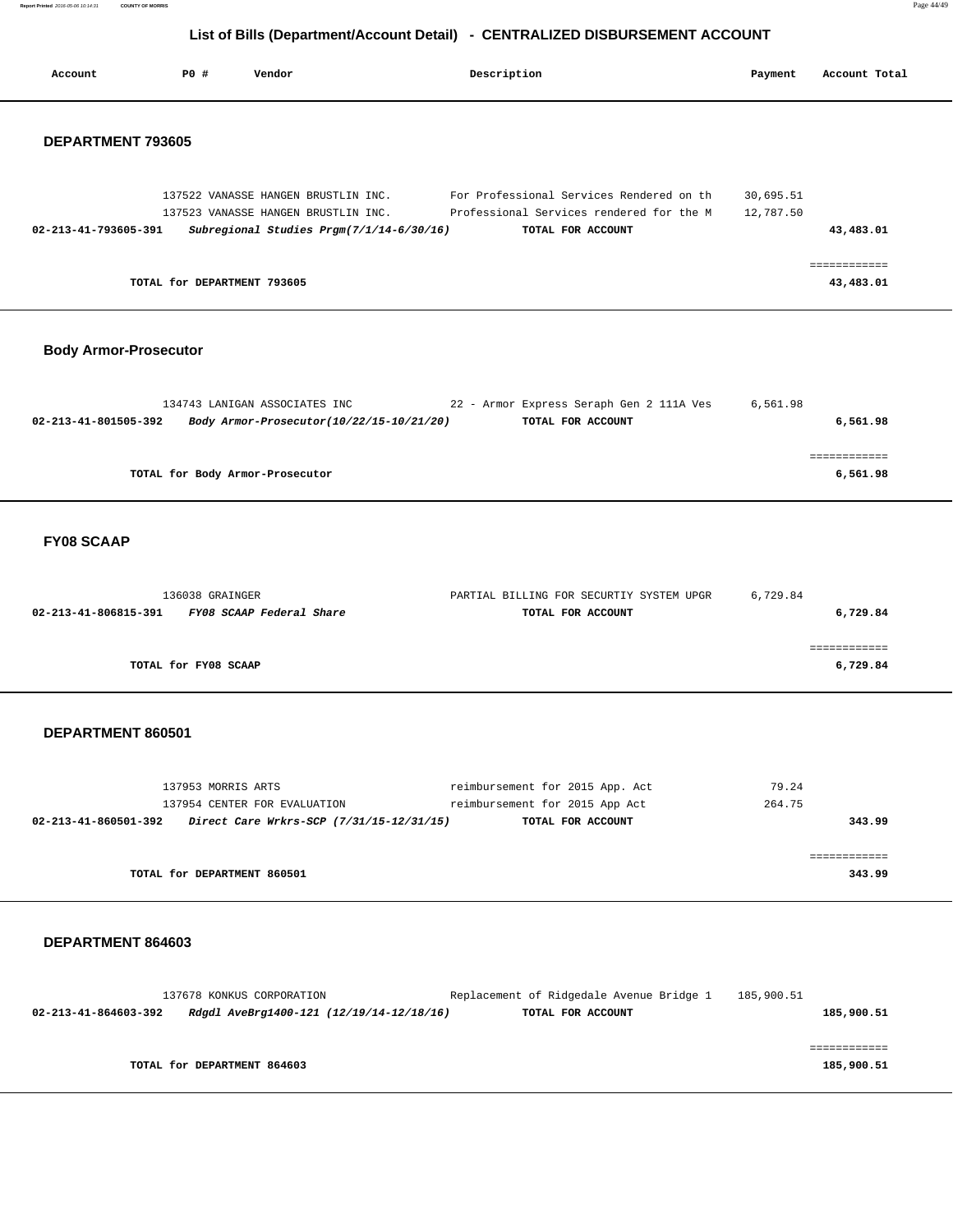| Report Printed 2016-05-06 10:14:31<br><b>COUNTY OF MORRIS</b> | Page 44/49 |
|---------------------------------------------------------------|------------|
|---------------------------------------------------------------|------------|

| Account                      | P0 #                        | Vendor                                                                                                                 | Description                                                                                               | Payment                | Account Total              |
|------------------------------|-----------------------------|------------------------------------------------------------------------------------------------------------------------|-----------------------------------------------------------------------------------------------------------|------------------------|----------------------------|
| DEPARTMENT 793605            |                             |                                                                                                                        |                                                                                                           |                        |                            |
| 02-213-41-793605-391         |                             | 137522 VANASSE HANGEN BRUSTLIN INC.<br>137523 VANASSE HANGEN BRUSTLIN INC.<br>Subregional Studies Prgm(7/1/14-6/30/16) | For Professional Services Rendered on th<br>Professional Services rendered for the M<br>TOTAL FOR ACCOUNT | 30,695.51<br>12,787.50 | 43,483.01                  |
|                              | TOTAL for DEPARTMENT 793605 |                                                                                                                        |                                                                                                           |                        | ============<br>43,483.01  |
| <b>Body Armor-Prosecutor</b> |                             |                                                                                                                        |                                                                                                           |                        |                            |
| 02-213-41-801505-392         |                             | 134743 LANIGAN ASSOCIATES INC<br>Body Armor-Prosecutor(10/22/15-10/21/20)                                              | 22 - Armor Express Seraph Gen 2 111A Ves<br>TOTAL FOR ACCOUNT                                             | 6,561.98               | 6,561.98                   |
|                              |                             | TOTAL for Body Armor-Prosecutor                                                                                        |                                                                                                           |                        | ============<br>6,561.98   |
| <b>FY08 SCAAP</b>            |                             |                                                                                                                        |                                                                                                           |                        |                            |
| 02-213-41-806815-391         | 136038 GRAINGER             | FY08 SCAAP Federal Share                                                                                               | PARTIAL BILLING FOR SECURTIY SYSTEM UPGR<br>TOTAL FOR ACCOUNT                                             | 6,729.84               | 6,729.84                   |
|                              | TOTAL for FY08 SCAAP        |                                                                                                                        |                                                                                                           |                        | ============<br>6,729.84   |
| DEPARTMENT 860501            |                             |                                                                                                                        |                                                                                                           |                        |                            |
|                              | 137953 MORRIS ARTS          | 137954 CENTER FOR EVALUATION<br>02-213-41-860501-392    Direct Care Wrkrs-SCP (7/31/15-12/31/15)                       | reimbursement for 2015 App. Act<br>reimbursement for 2015 App Act<br>TOTAL FOR ACCOUNT                    | 79.24<br>264.75        | 343.99                     |
|                              | TOTAL for DEPARTMENT 860501 |                                                                                                                        |                                                                                                           |                        | ============<br>343.99     |
| DEPARTMENT 864603            |                             |                                                                                                                        |                                                                                                           |                        |                            |
| 02-213-41-864603-392         |                             | 137678 KONKUS CORPORATION<br>Rdgdl AveBrg1400-121 (12/19/14-12/18/16)                                                  | Replacement of Ridgedale Avenue Bridge 1<br>TOTAL FOR ACCOUNT                                             | 185,900.51             | 185,900.51                 |
|                              | TOTAL for DEPARTMENT 864603 |                                                                                                                        |                                                                                                           |                        | ============<br>185,900.51 |
|                              |                             |                                                                                                                        |                                                                                                           |                        |                            |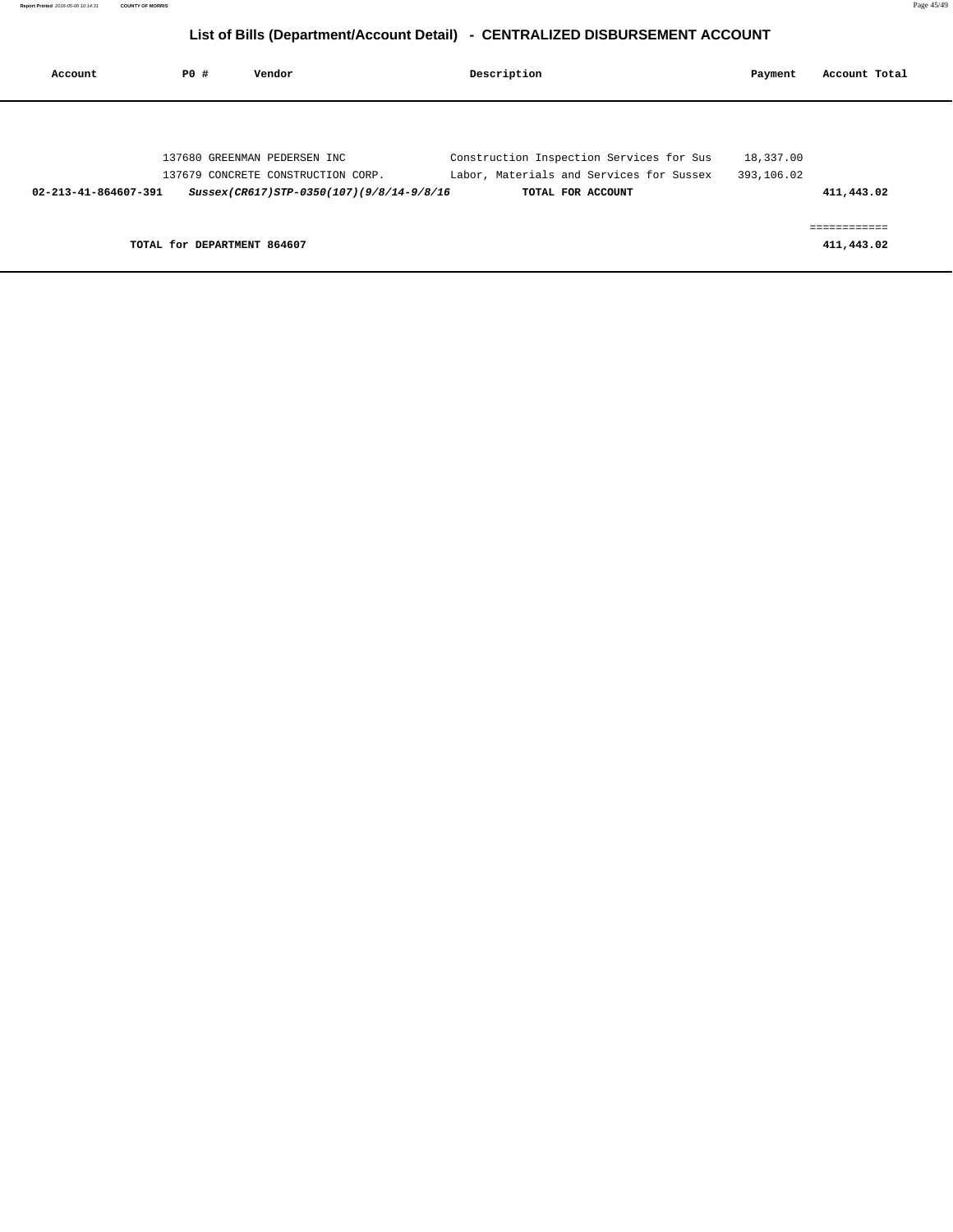| Account              | PO#                         | Vendor                                   | Description                              | Payment    | Account Total              |
|----------------------|-----------------------------|------------------------------------------|------------------------------------------|------------|----------------------------|
|                      |                             |                                          |                                          |            |                            |
|                      |                             | 137680 GREENMAN PEDERSEN INC             | Construction Inspection Services for Sus | 18,337.00  |                            |
|                      |                             | 137679 CONCRETE CONSTRUCTION CORP.       | Labor, Materials and Services for Sussex | 393,106.02 |                            |
| 02-213-41-864607-391 |                             | Sussex(CR617)STP-0350(107)(9/8/14-9/8/16 | TOTAL FOR ACCOUNT                        |            | 411,443.02                 |
|                      | TOTAL for DEPARTMENT 864607 |                                          |                                          |            | ============<br>411,443.02 |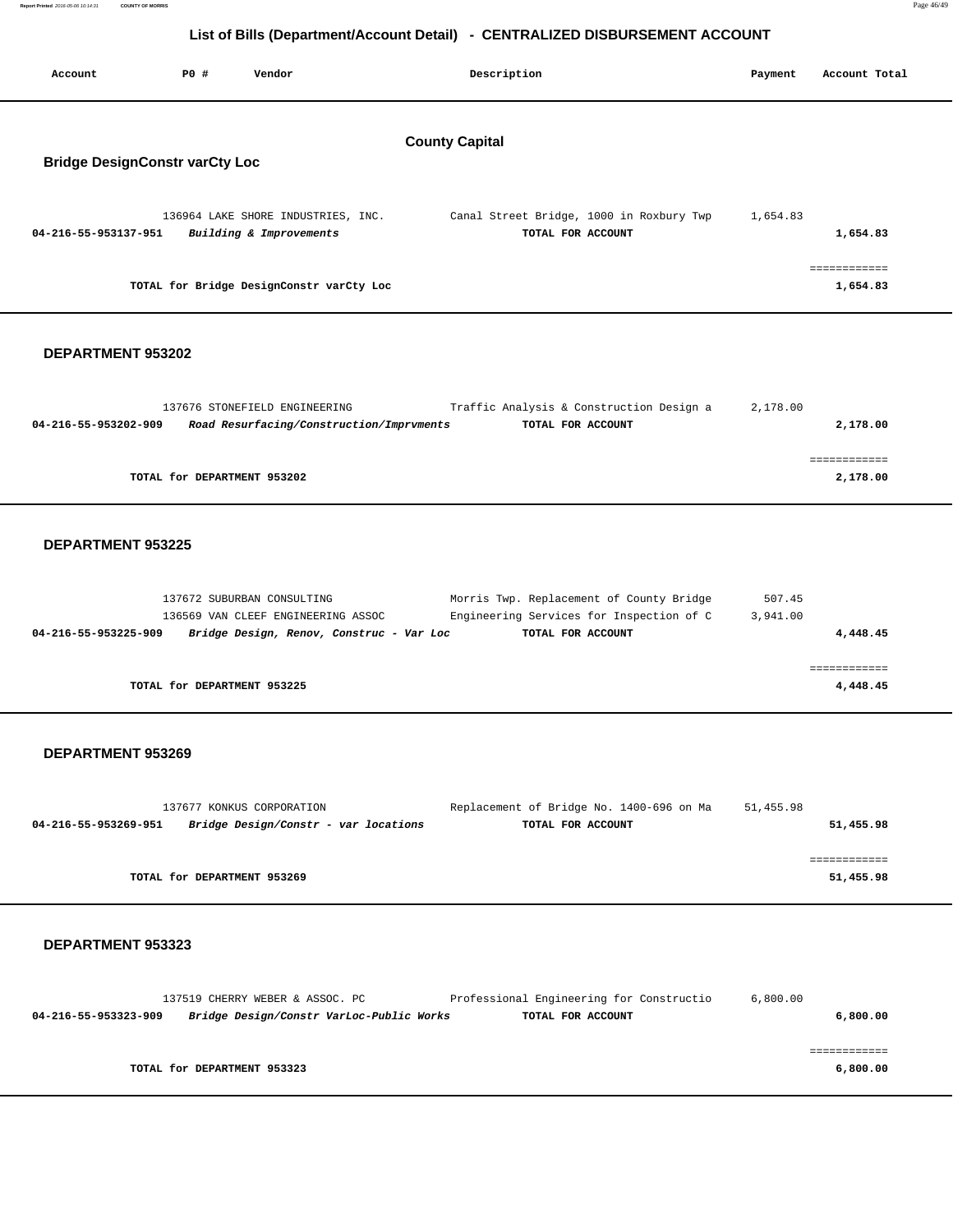**Report Printed** 2016-05-06 10:14:31 **COUNTY OF MORRIS** Page 46/49

# **List of Bills (Department/Account Detail) - CENTRALIZED DISBURSEMENT ACCOUNT**

| Account                               | <b>PO #</b> | Vendor                                                        | Description                                                   | Payment  | Account Total           |
|---------------------------------------|-------------|---------------------------------------------------------------|---------------------------------------------------------------|----------|-------------------------|
| <b>Bridge DesignConstr varCty Loc</b> |             |                                                               | <b>County Capital</b>                                         |          |                         |
| 04-216-55-953137-951                  |             | 136964 LAKE SHORE INDUSTRIES, INC.<br>Building & Improvements | Canal Street Bridge, 1000 in Roxbury Twp<br>TOTAL FOR ACCOUNT | 1,654.83 | 1,654.83                |
|                                       |             | TOTAL for Bridge DesignConstr varCty Loc                      |                                                               |          | ===========<br>1,654.83 |
| <b>DEPARTMENT 953202</b>              |             |                                                               |                                                               |          |                         |

|                      | 137676 STONEFIELD ENGINEERING            | Traffic Analysis & Construction Design a | 2,178.00 |             |
|----------------------|------------------------------------------|------------------------------------------|----------|-------------|
| 04-216-55-953202-909 | Road Resurfacing/Construction/Imprvments | TOTAL FOR ACCOUNT                        |          | 2,178.00    |
|                      |                                          |                                          |          |             |
|                      |                                          |                                          |          | ----------- |
|                      | TOTAL for DEPARTMENT 953202              |                                          |          | 2,178.00    |
|                      |                                          |                                          |          |             |

## **DEPARTMENT 953225**

| 137672 SUBURBAN CONSULTING<br>136569 VAN CLEEF ENGINEERING ASSOC | Morris Twp. Replacement of County Bridge<br>Engineering Services for Inspection of C | 507.45<br>3,941.00 |
|------------------------------------------------------------------|--------------------------------------------------------------------------------------|--------------------|
| 04-216-55-953225-909<br>Bridge Design, Renov, Construc - Var Loc | TOTAL FOR ACCOUNT                                                                    | 4,448.45           |
|                                                                  |                                                                                      |                    |
| TOTAL for DEPARTMENT 953225                                      |                                                                                      | 4,448.45           |

## **DEPARTMENT 953269**

|                                                              | 137677 KONKUS CORPORATION   | Replacement of Bridge No. 1400-696 on Ma | 51,455.98 |
|--------------------------------------------------------------|-----------------------------|------------------------------------------|-----------|
| Bridge Design/Constr - var locations<br>04-216-55-953269-951 |                             | TOTAL FOR ACCOUNT                        | 51,455.98 |
|                                                              |                             |                                          |           |
|                                                              |                             |                                          |           |
|                                                              | TOTAL for DEPARTMENT 953269 |                                          | 51,455.98 |
|                                                              |                             |                                          |           |

|                      | 137519 CHERRY WEBER & ASSOC. PC          | Professional Engineering for Constructio | 6,800.00 |
|----------------------|------------------------------------------|------------------------------------------|----------|
| 04-216-55-953323-909 | Bridge Design/Constr VarLoc-Public Works | TOTAL FOR ACCOUNT                        | 6,800.00 |
|                      |                                          |                                          |          |
|                      |                                          |                                          |          |
|                      | TOTAL for DEPARTMENT 953323              |                                          | 6,800.00 |
|                      |                                          |                                          |          |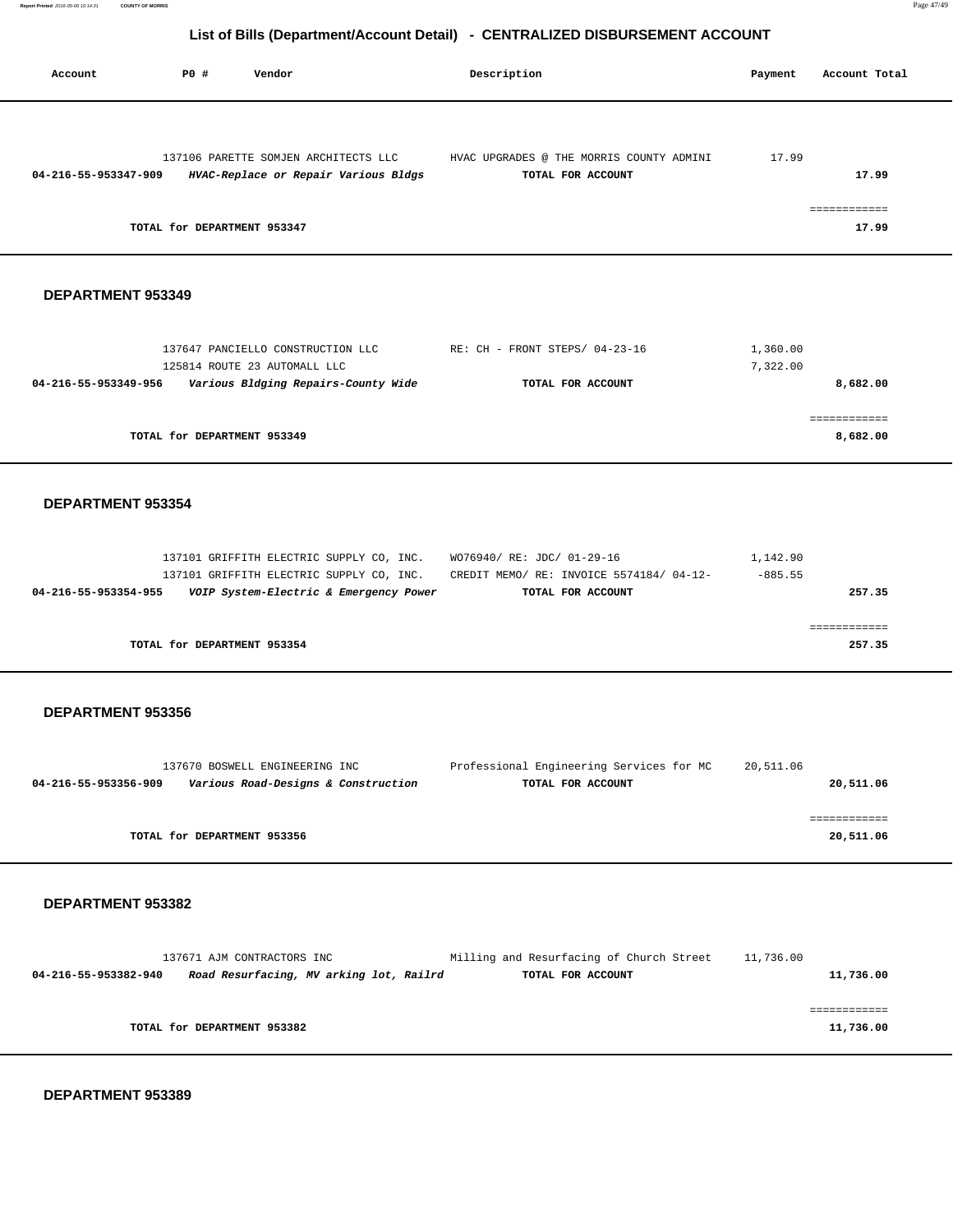| Account                  | PO#<br>Vendor                                                                                                     | Description                                                   | Payment              | Account Total                    |
|--------------------------|-------------------------------------------------------------------------------------------------------------------|---------------------------------------------------------------|----------------------|----------------------------------|
| 04-216-55-953347-909     | 137106 PARETTE SOMJEN ARCHITECTS LLC<br>HVAC-Replace or Repair Various Bldgs<br>TOTAL for DEPARTMENT 953347       | HVAC UPGRADES @ THE MORRIS COUNTY ADMINI<br>TOTAL FOR ACCOUNT | 17.99                | 17.99<br>17.99                   |
| <b>DEPARTMENT 953349</b> |                                                                                                                   |                                                               |                      |                                  |
| 04-216-55-953349-956     | 137647 PANCIELLO CONSTRUCTION LLC<br>125814 ROUTE 23 AUTOMALL LLC<br>Various Bldging Repairs-County Wide          | RE: CH - FRONT STEPS/ 04-23-16<br>TOTAL FOR ACCOUNT           | 1,360.00<br>7,322.00 | 8,682.00<br>============         |
|                          | TOTAL for DEPARTMENT 953349                                                                                       |                                                               |                      | 8,682.00                         |
| DEPARTMENT 953354        | 137101 GRIFFITH ELECTRIC SUPPLY CO, INC.                                                                          | WO76940/ RE: JDC/ 01-29-16                                    | 1,142.90             |                                  |
| 04-216-55-953354-955     | 137101 GRIFFITH ELECTRIC SUPPLY CO, INC.<br>VOIP System-Electric & Emergency Power<br>TOTAL for DEPARTMENT 953354 | CREDIT MEMO/ RE: INVOICE 5574184/ 04-12-<br>TOTAL FOR ACCOUNT | $-885.55$            | 257.35<br>============<br>257.35 |
| DEPARTMENT 953356        |                                                                                                                   |                                                               |                      |                                  |
| 04-216-55-953356-909     | 137670 BOSWELL ENGINEERING INC<br>Various Road-Designs & Construction                                             | Professional Engineering Services for MC<br>TOTAL FOR ACCOUNT | 20,511.06            | 20,511.06                        |
|                          | TOTAL for DEPARTMENT 953356                                                                                       |                                                               |                      | ============<br>20,511.06        |
| DEPARTMENT 953382        | 137671 AJM CONTRACTORS INC                                                                                        | Milling and Resurfacing of Church Street                      | 11,736.00            |                                  |
| 04-216-55-953382-940     | Road Resurfacing, MV arking lot, Railrd                                                                           | TOTAL FOR ACCOUNT                                             |                      | 11,736.00<br>============        |

**TOTAL for DEPARTMENT 953382** 11,736.00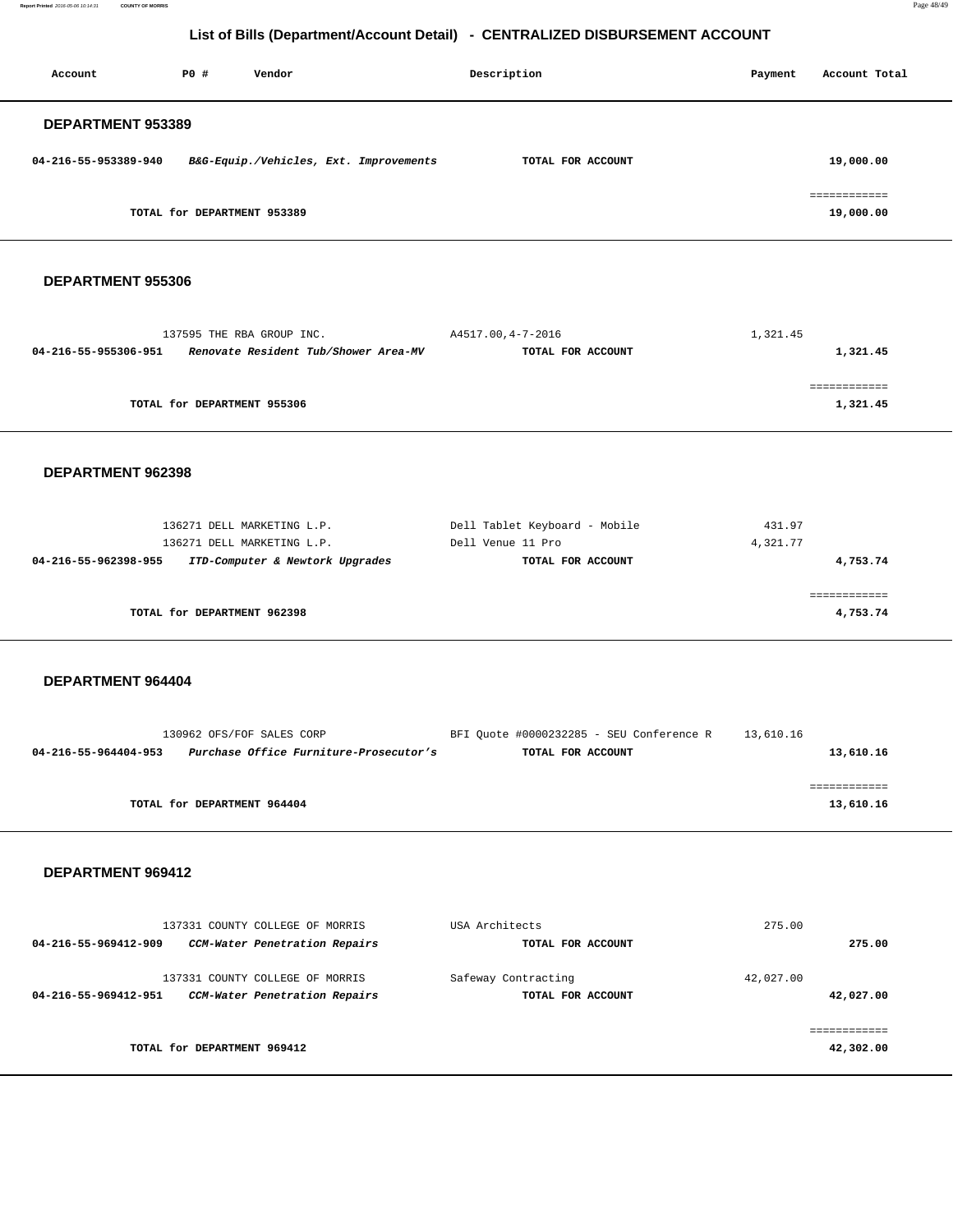**Report Printed** 2016-05-06 10:14:31 **COUNTY OF MORRIS** Page 48/49

# **List of Bills (Department/Account Detail) - CENTRALIZED DISBURSEMENT ACCOUNT**

| Account                  | PO#                         | Vendor                                 | Description       | Payment | Account Total             |
|--------------------------|-----------------------------|----------------------------------------|-------------------|---------|---------------------------|
| <b>DEPARTMENT 953389</b> |                             |                                        |                   |         |                           |
| 04-216-55-953389-940     |                             | B&G-Equip./Vehicles, Ext. Improvements | TOTAL FOR ACCOUNT |         | 19,000.00                 |
|                          | TOTAL for DEPARTMENT 953389 |                                        |                   |         | ------------<br>19,000.00 |

#### **DEPARTMENT 955306**

| 137595 THE RBA GROUP INC.                                    | A4517.00,4-7-2016 | 1,321.45 |
|--------------------------------------------------------------|-------------------|----------|
| Renovate Resident Tub/Shower Area-MV<br>04-216-55-955306-951 | TOTAL FOR ACCOUNT | 1,321.45 |
|                                                              |                   |          |
|                                                              |                   |          |
| TOTAL for DEPARTMENT 955306                                  |                   | 1,321.45 |

#### **DEPARTMENT 962398**

| 136271 DELL MARKETING L.P.<br>136271 DELL MARKETING L.P. | Dell Tablet Keyboard - Mobile<br>Dell Venue 11 Pro | 431.97<br>4,321.77 |
|----------------------------------------------------------|----------------------------------------------------|--------------------|
| ITD-Computer & Newtork Upgrades<br>04-216-55-962398-955  | TOTAL FOR ACCOUNT                                  | 4,753.74           |
|                                                          |                                                    |                    |
| TOTAL for DEPARTMENT 962398                              |                                                    | 4,753.74           |

#### **DEPARTMENT 964404**

| 130962 OFS/FOF SALES CORP                                      | BFI Ouote #0000232285 - SEU Conference R | 13,610.16 |
|----------------------------------------------------------------|------------------------------------------|-----------|
| Purchase Office Furniture-Prosecutor's<br>04-216-55-964404-953 | TOTAL FOR ACCOUNT                        | 13,610.16 |
|                                                                |                                          |           |
|                                                                |                                          |           |
| TOTAL for DEPARTMENT 964404                                    |                                          | 13,610.16 |
|                                                                |                                          |           |

| 04-216-55-969412-909        | 137331 COUNTY COLLEGE OF MORRIS<br>CCM-Water Penetration Repairs | USA Architects<br>TOTAL FOR ACCOUNT      | 275.00    | 275.00    |
|-----------------------------|------------------------------------------------------------------|------------------------------------------|-----------|-----------|
| 04-216-55-969412-951        | 137331 COUNTY COLLEGE OF MORRIS<br>CCM-Water Penetration Repairs | Safeway Contracting<br>TOTAL FOR ACCOUNT | 42,027.00 | 42,027.00 |
| TOTAL for DEPARTMENT 969412 |                                                                  |                                          |           | 42,302.00 |